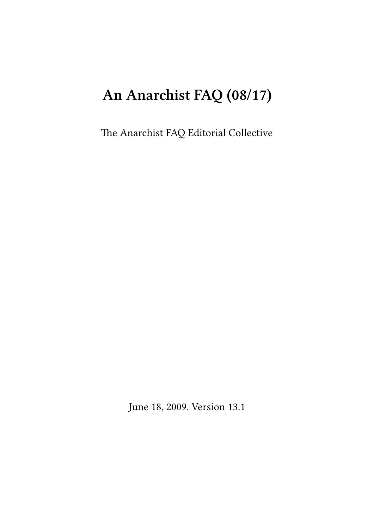# **An Anarchist FAQ (08/17)**

The Anarchist FAQ Editorial Collective

June 18, 2009. Version 13.1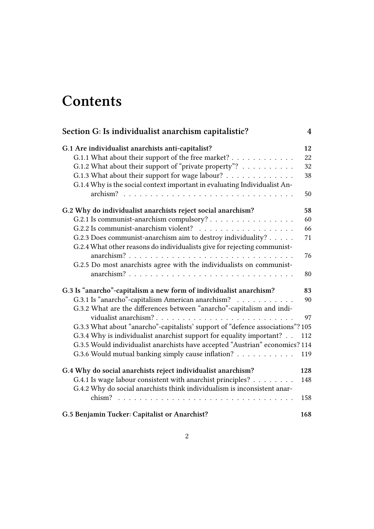### **Contents**

| Section G: Is individualist anarchism capitalistic?                            | $\overline{4}$ |
|--------------------------------------------------------------------------------|----------------|
| G.1 Are individualist anarchists anti-capitalist?                              | 12             |
| G.1.1 What about their support of the free market?                             | 22             |
| G.1.2 What about their support of "private property"?                          | 32             |
| G.1.3 What about their support for wage labour?                                | 38             |
| G.1.4 Why is the social context important in evaluating Individualist An-      |                |
|                                                                                | 50             |
| G.2 Why do individualist anarchists reject social anarchism?                   | 58             |
| G.2.1 Is communist-anarchism compulsory?                                       | 60             |
|                                                                                | 66             |
| G.2.3 Does communist-anarchism aim to destroy individuality?                   | 71             |
| G.2.4 What other reasons do individualists give for rejecting communist-       | 76             |
|                                                                                |                |
| G.2.5 Do most anarchists agree with the individualists on communist-           |                |
|                                                                                | 80             |
| G.3 Is "anarcho"-capitalism a new form of individualist anarchism?             | 83             |
| G.3.1 Is "anarcho"-capitalism American anarchism?                              | 90             |
| G.3.2 What are the differences between "anarcho"-capitalism and indi-          |                |
| vidualist anarchism?                                                           | 97             |
| G.3.3 What about "anarcho"-capitalists' support of "defence associations"? 105 |                |
| G.3.4 Why is individualist anarchist support for equality important?           | 112            |
| G.3.5 Would individualist anarchists have accepted "Austrian" economics? 114   |                |
| G.3.6 Would mutual banking simply cause inflation?                             | 119            |
| G.4 Why do social anarchists reject individualist anarchism?                   | 128            |
| G.4.1 Is wage labour consistent with anarchist principles?                     | 148            |
| G.4.2 Why do social anarchists think individualism is inconsistent anar-       |                |
|                                                                                | 158            |
| G.5 Benjamin Tucker: Capitalist or Anarchist?                                  | 168            |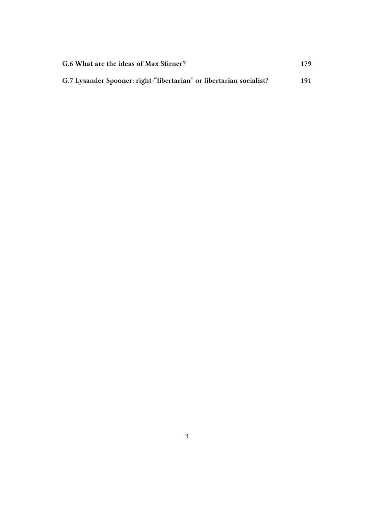| G.6 What are the ideas of Max Stirner?                              | 179 |
|---------------------------------------------------------------------|-----|
| G.7 Lysander Spooner: right-"libertarian" or libertarian socialist? | 191 |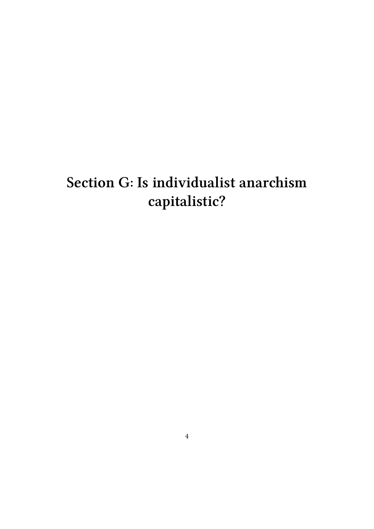## <span id="page-3-0"></span>**Section G: Is individualist anarchism capitalistic?**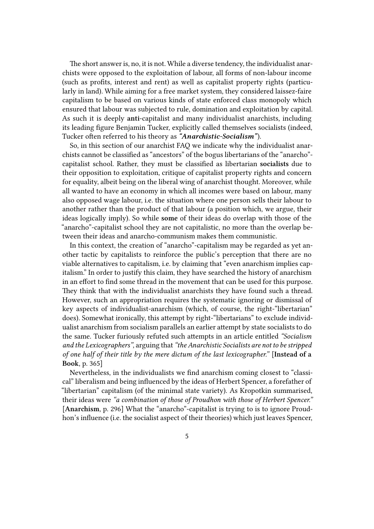The short answer is, no, it is not. While a diverse tendency, the individualist anarchists were opposed to the exploitation of labour, all forms of non-labour income (such as profits, interest and rent) as well as capitalist property rights (particularly in land). While aiming for a free market system, they considered laissez-faire capitalism to be based on various kinds of state enforced class monopoly which ensured that labour was subjected to rule, domination and exploitation by capital. As such it is deeply **anti**-capitalist and many individualist anarchists, including its leading figure Benjamin Tucker, explicitly called themselves socialists (indeed, Tucker often referred to his theory as *"Anarchistic-Socialism"*).

So, in this section of our anarchist FAQ we indicate why the individualist anarchists cannot be classified as "ancestors" of the bogus libertarians of the "anarcho" capitalist school. Rather, they must be classified as libertarian **socialists** due to their opposition to exploitation, critique of capitalist property rights and concern for equality, albeit being on the liberal wing of anarchist thought. Moreover, while all wanted to have an economy in which all incomes were based on labour, many also opposed wage labour, i.e. the situation where one person sells their labour to another rather than the product of that labour (a position which, we argue, their ideas logically imply). So while **some** of their ideas do overlap with those of the "anarcho"-capitalist school they are not capitalistic, no more than the overlap between their ideas and anarcho-communism makes them communistic.

In this context, the creation of "anarcho"-capitalism may be regarded as yet another tactic by capitalists to reinforce the public's perception that there are no viable alternatives to capitalism, i.e. by claiming that "even anarchism implies capitalism." In order to justify this claim, they have searched the history of anarchism in an effort to find some thread in the movement that can be used for this purpose. They think that with the individualist anarchists they have found such a thread. However, such an appropriation requires the systematic ignoring or dismissal of key aspects of individualist-anarchism (which, of course, the right-"libertarian" does). Somewhat ironically, this attempt by right-"libertarians" to exclude individualist anarchism from socialism parallels an earlier attempt by state socialists to do the same. Tucker furiously refuted such attempts in an article entitled *"Socialism and the Lexicographers"*, arguing that*"the Anarchistic Socialists are not to be stripped of one half of their title by the mere dictum of the last lexicographer."* [**Instead of a Book**, p. 365]

Nevertheless, in the individualists we find anarchism coming closest to "classical" liberalism and being influenced by the ideas of Herbert Spencer, a forefather of "libertarian" capitalism (of the minimal state variety). As Kropotkin summarised, their ideas were *"a combination of those of Proudhon with those of Herbert Spencer."* [**Anarchism**, p. 296] What the "anarcho"-capitalist is trying to is to ignore Proudhon's influence (i.e. the socialist aspect of their theories) which just leaves Spencer,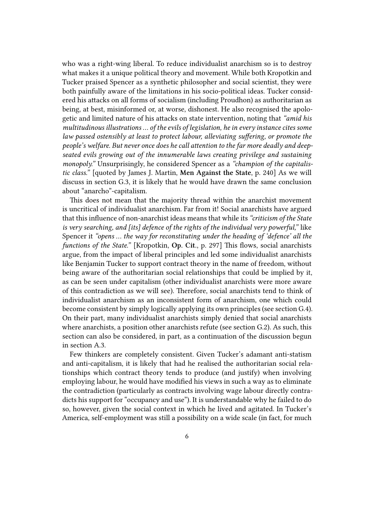who was a right-wing liberal. To reduce individualist anarchism so is to destroy what makes it a unique political theory and movement. While both Kropotkin and Tucker praised Spencer as a synthetic philosopher and social scientist, they were both painfully aware of the limitations in his socio-political ideas. Tucker considered his attacks on all forms of socialism (including Proudhon) as authoritarian as being, at best, misinformed or, at worse, dishonest. He also recognised the apologetic and limited nature of his attacks on state intervention, noting that *"amid his multitudinous illustrations … of the evils of legislation, he in every instance cites some law passed ostensibly at least to protect labour, alleviating suffering, or promote the people's welfare. But never once does he call attention to the far more deadly and deepseated evils growing out of the innumerable laws creating privilege and sustaining monopoly."* Unsurprisingly, he considered Spencer as a *"champion of the capitalistic class."* [quoted by James J. Martin, **Men Against the State**, p. 240] As we will discuss in section G.3, it is likely that he would have drawn the same conclusion about "anarcho"-capitalism.

This does not mean that the majority thread within the anarchist movement is uncritical of individualist anarchism. Far from it! Social anarchists have argued that this influence of non-anarchist ideas means that while its *"criticism of the State is very searching, and [its] defence of the rights of the individual very powerful,"* like Spencer it *"opens … the way for reconstituting under the heading of 'defence' all the functions of the State."* [Kropotkin, **Op. Cit.**, p. 297] This flows, social anarchists argue, from the impact of liberal principles and led some individualist anarchists like Benjamin Tucker to support contract theory in the name of freedom, without being aware of the authoritarian social relationships that could be implied by it, as can be seen under capitalism (other individualist anarchists were more aware of this contradiction as we will see). Therefore, social anarchists tend to think of individualist anarchism as an inconsistent form of anarchism, one which could become consistent by simply logically applying its own principles (see section G.4). On their part, many individualist anarchists simply denied that social anarchists where anarchists, a position other anarchists refute (see section G.2). As such, this section can also be considered, in part, as a continuation of the discussion begun in section A.3.

Few thinkers are completely consistent. Given Tucker's adamant anti-statism and anti-capitalism, it is likely that had he realised the authoritarian social relationships which contract theory tends to produce (and justify) when involving employing labour, he would have modified his views in such a way as to eliminate the contradiction (particularly as contracts involving wage labour directly contradicts his support for "occupancy and use"). It is understandable why he failed to do so, however, given the social context in which he lived and agitated. In Tucker's America, self-employment was still a possibility on a wide scale (in fact, for much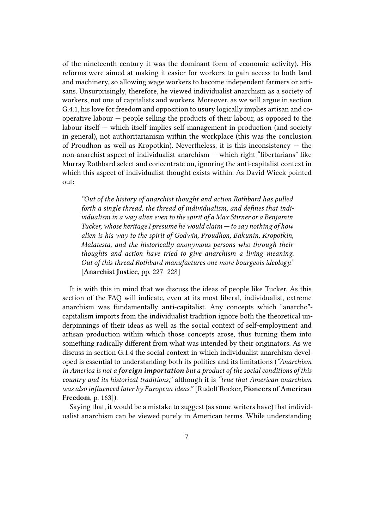of the nineteenth century it was the dominant form of economic activity). His reforms were aimed at making it easier for workers to gain access to both land and machinery, so allowing wage workers to become independent farmers or artisans. Unsurprisingly, therefore, he viewed individualist anarchism as a society of workers, not one of capitalists and workers. Moreover, as we will argue in section G.4.1, his love for freedom and opposition to usury logically implies artisan and cooperative labour — people selling the products of their labour, as opposed to the labour itself — which itself implies self-management in production (and society in general), not authoritarianism within the workplace (this was the conclusion of Proudhon as well as Kropotkin). Nevertheless, it is this inconsistency — the non-anarchist aspect of individualist anarchism — which right "libertarians" like Murray Rothbard select and concentrate on, ignoring the anti-capitalist context in which this aspect of individualist thought exists within. As David Wieck pointed out:

*"Out of the history of anarchist thought and action Rothbard has pulled forth a single thread, the thread of individualism, and defines that individualism in a way alien even to the spirit of a Max Stirner or a Benjamin Tucker, whose heritage I presume he would claim — to say nothing of how alien is his way to the spirit of Godwin, Proudhon, Bakunin, Kropotkin, Malatesta, and the historically anonymous persons who through their thoughts and action have tried to give anarchism a living meaning. Out of this thread Rothbard manufactures one more bourgeois ideology."* [**Anarchist Justice**, pp. 227–228]

It is with this in mind that we discuss the ideas of people like Tucker. As this section of the FAQ will indicate, even at its most liberal, individualist, extreme anarchism was fundamentally **anti**-capitalist. Any concepts which "anarcho" capitalism imports from the individualist tradition ignore both the theoretical underpinnings of their ideas as well as the social context of self-employment and artisan production within which those concepts arose, thus turning them into something radically different from what was intended by their originators. As we discuss in section G.1.4 the social context in which individualist anarchism developed is essential to understanding both its politics and its limitations (*"Anarchism in America is not a foreign importation but a product of the social conditions of this country and its historical traditions,"* although it is *"true that American anarchism was also influenced later by European ideas."* [Rudolf Rocker, **Pioneers of American Freedom**, p. 163]).

Saying that, it would be a mistake to suggest (as some writers have) that individualist anarchism can be viewed purely in American terms. While understanding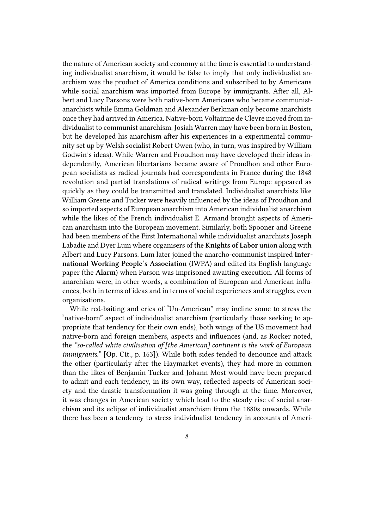the nature of American society and economy at the time is essential to understanding individualist anarchism, it would be false to imply that only individualist anarchism was the product of America conditions and subscribed to by Americans while social anarchism was imported from Europe by immigrants. After all, Albert and Lucy Parsons were both native-born Americans who became communistanarchists while Emma Goldman and Alexander Berkman only become anarchists once they had arrived in America. Native-born Voltairine de Cleyre moved from individualist to communist anarchism. Josiah Warren may have been born in Boston, but he developed his anarchism after his experiences in a experimental community set up by Welsh socialist Robert Owen (who, in turn, was inspired by William Godwin's ideas). While Warren and Proudhon may have developed their ideas independently, American libertarians became aware of Proudhon and other European socialists as radical journals had correspondents in France during the 1848 revolution and partial translations of radical writings from Europe appeared as quickly as they could be transmitted and translated. Individualist anarchists like William Greene and Tucker were heavily influenced by the ideas of Proudhon and so imported aspects of European anarchism into American individualist anarchism while the likes of the French individualist E. Armand brought aspects of American anarchism into the European movement. Similarly, both Spooner and Greene had been members of the First International while individualist anarchists Joseph Labadie and Dyer Lum where organisers of the **Knights of Labor** union along with Albert and Lucy Parsons. Lum later joined the anarcho-communist inspired **International Working People's Association** (IWPA) and edited its English language paper (the **Alarm**) when Parson was imprisoned awaiting execution. All forms of anarchism were, in other words, a combination of European and American influences, both in terms of ideas and in terms of social experiences and struggles, even organisations.

While red-baiting and cries of "Un-American" may incline some to stress the "native-born" aspect of individualist anarchism (particularly those seeking to appropriate that tendency for their own ends), both wings of the US movement had native-born and foreign members, aspects and influences (and, as Rocker noted, the *"so-called white civilisation of [the American] continent is the work of European immigrants."* [**Op. Cit.**, p. 163]). While both sides tended to denounce and attack the other (particularly after the Haymarket events), they had more in common than the likes of Benjamin Tucker and Johann Most would have been prepared to admit and each tendency, in its own way, reflected aspects of American society and the drastic transformation it was going through at the time. Moreover, it was changes in American society which lead to the steady rise of social anarchism and its eclipse of individualist anarchism from the 1880s onwards. While there has been a tendency to stress individualist tendency in accounts of Ameri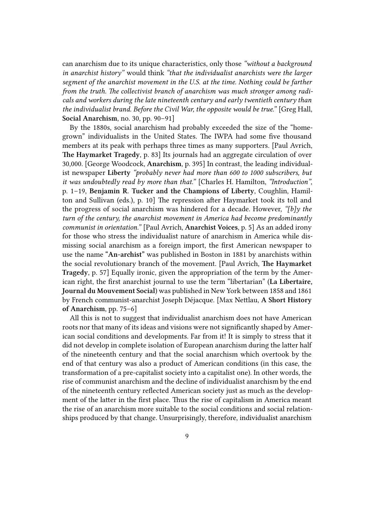can anarchism due to its unique characteristics, only those *"without a background in anarchist history"* would think *"that the individualist anarchists were the larger segment of the anarchist movement in the U.S. at the time. Nothing could be farther from the truth. The collectivist branch of anarchism was much stronger among radicals and workers during the late nineteenth century and early twentieth century than the individualist brand. Before the Civil War, the opposite would be true."* [Greg Hall, **Social Anarchism**, no. 30, pp. 90–91]

By the 1880s, social anarchism had probably exceeded the size of the "homegrown" individualists in the United States. The IWPA had some five thousand members at its peak with perhaps three times as many supporters. [Paul Avrich, **The Haymarket Tragedy**, p. 83] Its journals had an aggregate circulation of over 30,000. [George Woodcock, **Anarchism**, p. 395] In contrast, the leading individualist newspaper **Liberty** *"probably never had more than 600 to 1000 subscribers, but it was undoubtedly read by more than that."* [Charles H. Hamilton, *"Introduction"*, p. 1–19, **Benjamin R. Tucker and the Champions of Liberty**, Coughlin, Hamilton and Sullivan (eds.), p. 10] The repression after Haymarket took its toll and the progress of social anarchism was hindered for a decade. However, *"[b]y the turn of the century, the anarchist movement in America had become predominantly communist in orientation."* [Paul Avrich, **Anarchist Voices**, p. 5] As an added irony for those who stress the individualist nature of anarchism in America while dismissing social anarchism as a foreign import, the first American newspaper to use the name **"An-archist"** was published in Boston in 1881 by anarchists within the social revolutionary branch of the movement. [Paul Avrich, **The Haymarket Tragedy**, p. 57] Equally ironic, given the appropriation of the term by the American right, the first anarchist journal to use the term "libertarian" (**La Libertaire, Journal du Mouvement Social**) was published in New York between 1858 and 1861 by French communist-anarchist Joseph Déjacque. [Max Nettlau, **A Short History of Anarchism**, pp. 75–6]

All this is not to suggest that individualist anarchism does not have American roots nor that many of its ideas and visions were not significantly shaped by American social conditions and developments. Far from it! It is simply to stress that it did not develop in complete isolation of European anarchism during the latter half of the nineteenth century and that the social anarchism which overtook by the end of that century was also a product of American conditions (in this case, the transformation of a pre-capitalist society into a capitalist one). In other words, the rise of communist anarchism and the decline of individualist anarchism by the end of the nineteenth century reflected American society just as much as the development of the latter in the first place. Thus the rise of capitalism in America meant the rise of an anarchism more suitable to the social conditions and social relationships produced by that change. Unsurprisingly, therefore, individualist anarchism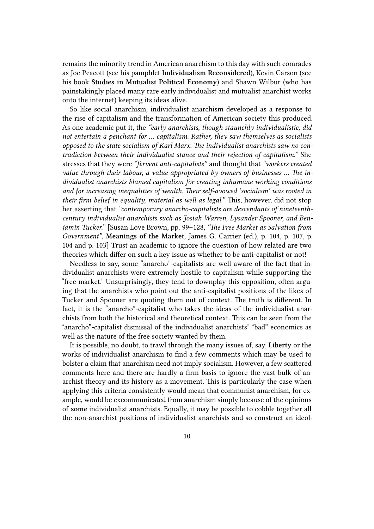remains the minority trend in American anarchism to this day with such comrades as Joe Peacott (see his pamphlet **Individualism Reconsidered**), Kevin Carson (see his book **Studies in Mutualist Political Economy**) and Shawn Wilbur (who has painstakingly placed many rare early individualist and mutualist anarchist works onto the internet) keeping its ideas alive.

So like social anarchism, individualist anarchism developed as a response to the rise of capitalism and the transformation of American society this produced. As one academic put it, the *"early anarchists, though staunchly individualistic, did not entertain a penchant for … capitalism. Rather, they saw themselves as socialists opposed to the state socialism of Karl Marx. The individualist anarchists saw no contradiction between their individualist stance and their rejection of capitalism."* She stresses that they were *"fervent anti-capitalists"* and thought that *"workers created value through their labour, a value appropriated by owners of businesses … The individualist anarchists blamed capitalism for creating inhumane working conditions and for increasing inequalities of wealth. Their self-avowed 'socialism' was rooted in their firm belief in equality, material as well as legal."* This, however, did not stop her asserting that *"contemporary anarcho-capitalists are descendants of nineteenthcentury individualist anarchists such as Josiah Warren, Lysander Spooner, and Benjamin Tucker."* [Susan Love Brown, pp. 99–128, *"The Free Market as Salvation from Government"*, **Meanings of the Market**, James G. Carrier (ed.), p. 104, p. 107, p. 104 and p. 103] Trust an academic to ignore the question of how related **are** two theories which differ on such a key issue as whether to be anti-capitalist or not!

Needless to say, some "anarcho"-capitalists are well aware of the fact that individualist anarchists were extremely hostile to capitalism while supporting the "free market." Unsurprisingly, they tend to downplay this opposition, often arguing that the anarchists who point out the anti-capitalist positions of the likes of Tucker and Spooner are quoting them out of context. The truth is different. In fact, it is the "anarcho"-capitalist who takes the ideas of the individualist anarchists from both the historical and theoretical context. This can be seen from the "anarcho"-capitalist dismissal of the individualist anarchists' "bad" economics as well as the nature of the free society wanted by them.

It is possible, no doubt, to trawl through the many issues of, say, **Liberty** or the works of individualist anarchism to find a few comments which may be used to bolster a claim that anarchism need not imply socialism. However, a few scattered comments here and there are hardly a firm basis to ignore the vast bulk of anarchist theory and its history as a movement. This is particularly the case when applying this criteria consistently would mean that communist anarchism, for example, would be excommunicated from anarchism simply because of the opinions of **some** individualist anarchists. Equally, it may be possible to cobble together all the non-anarchist positions of individualist anarchists and so construct an ideol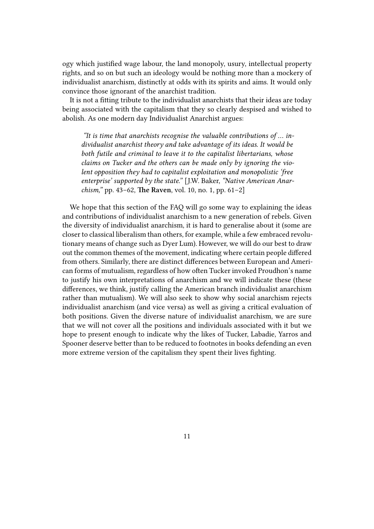ogy which justified wage labour, the land monopoly, usury, intellectual property rights, and so on but such an ideology would be nothing more than a mockery of individualist anarchism, distinctly at odds with its spirits and aims. It would only convince those ignorant of the anarchist tradition.

It is not a fitting tribute to the individualist anarchists that their ideas are today being associated with the capitalism that they so clearly despised and wished to abolish. As one modern day Individualist Anarchist argues:

*"It is time that anarchists recognise the valuable contributions of … individualist anarchist theory and take advantage of its ideas. It would be both futile and criminal to leave it to the capitalist libertarians, whose claims on Tucker and the others can be made only by ignoring the violent opposition they had to capitalist exploitation and monopolistic 'free enterprise' supported by the state."* [J.W. Baker, *"Native American Anarchism,"* pp. 43–62, **The Raven**, vol. 10, no. 1, pp. 61–2]

We hope that this section of the FAQ will go some way to explaining the ideas and contributions of individualist anarchism to a new generation of rebels. Given the diversity of individualist anarchism, it is hard to generalise about it (some are closer to classical liberalism than others, for example, while a few embraced revolutionary means of change such as Dyer Lum). However, we will do our best to draw out the common themes of the movement, indicating where certain people differed from others. Similarly, there are distinct differences between European and American forms of mutualism, regardless of how often Tucker invoked Proudhon's name to justify his own interpretations of anarchism and we will indicate these (these differences, we think, justify calling the American branch individualist anarchism rather than mutualism). We will also seek to show why social anarchism rejects individualist anarchism (and vice versa) as well as giving a critical evaluation of both positions. Given the diverse nature of individualist anarchism, we are sure that we will not cover all the positions and individuals associated with it but we hope to present enough to indicate why the likes of Tucker, Labadie, Yarros and Spooner deserve better than to be reduced to footnotes in books defending an even more extreme version of the capitalism they spent their lives fighting.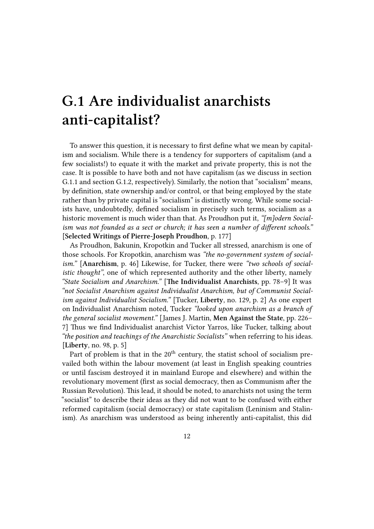## <span id="page-11-0"></span>**G.1 Are individualist anarchists anti-capitalist?**

To answer this question, it is necessary to first define what we mean by capitalism and socialism. While there is a tendency for supporters of capitalism (and a few socialists!) to equate it with the market and private property, this is not the case. It is possible to have both and not have capitalism (as we discuss in section G.1.1 and section G.1.2, respectively). Similarly, the notion that "socialism" means, by definition, state ownership and/or control, or that being employed by the state rather than by private capital is "socialism" is distinctly wrong. While some socialists have, undoubtedly, defined socialism in precisely such terms, socialism as a historic movement is much wider than that. As Proudhon put it, *"[m]odern Socialism was not founded as a sect or church; it has seen a number of different schools."* [**Selected Writings of Pierre-Joseph Proudhon**, p. 177]

As Proudhon, Bakunin, Kropotkin and Tucker all stressed, anarchism is one of those schools. For Kropotkin, anarchism was *"the no-government system of socialism."* [**Anarchism**, p. 46] Likewise, for Tucker, there were *"two schools of socialistic thought"*, one of which represented authority and the other liberty, namely *"State Socialism and Anarchism."* [**The Individualist Anarchists**, pp. 78–9] It was *"not Socialist Anarchism against Individualist Anarchism, but of Communist Socialism against Individualist Socialism."* [Tucker, **Liberty**, no. 129, p. 2] As one expert on Individualist Anarchism noted, Tucker *"looked upon anarchism as a branch of the general socialist movement."* [James J. Martin, **Men Against the State**, pp. 226– 7] Thus we find Individualist anarchist Victor Yarros, like Tucker, talking about *"the position and teachings of the Anarchistic Socialists"* when referring to his ideas. [**Liberty**, no. 98, p. 5]

Part of problem is that in the  $20<sup>th</sup>$  century, the statist school of socialism prevailed both within the labour movement (at least in English speaking countries or until fascism destroyed it in mainland Europe and elsewhere) and within the revolutionary movement (first as social democracy, then as Communism after the Russian Revolution). This lead, it should be noted, to anarchists not using the term "socialist" to describe their ideas as they did not want to be confused with either reformed capitalism (social democracy) or state capitalism (Leninism and Stalinism). As anarchism was understood as being inherently anti-capitalist, this did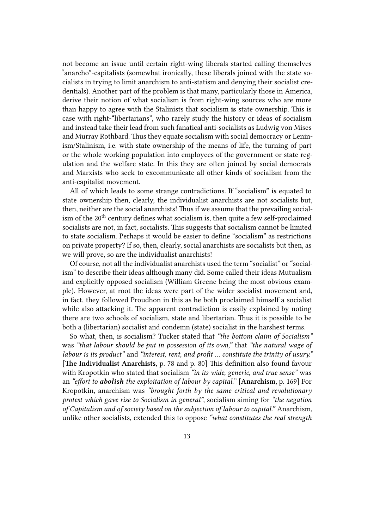not become an issue until certain right-wing liberals started calling themselves "anarcho"-capitalists (somewhat ironically, these liberals joined with the state socialists in trying to limit anarchism to anti-statism and denying their socialist credentials). Another part of the problem is that many, particularly those in America, derive their notion of what socialism is from right-wing sources who are more than happy to agree with the Stalinists that socialism **is** state ownership. This is case with right-"libertarians", who rarely study the history or ideas of socialism and instead take their lead from such fanatical anti-socialists as Ludwig von Mises and Murray Rothbard. Thus they equate socialism with social democracy or Leninism/Stalinism, i.e. with state ownership of the means of life, the turning of part or the whole working population into employees of the government or state regulation and the welfare state. In this they are often joined by social democrats and Marxists who seek to excommunicate all other kinds of socialism from the anti-capitalist movement.

All of which leads to some strange contradictions. If "socialism" **is** equated to state ownership then, clearly, the individualist anarchists are not socialists but, then, neither are the social anarchists! Thus if we assume that the prevailing socialism of the  $20<sup>th</sup>$  century defines what socialism is, then quite a few self-proclaimed socialists are not, in fact, socialists. This suggests that socialism cannot be limited to state socialism. Perhaps it would be easier to define "socialism" as restrictions on private property? If so, then, clearly, social anarchists are socialists but then, as we will prove, so are the individualist anarchists!

Of course, not all the individualist anarchists used the term "socialist" or "socialism" to describe their ideas although many did. Some called their ideas Mutualism and explicitly opposed socialism (William Greene being the most obvious example). However, at root the ideas were part of the wider socialist movement and, in fact, they followed Proudhon in this as he both proclaimed himself a socialist while also attacking it. The apparent contradiction is easily explained by noting there are two schools of socialism, state and libertarian. Thus it is possible to be both a (libertarian) socialist and condemn (state) socialist in the harshest terms.

So what, then, is socialism? Tucker stated that *"the bottom claim of Socialism"* was *"that labour should be put in possession of its own,"* that *"the natural wage of labour is its product"* and *"interest, rent, and profit … constitute the trinity of usury."* [**The Individualist Anarchists**, p. 78 and p. 80] This definition also found favour with Kropotkin who stated that socialism *"in its wide, generic, and true sense"* was an *"effort to abolish the exploitation of labour by capital."* [**Anarchism**, p. 169] For Kropotkin, anarchism was *"brought forth by the same critical and revolutionary protest which gave rise to Socialism in general"*, socialism aiming for *"the negation of Capitalism and of society based on the subjection of labour to capital."* Anarchism, unlike other socialists, extended this to oppose *"what constitutes the real strength*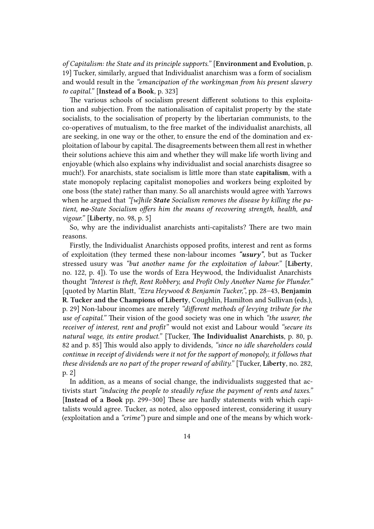*of Capitalism: the State and its principle supports."* [**Environment and Evolution**, p. 19] Tucker, similarly, argued that Individualist anarchism was a form of socialism and would result in the *"emancipation of the workingman from his present slavery to capital."* [**Instead of a Book**, p. 323]

The various schools of socialism present different solutions to this exploitation and subjection. From the nationalisation of capitalist property by the state socialists, to the socialisation of property by the libertarian communists, to the co-operatives of mutualism, to the free market of the individualist anarchists, all are seeking, in one way or the other, to ensure the end of the domination and exploitation of labour by capital. The disagreements between them all rest in whether their solutions achieve this aim and whether they will make life worth living and enjoyable (which also explains why individualist and social anarchists disagree so much!). For anarchists, state socialism is little more than state **capitalism**, with a state monopoly replacing capitalist monopolies and workers being exploited by one boss (the state) rather than many. So all anarchists would agree with Yarrows when he argued that *"[w]hile State Socialism removes the disease by killing the patient, no-State Socialism offers him the means of recovering strength, health, and vigour."* [**Liberty**, no. 98, p. 5]

So, why are the individualist anarchists anti-capitalists? There are two main reasons.

Firstly, the Individualist Anarchists opposed profits, interest and rent as forms of exploitation (they termed these non-labour incomes *"usury"*, but as Tucker stressed usury was *"but another name for the exploitation of labour."* [**Liberty**, no. 122, p. 4]). To use the words of Ezra Heywood, the Individualist Anarchists thought *"Interest is theft, Rent Robbery, and Profit Only Another Name for Plunder."* [quoted by Martin Blatt, *"Ezra Heywood & Benjamin Tucker,"*, pp. 28–43, **Benjamin R. Tucker and the Champions of Liberty**, Coughlin, Hamilton and Sullivan (eds.), p. 29] Non-labour incomes are merely *"different methods of levying tribute for the use of capital."* Their vision of the good society was one in which *"the usurer, the receiver of interest, rent and profit"* would not exist and Labour would *"secure its natural wage, its entire product."* [Tucker, **The Individualist Anarchists**, p. 80, p. 82 and p. 85] This would also apply to dividends, *"since no idle shareholders could continue in receipt of dividends were it not for the support of monopoly, it follows that these dividends are no part of the proper reward of ability."* [Tucker, **Liberty**, no. 282, p. 2]

In addition, as a means of social change, the individualists suggested that activists start *"inducing the people to steadily refuse the payment of rents and taxes."* [**Instead of a Book** pp. 299–300] These are hardly statements with which capitalists would agree. Tucker, as noted, also opposed interest, considering it usury (exploitation and a *"crime"*) pure and simple and one of the means by which work-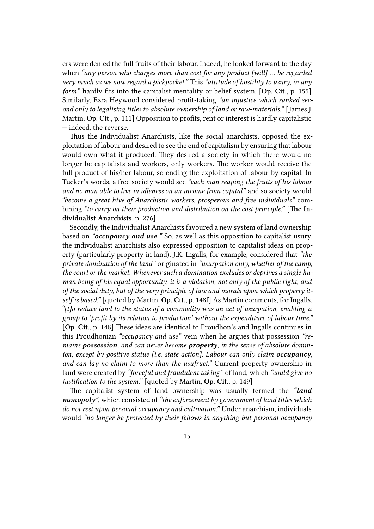ers were denied the full fruits of their labour. Indeed, he looked forward to the day when *"any person who charges more than cost for any product [will] … be regarded very much as we now regard a pickpocket."* This *"attitude of hostility to usury, in any form"* hardly fits into the capitalist mentality or belief system. [**Op. Cit.**, p. 155] Similarly, Ezra Heywood considered profit-taking *"an injustice which ranked second only to legalising titles to absolute ownership of land or raw-materials."* [James J. Martin, **Op. Cit.**, p. 111] Opposition to profits, rent or interest is hardly capitalistic — indeed, the reverse.

Thus the Individualist Anarchists, like the social anarchists, opposed the exploitation of labour and desired to see the end of capitalism by ensuring that labour would own what it produced. They desired a society in which there would no longer be capitalists and workers, only workers. The worker would receive the full product of his/her labour, so ending the exploitation of labour by capital. In Tucker's words, a free society would see *"each man reaping the fruits of his labour and no man able to live in idleness on an income from capital"* and so society would *"become a great hive of Anarchistic workers, prosperous and free individuals"* combining *"to carry on their production and distribution on the cost principle."* [**The Individualist Anarchists**, p. 276]

Secondly, the Individualist Anarchists favoured a new system of land ownership based on *"occupancy and use."* So, as well as this opposition to capitalist usury, the individualist anarchists also expressed opposition to capitalist ideas on property (particularly property in land). J.K. Ingalls, for example, considered that *"the private domination of the land"* originated in *"usurpation only, whether of the camp, the court or the market. Whenever such a domination excludes or deprives a single human being of his equal opportunity, it is a violation, not only of the public right, and of the social duty, but of the very principle of law and morals upon which property itself is based."* [quoted by Martin, **Op. Cit.**, p. 148f] As Martin comments, for Ingalls, *"[t]o reduce land to the status of a commodity was an act of usurpation, enabling a group to 'profit by its relation to production' without the expenditure of labour time."* [**Op. Cit.**, p. 148] These ideas are identical to Proudhon's and Ingalls continues in this Proudhonian *"occupancy and use"* vein when he argues that possession *"remains possession, and can never become property, in the sense of absolute dominion, except by positive statue [i.e. state action]. Labour can only claim occupancy, and can lay no claim to more than the usufruct."* Current property ownership in land were created by *"forceful and fraudulent taking"* of land, which *"could give no justification to the system."* [quoted by Martin, **Op. Cit.**, p. 149]

The capitalist system of land ownership was usually termed the *"land monopoly"*, which consisted of *"the enforcement by government of land titles which do not rest upon personal occupancy and cultivation."* Under anarchism, individuals would *"no longer be protected by their fellows in anything but personal occupancy*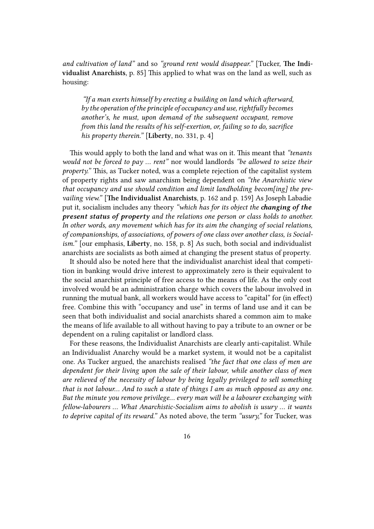*and cultivation of land"* and so *"ground rent would disappear."* [Tucker, **The Individualist Anarchists**, p. 85] This applied to what was on the land as well, such as housing:

*"If a man exerts himself by erecting a building on land which afterward, by the operation of the principle of occupancy and use, rightfully becomes another's, he must, upon demand of the subsequent occupant, remove from this land the results of his self-exertion, or, failing so to do, sacrifice his property therein."* [**Liberty**, no. 331, p. 4]

This would apply to both the land and what was on it. This meant that *"tenants would not be forced to pay … rent"* nor would landlords *"be allowed to seize their property."* This, as Tucker noted, was a complete rejection of the capitalist system of property rights and saw anarchism being dependent on *"the Anarchistic view that occupancy and use should condition and limit landholding becom[ing] the prevailing view."* [**The Individualist Anarchists**, p. 162 and p. 159] As Joseph Labadie put it, socialism includes any theory *"which has for its object the changing of the present status of property and the relations one person or class holds to another. In other words, any movement which has for its aim the changing of social relations, of companionships, of associations, of powers of one class over another class, is Socialism."* [our emphasis, **Liberty**, no. 158, p. 8] As such, both social and individualist anarchists are socialists as both aimed at changing the present status of property.

It should also be noted here that the individualist anarchist ideal that competition in banking would drive interest to approximately zero is their equivalent to the social anarchist principle of free access to the means of life. As the only cost involved would be an administration charge which covers the labour involved in running the mutual bank, all workers would have access to "capital" for (in effect) free. Combine this with "occupancy and use" in terms of land use and it can be seen that both individualist and social anarchists shared a common aim to make the means of life available to all without having to pay a tribute to an owner or be dependent on a ruling capitalist or landlord class.

For these reasons, the Individualist Anarchists are clearly anti-capitalist. While an Individualist Anarchy would be a market system, it would not be a capitalist one. As Tucker argued, the anarchists realised *"the fact that one class of men are dependent for their living upon the sale of their labour, while another class of men are relieved of the necessity of labour by being legally privileged to sell something that is not labour… And to such a state of things I am as much opposed as any one. But the minute you remove privilege… every man will be a labourer exchanging with fellow-labourers … What Anarchistic-Socialism aims to abolish is usury … it wants to deprive capital of its reward."* As noted above, the term *"usury,"* for Tucker, was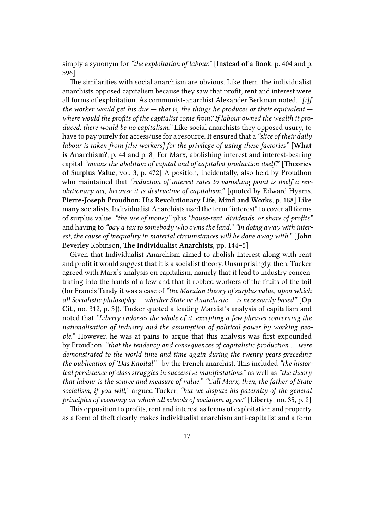simply a synonym for *"the exploitation of labour."* [**Instead of a Book**, p. 404 and p. 396]

The similarities with social anarchism are obvious. Like them, the individualist anarchists opposed capitalism because they saw that profit, rent and interest were all forms of exploitation. As communist-anarchist Alexander Berkman noted, *"[i]f the worker would get his due — that is, the things he produces or their equivalent where would the profits of the capitalist come from? If labour owned the wealth it produced, there would be no capitalism."* Like social anarchists they opposed usury, to have to pay purely for access/use for a resource. It ensured that a *"slice of their daily labour is taken from [the workers] for the privilege of using these factories"* [**What is Anarchism?**, p. 44 and p. 8] For Marx, abolishing interest and interest-bearing capital *"means the abolition of capital and of capitalist production itself."* [**Theories of Surplus Value**, vol. 3, p. 472] A position, incidentally, also held by Proudhon who maintained that *"reduction of interest rates to vanishing point is itself a revolutionary act, because it is destructive of capitalism."* [quoted by Edward Hyams, **Pierre-Joseph Proudhon: His Revolutionary Life, Mind and Works**, p. 188] Like many socialists, Individualist Anarchists used the term "interest" to cover all forms of surplus value: *"the use of money"* plus *"house-rent, dividends, or share of profits"* and having to *"pay a tax to somebody who owns the land." "In doing away with interest, the cause of inequality in material circumstances will be done away with."* [John Beverley Robinson, **The Individualist Anarchists**, pp. 144–5]

Given that Individualist Anarchism aimed to abolish interest along with rent and profit it would suggest that it is a socialist theory. Unsurprisingly, then, Tucker agreed with Marx's analysis on capitalism, namely that it lead to industry concentrating into the hands of a few and that it robbed workers of the fruits of the toil (for Francis Tandy it was a case of *"the Marxian theory of surplus value, upon which all Socialistic philosophy — whether State or Anarchistic — is necessarily based"* [**Op. Cit.**, no. 312, p. 3]). Tucker quoted a leading Marxist's analysis of capitalism and noted that *"Liberty endorses the whole of it, excepting a few phrases concerning the nationalisation of industry and the assumption of political power by working people."* However, he was at pains to argue that this analysis was first expounded by Proudhon, *"that the tendency and consequences of capitalistic production … were demonstrated to the world time and time again during the twenty years preceding the publication of 'Das Kapital'"* by the French anarchist. This included *"the historical persistence of class struggles in successive manifestations"* as well as *"the theory that labour is the source and measure of value." "Call Marx, then, the father of State socialism, if you will,"* argued Tucker, *"but we dispute his paternity of the general principles of economy on which all schools of socialism agree."* [**Liberty**, no. 35, p. 2]

This opposition to profits, rent and interest as forms of exploitation and property as a form of theft clearly makes individualist anarchism anti-capitalist and a form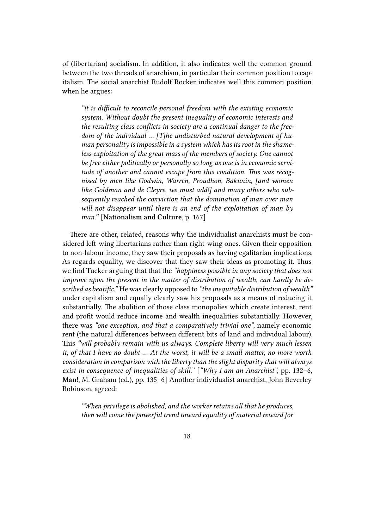of (libertarian) socialism. In addition, it also indicates well the common ground between the two threads of anarchism, in particular their common position to capitalism. The social anarchist Rudolf Rocker indicates well this common position when he argues:

*"it is difficult to reconcile personal freedom with the existing economic system. Without doubt the present inequality of economic interests and the resulting class conflicts in society are a continual danger to the freedom of the individual … [T]he undisturbed natural development of human personality is impossible in a system which has its root in the shameless exploitation of the great mass of the members of society. One cannot be free either politically or personally so long as one is in economic servitude of another and cannot escape from this condition. This was recognised by men like Godwin, Warren, Proudhon, Bakunin, [and women like Goldman and de Cleyre, we must add!] and many others who subsequently reached the conviction that the domination of man over man will not disappear until there is an end of the exploitation of man by man."* [**Nationalism and Culture**, p. 167]

There are other, related, reasons why the individualist anarchists must be considered left-wing libertarians rather than right-wing ones. Given their opposition to non-labour income, they saw their proposals as having egalitarian implications. As regards equality, we discover that they saw their ideas as promoting it. Thus we find Tucker arguing that that the *"happiness possible in any society that does not improve upon the present in the matter of distribution of wealth, can hardly be described as beatific."* He was clearly opposed to *"the inequitable distribution of wealth"* under capitalism and equally clearly saw his proposals as a means of reducing it substantially. The abolition of those class monopolies which create interest, rent and profit would reduce income and wealth inequalities substantially. However, there was *"one exception, and that a comparatively trivial one"*, namely economic rent (the natural differences between different bits of land and individual labour). This *"will probably remain with us always. Complete liberty will very much lessen it; of that I have no doubt … At the worst, it will be a small matter, no more worth consideration in comparison with the liberty than the slight disparity that will always exist in consequence of inequalities of skill."* [*"Why I am an Anarchist"*, pp. 132–6, **Man!**, M. Graham (ed.), pp. 135–6] Another individualist anarchist, John Beverley Robinson, agreed:

*"When privilege is abolished, and the worker retains all that he produces, then will come the powerful trend toward equality of material reward for*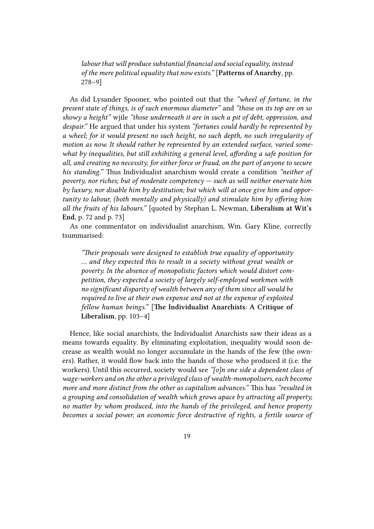*labour that will produce substantial financial and social equality, instead of the mere political equality that now exists."* [**Patterns of Anarchy**, pp. 278–9]

As did Lysander Spooner, who pointed out that the *"wheel of fortune, in the present state of things, is of such enormous diameter"* and *"those on its top are on so showy a height"* wjile *"those underneath it are in such a pit of debt, oppression, and despair."* He argued that under his system *"fortunes could hardly be represented by a wheel; for it would present no such height, no such depth, no such irregularity of motion as now. It should rather be represented by an extended surface, varied somewhat by inequalities, but still exhibiting a general level, affording a safe position for all, and creating no necessity, for either force or fraud, on the part of anyone to secure his standing."* Thus Individualist anarchism would create a condition *"neither of poverty, nor riches; but of moderate competency — such as will neither enervate him by luxury, nor disable him by destitution; but which will at once give him and opportunity to labour, (both mentally and physically) and stimulate him by offering him all the fruits of his labours."* [quoted by Stephan L. Newman, **Liberalism at Wit's End**, p. 72 and p. 73]

As one commentator on individualist anarchism, Wm. Gary Kline, correctly tsummarised:

*"Their proposals were designed to establish true equality of opportunity … and they expected this to result in a society without great wealth or poverty. In the absence of monopolistic factors which would distort competition, they expected a society of largely self-employed workmen with no significant disparity of wealth between any of them since all would be required to live at their own expense and not at the expense of exploited fellow human beings."* [**The Individualist Anarchists: A Critique of Liberalism**, pp. 103–4]

Hence, like social anarchists, the Individualist Anarchists saw their ideas as a means towards equality. By eliminating exploitation, inequality would soon decrease as wealth would no longer accumulate in the hands of the few (the owners). Rather, it would flow back into the hands of those who produced it (i.e. the workers). Until this occurred, society would see *"[o]n one side a dependent class of wage-workers and on the other a privileged class of wealth-monopolisers, each become more and more distinct from the other as capitalism advances."* This has *"resulted in a grouping and consolidation of wealth which grows apace by attracting all property, no matter by whom produced, into the hands of the privileged, and hence property becomes a social power, an economic force destructive of rights, a fertile source of*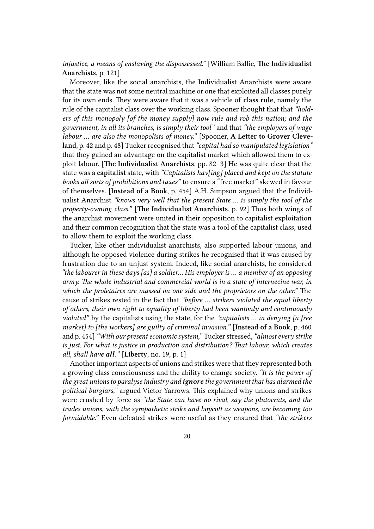*injustice, a means of enslaving the dispossessed."* [William Ballie, **The Individualist Anarchists**, p. 121]

Moreover, like the social anarchists, the Individualist Anarchists were aware that the state was not some neutral machine or one that exploited all classes purely for its own ends. They were aware that it was a vehicle of **class rule,** namely the rule of the capitalist class over the working class. Spooner thought that that *"holders of this monopoly [of the money supply] now rule and rob this nation; and the government, in all its branches, is simply their tool"* and that *"the employers of wage labour … are also the monopolists of money."* [Spooner, **A Letter to Grover Cleveland**, p. 42 and p. 48] Tucker recognised that*"capital had so manipulated legislation"* that they gained an advantage on the capitalist market which allowed them to exploit labour. [**The Individualist Anarchists**, pp. 82–3] He was quite clear that the state was a **capitalist** state, with *"Capitalists hav[ing] placed and kept on the statute books all sorts of prohibitions and taxes"* to ensure a "free market" skewed in favour of themselves. [**Instead of a Book**, p. 454] A.H. Simpson argued that the Individualist Anarchist *"knows very well that the present State … is simply the tool of the property-owning class."* [**The Individualist Anarchists**, p. 92] Thus both wings of the anarchist movement were united in their opposition to capitalist exploitation and their common recognition that the state was a tool of the capitalist class, used to allow them to exploit the working class.

Tucker, like other individualist anarchists, also supported labour unions, and although he opposed violence during strikes he recognised that it was caused by frustration due to an unjust system. Indeed, like social anarchists, he considered *"the labourer in these days [as] a soldier… His employer is … a member of an opposing army. The whole industrial and commercial world is in a state of internecine war, in which the proletaires are massed on one side and the proprietors on the other."* The cause of strikes rested in the fact that *"before … strikers violated the equal liberty of others, their own right to equality of liberty had been wantonly and continuously violated"* by the capitalists using the state, for the *"capitalists … in denying [a free market] to [the workers] are guilty of criminal invasion."* [**Instead of a Book**, p. 460 and p. 454]*"With our present economic system,"* Tucker stressed,*"almost every strike is just. For what is justice in production and distribution? That labour, which creates all, shall have all."* [**Liberty**, no. 19, p. 1]

Another important aspects of unions and strikes were that they represented both a growing class consciousness and the ability to change society. *"It is the power of the great unions to paralyse industry and ignore the government that has alarmed the political burglars,"* argued Victor Yarrows. This explained why unions and strikes were crushed by force as *"the State can have no rival, say the plutocrats, and the trades unions, with the sympathetic strike and boycott as weapons, are becoming too formidable."* Even defeated strikes were useful as they ensured that *"the strikers*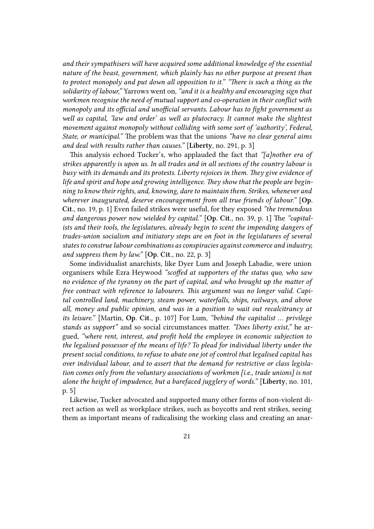*and their sympathisers will have acquired some additional knowledge of the essential nature of the beast, government, which plainly has no other purpose at present than to protect monopoly and put down all opposition to it." "There is such a thing as the solidarity of labour,"* Yarrows went on, *"and it is a healthy and encouraging sign that workmen recognise the need of mutual support and co-operation in their conflict with monopoly and its official and unofficial servants. Labour has to fight government as well as capital, 'law and order' as well as plutocracy. It cannot make the slightest movement against monopoly without colliding with some sort of 'authority', Federal, State, or municipal."* The problem was that the unions *"have no clear general aims and deal with results rather than causes."* [**Liberty**, no. 291, p. 3]

This analysis echoed Tucker's, who applauded the fact that *"[a]nother era of strikes apparently is upon us. In all trades and in all sections of the country labour is busy with its demands and its protests. Liberty rejoices in them. They give evidence of life and spirit and hope and growing intelligence. They show that the people are beginning to know their rights, and, knowing, dare to maintain them. Strikes, whenever and wherever inaugurated, deserve encouragement from all true friends of labour."* [**Op. Cit.**, no. 19, p. 1] Even failed strikes were useful, for they exposed *"the tremendous and dangerous power now wielded by capital."* [**Op. Cit.**, no. 39, p. 1] The *"capitalists and their tools, the legislatures, already begin to scent the impending dangers of trades-union socialism and initiatory steps are on foot in the legislatures of several states to construe labour combinations as conspiracies against commerce and industry, and suppress them by law."* [**Op. Cit.**, no. 22, p. 3]

Some individualist anarchists, like Dyer Lum and Joseph Labadie, were union organisers while Ezra Heywood *"scoffed at supporters of the status quo, who saw no evidence of the tyranny on the part of capital, and who brought up the matter of free contract with reference to labourers. This argument was no longer valid. Capital controlled land, machinery, steam power, waterfalls, ships, railways, and above all, money and public opinion, and was in a position to wait out recalcitrancy at its leisure."* [Martin, **Op. Cit.**, p. 107] For Lum, *"behind the capitalist … privilege stands as support"* and so social circumstances matter. *"Does liberty exist,"* he argued, *"where rent, interest, and profit hold the employee in economic subjection to the legalised possessor of the means of life? To plead for individual liberty under the present social conditions, to refuse to abate one jot of control that legalised capital has over individual labour, and to assert that the demand for restrictive or class legislation comes only from the voluntary associations of workmen [i.e., trade unions] is not alone the height of impudence, but a barefaced jugglery of words."* [**Liberty**, no. 101, p. 5]

Likewise, Tucker advocated and supported many other forms of non-violent direct action as well as workplace strikes, such as boycotts and rent strikes, seeing them as important means of radicalising the working class and creating an anar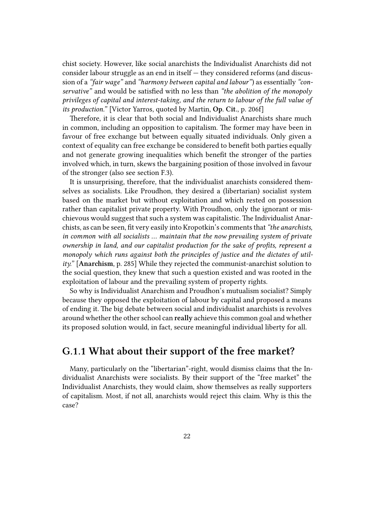chist society. However, like social anarchists the Individualist Anarchists did not consider labour struggle as an end in itself — they considered reforms (and discussion of a *"fair wage"* and *"harmony between capital and labour"*) as essentially *"conservative"* and would be satisfied with no less than *"the abolition of the monopoly privileges of capital and interest-taking, and the return to labour of the full value of its production."* [Victor Yarros, quoted by Martin, **Op. Cit.**, p. 206f]

Therefore, it is clear that both social and Individualist Anarchists share much in common, including an opposition to capitalism. The former may have been in favour of free exchange but between equally situated individuals. Only given a context of equality can free exchange be considered to benefit both parties equally and not generate growing inequalities which benefit the stronger of the parties involved which, in turn, skews the bargaining position of those involved in favour of the stronger (also see section F.3).

It is unsurprising, therefore, that the individualist anarchists considered themselves as socialists. Like Proudhon, they desired a (libertarian) socialist system based on the market but without exploitation and which rested on possession rather than capitalist private property. With Proudhon, only the ignorant or mischievous would suggest that such a system was capitalistic. The Individualist Anarchists, as can be seen, fit very easily into Kropotkin's comments that*"the anarchists, in common with all socialists … maintain that the now prevailing system of private ownership in land, and our capitalist production for the sake of profits, represent a monopoly which runs against both the principles of justice and the dictates of utility."* [**Anarchism**, p. 285] While they rejected the communist-anarchist solution to the social question, they knew that such a question existed and was rooted in the exploitation of labour and the prevailing system of property rights.

So why is Individualist Anarchism and Proudhon's mutualism socialist? Simply because they opposed the exploitation of labour by capital and proposed a means of ending it. The big debate between social and individualist anarchists is revolves around whether the other school can **really** achieve this common goal and whether its proposed solution would, in fact, secure meaningful individual liberty for all.

#### <span id="page-21-0"></span>**G.1.1 What about their support of the free market?**

Many, particularly on the "libertarian"-right, would dismiss claims that the Individualist Anarchists were socialists. By their support of the "free market" the Individualist Anarchists, they would claim, show themselves as really supporters of capitalism. Most, if not all, anarchists would reject this claim. Why is this the case?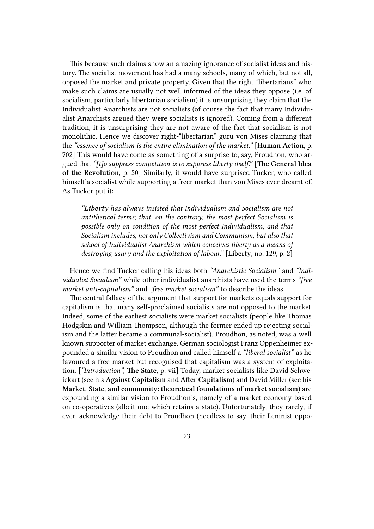This because such claims show an amazing ignorance of socialist ideas and history. The socialist movement has had a many schools, many of which, but not all, opposed the market and private property. Given that the right "libertarians" who make such claims are usually not well informed of the ideas they oppose (i.e. of socialism, particularly **libertarian** socialism) it is unsurprising they claim that the Individualist Anarchists are not socialists (of course the fact that many Individualist Anarchists argued they **were** socialists is ignored). Coming from a different tradition, it is unsurprising they are not aware of the fact that socialism is not monolithic. Hence we discover right-"libertarian" guru von Mises claiming that the *"essence of socialism is the entire elimination of the market."* [**Human Action**, p. 702] This would have come as something of a surprise to, say, Proudhon, who argued that *"[t]o suppress competition is to suppress liberty itself."* [**The General Idea of the Revolution**, p. 50] Similarly, it would have surprised Tucker, who called himself a socialist while supporting a freer market than von Mises ever dreamt of. As Tucker put it:

*"Liberty has always insisted that Individualism and Socialism are not antithetical terms; that, on the contrary, the most perfect Socialism is possible only on condition of the most perfect Individualism; and that Socialism includes, not only Collectivism and Communism, but also that school of Individualist Anarchism which conceives liberty as a means of destroying usury and the exploitation of labour."* [**Liberty**, no. 129, p. 2]

Hence we find Tucker calling his ideas both *"Anarchistic Socialism"* and *"Individualist Socialism"* while other individualist anarchists have used the terms *"free market anti-capitalism"* and *"free market socialism"* to describe the ideas.

The central fallacy of the argument that support for markets equals support for capitalism is that many self-proclaimed socialists are not opposed to the market. Indeed, some of the earliest socialists were market socialists (people like Thomas Hodgskin and William Thompson, although the former ended up rejecting socialism and the latter became a communal-socialist). Proudhon, as noted, was a well known supporter of market exchange. German sociologist Franz Oppenheimer expounded a similar vision to Proudhon and called himself a *"liberal socialist"* as he favoured a free market but recognised that capitalism was a system of exploitation. [*"Introduction"*, **The State**, p. vii] Today, market socialists like David Schweickart (see his **Against Capitalism** and **After Capitalism**) and David Miller (see his **Market, State, and community: theoretical foundations of market socialism**) are expounding a similar vision to Proudhon's, namely of a market economy based on co-operatives (albeit one which retains a state). Unfortunately, they rarely, if ever, acknowledge their debt to Proudhon (needless to say, their Leninist oppo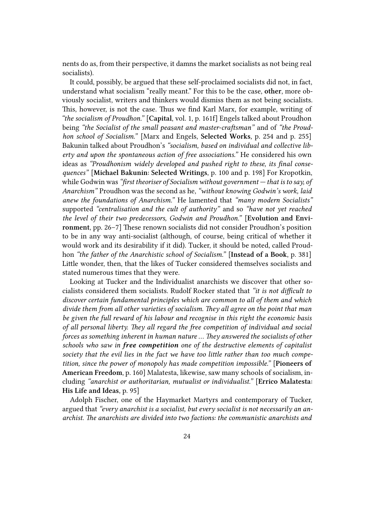nents do as, from their perspective, it damns the market socialists as not being real socialists).

It could, possibly, be argued that these self-proclaimed socialists did not, in fact, understand what socialism "really meant." For this to be the case, **other**, more obviously socialist, writers and thinkers would dismiss them as not being socialists. This, however, is not the case. Thus we find Karl Marx, for example, writing of *"the socialism of Proudhon."* [**Capital**, vol. 1, p. 161f] Engels talked about Proudhon being *"the Socialist of the small peasant and master-craftsman"* and of *"the Proudhon school of Socialism."* [Marx and Engels, **Selected Works**, p. 254 and p. 255] Bakunin talked about Proudhon's *"socialism, based on individual and collective liberty and upon the spontaneous action of free associations."* He considered his own ideas as *"Proudhonism widely developed and pushed right to these, its final consequences"* [**Michael Bakunin: Selected Writings**, p. 100 and p. 198] For Kropotkin, while Godwin was*"first theoriser of Socialism without government — that is to say, of Anarchism"* Proudhon was the second as he, *"without knowing Godwin's work, laid anew the foundations of Anarchism."* He lamented that *"many modern Socialists"* supported *"centralisation and the cult of authority"* and so *"have not yet reached the level of their two predecessors, Godwin and Proudhon."* [**Evolution and Environment**, pp. 26–7] These renown socialists did not consider Proudhon's position to be in any way anti-socialist (although, of course, being critical of whether it would work and its desirability if it did). Tucker, it should be noted, called Proudhon *"the father of the Anarchistic school of Socialism."* [**Instead of a Book**, p. 381] Little wonder, then, that the likes of Tucker considered themselves socialists and stated numerous times that they were.

Looking at Tucker and the Individualist anarchists we discover that other socialists considered them socialists. Rudolf Rocker stated that *"it is not difficult to discover certain fundamental principles which are common to all of them and which divide them from all other varieties of socialism. They all agree on the point that man be given the full reward of his labour and recognise in this right the economic basis of all personal liberty. They all regard the free competition of individual and social forces as something inherent in human nature … They answered the socialists of other schools who saw in free competition one of the destructive elements of capitalist society that the evil lies in the fact we have too little rather than too much competition, since the power of monopoly has made competition impossible."* [**Pioneers of American Freedom**, p. 160] Malatesta, likewise, saw many schools of socialism, including *"anarchist or authoritarian, mutualist or individualist."* [**Errico Malatesta: His Life and Ideas**, p. 95]

Adolph Fischer, one of the Haymarket Martyrs and contemporary of Tucker, argued that *"every anarchist is a socialist, but every socialist is not necessarily an anarchist. The anarchists are divided into two factions: the communistic anarchists and*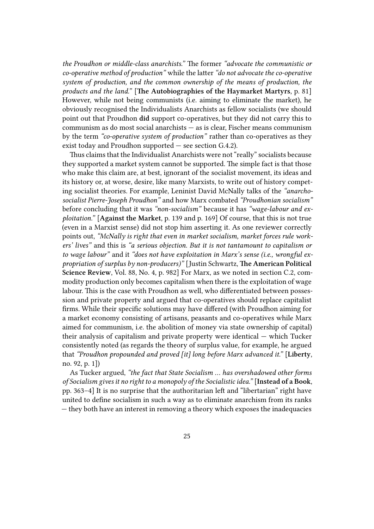*the Proudhon or middle-class anarchists."* The former *"advocate the communistic or co-operative method of production"* while the latter *"do not advocate the co-operative system of production, and the common ownership of the means of production, the products and the land."* [**The Autobiographies of the Haymarket Martyrs**, p. 81] However, while not being communists (i.e. aiming to eliminate the market), he obviously recognised the Individualists Anarchists as fellow socialists (we should point out that Proudhon **did** support co-operatives, but they did not carry this to communism as do most social anarchists — as is clear, Fischer means communism by the term *"co-operative system of production"* rather than co-operatives as they exist today and Proudhon supported — see section G.4.2).

Thus claims that the Individualist Anarchists were not "really" socialists because they supported a market system cannot be supported. The simple fact is that those who make this claim are, at best, ignorant of the socialist movement, its ideas and its history or, at worse, desire, like many Marxists, to write out of history competing socialist theories. For example, Leninist David McNally talks of the *"anarchosocialist Pierre-Joseph Proudhon"* and how Marx combated *"Proudhonian socialism"* before concluding that it was *"non-socialism"* because it has *"wage-labour and exploitation."* [**Against the Market**, p. 139 and p. 169] Of course, that this is not true (even in a Marxist sense) did not stop him asserting it. As one reviewer correctly points out, *"McNally is right that even in market socialism, market forces rule workers' lives"* and this is *"a serious objection. But it is not tantamount to capitalism or to wage labour"* and it *"does not have exploitation in Marx's sense (i.e., wrongful expropriation of surplus by non-producers)"* [Justin Schwartz, **The American Political Science Review**, Vol. 88, No. 4, p. 982] For Marx, as we noted in section C.2, commodity production only becomes capitalism when there is the exploitation of wage labour. This is the case with Proudhon as well, who differentiated between possession and private property and argued that co-operatives should replace capitalist firms. While their specific solutions may have differed (with Proudhon aiming for a market economy consisting of artisans, peasants and co-operatives while Marx aimed for communism, i.e. the abolition of money via state ownership of capital) their analysis of capitalism and private property were identical — which Tucker consistently noted (as regards the theory of surplus value, for example, he argued that *"Proudhon propounded and proved [it] long before Marx advanced it."* [**Liberty**, no. 92, p. 1])

As Tucker argued, *"the fact that State Socialism … has overshadowed other forms of Socialism gives it no right to a monopoly of the Socialistic idea."* [**Instead of a Book**, pp. 363–4] It is no surprise that the authoritarian left and "libertarian" right have united to define socialism in such a way as to eliminate anarchism from its ranks — they both have an interest in removing a theory which exposes the inadequacies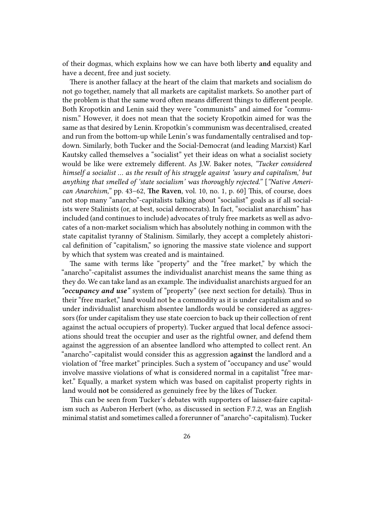of their dogmas, which explains how we can have both liberty **and** equality and have a decent, free and just society.

There is another fallacy at the heart of the claim that markets and socialism do not go together, namely that all markets are capitalist markets. So another part of the problem is that the same word often means different things to different people. Both Kropotkin and Lenin said they were "communists" and aimed for "communism." However, it does not mean that the society Kropotkin aimed for was the same as that desired by Lenin. Kropotkin's communism was decentralised, created and run from the bottom-up while Lenin's was fundamentally centralised and topdown. Similarly, both Tucker and the Social-Democrat (and leading Marxist) Karl Kautsky called themselves a "socialist" yet their ideas on what a socialist society would be like were extremely different. As J.W. Baker notes, *"Tucker considered himself a socialist … as the result of his struggle against 'usury and capitalism,' but anything that smelled of 'state socialism' was thoroughly rejected."* [*"Native American Anarchism,"* pp. 43–62, **The Raven**, vol. 10, no. 1, p. 60] This, of course, does not stop many "anarcho"-capitalists talking about "socialist" goals as if all socialists were Stalinists (or, at best, social democrats). In fact, "socialist anarchism" has included (and continues to include) advocates of truly free markets as well as advocates of a non-market socialism which has absolutely nothing in common with the state capitalist tyranny of Stalinism. Similarly, they accept a completely ahistorical definition of "capitalism," so ignoring the massive state violence and support by which that system was created and is maintained.

The same with terms like "property" and the "free market," by which the "anarcho"-capitalist assumes the individualist anarchist means the same thing as they do. We can take land as an example. The individualist anarchists argued for an *"occupancy and use"* system of "property" (see next section for details). Thus in their "free market," land would not be a commodity as it is under capitalism and so under individualist anarchism absentee landlords would be considered as aggressors (for under capitalism they use state coercion to back up their collection of rent against the actual occupiers of property). Tucker argued that local defence associations should treat the occupier and user as the rightful owner, and defend them against the aggression of an absentee landlord who attempted to collect rent. An "anarcho"-capitalist would consider this as aggression **against** the landlord and a violation of "free market" principles. Such a system of "occupancy and use" would involve massive violations of what is considered normal in a capitalist "free market." Equally, a market system which was based on capitalist property rights in land would **not** be considered as genuinely free by the likes of Tucker.

This can be seen from Tucker's debates with supporters of laissez-faire capitalism such as Auberon Herbert (who, as discussed in section F.7.2, was an English minimal statist and sometimes called a forerunner of "anarcho"-capitalism). Tucker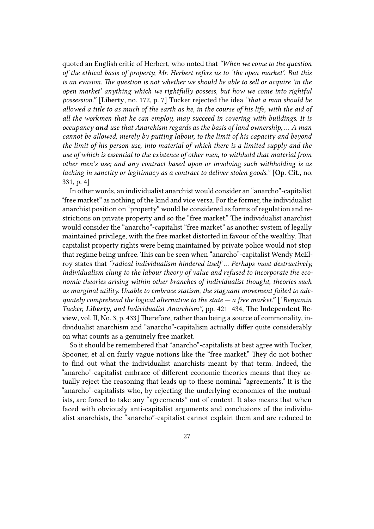quoted an English critic of Herbert, who noted that *"When we come to the question of the ethical basis of property, Mr. Herbert refers us to 'the open market'. But this is an evasion. The question is not whether we should be able to sell or acquire 'in the open market' anything which we rightfully possess, but how we come into rightful possession."* [**Liberty**, no. 172, p. 7] Tucker rejected the idea *"that a man should be allowed a title to as much of the earth as he, in the course of his life, with the aid of all the workmen that he can employ, may succeed in covering with buildings. It is occupancy and use that Anarchism regards as the basis of land ownership, … A man cannot be allowed, merely by putting labour, to the limit of his capacity and beyond the limit of his person use, into material of which there is a limited supply and the use of which is essential to the existence of other men, to withhold that material from other men's use; and any contract based upon or involving such withholding is as lacking in sanctity or legitimacy as a contract to deliver stolen goods."* [**Op. Cit.**, no. 331, p. 4]

In other words, an individualist anarchist would consider an "anarcho"-capitalist "free market" as nothing of the kind and vice versa. For the former, the individualist anarchist position on "property" would be considered as forms of regulation and restrictions on private property and so the "free market." The individualist anarchist would consider the "anarcho"-capitalist "free market" as another system of legally maintained privilege, with the free market distorted in favour of the wealthy. That capitalist property rights were being maintained by private police would not stop that regime being unfree. This can be seen when "anarcho"-capitalist Wendy McElroy states that *"radical individualism hindered itself … Perhaps most destructively, individualism clung to the labour theory of value and refused to incorporate the economic theories arising within other branches of individualist thought, theories such as marginal utility. Unable to embrace statism, the stagnant movement failed to adequately comprehend the logical alternative to the state — a free market."* [*"Benjamin Tucker, Liberty, and Individualist Anarchism"*, pp. 421–434, **The Independent Review**, vol. II, No. 3, p. 433] Therefore, rather than being a source of commonality, individualist anarchism and "anarcho"-capitalism actually differ quite considerably on what counts as a genuinely free market.

So it should be remembered that "anarcho"-capitalists at best agree with Tucker, Spooner, et al on fairly vague notions like the "free market." They do not bother to find out what the individualist anarchists meant by that term. Indeed, the "anarcho"-capitalist embrace of different economic theories means that they actually reject the reasoning that leads up to these nominal "agreements." It is the "anarcho"-capitalists who, by rejecting the underlying economics of the mutualists, are forced to take any "agreements" out of context. It also means that when faced with obviously anti-capitalist arguments and conclusions of the individualist anarchists, the "anarcho"-capitalist cannot explain them and are reduced to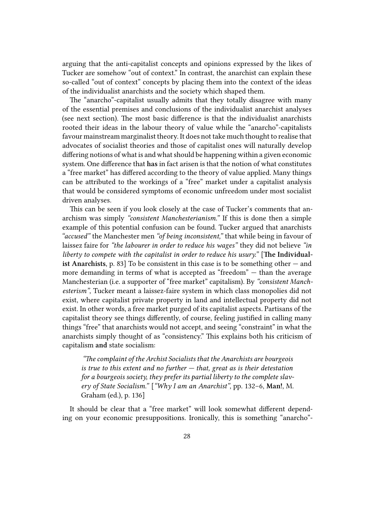arguing that the anti-capitalist concepts and opinions expressed by the likes of Tucker are somehow "out of context." In contrast, the anarchist can explain these so-called "out of context" concepts by placing them into the context of the ideas of the individualist anarchists and the society which shaped them.

The "anarcho"-capitalist usually admits that they totally disagree with many of the essential premises and conclusions of the individualist anarchist analyses (see next section). The most basic difference is that the individualist anarchists rooted their ideas in the labour theory of value while the "anarcho"-capitalists favour mainstream marginalist theory. It does not take much thought to realise that advocates of socialist theories and those of capitalist ones will naturally develop differing notions of what is and what should be happening within a given economic system. One difference that **has** in fact arisen is that the notion of what constitutes a "free market" has differed according to the theory of value applied. Many things can be attributed to the workings of a "free" market under a capitalist analysis that would be considered symptoms of economic unfreedom under most socialist driven analyses.

This can be seen if you look closely at the case of Tucker's comments that anarchism was simply *"consistent Manchesterianism."* If this is done then a simple example of this potential confusion can be found. Tucker argued that anarchists *"accused"* the Manchester men *"of being inconsistent,"* that while being in favour of laissez faire for *"the labourer in order to reduce his wages"* they did not believe *"in liberty to compete with the capitalist in order to reduce his usury."* [**The Individualist Anarchists**, p. 83] To be consistent in this case is to be something other — and more demanding in terms of what is accepted as "freedom" — than the average Manchesterian (i.e. a supporter of "free market" capitalism). By *"consistent Manchesterism"*, Tucker meant a laissez-faire system in which class monopolies did not exist, where capitalist private property in land and intellectual property did not exist. In other words, a free market purged of its capitalist aspects. Partisans of the capitalist theory see things differently, of course, feeling justified in calling many things "free" that anarchists would not accept, and seeing "constraint" in what the anarchists simply thought of as "consistency." This explains both his criticism of capitalism **and** state socialism:

*"The complaint of the Archist Socialists that the Anarchists are bourgeois is true to this extent and no further — that, great as is their detestation for a bourgeois society, they prefer its partial liberty to the complete slavery of State Socialism."* [*"Why I am an Anarchist"*, pp. 132–6, **Man!**, M. Graham (ed.), p. 136]

It should be clear that a "free market" will look somewhat different depending on your economic presuppositions. Ironically, this is something "anarcho"-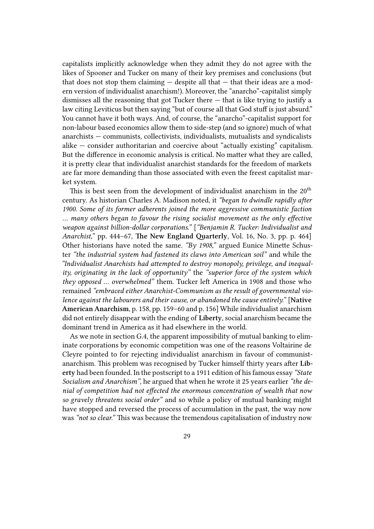capitalists implicitly acknowledge when they admit they do not agree with the likes of Spooner and Tucker on many of their key premises and conclusions (but that does not stop them claiming  $-$  despite all that  $-$  that their ideas are a modern version of individualist anarchism!). Moreover, the "anarcho"-capitalist simply dismisses all the reasoning that got Tucker there — that is like trying to justify a law citing Leviticus but then saying "but of course all that God stuff is just absurd." You cannot have it both ways. And, of course, the "anarcho"-capitalist support for non-labour based economics allow them to side-step (and so ignore) much of what anarchists — communists, collectivists, individualists, mutualists and syndicalists alike — consider authoritarian and coercive about "actually existing" capitalism. But the difference in economic analysis is critical. No matter what they are called, it is pretty clear that individualist anarchist standards for the freedom of markets are far more demanding than those associated with even the freest capitalist market system.

This is best seen from the development of individualist anarchism in the 20<sup>th</sup> century. As historian Charles A. Madison noted, it *"began to dwindle rapidly after 1900. Some of its former adherents joined the more aggressive communistic faction … many others began to favour the rising socialist movement as the only effective weapon against billion-dollar corporations."* [*"Benjamin R. Tucker: Individualist and Anarchist,"* pp. 444–67, **The New England Quarterly**, Vol. 16, No. 3, pp. p. 464] Other historians have noted the same. *"By 1908,"* argued Eunice Minette Schuster *"the industrial system had fastened its claws into American soil"* and while the *"Individualist Anarchists had attempted to destroy monopoly, privilege, and inequality, originating in the lack of opportunity"* the *"superior force of the system which they opposed … overwhelmed"* them. Tucker left America in 1908 and those who remained *"embraced either Anarchist-Communism as the result of governmental violence against the labourers and their cause, or abandoned the cause entirely."* [**Native American Anarchism**, p. 158, pp. 159–60 and p. 156] While individualist anarchism did not entirely disappear with the ending of **Liberty**, social anarchism became the dominant trend in America as it had elsewhere in the world.

As we note in section G.4, the apparent impossibility of mutual banking to eliminate corporations by economic competition was one of the reasons Voltairine de Cleyre pointed to for rejecting individualist anarchism in favour of communistanarchism. This problem was recognised by Tucker himself thirty years after **Liberty** had been founded. In the postscript to a 1911 edition of his famous essay *"State Socialism and Anarchism"*, he argued that when he wrote it 25 years earlier *"the denial of competition had not effected the enormous concentration of wealth that now so gravely threatens social order"* and so while a policy of mutual banking might have stopped and reversed the process of accumulation in the past, the way now was *"not so clear."* This was because the tremendous capitalisation of industry now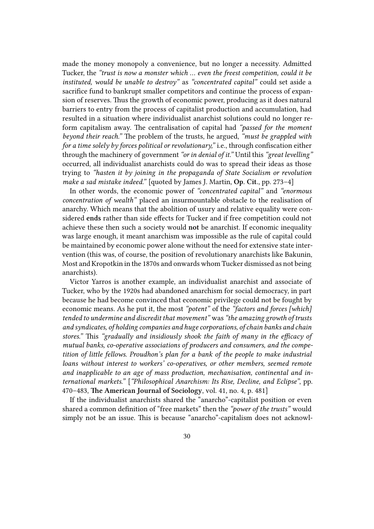made the money monopoly a convenience, but no longer a necessity. Admitted Tucker, the *"trust is now a monster which … even the freest competition, could it be instituted, would be unable to destroy"* as *"concentrated capital"* could set aside a sacrifice fund to bankrupt smaller competitors and continue the process of expansion of reserves. Thus the growth of economic power, producing as it does natural barriers to entry from the process of capitalist production and accumulation, had resulted in a situation where individualist anarchist solutions could no longer reform capitalism away. The centralisation of capital had *"passed for the moment beyond their reach."* The problem of the trusts, he argued, *"must be grappled with for a time solely by forces political or revolutionary,"* i.e., through confiscation either through the machinery of government *"or in denial of it."* Until this *"great levelling"* occurred, all individualist anarchists could do was to spread their ideas as those trying to *"hasten it by joining in the propaganda of State Socialism or revolution make a sad mistake indeed."* [quoted by James J. Martin, **Op. Cit.**, pp. 273–4]

In other words, the economic power of *"concentrated capital"* and *"enormous concentration of wealth"* placed an insurmountable obstacle to the realisation of anarchy. Which means that the abolition of usury and relative equality were considered **ends** rather than side effects for Tucker and if free competition could not achieve these then such a society would **not** be anarchist. If economic inequality was large enough, it meant anarchism was impossible as the rule of capital could be maintained by economic power alone without the need for extensive state intervention (this was, of course, the position of revolutionary anarchists like Bakunin, Most and Kropotkin in the 1870s and onwards whom Tucker dismissed as not being anarchists).

Victor Yarros is another example, an individualist anarchist and associate of Tucker, who by the 1920s had abandoned anarchism for social democracy, in part because he had become convinced that economic privilege could not be fought by economic means. As he put it, the most *"potent"* of the *"factors and forces [which] tended to undermine and discredit that movement"* was*"the amazing growth of trusts and syndicates, of holding companies and huge corporations, of chain banks and chain stores."* This *"gradually and insidiously shook the faith of many in the efficacy of mutual banks, co-operative associations of producers and consumers, and the competition of little fellows. Proudhon's plan for a bank of the people to make industrial loans without interest to workers' co-operatives, or other members, seemed remote and inapplicable to an age of mass production, mechanisation, continental and international markets."* [*"Philosophical Anarchism: Its Rise, Decline, and Eclipse"*, pp. 470–483, **The American Journal of Sociology**, vol. 41, no. 4, p. 481]

If the individualist anarchists shared the "anarcho"-capitalist position or even shared a common definition of "free markets" then the *"power of the trusts"* would simply not be an issue. This is because "anarcho"-capitalism does not acknowl-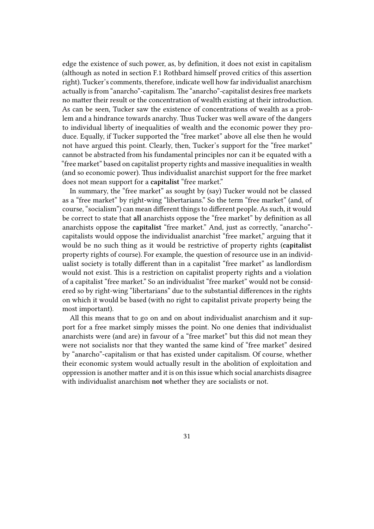edge the existence of such power, as, by definition, it does not exist in capitalism (although as noted in section F.1 Rothbard himself proved critics of this assertion right). Tucker's comments, therefore, indicate well how far individualist anarchism actually is from "anarcho"-capitalism.The "anarcho"-capitalist desires free markets no matter their result or the concentration of wealth existing at their introduction. As can be seen, Tucker saw the existence of concentrations of wealth as a problem and a hindrance towards anarchy. Thus Tucker was well aware of the dangers to individual liberty of inequalities of wealth and the economic power they produce. Equally, if Tucker supported the "free market" above all else then he would not have argued this point. Clearly, then, Tucker's support for the "free market" cannot be abstracted from his fundamental principles nor can it be equated with a "free market" based on capitalist property rights and massive inequalities in wealth (and so economic power). Thus individualist anarchist support for the free market does not mean support for a **capitalist** "free market."

In summary, the "free market" as sought by (say) Tucker would not be classed as a "free market" by right-wing "libertarians." So the term "free market" (and, of course, "socialism") can mean different things to different people. As such, it would be correct to state that **all** anarchists oppose the "free market" by definition as all anarchists oppose the **capitalist** "free market." And, just as correctly, "anarcho" capitalists would oppose the individualist anarchist "free market," arguing that it would be no such thing as it would be restrictive of property rights (**capitalist** property rights of course). For example, the question of resource use in an individualist society is totally different than in a capitalist "free market" as landlordism would not exist. This is a restriction on capitalist property rights and a violation of a capitalist "free market." So an individualist "free market" would not be considered so by right-wing "libertarians" due to the substantial differences in the rights on which it would be based (with no right to capitalist private property being the most important).

All this means that to go on and on about individualist anarchism and it support for a free market simply misses the point. No one denies that individualist anarchists were (and are) in favour of a "free market" but this did not mean they were not socialists nor that they wanted the same kind of "free market" desired by "anarcho"-capitalism or that has existed under capitalism. Of course, whether their economic system would actually result in the abolition of exploitation and oppression is another matter and it is on this issue which social anarchists disagree with individualist anarchism **not** whether they are socialists or not.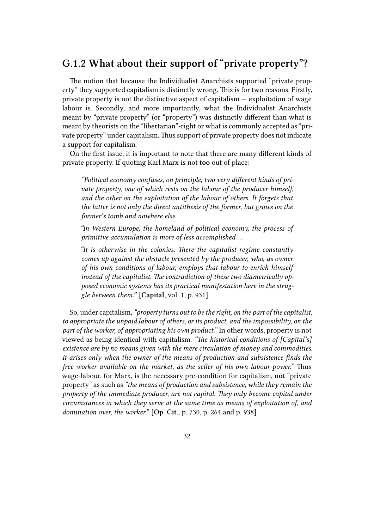#### <span id="page-31-0"></span>**G.1.2 What about their support of "private property"?**

The notion that because the Individualist Anarchists supported "private property" they supported capitalism is distinctly wrong. This is for two reasons. Firstly, private property is not the distinctive aspect of capitalism — exploitation of wage labour is. Secondly, and more importantly, what the Individualist Anarchists meant by "private property" (or "property") was distinctly different than what is meant by theorists on the "libertarian"-right or what is commonly accepted as "private property" under capitalism. Thus support of private property does not indicate a support for capitalism.

On the first issue, it is important to note that there are many different kinds of private property. If quoting Karl Marx is not **too** out of place:

*"Political economy confuses, on principle, two very different kinds of private property, one of which rests on the labour of the producer himself, and the other on the exploitation of the labour of others. It forgets that the latter is not only the direct antithesis of the former, but grows on the former's tomb and nowhere else.*

*"In Western Europe, the homeland of political economy, the process of primitive accumulation is more of less accomplished …*

*"It is otherwise in the colonies. There the capitalist regime constantly comes up against the obstacle presented by the producer, who, as owner of his own conditions of labour, employs that labour to enrich himself instead of the capitalist. The contradiction of these two diametrically opposed economic systems has its practical manifestation here in the struggle between them."* [**Capital**, vol. 1, p. 931]

So, under capitalism,*"property turns out to be the right, on the part of the capitalist, to appropriate the unpaid labour of others, or its product, and the impossibility, on the part of the worker, of appropriating his own product."* In other words, property is not viewed as being identical with capitalism. *"The historical conditions of [Capital's] existence are by no means given with the mere circulation of money and commodities. It arises only when the owner of the means of production and subsistence finds the free worker available on the market, as the seller of his own labour-power."* Thus wage-labour, for Marx, is the necessary pre-condition for capitalism, **not** "private property" as such as *"the means of production and subsistence, while they remain the property of the immediate producer, are not capital. They only become capital under circumstances in which they serve at the same time as means of exploitation of, and domination over, the worker."* [**Op. Cit.**, p. 730, p. 264 and p. 938]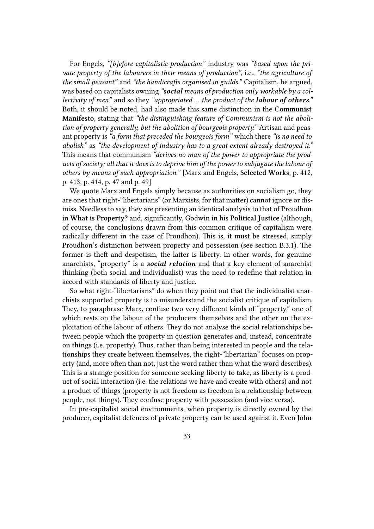For Engels, *"[b]efore capitalistic production"* industry was *"based upon the private property of the labourers in their means of production"*, i.e., *"the agriculture of the small peasant"* and *"the handicrafts organised in guilds."* Capitalism, he argued, was based on capitalists owning *"social means of production only workable by a collectivity of men"* and so they *"appropriated … the product of the labour of others."* Both, it should be noted, had also made this same distinction in the **Communist Manifesto**, stating that *"the distinguishing feature of Communism is not the abolition of property generally, but the abolition of bourgeois property."* Artisan and peasant property is *"a form that preceded the bourgeois form"* which there *"is no need to abolish"* as *"the development of industry has to a great extent already destroyed it."* This means that communism *"derives no man of the power to appropriate the products of society; all that it does is to deprive him of the power to subjugate the labour of others by means of such appropriation."* [Marx and Engels, **Selected Works**, p. 412, p. 413, p. 414, p. 47 and p. 49]

We quote Marx and Engels simply because as authorities on socialism go, they are ones that right-"libertarians" (or Marxists, for that matter) cannot ignore or dismiss. Needless to say, they are presenting an identical analysis to that of Proudhon in **What is Property?** and, significantly, Godwin in his **Political Justice** (although, of course, the conclusions drawn from this common critique of capitalism were radically different in the case of Proudhon). This is, it must be stressed, simply Proudhon's distinction between property and possession (see section B.3.1). The former is theft and despotism, the latter is liberty. In other words, for genuine anarchists, "property" is a *social relation* and that a key element of anarchist thinking (both social and individualist) was the need to redefine that relation in accord with standards of liberty and justice.

So what right-"libertarians" do when they point out that the individualist anarchists supported property is to misunderstand the socialist critique of capitalism. They, to paraphrase Marx, confuse two very different kinds of "property," one of which rests on the labour of the producers themselves and the other on the exploitation of the labour of others. They do not analyse the social relationships between people which the property in question generates and, instead, concentrate on **things** (i.e. property). Thus, rather than being interested in people and the relationships they create between themselves, the right-"libertarian" focuses on property (and, more often than not, just the word rather than what the word describes). This is a strange position for someone seeking liberty to take, as liberty is a product of social interaction (i.e. the relations we have and create with others) and not a product of things (property is not freedom as freedom is a relationship between people, not things). They confuse property with possession (and vice versa).

In pre-capitalist social environments, when property is directly owned by the producer, capitalist defences of private property can be used against it. Even John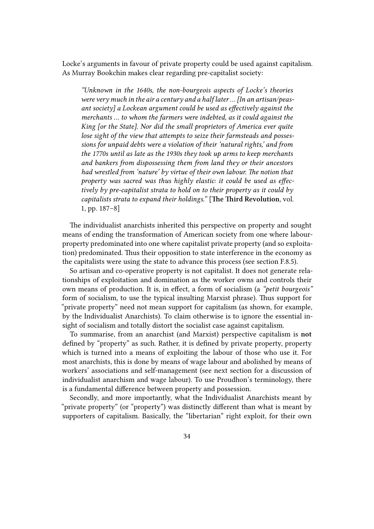Locke's arguments in favour of private property could be used against capitalism. As Murray Bookchin makes clear regarding pre-capitalist society:

*"Unknown in the 1640s, the non-bourgeois aspects of Locke's theories were very much in the air a century and a half later … [In an artisan/peasant society] a Lockean argument could be used as effectively against the merchants … to whom the farmers were indebted, as it could against the King [or the State]. Nor did the small proprietors of America ever quite lose sight of the view that attempts to seize their farmsteads and possessions for unpaid debts were a violation of their 'natural rights,' and from the 1770s until as late as the 1930s they took up arms to keep merchants and bankers from dispossessing them from land they or their ancestors had wrestled from 'nature' by virtue of their own labour. The notion that property was sacred was thus highly elastic: it could be used as effectively by pre-capitalist strata to hold on to their property as it could by capitalists strata to expand their holdings."* [**The Third Revolution**, vol. 1, pp. 187–8]

The individualist anarchists inherited this perspective on property and sought means of ending the transformation of American society from one where labourproperty predominated into one where capitalist private property (and so exploitation) predominated. Thus their opposition to state interference in the economy as the capitalists were using the state to advance this process (see section F.8.5).

So artisan and co-operative property is not capitalist. It does not generate relationships of exploitation and domination as the worker owns and controls their own means of production. It is, in effect, a form of socialism (a *"petit bourgeois"* form of socialism, to use the typical insulting Marxist phrase). Thus support for "private property" need not mean support for capitalism (as shown, for example, by the Individualist Anarchists). To claim otherwise is to ignore the essential insight of socialism and totally distort the socialist case against capitalism.

To summarise, from an anarchist (and Marxist) perspective capitalism is **not** defined by "property" as such. Rather, it is defined by private property, property which is turned into a means of exploiting the labour of those who use it. For most anarchists, this is done by means of wage labour and abolished by means of workers' associations and self-management (see next section for a discussion of individualist anarchism and wage labour). To use Proudhon's terminology, there is a fundamental difference between property and possession.

Secondly, and more importantly, what the Individualist Anarchists meant by "private property" (or "property") was distinctly different than what is meant by supporters of capitalism. Basically, the "libertarian" right exploit, for their own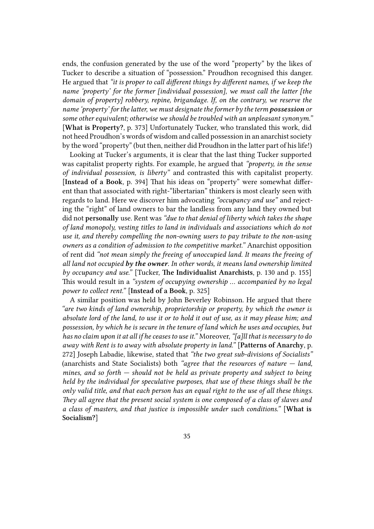ends, the confusion generated by the use of the word "property" by the likes of Tucker to describe a situation of "possession." Proudhon recognised this danger. He argued that *"it is proper to call different things by different names, if we keep the name 'property' for the former [individual possession], we must call the latter [the domain of property] robbery, repine, brigandage. If, on the contrary, we reserve the name 'property' for the latter, we must designate the former by the term possession or some other equivalent; otherwise we should be troubled with an unpleasant synonym."* [**What is Property?**, p. 373] Unfortunately Tucker, who translated this work, did not heed Proudhon's words of wisdom and called possession in an anarchist society by the word "property" (but then, neither did Proudhon in the latter part of his life!)

Looking at Tucker's arguments, it is clear that the last thing Tucker supported was capitalist property rights. For example, he argued that *"property, in the sense of individual possession, is liberty"* and contrasted this with capitalist property. [**Instead of a Book**, p. 394] That his ideas on "property" were somewhat different than that associated with right-"libertarian" thinkers is most clearly seen with regards to land. Here we discover him advocating *"occupancy and use"* and rejecting the "right" of land owners to bar the landless from any land they owned but did not **personally** use. Rent was *"due to that denial of liberty which takes the shape of land monopoly, vesting titles to land in individuals and associations which do not use it, and thereby compelling the non-owning users to pay tribute to the non-using owners as a condition of admission to the competitive market."* Anarchist opposition of rent did *"not mean simply the freeing of unoccupied land. It means the freeing of all land not occupied by the owner. In other words, it means land ownership limited by occupancy and use."* [Tucker, **The Individualist Anarchists**, p. 130 and p. 155] This would result in a *"system of occupying ownership … accompanied by no legal power to collect rent."* [**Instead of a Book**, p. 325]

A similar position was held by John Beverley Robinson. He argued that there *"are two kinds of land ownership, proprietorship or property, by which the owner is absolute lord of the land, to use it or to hold it out of use, as it may please him; and possession, by which he is secure in the tenure of land which he uses and occupies, but has no claim upon it at all if he ceases to use it."* Moreover,*"[a]ll that is necessary to do away with Rent is to away with absolute property in land."* [**Patterns of Anarchy**, p. 272] Joseph Labadie, likewise, stated that *"the two great sub-divisions of Socialists"* (anarchists and State Socialists) both *"agree that the resources of nature — land, mines, and so forth — should not be held as private property and subject to being held by the individual for speculative purposes, that use of these things shall be the only valid title, and that each person has an equal right to the use of all these things. They all agree that the present social system is one composed of a class of slaves and a class of masters, and that justice is impossible under such conditions."* [**What is Socialism?**]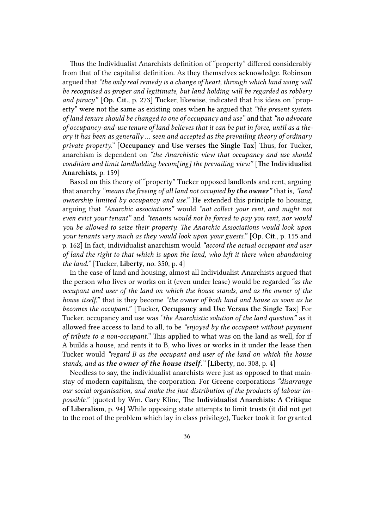Thus the Individualist Anarchists definition of "property" differed considerably from that of the capitalist definition. As they themselves acknowledge. Robinson argued that *"the only real remedy is a change of heart, through which land using will be recognised as proper and legitimate, but land holding will be regarded as robbery and piracy."* [**Op. Cit.**, p. 273] Tucker, likewise, indicated that his ideas on "property" were not the same as existing ones when he argued that *"the present system of land tenure should be changed to one of occupancy and use"* and that *"no advocate of occupancy-and-use tenure of land believes that it can be put in force, until as a theory it has been as generally … seen and accepted as the prevailing theory of ordinary private property."* [**Occupancy and Use verses the Single Tax**] Thus, for Tucker, anarchism is dependent on *"the Anarchistic view that occupancy and use should condition and limit landholding becom[ing] the prevailing view."* [**The Individualist Anarchists**, p. 159]

Based on this theory of "property" Tucker opposed landlords and rent, arguing that anarchy *"means the freeing of all land not occupied by the owner"* that is, *"land ownership limited by occupancy and use."* He extended this principle to housing, arguing that *"Anarchic associations"* would *"not collect your rent, and might not even evict your tenant"* and *"tenants would not be forced to pay you rent, nor would you be allowed to seize their property. The Anarchic Associations would look upon your tenants very much as they would look upon your guests."* [**Op. Cit.**, p. 155 and p. 162] In fact, individualist anarchism would *"accord the actual occupant and user of land the right to that which is upon the land, who left it there when abandoning the land."* [Tucker, **Liberty**, no. 350, p. 4]

In the case of land and housing, almost all Individualist Anarchists argued that the person who lives or works on it (even under lease) would be regarded *"as the occupant and user of the land on which the house stands, and as the owner of the house itself,"* that is they become *"the owner of both land and house as soon as he becomes the occupant."* [Tucker, **Occupancy and Use Versus the Single Tax**] For Tucker, occupancy and use was *"the Anarchistic solution of the land question"* as it allowed free access to land to all, to be *"enjoyed by the occupant without payment of tribute to a non-occupant."* This applied to what was on the land as well, for if A builds a house, and rents it to B, who lives or works in it under the lease then Tucker would *"regard B as the occupant and user of the land on which the house stands, and as the owner of the house itself."* [**Liberty**, no. 308, p. 4]

Needless to say, the individualist anarchists were just as opposed to that mainstay of modern capitalism, the corporation. For Greene corporations *"disarrange our social organisation, and make the just distribution of the products of labour impossible."* [quoted by Wm. Gary Kline, **The Individualist Anarchists: A Critique of Liberalism**, p. 94] While opposing state attempts to limit trusts (it did not get to the root of the problem which lay in class privilege), Tucker took it for granted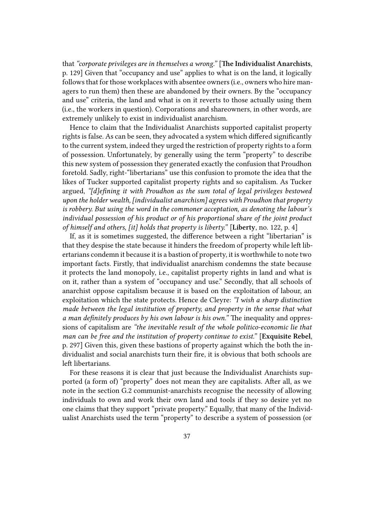that *"corporate privileges are in themselves a wrong."* [**The Individualist Anarchists**, p. 129] Given that "occupancy and use" applies to what is on the land, it logically follows that for those workplaces with absentee owners (i.e., owners who hire managers to run them) then these are abandoned by their owners. By the "occupancy and use" criteria, the land and what is on it reverts to those actually using them (i.e., the workers in question). Corporations and shareowners, in other words, are extremely unlikely to exist in individualist anarchism.

Hence to claim that the Individualist Anarchists supported capitalist property rights is false. As can be seen, they advocated a system which differed significantly to the current system, indeed they urged the restriction of property rights to a form of possession. Unfortunately, by generally using the term "property" to describe this new system of possession they generated exactly the confusion that Proudhon foretold. Sadly, right-"libertarians" use this confusion to promote the idea that the likes of Tucker supported capitalist property rights and so capitalism. As Tucker argued, *"[d]efining it with Proudhon as the sum total of legal privileges bestowed upon the holder wealth, [individualist anarchism] agrees with Proudhon that property is robbery. But using the word in the commoner acceptation, as denoting the labour's individual possession of his product or of his proportional share of the joint product of himself and others, [it] holds that property is liberty."* [**Liberty**, no. 122, p. 4]

If, as it is sometimes suggested, the difference between a right "libertarian" is that they despise the state because it hinders the freedom of property while left libertarians condemn it because it is a bastion of property, it is worthwhile to note two important facts. Firstly, that individualist anarchism condemns the state because it protects the land monopoly, i.e., capitalist property rights in land and what is on it, rather than a system of "occupancy and use." Secondly, that all schools of anarchist oppose capitalism because it is based on the exploitation of labour, an exploitation which the state protects. Hence de Cleyre: *"I wish a sharp distinction made between the legal institution of property, and property in the sense that what a man definitely produces by his own labour is his own."* The inequality and oppressions of capitalism are *"the inevitable result of the whole politico-economic lie that man can be free and the institution of property continue to exist."* [**Exquisite Rebel**, p. 297] Given this, given these bastions of property against which the both the individualist and social anarchists turn their fire, it is obvious that both schools are left libertarians.

For these reasons it is clear that just because the Individualist Anarchists supported (a form of) "property" does not mean they are capitalists. After all, as we note in the section G.2 communist-anarchists recognise the necessity of allowing individuals to own and work their own land and tools if they so desire yet no one claims that they support "private property." Equally, that many of the Individualist Anarchists used the term "property" to describe a system of possession (or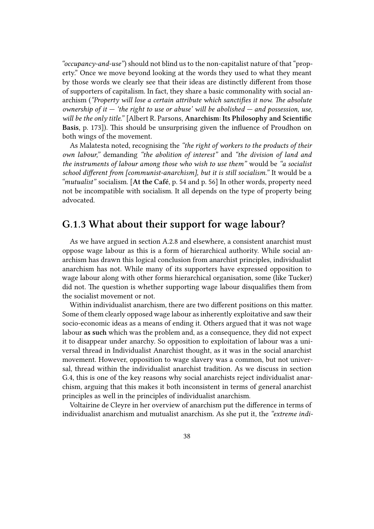*"occupancy-and-use"*) should not blind us to the non-capitalist nature of that "property." Once we move beyond looking at the words they used to what they meant by those words we clearly see that their ideas are distinctly different from those of supporters of capitalism. In fact, they share a basic commonality with social anarchism (*"Property will lose a certain attribute which sanctifies it now. The absolute ownership of it — 'the right to use or abuse' will be abolished — and possession, use, will be the only title."* [Albert R. Parsons, **Anarchism: Its Philosophy and Scientific Basis**, p. 173]). This should be unsurprising given the influence of Proudhon on both wings of the movement.

As Malatesta noted, recognising the *"the right of workers to the products of their own labour,"* demanding *"the abolition of interest"* and *"the division of land and the instruments of labour among those who wish to use them"* would be *"a socialist school different from [communist-anarchism], but it is still socialism."* It would be a *"mutualist"* socialism. [**At the Café**, p. 54 and p. 56] In other words, property need not be incompatible with socialism. It all depends on the type of property being advocated.

#### **G.1.3 What about their support for wage labour?**

As we have argued in section A.2.8 and elsewhere, a consistent anarchist must oppose wage labour as this is a form of hierarchical authority. While social anarchism has drawn this logical conclusion from anarchist principles, individualist anarchism has not. While many of its supporters have expressed opposition to wage labour along with other forms hierarchical organisation, some (like Tucker) did not. The question is whether supporting wage labour disqualifies them from the socialist movement or not.

Within individualist anarchism, there are two different positions on this matter. Some of them clearly opposed wage labour as inherently exploitative and saw their socio-economic ideas as a means of ending it. Others argued that it was not wage labour **as such** which was the problem and, as a consequence, they did not expect it to disappear under anarchy. So opposition to exploitation of labour was a universal thread in Individualist Anarchist thought, as it was in the social anarchist movement. However, opposition to wage slavery was a common, but not universal, thread within the individualist anarchist tradition. As we discuss in section G.4, this is one of the key reasons why social anarchists reject individualist anarchism, arguing that this makes it both inconsistent in terms of general anarchist principles as well in the principles of individualist anarchism.

Voltairine de Cleyre in her overview of anarchism put the difference in terms of individualist anarchism and mutualist anarchism. As she put it, the *"extreme indi-*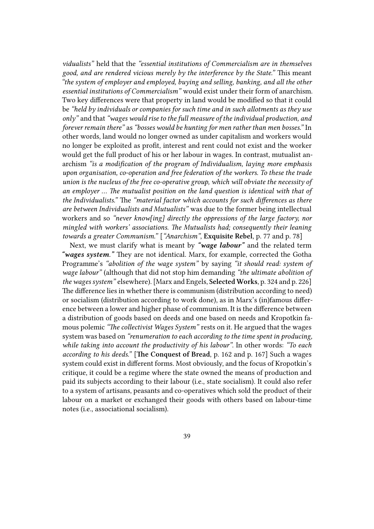*vidualists"* held that the *"essential institutions of Commercialism are in themselves good, and are rendered vicious merely by the interference by the State."* This meant *"the system of employer and employed, buying and selling, banking, and all the other essential institutions of Commercialism"* would exist under their form of anarchism. Two key differences were that property in land would be modified so that it could be *"held by individuals or companies for such time and in such allotments as they use only"* and that *"wages would rise to the full measure of the individual production, and forever remain there"* as*"bosses would be hunting for men rather than men bosses."* In other words, land would no longer owned as under capitalism and workers would no longer be exploited as profit, interest and rent could not exist and the worker would get the full product of his or her labour in wages. In contrast, mutualist anarchism *"is a modification of the program of Individualism, laying more emphasis upon organisation, co-operation and free federation of the workers. To these the trade union is the nucleus of the free co-operative group, which will obviate the necessity of an employer … The mutualist position on the land question is identical with that of the Individualists."* The *"material factor which accounts for such differences as there are between Individualists and Mutualists"* was due to the former being intellectual workers and so *"never know[ing] directly the oppressions of the large factory, nor mingled with workers' associations. The Mutualists had; consequently their leaning towards a greater Communism."* [*"Anarchism"*, **Exquisite Rebel**, p. 77 and p. 78]

Next, we must clarify what is meant by *"wage labour"* and the related term *"wages system."* They are not identical. Marx, for example, corrected the Gotha Programme's *"abolition of the wage system"* by saying *"it should read: system of wage labour"* (although that did not stop him demanding *"the ultimate abolition of the wages system"* elsewhere). [Marx and Engels, **Selected Works**, p. 324 and p. 226] The difference lies in whether there is communism (distribution according to need) or socialism (distribution according to work done), as in Marx's (in)famous difference between a lower and higher phase of communism. It is the difference between a distribution of goods based on deeds and one based on needs and Kropotkin famous polemic *"The collectivist Wages System"* rests on it. He argued that the wages system was based on *"renumeration to each according to the time spent in producing, while taking into account the productivity of his labour"*. In other words: *"To each according to his deeds."* [**The Conquest of Bread**, p. 162 and p. 167] Such a wages system could exist in different forms. Most obviously, and the focus of Kropotkin's critique, it could be a regime where the state owned the means of production and paid its subjects according to their labour (i.e., state socialism). It could also refer to a system of artisans, peasants and co-operatives which sold the product of their labour on a market or exchanged their goods with others based on labour-time notes (i.e., associational socialism).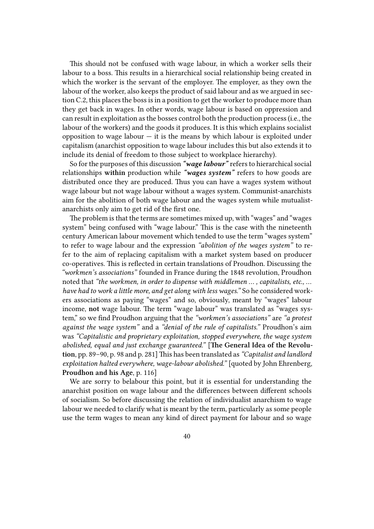This should not be confused with wage labour, in which a worker sells their labour to a boss. This results in a hierarchical social relationship being created in which the worker is the servant of the employer. The employer, as they own the labour of the worker, also keeps the product of said labour and as we argued in section C.2, this places the boss is in a position to get the worker to produce more than they get back in wages. In other words, wage labour is based on oppression and can result in exploitation as the bosses control both the production process (i.e., the labour of the workers) and the goods it produces. It is this which explains socialist opposition to wage labour  $-$  it is the means by which labour is exploited under capitalism (anarchist opposition to wage labour includes this but also extends it to include its denial of freedom to those subject to workplace hierarchy).

So for the purposes of this discussion *"wage labour"* refers to hierarchical social relationships **within** production while *"wages system"* refers to how goods are distributed once they are produced. Thus you can have a wages system without wage labour but not wage labour without a wages system. Communist-anarchists aim for the abolition of both wage labour and the wages system while mutualistanarchists only aim to get rid of the first one.

The problem is that the terms are sometimes mixed up, with "wages" and "wages system" being confused with "wage labour." This is the case with the nineteenth century American labour movement which tended to use the term "wages system" to refer to wage labour and the expression *"abolition of the wages system"* to refer to the aim of replacing capitalism with a market system based on producer co-operatives. This is reflected in certain translations of Proudhon. Discussing the *"workmen's associations"* founded in France during the 1848 revolution, Proudhon noted that *"the workmen, in order to dispense with middlemen … , capitalists, etc., … have had to work a little more, and get along with less wages."* So he considered workers associations as paying "wages" and so, obviously, meant by "wages" labour income, **not** wage labour. The term "wage labour" was translated as "wages system," so we find Proudhon arguing that the *"workmen's associations"* are *"a protest against the wage system"* and a *"denial of the rule of capitalists."* Proudhon's aim was *"Capitalistic and proprietary exploitation, stopped everywhere, the wage system abolished, equal and just exchange guaranteed."* [**The General Idea of the Revolution**, pp. 89–90, p. 98 and p. 281] This has been translated as*"Capitalist and landlord exploitation halted everywhere, wage-labour abolished."* [quoted by John Ehrenberg, **Proudhon and his Age**, p. 116]

We are sorry to belabour this point, but it is essential for understanding the anarchist position on wage labour and the differences between different schools of socialism. So before discussing the relation of individualist anarchism to wage labour we needed to clarify what is meant by the term, particularly as some people use the term wages to mean any kind of direct payment for labour and so wage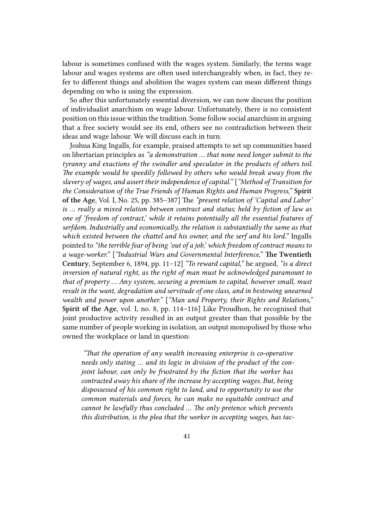labour is sometimes confused with the wages system. Similarly, the terms wage labour and wages systems are often used interchangeably when, in fact, they refer to different things and abolition the wages system can mean different things depending on who is using the expression.

So after this unfortunately essential diversion, we can now discuss the position of individualist anarchism on wage labour. Unfortunately, there is no consistent position on this issue within the tradition. Some follow social anarchism in arguing that a free society would see its end, others see no contradiction between their ideas and wage labour. We will discuss each in turn.

Joshua King Ingalls, for example, praised attempts to set up communities based on libertarian principles as *"a demonstration … that none need longer submit to the tyranny and exactions of the swindler and speculator in the products of others toil. The example would be speedily followed by others who would break away from the slavery of wages, and assert their independence of capital."* [*"Method of Transition for the Consideration of the True Friends of Human Rights and Human Progress,"* **Spirit of the Age**, Vol. I, No. 25, pp. 385–387] The *"present relation of 'Capital and Labor' is … really a mixed relation between contract and status; held by fiction of law as one of 'freedom of contract,' while it retains potentially all the essential features of serfdom. Industrially and economically, the relation is substantially the same as that which existed between the chattel and his owner, and the serf and his lord."* Ingalls pointed to *"the terrible fear of being 'out of a job,' which freedom of contract means to a wage-worker."* [*"Industrial Wars and Governmental Interference,"* **The Twentieth Century**, September 6, 1894, pp. 11–12] *"To reward capital,"* he argued, *"is a direct inversion of natural right, as the right of man must be acknowledged paramount to that of property … Any system, securing a premium to capital, however small, must result in the want, degradation and servitude of one class, and in bestowing unearned wealth and power upon another."* [*"Man and Property, their Rights and Relations,"* **Spirit of the Age**, vol. I, no. 8, pp. 114–116] Like Proudhon, he recognised that joint productive activity resulted in an output greater than that possible by the same number of people working in isolation, an output monopolised by those who owned the workplace or land in question:

*"That the operation of any wealth increasing enterprise is co-operative needs only stating … and its logic in division of the product of the conjoint labour, can only be frustrated by the fiction that the worker has contracted away his share of the increase by accepting wages. But, being dispossessed of his common right to land, and to opportunity to use the common materials and forces, he can make no equitable contract and cannot be lawfully thus concluded … The only pretence which prevents this distribution, is the plea that the worker in accepting wages, has tac-*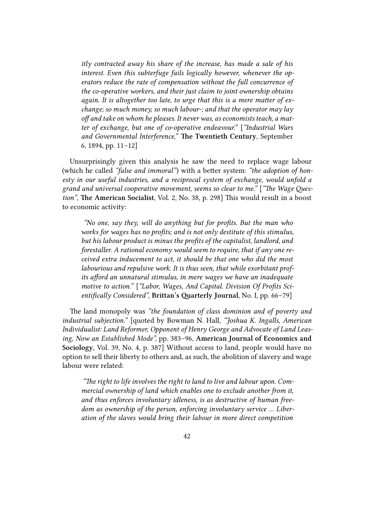*itly contracted away his share of the increase, has made a sale of his interest. Even this subterfuge fails logically however, whenever the operators reduce the rate of compensation without the full concurrence of the co-operative workers, and their just claim to joint ownership obtains again. It is altogether too late, to urge that this is a mere matter of exchange; so much money, so much labour-; and that the operator may lay off and take on whom he pleases. It never was, as economists teach, a matter of exchange, but one of co-operative endeavour."* [*"Industrial Wars and Governmental Interference,"* **The Twentieth Century**, September 6, 1894, pp. 11–12]

Unsurprisingly given this analysis he saw the need to replace wage labour (which he called *"false and immoral"*) with a better system: *"the adoption of honesty in our useful industries, and a reciprocal system of exchange, would unfold a grand and universal cooperative movement, seems so clear to me."* [*"The Wage Question"*, **The American Socialist**, Vol. 2, No. 38, p. 298] This would result in a boost to economic activity:

*"No one, say they, will do anything but for profits. But the man who works for wages has no profits; and is not only destitute of this stimulus, but his labour product is minus the profits of the capitalist, landlord, and forestaller. A rational economy would seem to require, that if any one received extra inducement to act, it should be that one who did the most labourious and repulsive work. It is thus seen, that while exorbitant profits afford an unnatural stimulus, in mere wages we have an inadequate motive to action."* [*"Labor, Wages, And Capital. Division Of Profits Scientifically Considered"*, **Brittan's Quarterly Journal**, No. I, pp. 66–79]

The land monopoly was *"the foundation of class dominion and of poverty and industrial subjection."* [quoted by Bowman N. Hall, *"Joshua K. Ingalls, American Individualist: Land Reformer, Opponent of Henry George and Advocate of Land Leasing, Now an Established Mode",* pp. 383–96, **American Journal of Economics and Sociology**, Vol. 39, No. 4, p. 387] Without access to land, people would have no option to sell their liberty to others and, as such, the abolition of slavery and wage labour were related:

*"The right to life involves the right to land to live and labour upon. Commercial ownership of land which enables one to exclude another from it, and thus enforces involuntary idleness, is as destructive of human freedom as ownership of the person, enforcing involuntary service … Liberation of the slaves would bring their labour in more direct competition*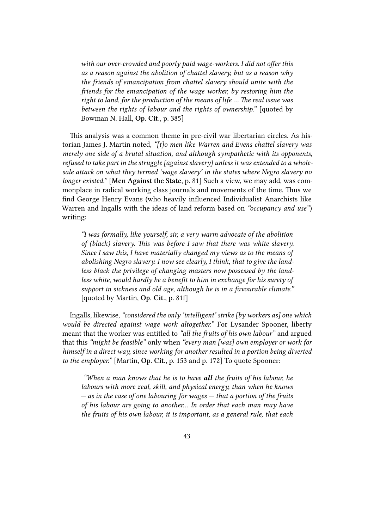*with our over-crowded and poorly paid wage-workers. I did not offer this as a reason against the abolition of chattel slavery, but as a reason why the friends of emancipation from chattel slavery should unite with the friends for the emancipation of the wage worker, by restoring him the right to land, for the production of the means of life … The real issue was between the rights of labour and the rights of ownership."* [quoted by Bowman N. Hall, **Op. Cit.**, p. 385]

This analysis was a common theme in pre-civil war libertarian circles. As historian James J. Martin noted, *"[t]o men like Warren and Evens chattel slavery was merely one side of a brutal situation, and although sympathetic with its opponents, refused to take part in the struggle [against slavery] unless it was extended to a wholesale attack on what they termed 'wage slavery' in the states where Negro slavery no longer existed."* [**Men Against the State**, p. 81] Such a view, we may add, was commonplace in radical working class journals and movements of the time. Thus we find George Henry Evans (who heavily influenced Individualist Anarchists like Warren and Ingalls with the ideas of land reform based on *"occupancy and use"*) writing:

*"I was formally, like yourself, sir, a very warm advocate of the abolition of (black) slavery. This was before I saw that there was white slavery. Since I saw this, I have materially changed my views as to the means of abolishing Negro slavery. I now see clearly, I think, that to give the landless black the privilege of changing masters now possessed by the landless white, would hardly be a benefit to him in exchange for his surety of support in sickness and old age, although he is in a favourable climate."* [quoted by Martin, **Op. Cit.**, p. 81f]

Ingalls, likewise, *"considered the only 'intelligent' strike [by workers as] one which would be directed against wage work altogether."* For Lysander Spooner, liberty meant that the worker was entitled to *"all the fruits of his own labour"* and argued that this *"might be feasible"* only when *"every man [was] own employer or work for himself in a direct way, since working for another resulted in a portion being diverted to the employer."* [Martin, **Op. Cit.**, p. 153 and p. 172] To quote Spooner:

*"When a man knows that he is to have all the fruits of his labour, he labours with more zeal, skill, and physical energy, than when he knows — as in the case of one labouring for wages — that a portion of the fruits of his labour are going to another… In order that each man may have the fruits of his own labour, it is important, as a general rule, that each*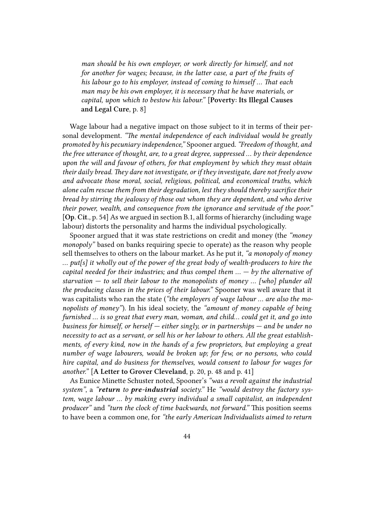*man should be his own employer, or work directly for himself, and not for another for wages; because, in the latter case, a part of the fruits of his labour go to his employer, instead of coming to himself … That each man may be his own employer, it is necessary that he have materials, or capital, upon which to bestow his labour."* [**Poverty: Its Illegal Causes and Legal Cure**, p. 8]

Wage labour had a negative impact on those subject to it in terms of their personal development. *"The mental independence of each individual would be greatly promoted by his pecuniary independence,"* Spooner argued.*"Freedom of thought, and the free utterance of thought, are, to a great degree, suppressed … by their dependence upon the will and favour of others, for that employment by which they must obtain their daily bread. They dare not investigate, or if they investigate, dare not freely avow and advocate those moral, social, religious, political, and economical truths, which alone calm rescue them from their degradation, lest they should thereby sacrifice their bread by stirring the jealousy of those out whom they are dependent, and who derive their power, wealth, and consequence from the ignorance and servitude of the poor."* [**Op. Cit.**, p. 54] As we argued in section B.1, all forms of hierarchy (including wage labour) distorts the personality and harms the individual psychologically.

Spooner argued that it was state restrictions on credit and money (the *"money monopoly*" based on banks requiring specie to operate) as the reason why people sell themselves to others on the labour market. As he put it, *"a monopoly of money … put[s] it wholly out of the power of the great body of wealth-producers to hire the capital needed for their industries; and thus compel them … — by the alternative of starvation — to sell their labour to the monopolists of money … [who] plunder all the producing classes in the prices of their labour."* Spooner was well aware that it was capitalists who ran the state (*"the employers of wage labour … are also the monopolists of money"*). In his ideal society, the *"amount of money capable of being furnished … is so great that every man, woman, and child… could get it, and go into business for himself, or herself — either singly, or in partnerships — and be under no necessity to act as a servant, or sell his or her labour to others. All the great establishments, of every kind, now in the hands of a few proprietors, but employing a great number of wage labourers, would be broken up; for few, or no persons, who could hire capital, and do business for themselves, would consent to labour for wages for another."* [**A Letter to Grover Cleveland**, p. 20, p. 48 and p. 41]

As Eunice Minette Schuster noted, Spooner's *"was a revolt against the industrial system"*, a *"return to pre-industrial society."* He *"would destroy the factory system, wage labour … by making every individual a small capitalist, an independent producer"* and *"turn the clock of time backwards, not forward."* This position seems to have been a common one, for *"the early American Individualists aimed to return*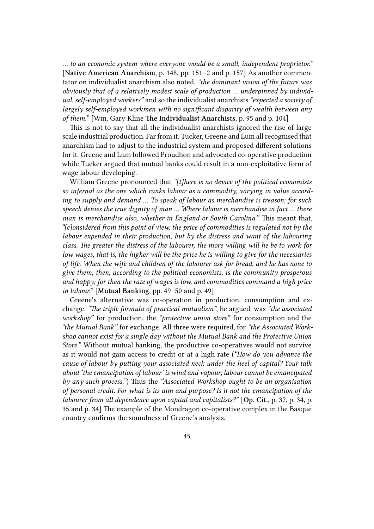*… to an economic system where everyone would be a small, independent proprietor."* [**Native American Anarchism**, p. 148, pp. 151–2 and p. 157] As another commentator on individualist anarchism also noted, *"the dominant vision of the future was obviously that of a relatively modest scale of production … underpinned by individual, self-employed workers"* and so the individualist anarchists*"expected a society of largely self-employed workmen with no significant disparity of wealth between any of them."* [Wm. Gary Kline **The Individualist Anarchists**, p. 95 and p. 104]

This is not to say that all the individualist anarchists ignored the rise of large scale industrial production. Far from it. Tucker, Greene and Lum all recognised that anarchism had to adjust to the industrial system and proposed different solutions for it. Greene and Lum followed Proudhon and advocated co-operative production while Tucker argued that mutual banks could result in a non-exploitative form of wage labour developing.

William Greene pronounced that *"[t]here is no device of the political economists so infernal as the one which ranks labour as a commodity, varying in value according to supply and demand … To speak of labour as merchandise is treason; for such speech denies the true dignity of man … Where labour is merchandise in fact … there man is merchandise also, whether in England or South Carolina."* This meant that, *"[c]onsidered from this point of view, the price of commodities is regulated not by the labour expended in their production, but by the distress and want of the labouring class. The greater the distress of the labourer, the more willing will he be to work for low wages, that is, the higher will be the price he is willing to give for the necessaries of life. When the wife and children of the labourer ask for bread, and he has none to give them, then, according to the political economists, is the community prosperous and happy; for then the rate of wages is low, and commodities command a high price in labour."* [**Mutual Banking**, pp. 49–50 and p. 49]

Greene's alternative was co-operation in production, consumption and exchange. *"The triple formula of practical mutualism"*, he argued, was *"the associated workshop"* for production, the *"protective union store"* for consumption and the *"the Mutual Bank"* for exchange. All three were required, for *"the Associated Workshop cannot exist for a single day without the Mutual Bank and the Protective Union Store."* Without mutual banking, the productive co-operatives would not survive as it would not gain access to credit or at a high rate (*"How do you advance the cause of labour by putting your associated neck under the heel of capital? Your talk about 'the emancipation of labour' is wind and vapour; labour cannot be emancipated by any such process."*) Thus the *"Associated Workshop ought to be an organisation of personal credit. For what is its aim and purpose? Is it not the emancipation of the labourer from all dependence upon capital and capitalists?"* [**Op. Cit.**, p. 37, p. 34, p. 35 and p. 34] The example of the Mondragon co-operative complex in the Basque country confirms the soundness of Greene's analysis.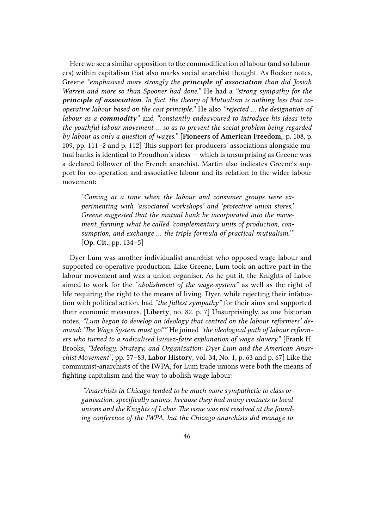Here we see a similar opposition to the commodification of labour (and so labourers) within capitalism that also marks social anarchist thought. As Rocker notes, Greene *"emphasised more strongly the principle of association than did Josiah Warren and more so than Spooner had done."* He had a *"strong sympathy for the principle of association. In fact, the theory of Mutualism is nothing less that cooperative labour based on the cost principle."* He also *"rejected … the designation of labour as a commodity"* and *"constantly endeavoured to introduce his ideas into the youthful labour movement … so as to prevent the social problem being regarded by labour as only a question of wages.*" [Pioneers of American Freedom, p. 108, p. 109, pp. 111–2 and p. 112] This support for producers' associations alongside mutual banks is identical to Proudhon's ideas — which is unsurprising as Greene was a declared follower of the French anarchist. Martin also indicates Greene's support for co-operation and associative labour and its relation to the wider labour movement:

*"Coming at a time when the labour and consumer groups were experimenting with 'associated workshops' and 'protective union stores,' Greene suggested that the mutual bank be incorporated into the movement, forming what he called 'complementary units of production, consumption, and exchange … the triple formula of practical mutualism.'"* [**Op. Cit.**, pp. 134–5]

Dyer Lum was another individualist anarchist who opposed wage labour and supported co-operative production. Like Greene, Lum took an active part in the labour movement and was a union organiser. As he put it, the Knights of Labor aimed to work for the *"abolishment of the wage-system"* as well as the right of life requiring the right to the means of living. Dyer, while rejecting their infatuation with political action, had *"the fullest sympathy"* for their aims and supported their economic measures. [**Liberty**, no. 82, p. 7] Unsurprisingly, as one historian notes, *"Lum began to develop an ideology that centred on the labour reformers' demand: 'The Wage System must go!'"* He joined *"the ideological path of labour reformers who turned to a radicalised laissez-faire explanation of wage slavery."* [Frank H. Brooks, *"Ideology, Strategy, and Organization: Dyer Lum and the American Anarchist Movement"*, pp. 57–83, **Labor History**, vol. 34, No. 1, p. 63 and p. 67] Like the communist-anarchists of the IWPA, for Lum trade unions were both the means of fighting capitalism and the way to abolish wage labour:

*"Anarchists in Chicago tended to be much more sympathetic to class organisation, specifically unions, because they had many contacts to local unions and the Knights of Labor. The issue was not resolved at the founding conference of the IWPA, but the Chicago anarchists did manage to*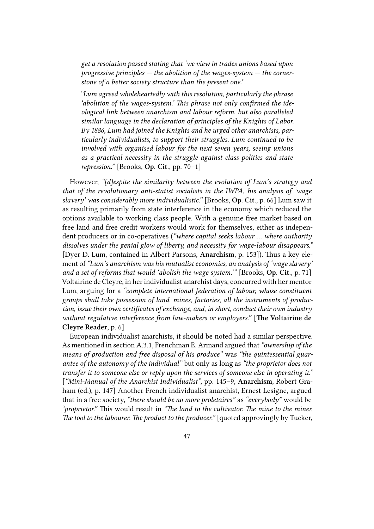*get a resolution passed stating that 'we view in trades unions based upon progressive principles — the abolition of the wages-system — the cornerstone of a better society structure than the present one.'*

*"Lum agreed wholeheartedly with this resolution, particularly the phrase 'abolition of the wages-system.' This phrase not only confirmed the ideological link between anarchism and labour reform, but also paralleled similar language in the declaration of principles of the Knights of Labor. By 1886, Lum had joined the Knights and he urged other anarchists, particularly individualists, to support their struggles. Lum continued to be involved with organised labour for the next seven years, seeing unions as a practical necessity in the struggle against class politics and state repression."* [Brooks, **Op. Cit.**, pp. 70–1]

However, *"[d]espite the similarity between the evolution of Lum's strategy and that of the revolutionary anti-statist socialists in the IWPA, his analysis of 'wage slavery' was considerably more individualistic."* [Brooks, **Op. Cit.**, p. 66] Lum saw it as resulting primarily from state interference in the economy which reduced the options available to working class people. With a genuine free market based on free land and free credit workers would work for themselves, either as independent producers or in co-operatives (*"where capital seeks labour … where authority dissolves under the genial glow of liberty, and necessity for wage-labour disappears."* [Dyer D. Lum, contained in Albert Parsons, **Anarchism**, p. 153]). Thus a key element of *"Lum's anarchism was his mutualist economics, an analysis of 'wage slavery' and a set of reforms that would 'abolish the wage system.'"* [Brooks, **Op. Cit.**, p. 71] Voltairine de Cleyre, in her individualist anarchist days, concurred with her mentor Lum, arguing for a *"complete international federation of labour, whose constituent groups shall take possession of land, mines, factories, all the instruments of production, issue their own certificates of exchange, and, in short, conduct their own industry without regulative interference from law-makers or employers."* [**The Voltairine de Cleyre Reader**, p. 6]

European individualist anarchists, it should be noted had a similar perspective. As mentioned in section A.3.1, Frenchman E. Armand argued that*"ownership of the means of production and free disposal of his produce"* was *"the quintessential guarantee of the autonomy of the individual"* but only as long as *"the proprietor does not transfer it to someone else or reply upon the services of someone else in operating it."* [*"Mini-Manual of the Anarchist Individualist"*, pp. 145–9, **Anarchism**, Robert Graham (ed.), p. 147] Another French individualist anarchist, Ernest Lesigne, argued that in a free society, *"there should be no more proletaires"* as *"everybody"* would be *"proprietor."* This would result in *"The land to the cultivator. The mine to the miner. The tool to the labourer. The product to the producer."* [quoted approvingly by Tucker,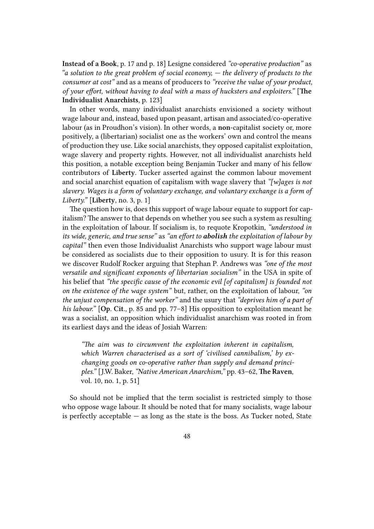**Instead of a Book**, p. 17 and p. 18] Lesigne considered *"co-operative production"* as *"a solution to the great problem of social economy, — the delivery of products to the consumer at cost"* and as a means of producers to *"receive the value of your product, of your effort, without having to deal with a mass of hucksters and exploiters."* [**The Individualist Anarchists**, p. 123]

In other words, many individualist anarchists envisioned a society without wage labour and, instead, based upon peasant, artisan and associated/co-operative labour (as in Proudhon's vision). In other words, a **non**-capitalist society or, more positively, a (libertarian) socialist one as the workers' own and control the means of production they use. Like social anarchists, they opposed capitalist exploitation, wage slavery and property rights. However, not all individualist anarchists held this position, a notable exception being Benjamin Tucker and many of his fellow contributors of **Liberty**. Tucker asserted against the common labour movement and social anarchist equation of capitalism with wage slavery that *"[w]ages is not slavery. Wages is a form of voluntary exchange, and voluntary exchange is a form of Liberty."* [**Liberty**, no. 3, p. 1]

The question how is, does this support of wage labour equate to support for capitalism? The answer to that depends on whether you see such a system as resulting in the exploitation of labour. If socialism is, to requote Kropotkin, *"understood in its wide, generic, and true sense"* as *"an effort to abolish the exploitation of labour by capital"* then even those Individualist Anarchists who support wage labour must be considered as socialists due to their opposition to usury. It is for this reason we discover Rudolf Rocker arguing that Stephan P. Andrews was *"one of the most versatile and significant exponents of libertarian socialism"* in the USA in spite of his belief that *"the specific cause of the economic evil [of capitalism] is founded not on the existence of the wage system"* but, rather, on the exploitation of labour, *"on the unjust compensation of the worker"* and the usury that *"deprives him of a part of his labour."* [**Op. Cit.**, p. 85 and pp. 77–8] His opposition to exploitation meant he was a socialist, an opposition which individualist anarchism was rooted in from its earliest days and the ideas of Josiah Warren:

*"The aim was to circumvent the exploitation inherent in capitalism, which Warren characterised as a sort of 'civilised cannibalism,' by exchanging goods on co-operative rather than supply and demand principles."* [J.W. Baker, *"Native American Anarchism,"* pp. 43–62, **The Raven**, vol. 10, no. 1, p. 51]

So should not be implied that the term socialist is restricted simply to those who oppose wage labour. It should be noted that for many socialists, wage labour is perfectly acceptable  $-$  as long as the state is the boss. As Tucker noted, State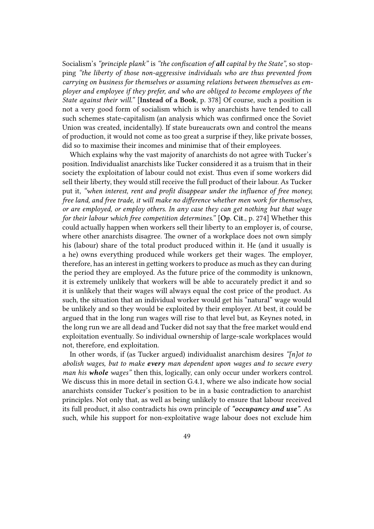Socialism's *"principle plank"* is *"the confiscation of all capital by the State"*, so stopping *"the liberty of those non-aggressive individuals who are thus prevented from carrying on business for themselves or assuming relations between themselves as employer and employee if they prefer, and who are obliged to become employees of the State against their will."* [**Instead of a Book**, p. 378] Of course, such a position is not a very good form of socialism which is why anarchists have tended to call such schemes state-capitalism (an analysis which was confirmed once the Soviet Union was created, incidentally). If state bureaucrats own and control the means of production, it would not come as too great a surprise if they, like private bosses, did so to maximise their incomes and minimise that of their employees.

Which explains why the vast majority of anarchists do not agree with Tucker's position. Individualist anarchists like Tucker considered it as a truism that in their society the exploitation of labour could not exist. Thus even if some workers did sell their liberty, they would still receive the full product of their labour. As Tucker put it, *"when interest, rent and profit disappear under the influence of free money, free land, and free trade, it will make no difference whether men work for themselves, or are employed, or employ others. In any case they can get nothing but that wage for their labour which free competition determines."* [**Op. Cit.**, p. 274] Whether this could actually happen when workers sell their liberty to an employer is, of course, where other anarchists disagree. The owner of a workplace does not own simply his (labour) share of the total product produced within it. He (and it usually is a he) owns everything produced while workers get their wages. The employer, therefore, has an interest in getting workers to produce as much as they can during the period they are employed. As the future price of the commodity is unknown, it is extremely unlikely that workers will be able to accurately predict it and so it is unlikely that their wages will always equal the cost price of the product. As such, the situation that an individual worker would get his "natural" wage would be unlikely and so they would be exploited by their employer. At best, it could be argued that in the long run wages will rise to that level but, as Keynes noted, in the long run we are all dead and Tucker did not say that the free market would end exploitation eventually. So individual ownership of large-scale workplaces would not, therefore, end exploitation.

In other words, if (as Tucker argued) individualist anarchism desires *"[n]ot to abolish wages, but to make every man dependent upon wages and to secure every man his whole wages"* then this, logically, can only occur under workers control. We discuss this in more detail in section G.4.1, where we also indicate how social anarchists consider Tucker's position to be in a basic contradiction to anarchist principles. Not only that, as well as being unlikely to ensure that labour received its full product, it also contradicts his own principle of *"occupancy and use"*. As such, while his support for non-exploitative wage labour does not exclude him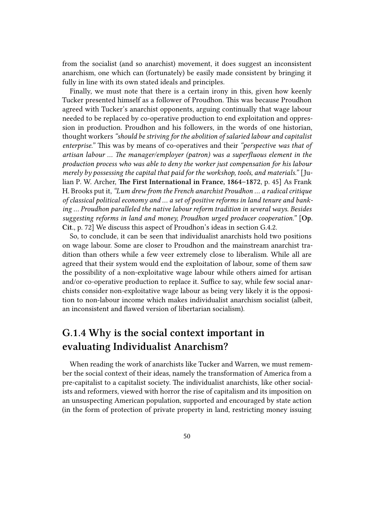from the socialist (and so anarchist) movement, it does suggest an inconsistent anarchism, one which can (fortunately) be easily made consistent by bringing it fully in line with its own stated ideals and principles.

Finally, we must note that there is a certain irony in this, given how keenly Tucker presented himself as a follower of Proudhon. This was because Proudhon agreed with Tucker's anarchist opponents, arguing continually that wage labour needed to be replaced by co-operative production to end exploitation and oppression in production. Proudhon and his followers, in the words of one historian, thought workers*"should be striving for the abolition of salaried labour and capitalist enterprise."* This was by means of co-operatives and their *"perspective was that of artisan labour … The manager/employer (patron) was a superfluous element in the production process who was able to deny the worker just compensation for his labour merely by possessing the capital that paid for the workshop, tools, and materials."* [Julian P. W. Archer, **The First International in France, 1864–1872**, p. 45] As Frank H. Brooks put it, *"Lum drew from the French anarchist Proudhon … a radical critique of classical political economy and … a set of positive reforms in land tenure and banking … Proudhon paralleled the native labour reform tradition in several ways. Besides suggesting reforms in land and money, Proudhon urged producer cooperation."* [**Op. Cit.**, p. 72] We discuss this aspect of Proudhon's ideas in section G.4.2.

So, to conclude, it can be seen that individualist anarchists hold two positions on wage labour. Some are closer to Proudhon and the mainstream anarchist tradition than others while a few veer extremely close to liberalism. While all are agreed that their system would end the exploitation of labour, some of them saw the possibility of a non-exploitative wage labour while others aimed for artisan and/or co-operative production to replace it. Suffice to say, while few social anarchists consider non-exploitative wage labour as being very likely it is the opposition to non-labour income which makes individualist anarchism socialist (albeit, an inconsistent and flawed version of libertarian socialism).

## **G.1.4 Why is the social context important in evaluating Individualist Anarchism?**

When reading the work of anarchists like Tucker and Warren, we must remember the social context of their ideas, namely the transformation of America from a pre-capitalist to a capitalist society. The individualist anarchists, like other socialists and reformers, viewed with horror the rise of capitalism and its imposition on an unsuspecting American population, supported and encouraged by state action (in the form of protection of private property in land, restricting money issuing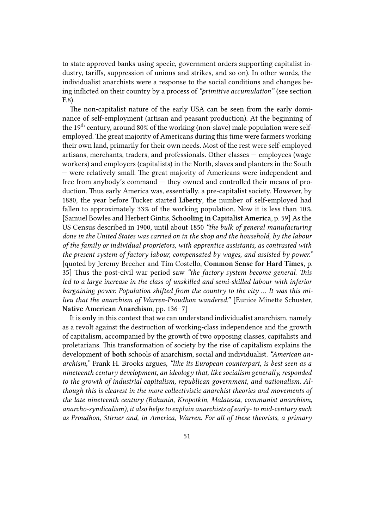to state approved banks using specie, government orders supporting capitalist industry, tariffs, suppression of unions and strikes, and so on). In other words, the individualist anarchists were a response to the social conditions and changes being inflicted on their country by a process of *"primitive accumulation"* (see section F.8).

The non-capitalist nature of the early USA can be seen from the early dominance of self-employment (artisan and peasant production). At the beginning of the 19<sup>th</sup> century, around 80% of the working (non-slave) male population were selfemployed. The great majority of Americans during this time were farmers working their own land, primarily for their own needs. Most of the rest were self-employed artisans, merchants, traders, and professionals. Other classes — employees (wage workers) and employers (capitalists) in the North, slaves and planters in the South — were relatively small. The great majority of Americans were independent and free from anybody's command — they owned and controlled their means of production. Thus early America was, essentially, a pre-capitalist society. However, by 1880, the year before Tucker started **Liberty**, the number of self-employed had fallen to approximately 33% of the working population. Now it is less than 10%. [Samuel Bowles and Herbert Gintis, **Schooling in Capitalist America**, p. 59] As the US Census described in 1900, until about 1850 *"the bulk of general manufacturing done in the United States was carried on in the shop and the household, by the labour of the family or individual proprietors, with apprentice assistants, as contrasted with the present system of factory labour, compensated by wages, and assisted by power."* [quoted by Jeremy Brecher and Tim Costello, **Common Sense for Hard Times**, p. 35] Thus the post-civil war period saw *"the factory system become general. This led to a large increase in the class of unskilled and semi-skilled labour with inferior bargaining power. Population shifted from the country to the city … It was this milieu that the anarchism of Warren-Proudhon wandered."* [Eunice Minette Schuster, **Native American Anarchism**, pp. 136–7]

It is **only** in this context that we can understand individualist anarchism, namely as a revolt against the destruction of working-class independence and the growth of capitalism, accompanied by the growth of two opposing classes, capitalists and proletarians. This transformation of society by the rise of capitalism explains the development of **both** schools of anarchism, social and individualist. *"American anarchism,"* Frank H. Brooks argues, *"like its European counterpart, is best seen as a nineteenth century development, an ideology that, like socialism generally, responded to the growth of industrial capitalism, republican government, and nationalism. Although this is clearest in the more collectivistic anarchist theories and movements of the late nineteenth century (Bakunin, Kropotkin, Malatesta, communist anarchism, anarcho-syndicalism), it also helps to explain anarchists of early- to mid-century such as Proudhon, Stirner and, in America, Warren. For all of these theorists, a primary*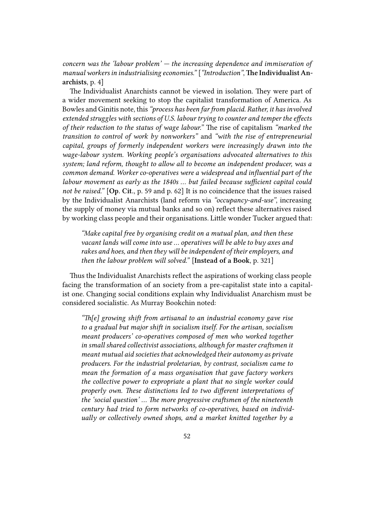*concern was the 'labour problem' — the increasing dependence and immiseration of manual workers in industrialising economies."* [*"Introduction"*,**The Individualist Anarchists**, p. 4]

The Individualist Anarchists cannot be viewed in isolation. They were part of a wider movement seeking to stop the capitalist transformation of America. As Bowles and Ginitis note, this*"process has been far from placid. Rather, it has involved extended struggles with sections of U.S. labour trying to counter and temper the effects of their reduction to the status of wage labour."* The rise of capitalism *"marked the transition to control of work by nonworkers"* and *"with the rise of entrepreneurial capital, groups of formerly independent workers were increasingly drawn into the wage-labour system. Working people's organisations advocated alternatives to this system; land reform, thought to allow all to become an independent producer, was a common demand. Worker co-operatives were a widespread and influential part of the labour movement as early as the 1840s … but failed because sufficient capital could not be raised."* [**Op. Cit.**, p. 59 and p. 62] It is no coincidence that the issues raised by the Individualist Anarchists (land reform via *"occupancy-and-use"*, increasing the supply of money via mutual banks and so on) reflect these alternatives raised by working class people and their organisations. Little wonder Tucker argued that:

*"Make capital free by organising credit on a mutual plan, and then these vacant lands will come into use … operatives will be able to buy axes and rakes and hoes, and then they will be independent of their employers, and then the labour problem will solved."* [**Instead of a Book**, p. 321]

Thus the Individualist Anarchists reflect the aspirations of working class people facing the transformation of an society from a pre-capitalist state into a capitalist one. Changing social conditions explain why Individualist Anarchism must be considered socialistic. As Murray Bookchin noted:

*"Th[e] growing shift from artisanal to an industrial economy gave rise to a gradual but major shift in socialism itself. For the artisan, socialism meant producers' co-operatives composed of men who worked together in small shared collectivist associations, although for master craftsmen it meant mutual aid societies that acknowledged their autonomy as private producers. For the industrial proletarian, by contrast, socialism came to mean the formation of a mass organisation that gave factory workers the collective power to expropriate a plant that no single worker could properly own. These distinctions led to two different interpretations of the 'social question' … The more progressive craftsmen of the nineteenth century had tried to form networks of co-operatives, based on individually or collectively owned shops, and a market knitted together by a*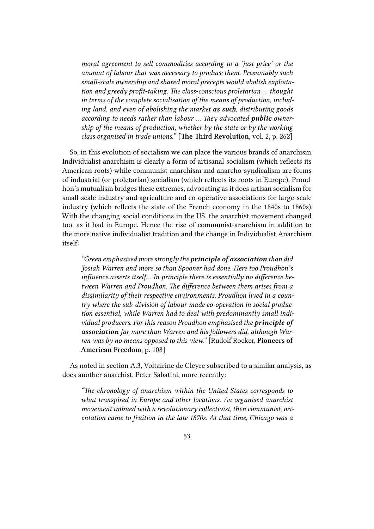*moral agreement to sell commodities according to a 'just price' or the amount of labour that was necessary to produce them. Presumably such small-scale ownership and shared moral precepts would abolish exploitation and greedy profit-taking. The class-conscious proletarian … thought in terms of the complete socialisation of the means of production, including land, and even of abolishing the market as such, distributing goods according to needs rather than labour … They advocated public ownership of the means of production, whether by the state or by the working class organised in trade unions."* [**The Third Revolution**, vol. 2, p. 262]

So, in this evolution of socialism we can place the various brands of anarchism. Individualist anarchism is clearly a form of artisanal socialism (which reflects its American roots) while communist anarchism and anarcho-syndicalism are forms of industrial (or proletarian) socialism (which reflects its roots in Europe). Proudhon's mutualism bridges these extremes, advocating as it does artisan socialism for small-scale industry and agriculture and co-operative associations for large-scale industry (which reflects the state of the French economy in the 1840s to 1860s). With the changing social conditions in the US, the anarchist movement changed too, as it had in Europe. Hence the rise of communist-anarchism in addition to the more native individualist tradition and the change in Individualist Anarchism itself:

*"Green emphasised more strongly the principle of association than did Josiah Warren and more so than Spooner had done. Here too Proudhon's influence asserts itself… In principle there is essentially no difference between Warren and Proudhon. The difference between them arises from a dissimilarity of their respective environments. Proudhon lived in a country where the sub-division of labour made co-operation in social production essential, while Warren had to deal with predominantly small individual producers. For this reason Proudhon emphasised the principle of association far more than Warren and his followers did, although Warren was by no means opposed to this view."* [Rudolf Rocker, **Pioneers of American Freedom**, p. 108]

As noted in section A.3, Voltairine de Cleyre subscribed to a similar analysis, as does another anarchist, Peter Sabatini, more recently:

*"The chronology of anarchism within the United States corresponds to what transpired in Europe and other locations. An organised anarchist movement imbued with a revolutionary collectivist, then communist, orientation came to fruition in the late 1870s. At that time, Chicago was a*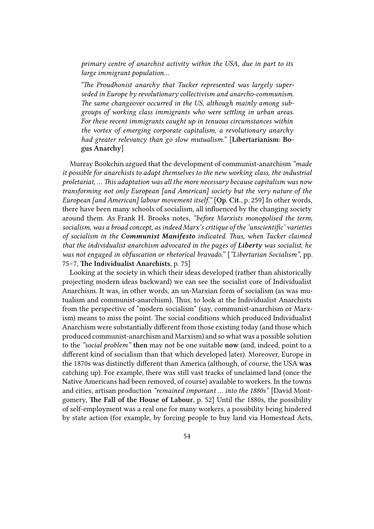*primary centre of anarchist activity within the USA, due in part to its large immigrant population…*

*"The Proudhonist anarchy that Tucker represented was largely superseded in Europe by revolutionary collectivism and anarcho-communism. The same changeover occurred in the US, although mainly among subgroups of working class immigrants who were settling in urban areas. For these recent immigrants caught up in tenuous circumstances within the vortex of emerging corporate capitalism, a revolutionary anarchy had greater relevancy than go slow mutualism."* [**Libertarianism: Bogus Anarchy**]

Murray Bookchin argued that the development of communist-anarchism *"made it possible for anarchists to adapt themselves to the new working class, the industrial proletariat, … This adaptation was all the more necessary because capitalism was now transforming not only European [and American] society but the very nature of the European [and American] labour movement itself."* [**Op. Cit.**, p. 259] In other words, there have been many schools of socialism, all influenced by the changing society around them. As Frank H. Brooks notes, *"before Marxists monopolised the term, socialism, was a broad concept, as indeed Marx's critique of the 'unscientific' varieties of socialism in the Communist Manifesto indicated. Thus, when Tucker claimed that the individualist anarchism advocated in the pages of Liberty was socialist, he was not engaged in obfuscation or rhetorical bravado."* [*"Libertarian Socialism"*, pp. 75–7, **The Individualist Anarchists**, p. 75]

Looking at the society in which their ideas developed (rather than ahistorically projecting modern ideas backward) we can see the socialist core of Individualist Anarchism. It was, in other words, an un-Marxian form of socialism (as was mutualism and communist-anarchism). Thus, to look at the Individualist Anarchists from the perspective of "modern socialism" (say, communist-anarchism or Marxism) means to miss the point. The social conditions which produced Individualist Anarchism were substantially different from those existing today (and those which produced communist-anarchism and Marxism) and so what was a possible solution to the *"social problem"* **then** may not be one suitable **now** (and, indeed, point to a different kind of socialism than that which developed later). Moreover, Europe in the 1870s was distinctly different than America (although, of course, the USA **was** catching up). For example, there was still vast tracks of unclaimed land (once the Native Americans had been removed, of course) available to workers. In the towns and cities, artisan production *"remained important … into the 1880s"* [David Montgomery, **The Fall of the House of Labour**, p. 52] Until the 1880s, the possibility of self-employment was a real one for many workers, a possibility being hindered by state action (for example, by forcing people to buy land via Homestead Acts,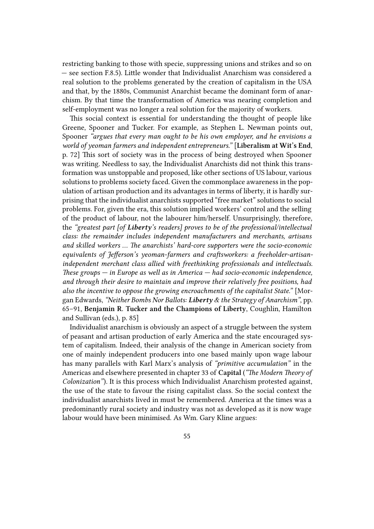restricting banking to those with specie, suppressing unions and strikes and so on — see section F.8.5). Little wonder that Individualist Anarchism was considered a real solution to the problems generated by the creation of capitalism in the USA and that, by the 1880s, Communist Anarchist became the dominant form of anarchism. By that time the transformation of America was nearing completion and self-employment was no longer a real solution for the majority of workers.

This social context is essential for understanding the thought of people like Greene, Spooner and Tucker. For example, as Stephen L. Newman points out, Spooner *"argues that every man ought to be his own employer, and he envisions a world of yeoman farmers and independent entrepreneurs."* [**Liberalism at Wit's End**, p. 72] This sort of society was in the process of being destroyed when Spooner was writing. Needless to say, the Individualist Anarchists did not think this transformation was unstoppable and proposed, like other sections of US labour, various solutions to problems society faced. Given the commonplace awareness in the population of artisan production and its advantages in terms of liberty, it is hardly surprising that the individualist anarchists supported "free market" solutions to social problems. For, given the era, this solution implied workers' control and the selling of the product of labour, not the labourer him/herself. Unsurprisingly, therefore, the *"greatest part [of Liberty's readers] proves to be of the professional/intellectual class: the remainder includes independent manufacturers and merchants, artisans and skilled workers … The anarchists' hard-core supporters were the socio-economic equivalents of Jefferson's yeoman-farmers and craftsworkers: a freeholder-artisanindependent merchant class allied with freethinking professionals and intellectuals. These groups — in Europe as well as in America — had socio-economic independence, and through their desire to maintain and improve their relatively free positions, had also the incentive to oppose the growing encroachments of the capitalist State."* [Morgan Edwards, *"Neither Bombs Nor Ballots: Liberty & the Strategy of Anarchism"*, pp. 65–91, **Benjamin R. Tucker and the Champions of Liberty**, Coughlin, Hamilton and Sullivan (eds.), p. 85]

Individualist anarchism is obviously an aspect of a struggle between the system of peasant and artisan production of early America and the state encouraged system of capitalism. Indeed, their analysis of the change in American society from one of mainly independent producers into one based mainly upon wage labour has many parallels with Karl Marx's analysis of *"primitive accumulation"* in the Americas and elsewhere presented in chapter 33 of **Capital** (*"The Modern Theory of Colonization"*). It is this process which Individualist Anarchism protested against, the use of the state to favour the rising capitalist class. So the social context the individualist anarchists lived in must be remembered. America at the times was a predominantly rural society and industry was not as developed as it is now wage labour would have been minimised. As Wm. Gary Kline argues: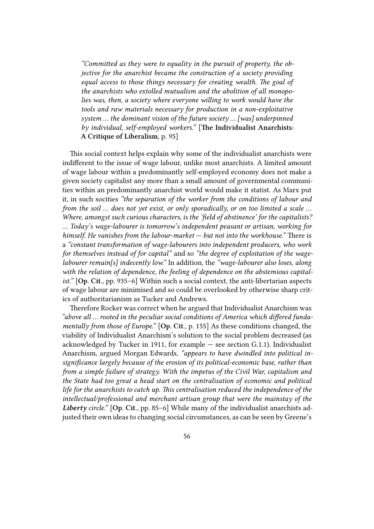*"Committed as they were to equality in the pursuit of property, the objective for the anarchist became the construction of a society providing equal access to those things necessary for creating wealth. The goal of the anarchists who extolled mutualism and the abolition of all monopolies was, then, a society where everyone willing to work would have the tools and raw materials necessary for production in a non-exploitative system … the dominant vision of the future society … [was] underpinned by individual, self-employed workers."* [**The Individualist Anarchists: A Critique of Liberalism**, p. 95]

This social context helps explain why some of the individualist anarchists were indifferent to the issue of wage labour, unlike most anarchists. A limited amount of wage labour within a predominantly self-employed economy does not make a given society capitalist any more than a small amount of governmental communities within an predominantly anarchist world would make it statist. As Marx put it, in such socities *"the separation of the worker from the conditions of labour and from the soil … does not yet exist, or only sporadically, or on too limited a scale … Where, amongst such curious characters, is the 'field of abstinence' for the capitalists? … Today's wage-labourer is tomorrow's independent peasant or artisan, working for himself. He vanishes from the labour-market — but not into the workhouse."* There is a *"constant transformation of wage-labourers into independent producers, who work for themselves instead of for capital"* and so *"the degree of exploitation of the wagelabourer remain[s] indecently low."* In addition, the *"wage-labourer also loses, along with the relation of dependence, the feeling of dependence on the abstemious capitalist."* [**Op. Cit.**, pp. 935–6] Within such a social context, the anti-libertarian aspects of wage labour are minimised and so could be overlooked by otherwise sharp critics of authoritarianism as Tucker and Andrews.

Therefore Rocker was correct when he argued that Individualist Anarchism was *"above all … rooted in the peculiar social conditions of America which differed fundamentally from those of Europe."* [**Op. Cit.**, p. 155] As these conditions changed, the viability of Individualist Anarchism's solution to the social problem decreased (as acknowledged by Tucker in 1911, for example — see section G.1.1). Individualist Anarchism, argued Morgan Edwards, *"appears to have dwindled into political insignificance largely because of the erosion of its political-economic base, rather than from a simple failure of strategy. With the impetus of the Civil War, capitalism and the State had too great a head start on the centralisation of economic and political life for the anarchists to catch up. This centralisation reduced the independence of the intellectual/professional and merchant artisan group that were the mainstay of the Liberty circle."* [**Op. Cit.**, pp. 85–6] While many of the individualist anarchists adjusted their own ideas to changing social circumstances, as can be seen by Greene's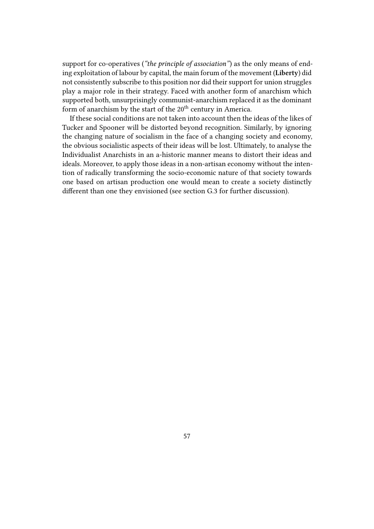support for co-operatives (*"the principle of association"*) as the only means of ending exploitation of labour by capital, the main forum of the movement (**Liberty**) did not consistently subscribe to this position nor did their support for union struggles play a major role in their strategy. Faced with another form of anarchism which supported both, unsurprisingly communist-anarchism replaced it as the dominant form of anarchism by the start of the  $20<sup>th</sup>$  century in America.

If these social conditions are not taken into account then the ideas of the likes of Tucker and Spooner will be distorted beyond recognition. Similarly, by ignoring the changing nature of socialism in the face of a changing society and economy, the obvious socialistic aspects of their ideas will be lost. Ultimately, to analyse the Individualist Anarchists in an a-historic manner means to distort their ideas and ideals. Moreover, to apply those ideas in a non-artisan economy without the intention of radically transforming the socio-economic nature of that society towards one based on artisan production one would mean to create a society distinctly different than one they envisioned (see section G.3 for further discussion).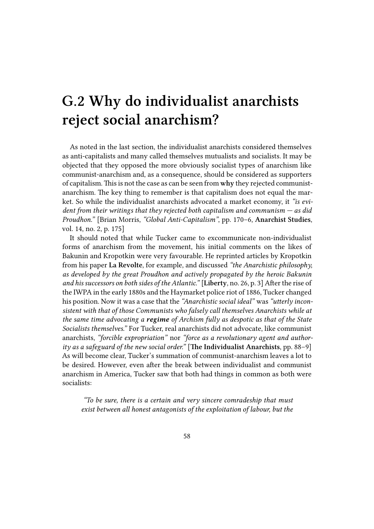# **G.2 Why do individualist anarchists reject social anarchism?**

As noted in the last section, the individualist anarchists considered themselves as anti-capitalists and many called themselves mutualists and socialists. It may be objected that they opposed the more obviously socialist types of anarchism like communist-anarchism and, as a consequence, should be considered as supporters of capitalism.This is not the case as can be seen from **why** they rejected communistanarchism. The key thing to remember is that capitalism does not equal the market. So while the individualist anarchists advocated a market economy, it *"is evident from their writings that they rejected both capitalism and communism — as did Proudhon."* [Brian Morris, *"Global Anti-Capitalism"*, pp. 170–6, **Anarchist Studies**, vol. 14, no. 2, p. 175]

It should noted that while Tucker came to excommunicate non-individualist forms of anarchism from the movement, his initial comments on the likes of Bakunin and Kropotkin were very favourable. He reprinted articles by Kropotkin from his paper **La Revolte**, for example, and discussed *"the Anarchistic philosophy, as developed by the great Proudhon and actively propagated by the heroic Bakunin and his successors on both sides of the Atlantic."* [**Liberty**, no. 26, p. 3] After the rise of the IWPA in the early 1880s and the Haymarket police riot of 1886, Tucker changed his position. Now it was a case that the *"Anarchistic social ideal"* was *"utterly inconsistent with that of those Communists who falsely call themselves Anarchists while at the same time advocating a regime of Archism fully as despotic as that of the State Socialists themselves."* For Tucker, real anarchists did not advocate, like communist anarchists, *"forcible expropriation"* nor *"force as a revolutionary agent and authority as a safeguard of the new social order."* [**The Individualist Anarchists**, pp. 88–9] As will become clear, Tucker's summation of communist-anarchism leaves a lot to be desired. However, even after the break between individualist and communist anarchism in America, Tucker saw that both had things in common as both were socialists:

*"To be sure, there is a certain and very sincere comradeship that must exist between all honest antagonists of the exploitation of labour, but the*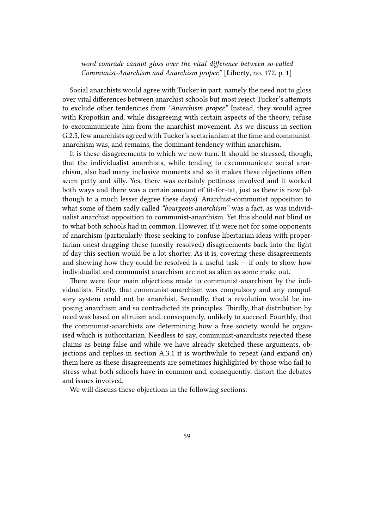*word comrade cannot gloss over the vital difference between so-called Communist-Anarchism and Anarchism proper."* [**Liberty**, no. 172, p. 1]

Social anarchists would agree with Tucker in part, namely the need not to gloss over vital differences between anarchist schools but most reject Tucker's attempts to exclude other tendencies from *"Anarchism proper."* Instead, they would agree with Kropotkin and, while disagreeing with certain aspects of the theory, refuse to excommunicate him from the anarchist movement. As we discuss in section G.2.5, few anarchists agreed with Tucker's sectarianism at the time and communistanarchism was, and remains, the dominant tendency within anarchism.

It is these disagreements to which we now turn. It should be stressed, though, that the individualist anarchists, while tending to excommunicate social anarchism, also had many inclusive moments and so it makes these objections often seem petty and silly. Yes, there was certainly pettiness involved and it worked both ways and there was a certain amount of tit-for-tat, just as there is now (although to a much lesser degree these days). Anarchist-communist opposition to what some of them sadly called *"bourgeois anarchism"* was a fact, as was individualist anarchist opposition to communist-anarchism. Yet this should not blind us to what both schools had in common. However, if it were not for some opponents of anarchism (particularly those seeking to confuse libertarian ideas with propertarian ones) dragging these (mostly resolved) disagreements back into the light of day this section would be a lot shorter. As it is, covering these disagreements and showing how they could be resolved is a useful task  $-$  if only to show how individualist and communist anarchism are not as alien as some make out.

There were four main objections made to communist-anarchism by the individualists. Firstly, that communist-anarchism was compulsory and any compulsory system could not be anarchist. Secondly, that a revolution would be imposing anarchism and so contradicted its principles. Thirdly, that distribution by need was based on altruism and, consequently, unlikely to succeed. Fourthly, that the communist-anarchists are determining how a free society would be organised which is authoritarian. Needless to say, communist-anarchists rejected these claims as being false and while we have already sketched these arguments, objections and replies in section A.3.1 it is worthwhile to repeat (and expand on) them here as these disagreements are sometimes highlighted by those who fail to stress what both schools have in common and, consequently, distort the debates and issues involved.

We will discuss these objections in the following sections.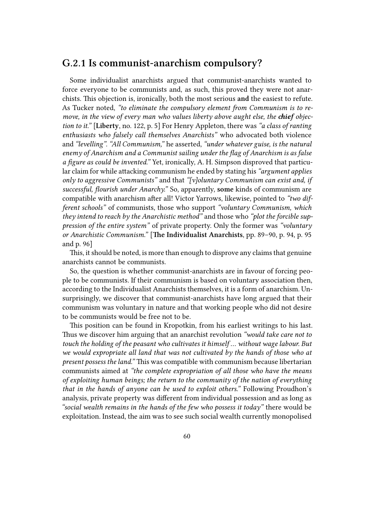### **G.2.1 Is communist-anarchism compulsory?**

Some individualist anarchists argued that communist-anarchists wanted to force everyone to be communists and, as such, this proved they were not anarchists. This objection is, ironically, both the most serious **and** the easiest to refute. As Tucker noted, *"to eliminate the compulsory element from Communism is to remove, in the view of every man who values liberty above aught else, the chief objection to it."* [**Liberty**, no. 122, p. 5] For Henry Appleton, there was *"a class of ranting enthusiasts who falsely call themselves Anarchists"* who advocated both violence and *"levelling"*. *"All Communism,"* he asserted, *"under whatever guise, is the natural enemy of Anarchism and a Communist sailing under the flag of Anarchism is as false a figure as could be invented."* Yet, ironically, A. H. Simpson disproved that particular claim for while attacking communism he ended by stating his*"argument applies only to aggressive Communists"* and that *"[v]oluntary Communism can exist and, if successful, flourish under Anarchy."* So, apparently, **some** kinds of communism are compatible with anarchism after all! Victor Yarrows, likewise, pointed to *"two different schools"* of communists, those who support *"voluntary Communism, which they intend to reach by the Anarchistic method"* and those who *"plot the forcible suppression of the entire system"* of private property. Only the former was *"voluntary or Anarchistic Communism."* [**The Individualist Anarchists**, pp. 89–90, p. 94, p. 95 and p. 96]

This, it should be noted, is more than enough to disprove any claims that genuine anarchists cannot be communists.

So, the question is whether communist-anarchists are in favour of forcing people to be communists. If their communism is based on voluntary association then, according to the Individualist Anarchists themselves, it is a form of anarchism. Unsurprisingly, we discover that communist-anarchists have long argued that their communism was voluntary in nature and that working people who did not desire to be communists would be free not to be.

This position can be found in Kropotkin, from his earliest writings to his last. Thus we discover him arguing that an anarchist revolution *"would take care not to touch the holding of the peasant who cultivates it himself … without wage labour. But we would expropriate all land that was not cultivated by the hands of those who at present possess the land."* This was compatible with communism because libertarian communists aimed at *"the complete expropriation of all those who have the means of exploiting human beings; the return to the community of the nation of everything that in the hands of anyone can be used to exploit others."* Following Proudhon's analysis, private property was different from individual possession and as long as *"social wealth remains in the hands of the few who possess it today"* there would be exploitation. Instead, the aim was to see such social wealth currently monopolised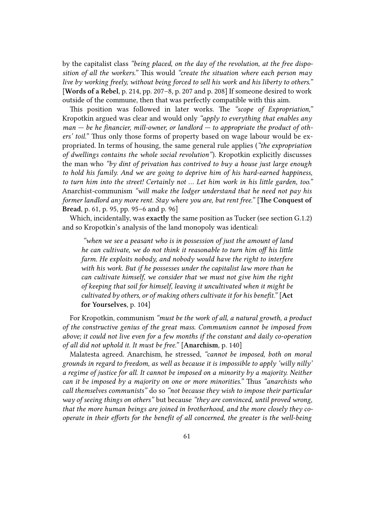by the capitalist class *"being placed, on the day of the revolution, at the free disposition of all the workers."* This would *"create the situation where each person may live by working freely, without being forced to sell his work and his liberty to others."* [**Words of a Rebel**, p. 214, pp. 207–8, p. 207 and p. 208] If someone desired to work outside of the commune, then that was perfectly compatible with this aim.

This position was followed in later works. The *"scope of Expropriation,"* Kropotkin argued was clear and would only *"apply to everything that enables any man — be he financier, mill-owner, or landlord — to appropriate the product of others' toil."* Thus only those forms of property based on wage labour would be expropriated. In terms of housing, the same general rule applies (*"the expropriation of dwellings contains the whole social revolution"*). Kropotkin explicitly discusses the man who *"by dint of privation has contrived to buy a house just large enough to hold his family. And we are going to deprive him of his hard-earned happiness, to turn him into the street! Certainly not … Let him work in his little garden, too."* Anarchist-communism *"will make the lodger understand that he need not pay his former landlord any more rent. Stay where you are, but rent free."* [**The Conquest of Bread**, p. 61, p. 95, pp. 95–6 and p. 96]

Which, incidentally, was **exactly** the same position as Tucker (see section G.1.2) and so Kropotkin's analysis of the land monopoly was identical:

*"when we see a peasant who is in possession of just the amount of land he can cultivate, we do not think it reasonable to turn him off his little farm. He exploits nobody, and nobody would have the right to interfere with his work. But if he possesses under the capitalist law more than he can cultivate himself, we consider that we must not give him the right of keeping that soil for himself, leaving it uncultivated when it might be cultivated by others, or of making others cultivate it for his benefit."* [**Act for Yourselves**, p. 104]

For Kropotkin, communism *"must be the work of all, a natural growth, a product of the constructive genius of the great mass. Communism cannot be imposed from above; it could not live even for a few months if the constant and daily co-operation of all did not uphold it. It must be free."* [**Anarchism**, p. 140]

Malatesta agreed. Anarchism, he stressed, *"cannot be imposed, both on moral grounds in regard to freedom, as well as because it is impossible to apply 'willy nilly' a regime of justice for all. It cannot be imposed on a minority by a majority. Neither can it be imposed by a majority on one or more minorities."* Thus *"anarchists who call themselves communists"* do so *"not because they wish to impose their particular way of seeing things on others"* but because *"they are convinced, until proved wrong, that the more human beings are joined in brotherhood, and the more closely they cooperate in their efforts for the benefit of all concerned, the greater is the well-being*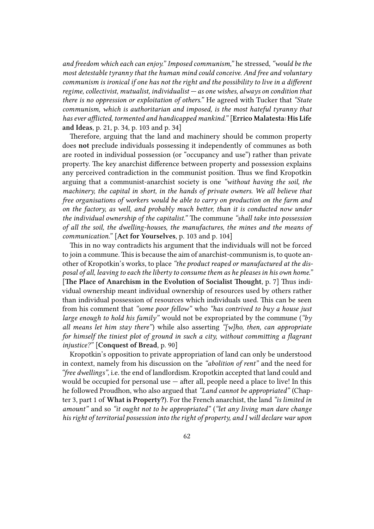*and freedom which each can enjoy." Imposed communism,"* he stressed, *"would be the most detestable tyranny that the human mind could conceive. And free and voluntary communism is ironical if one has not the right and the possibility to live in a different regime, collectivist, mutualist, individualist — as one wishes, always on condition that there is no oppression or exploitation of others."* He agreed with Tucker that *"State communism, which is authoritarian and imposed, is the most hateful tyranny that has ever afflicted, tormented and handicapped mankind."* [**Errico Malatesta: His Life and Ideas**, p. 21, p. 34, p. 103 and p. 34]

Therefore, arguing that the land and machinery should be common property does **not** preclude individuals possessing it independently of communes as both are rooted in individual possession (or "occupancy and use") rather than private property. The key anarchist difference between property and possession explains any perceived contradiction in the communist position. Thus we find Kropotkin arguing that a communist-anarchist society is one *"without having the soil, the machinery, the capital in short, in the hands of private owners. We all believe that free organisations of workers would be able to carry on production on the farm and on the factory, as well, and probably much better, than it is conducted now under the individual ownership of the capitalist."* The commune *"shall take into possession of all the soil, the dwelling-houses, the manufactures, the mines and the means of communication."* [**Act for Yourselves**, p. 103 and p. 104]

This in no way contradicts his argument that the individuals will not be forced to join a commune. This is because the aim of anarchist-communism is, to quote another of Kropotkin's works, to place *"the product reaped or manufactured at the disposal of all, leaving to each the liberty to consume them as he pleases in his own home."* [**The Place of Anarchism in the Evolution of Socialist Thought**, p. 7] Thus individual ownership meant individual ownership of resources used by others rather than individual possession of resources which individuals used. This can be seen from his comment that *"some poor fellow"* who *"has contrived to buy a house just large enough to hold his family"* would not be expropriated by the commune (*"by all means let him stay there"*) while also asserting *"[w]ho, then, can appropriate for himself the tiniest plot of ground in such a city, without committing a flagrant injustice?"* [**Conquest of Bread**, p. 90]

Kropotkin's opposition to private appropriation of land can only be understood in context, namely from his discussion on the *"abolition of rent"* and the need for *"free dwellings"*, i.e. the end of landlordism. Kropotkin accepted that land could and would be occupied for personal use  $-$  after all, people need a place to live! In this he followed Proudhon, who also argued that *"Land cannot be appropriated"* (Chapter 3, part 1 of **What is Property?**). For the French anarchist, the land *"is limited in amount"* and so *"it ought not to be appropriated"* (*"let any living man dare change his right of territorial possession into the right of property, and I will declare war upon*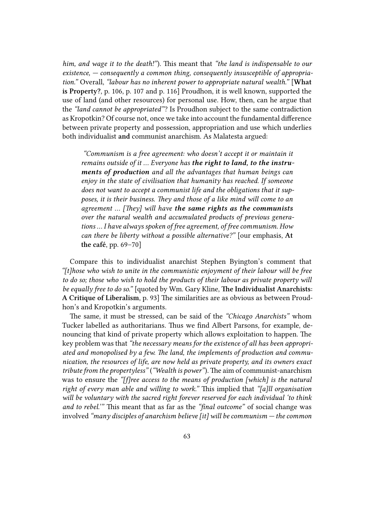*him, and wage it to the death!"*). This meant that *"the land is indispensable to our existence, — consequently a common thing, consequently insusceptible of appropriation."* Overall, *"labour has no inherent power to appropriate natural wealth."* [**What is Property?**, p. 106, p. 107 and p. 116] Proudhon, it is well known, supported the use of land (and other resources) for personal use. How, then, can he argue that the *"land cannot be appropriated"*? Is Proudhon subject to the same contradiction as Kropotkin? Of course not, once we take into account the fundamental difference between private property and possession, appropriation and use which underlies both individualist **and** communist anarchism. As Malatesta argued:

*"Communism is a free agreement: who doesn't accept it or maintain it remains outside of it … Everyone has the right to land, to the instruments of production and all the advantages that human beings can enjoy in the state of civilisation that humanity has reached. If someone does not want to accept a communist life and the obligations that it supposes, it is their business. They and those of a like mind will come to an agreement … [They] will have the same rights as the communists over the natural wealth and accumulated products of previous generations … I have always spoken of free agreement, of free communism. How can there be liberty without a possible alternative?"* [our emphasis, **At the café**, pp. 69–70]

Compare this to individualist anarchist Stephen Byington's comment that *"[t]hose who wish to unite in the communistic enjoyment of their labour will be free* to do so; those who wish to hold the products of their labour as private property will *be equally free to do so."* [quoted by Wm. Gary Kline, **The Individualist Anarchists: A Critique of Liberalism**, p. 93] The similarities are as obvious as between Proudhon's and Kropotkin's arguments.

The same, it must be stressed, can be said of the *"Chicago Anarchists"* whom Tucker labelled as authoritarians. Thus we find Albert Parsons, for example, denouncing that kind of private property which allows exploitation to happen. The key problem was that *"the necessary means for the existence of all has been appropriated and monopolised by a few. The land, the implements of production and communication, the resources of life, are now held as private property, and its owners exact tribute from the propertyless"* (*"Wealth is power"*). The aim of communist-anarchism was to ensure the *"[f]ree access to the means of production [which] is the natural right of every man able and willing to work."* This implied that *"[a]ll organisation will be voluntary with the sacred right forever reserved for each individual 'to think and to rebel.'"* This meant that as far as the *"final outcome"* of social change was involved *"many disciples of anarchism believe [it] will be communism — the common*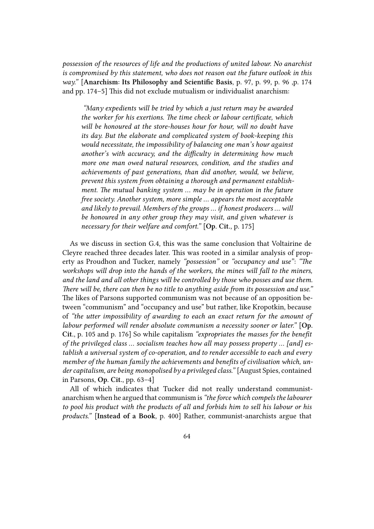*possession of the resources of life and the productions of united labour. No anarchist is compromised by this statement, who does not reason out the future outlook in this way."* [**Anarchism: Its Philosophy and Scientific Basis**, p. 97, p. 99, p. 96 ,p. 174 and pp. 174–5] This did not exclude mutualism or individualist anarchism:

*"Many expedients will be tried by which a just return may be awarded the worker for his exertions. The time check or labour certificate, which will be honoured at the store-houses hour for hour, will no doubt have its day. But the elaborate and complicated system of book-keeping this would necessitate, the impossibility of balancing one man's hour against another's with accuracy, and the difficulty in determining how much more one man owed natural resources, condition, and the studies and achievements of past generations, than did another, would, we believe, prevent this system from obtaining a thorough and permanent establishment. The mutual banking system … may be in operation in the future free society. Another system, more simple … appears the most acceptable and likely to prevail. Members of the groups … if honest producers … will be honoured in any other group they may visit, and given whatever is necessary for their welfare and comfort."* [**Op. Cit.**, p. 175]

As we discuss in section G.4, this was the same conclusion that Voltairine de Cleyre reached three decades later. This was rooted in a similar analysis of property as Proudhon and Tucker, namely *"possession"* or *"occupancy and use"*: *"The workshops will drop into the hands of the workers, the mines will fall to the miners, and the land and all other things will be controlled by those who posses and use them. There will be, there can then be no title to anything aside from its possession and use."* The likes of Parsons supported communism was not because of an opposition between "communism" and "occupancy and use" but rather, like Kropotkin, because of *"the utter impossibility of awarding to each an exact return for the amount of labour performed will render absolute communism a necessity sooner or later."* [**Op. Cit.**, p. 105 and p. 176] So while capitalism *"expropriates the masses for the benefit of the privileged class … socialism teaches how all may possess property … [and] establish a universal system of co-operation, and to render accessible to each and every member of the human family the achievements and benefits of civilisation which, under capitalism, are being monopolised by a privileged class."* [August Spies, contained in Parsons, **Op. Cit.**, pp. 63–4]

All of which indicates that Tucker did not really understand communistanarchism when he argued that communism is*"the force which compels the labourer to pool his product with the products of all and forbids him to sell his labour or his products."* [**Instead of a Book**, p. 400] Rather, communist-anarchists argue that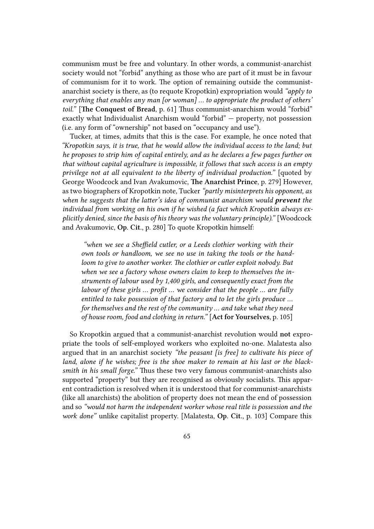communism must be free and voluntary. In other words, a communist-anarchist society would not "forbid" anything as those who are part of it must be in favour of communism for it to work. The option of remaining outside the communistanarchist society is there, as (to requote Kropotkin) expropriation would *"apply to everything that enables any man [or woman] … to appropriate the product of others' toil."* [**The Conquest of Bread**, p. 61] Thus communist-anarchism would "forbid" exactly what Individualist Anarchism would "forbid" — property, not possession (i.e. any form of "ownership" not based on "occupancy and use").

Tucker, at times, admits that this is the case. For example, he once noted that *"Kropotkin says, it is true, that he would allow the individual access to the land; but he proposes to strip him of capital entirely, and as he declares a few pages further on that without capital agriculture is impossible, it follows that such access is an empty privilege not at all equivalent to the liberty of individual production."* [quoted by George Woodcock and Ivan Avakumovic, **The Anarchist Prince**, p. 279] However, as two biographers of Kropotkin note, Tucker *"partly misinterprets his opponent, as when he suggests that the latter's idea of communist anarchism would prevent the individual from working on his own if he wished (a fact which Kropotkin always explicitly denied, since the basis of his theory was the voluntary principle)."* [Woodcock and Avakumovic, **Op. Cit.**, p. 280] To quote Kropotkin himself:

*"when we see a Sheffield cutler, or a Leeds clothier working with their own tools or handloom, we see no use in taking the tools or the handloom to give to another worker. The clothier or cutler exploit nobody. But when we see a factory whose owners claim to keep to themselves the instruments of labour used by 1,400 girls, and consequently exact from the labour of these girls … profit … we consider that the people … are fully entitled to take possession of that factory and to let the girls produce … for themselves and the rest of the community … and take what they need of house room, food and clothing in return."* [**Act for Yourselves**, p. 105]

So Kropotkin argued that a communist-anarchist revolution would **not** expropriate the tools of self-employed workers who exploited no-one. Malatesta also argued that in an anarchist society *"the peasant [is free] to cultivate his piece of land, alone if he wishes; free is the shoe maker to remain at his last or the blacksmith in his small forge."* Thus these two very famous communist-anarchists also supported "property" but they are recognised as obviously socialists. This apparent contradiction is resolved when it is understood that for communist-anarchists (like all anarchists) the abolition of property does not mean the end of possession and so *"would not harm the independent worker whose real title is possession and the work done"* unlike capitalist property. [Malatesta, **Op. Cit.**, p. 103] Compare this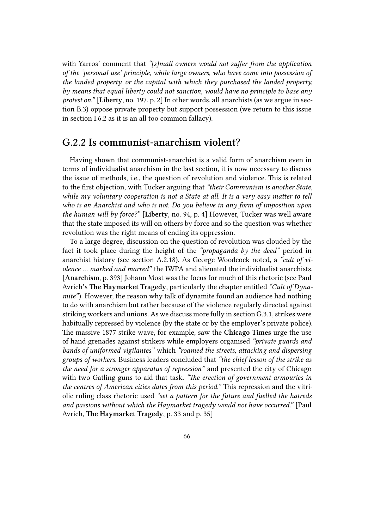with Yarros' comment that *"[s]mall owners would not suffer from the application of the 'personal use' principle, while large owners, who have come into possession of the landed property, or the capital with which they purchased the landed property, by means that equal liberty could not sanction, would have no principle to base any protest on."* [**Liberty**, no. 197, p. 2] In other words, **all** anarchists (as we argue in section B.3) oppose private property but support possession (we return to this issue in section I.6.2 as it is an all too common fallacy).

#### **G.2.2 Is communist-anarchism violent?**

Having shown that communist-anarchist is a valid form of anarchism even in terms of individualist anarchism in the last section, it is now necessary to discuss the issue of methods, i.e., the question of revolution and violence. This is related to the first objection, with Tucker arguing that *"their Communism is another State, while my voluntary cooperation is not a State at all. It is a very easy matter to tell who is an Anarchist and who is not. Do you believe in any form of imposition upon the human will by force?"* [**Liberty**, no. 94, p. 4] However, Tucker was well aware that the state imposed its will on others by force and so the question was whether revolution was the right means of ending its oppression.

To a large degree, discussion on the question of revolution was clouded by the fact it took place during the height of the *"propaganda by the deed"* period in anarchist history (see section A.2.18). As George Woodcock noted, a *"cult of violence … marked and marred"* the IWPA and alienated the individualist anarchists. [**Anarchism**, p. 393] Johann Most was the focus for much of this rhetoric (see Paul Avrich's **The Haymarket Tragedy**, particularly the chapter entitled *"Cult of Dynamite"*). However, the reason why talk of dynamite found an audience had nothing to do with anarchism but rather because of the violence regularly directed against striking workers and unions. As we discuss more fully in section G.3.1, strikes were habitually repressed by violence (by the state or by the employer's private police). The massive 1877 strike wave, for example, saw the **Chicago Times** urge the use of hand grenades against strikers while employers organised *"private guards and bands of uniformed vigilantes"* which *"roamed the streets, attacking and dispersing groups of workers.* Business leaders concluded that *"the chief lesson of the strike as the need for a stronger apparatus of repression"* and presented the city of Chicago with two Gatling guns to aid that task. *"The erection of government armouries in the centres of American cities dates from this period."* This repression and the vitriolic ruling class rhetoric used *"set a pattern for the future and fuelled the hatreds and passions without which the Haymarket tragedy would not have occurred."* [Paul Avrich, **The Haymarket Tragedy**, p. 33 and p. 35]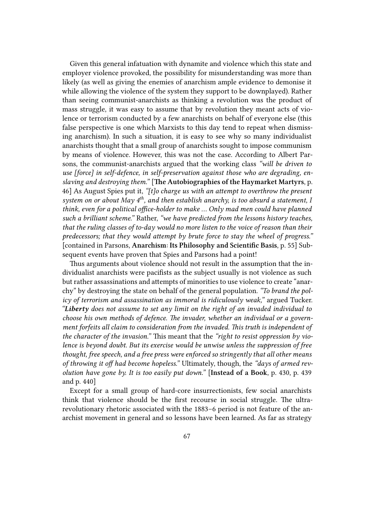Given this general infatuation with dynamite and violence which this state and employer violence provoked, the possibility for misunderstanding was more than likely (as well as giving the enemies of anarchism ample evidence to demonise it while allowing the violence of the system they support to be downplayed). Rather than seeing communist-anarchists as thinking a revolution was the product of mass struggle, it was easy to assume that by revolution they meant acts of violence or terrorism conducted by a few anarchists on behalf of everyone else (this false perspective is one which Marxists to this day tend to repeat when dismissing anarchism). In such a situation, it is easy to see why so many individualist anarchists thought that a small group of anarchists sought to impose communism by means of violence. However, this was not the case. According to Albert Parsons, the communist-anarchists argued that the working class *"will be driven to use [force] in self-defence, in self-preservation against those who are degrading, enslaving and destroying them."* [**The Autobiographies of the Haymarket Martyrs**, p. 46] As August Spies put it, *"[t]o charge us with an attempt to overthrow the present system on or about May 4th, and then establish anarchy, is too absurd a statement, I think, even for a political office-holder to make … Only mad men could have planned such a brilliant scheme."* Rather, *"we have predicted from the lessons history teaches, that the ruling classes of to-day would no more listen to the voice of reason than their predecessors; that they would attempt by brute force to stay the wheel of progress."* [contained in Parsons, **Anarchism: Its Philosophy and Scientific Basis**, p. 55] Subsequent events have proven that Spies and Parsons had a point!

Thus arguments about violence should not result in the assumption that the individualist anarchists were pacifists as the subject usually is not violence as such but rather assassinations and attempts of minorities to use violence to create "anarchy" by destroying the state on behalf of the general population. *"To brand the policy of terrorism and assassination as immoral is ridiculously weak,"* argued Tucker. *"Liberty does not assume to set any limit on the right of an invaded individual to choose his own methods of defence. The invader, whether an individual or a government forfeits all claim to consideration from the invaded. This truth is independent of the character of the invasion."* This meant that the *"right to resist oppression by violence is beyond doubt. But its exercise would be unwise unless the suppression of free thought, free speech, and a free press were enforced so stringently that all other means of throwing it off had become hopeless."* Ultimately, though, the *"days of armed revolution have gone by. It is too easily put down."* [**Instead of a Book**, p. 430, p. 439 and p. 440]

Except for a small group of hard-core insurrectionists, few social anarchists think that violence should be the first recourse in social struggle. The ultrarevolutionary rhetoric associated with the 1883–6 period is not feature of the anarchist movement in general and so lessons have been learned. As far as strategy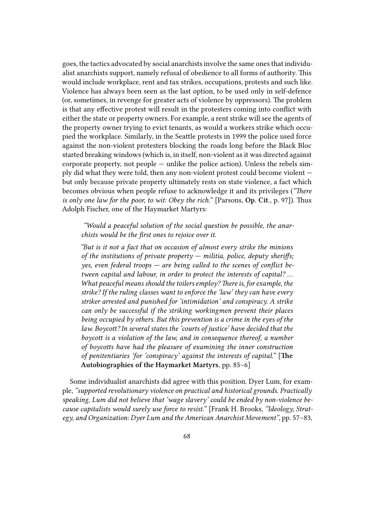goes, the tactics advocated by social anarchists involve the same ones that individualist anarchists support, namely refusal of obedience to all forms of authority. This would include workplace, rent and tax strikes, occupations, protests and such like. Violence has always been seen as the last option, to be used only in self-defence (or, sometimes, in revenge for greater acts of violence by oppressors). The problem is that any effective protest will result in the protesters coming into conflict with either the state or property owners. For example, a rent strike will see the agents of the property owner trying to evict tenants, as would a workers strike which occupied the workplace. Similarly, in the Seattle protests in 1999 the police used force against the non-violent protesters blocking the roads long before the Black Bloc started breaking windows (which is, in itself, non-violent as it was directed against corporate property, not people — unlike the police action). Unless the rebels simply did what they were told, then any non-violent protest could become violent but only because private property ultimately rests on state violence, a fact which becomes obvious when people refuse to acknowledge it and its privileges (*"There is only one law for the poor, to wit: Obey the rich."* [Parsons, **Op. Cit.**, p. 97]). Thus Adolph Fischer, one of the Haymarket Martyrs:

*"Would a peaceful solution of the social question be possible, the anarchists would be the first ones to rejoice over it.*

*"But is it not a fact that on occasion of almost every strike the minions of the institutions of private property — militia, police, deputy sheriffs; yes, even federal troops — are being called to the scenes of conflict between capital and labour, in order to protect the interests of capital? … What peaceful means should the toilers employ? There is, for example, the strike? If the ruling classes want to enforce the 'law' they can have every striker arrested and punished for 'intimidation' and conspiracy. A strike can only be successful if the striking workingmen prevent their places being occupied by others. But this prevention is a crime in the eyes of the law. Boycott? In several states the 'courts of justice' have decided that the boycott is a violation of the law, and in consequence thereof, a number of boycotts have had the pleasure of examining the inner construction of penitentiaries 'for 'conspiracy' against the interests of capital."* [**The Autobiographies of the Haymarket Martyrs**, pp. 85–6]

Some individualist anarchists did agree with this position. Dyer Lum, for example, *"supported revolutionary violence on practical and historical grounds. Practically speaking, Lum did not believe that 'wage slavery' could be ended by non-violence because capitalists would surely use force to resist."* [Frank H. Brooks, *"Ideology, Strategy, and Organization: Dyer Lum and the American Anarchist Movement"*, pp. 57–83,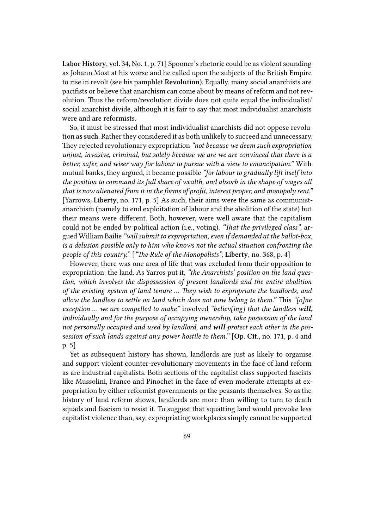**Labor History**, vol. 34, No. 1, p. 71] Spooner's rhetoric could be as violent sounding as Johann Most at his worse and he called upon the subjects of the British Empire to rise in revolt (see his pamphlet **Revolution**). Equally, many social anarchists are pacifists or believe that anarchism can come about by means of reform and not revolution. Thus the reform/revolution divide does not quite equal the individualist/ social anarchist divide, although it is fair to say that most individualist anarchists were and are reformists.

So, it must be stressed that most individualist anarchists did not oppose revolution **as such**. Rather they considered it as both unlikely to succeed and unnecessary. They rejected revolutionary expropriation *"not because we deem such expropriation unjust, invasive, criminal, but solely because we are we are convinced that there is a better, safer, and wiser way for labour to pursue with a view to emancipation."* With mutual banks, they argued, it became possible *"for labour to gradually lift itself into the position to command its full share of wealth, and absorb in the shape of wages all that is now alienated from it in the forms of profit, interest proper, and monopoly rent."* [Yarrows, **Liberty**, no. 171, p. 5] As such, their aims were the same as communistanarchism (namely to end exploitation of labour and the abolition of the state) but their means were different. Both, however, were well aware that the capitalism could not be ended by political action (i.e., voting). *"That the privileged class"*, argued William Bailie *"will submit to expropriation, even if demanded at the ballot-box, is a delusion possible only to him who knows not the actual situation confronting the people of this country."* [*"The Rule of the Monopolists"*, **Liberty**, no. 368, p. 4]

However, there was one area of life that was excluded from their opposition to expropriation: the land. As Yarros put it, *"the Anarchists' position on the land question, which involves the dispossession of present landlords and the entire abolition of the existing system of land tenure … They wish to expropriate the landlords, and allow the landless to settle on land which does not now belong to them."* This *"[o]ne exception … we are compelled to make"* involved *"believ[ing] that the landless will, individually and for the purpose of occupying ownership, take possession of the land not personally occupied and used by landlord, and will protect each other in the possession of such lands against any power hostile to them."* [**Op. Cit.**, no. 171, p. 4 and p. 5]

Yet as subsequent history has shown, landlords are just as likely to organise and support violent counter-revolutionary movements in the face of land reform as are industrial capitalists. Both sections of the capitalist class supported fascists like Mussolini, Franco and Pinochet in the face of even moderate attempts at expropriation by either reformist governments or the peasants themselves. So as the history of land reform shows, landlords are more than willing to turn to death squads and fascism to resist it. To suggest that squatting land would provoke less capitalist violence than, say, expropriating workplaces simply cannot be supported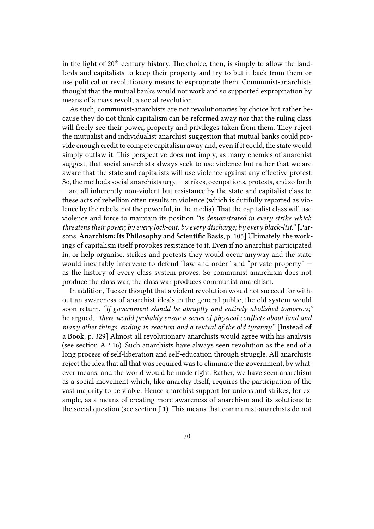in the light of  $20<sup>th</sup>$  century history. The choice, then, is simply to allow the landlords and capitalists to keep their property and try to but it back from them or use political or revolutionary means to expropriate them. Communist-anarchists thought that the mutual banks would not work and so supported expropriation by means of a mass revolt, a social revolution.

As such, communist-anarchists are not revolutionaries by choice but rather because they do not think capitalism can be reformed away nor that the ruling class will freely see their power, property and privileges taken from them. They reject the mutualist and individualist anarchist suggestion that mutual banks could provide enough credit to compete capitalism away and, even if it could, the state would simply outlaw it. This perspective does **not** imply, as many enemies of anarchist suggest, that social anarchists always seek to use violence but rather that we are aware that the state and capitalists will use violence against any effective protest. So, the methods social anarchists urge — strikes, occupations, protests, and so forth — are all inherently non-violent but resistance by the state and capitalist class to these acts of rebellion often results in violence (which is dutifully reported as violence by the rebels, not the powerful, in the media). That the capitalist class will use violence and force to maintain its position *"is demonstrated in every strike which threatens their power; by every lock-out, by every discharge; by every black-list."* [Parsons, **Anarchism: Its Philosophy and Scientific Basis**, p. 105] Ultimately, the workings of capitalism itself provokes resistance to it. Even if no anarchist participated in, or help organise, strikes and protests they would occur anyway and the state would inevitably intervene to defend "law and order" and "private property" as the history of every class system proves. So communist-anarchism does not produce the class war, the class war produces communist-anarchism.

In addition, Tucker thought that a violent revolution would not succeed for without an awareness of anarchist ideals in the general public, the old system would soon return. *"If government should be abruptly and entirely abolished tomorrow,"* he argued, *"there would probably ensue a series of physical conflicts about land and many other things, ending in reaction and a revival of the old tyranny."* [**Instead of a Book**, p. 329] Almost all revolutionary anarchists would agree with his analysis (see section A.2.16). Such anarchists have always seen revolution as the end of a long process of self-liberation and self-education through struggle. All anarchists reject the idea that all that was required was to eliminate the government, by whatever means, and the world would be made right. Rather, we have seen anarchism as a social movement which, like anarchy itself, requires the participation of the vast majority to be viable. Hence anarchist support for unions and strikes, for example, as a means of creating more awareness of anarchism and its solutions to the social question (see section J.1). This means that communist-anarchists do not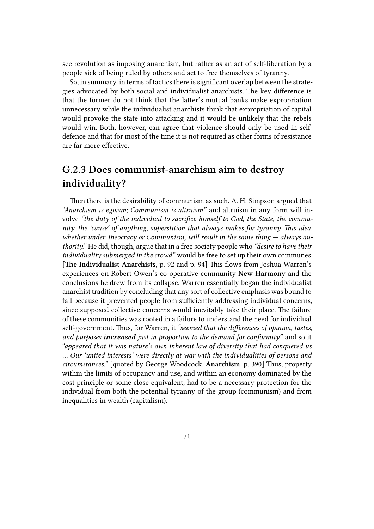see revolution as imposing anarchism, but rather as an act of self-liberation by a people sick of being ruled by others and act to free themselves of tyranny.

So, in summary, in terms of tactics there is significant overlap between the strategies advocated by both social and individualist anarchists. The key difference is that the former do not think that the latter's mutual banks make expropriation unnecessary while the individualist anarchists think that expropriation of capital would provoke the state into attacking and it would be unlikely that the rebels would win. Both, however, can agree that violence should only be used in selfdefence and that for most of the time it is not required as other forms of resistance are far more effective.

## **G.2.3 Does communist-anarchism aim to destroy individuality?**

Then there is the desirability of communism as such. A. H. Simpson argued that *"Anarchism is egoism; Communism is altruism"* and altruism in any form will involve *"the duty of the individual to sacrifice himself to God, the State, the community, the 'cause' of anything, superstition that always makes for tyranny. This idea, whether under Theocracy or Communism, will result in the same thing — always authority."* He did, though, argue that in a free society people who *"desire to have their individuality submerged in the crowd"* would be free to set up their own communes. [**The Individualist Anarchists**, p. 92 and p. 94] This flows from Joshua Warren's experiences on Robert Owen's co-operative community **New Harmony** and the conclusions he drew from its collapse. Warren essentially began the individualist anarchist tradition by concluding that any sort of collective emphasis was bound to fail because it prevented people from sufficiently addressing individual concerns, since supposed collective concerns would inevitably take their place. The failure of these communities was rooted in a failure to understand the need for individual self-government. Thus, for Warren, it *"seemed that the differences of opinion, tastes, and purposes increased just in proportion to the demand for conformity"* and so it *"appeared that it was nature's own inherent law of diversity that had conquered us … Our 'united interests' were directly at war with the individualities of persons and circumstances."* [quoted by George Woodcock, **Anarchism**, p. 390] Thus, property within the limits of occupancy and use, and within an economy dominated by the cost principle or some close equivalent, had to be a necessary protection for the individual from both the potential tyranny of the group (communism) and from inequalities in wealth (capitalism).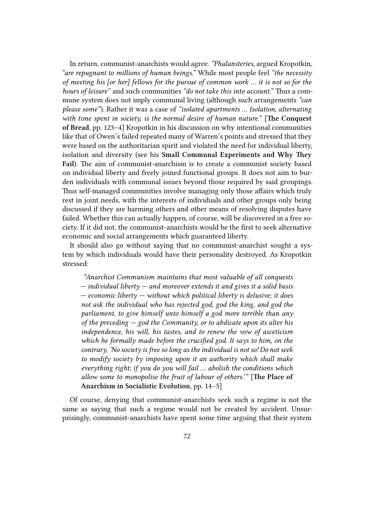In return, communist-anarchists would agree. *"Phalansteries,* argued Kropotkin, *"are repugnant to millions of human beings."* While most people feel *"the necessity of meeting his [or her] fellows for the pursue of common work … it is not so for the hours of leisure"* and such communities *"do not take this into account."* Thus a commune system does not imply communal living (although such arrangements *"can please some"*). Rather it was a case of *"isolated apartments … Isolation, alternating with time spent in society, is the normal desire of human nature."* [**The Conquest of Bread**, pp. 123–4] Kropotkin in his discussion on why intentional communities like that of Owen's failed repeated many of Warren's points and stressed that they were based on the authoritarian spirit and violated the need for individual liberty, isolation and diversity (see his **Small Communal Experiments and Why They Fail**). The aim of communist-anarchism is to create a communist society based on individual liberty and freely joined functional groups. It does not aim to burden individuals with communal issues beyond those required by said groupings. Thus self-managed communities involve managing only those affairs which truly rest in joint needs, with the interests of individuals and other groups only being discussed if they are harming others and other means of resolving disputes have failed. Whether this can actually happen, of course, will be discovered in a free society. If it did not, the communist-anarchists would be the first to seek alternative economic and social arrangements which guaranteed liberty.

It should also go without saying that no communist-anarchist sought a system by which individuals would have their personality destroyed. As Kropotkin stressed:

*"Anarchist Communism maintains that most valuable of all conquests — individual liberty — and moreover extends it and gives it a solid basis — economic liberty — without which political liberty is delusive; it does not ask the individual who has rejected god, god the king, and god the parliament, to give himself unto himself a god more terrible than any of the preceding — god the Community, or to abdicate upon its alter his independence, his will, his tastes, and to renew the vow of asceticism which he formally made before the crucified god. It says to him, on the contrary, 'No society is free so long as the individual is not so! Do not seek to modify society by imposing upon it an authority which shall make everything right; if you do you will fail … abolish the conditions which allow some to monopolise the fruit of labour of others.'"* [**The Place of Anarchism in Socialistic Evolution**, pp. 14–5]

Of course, denying that communist-anarchists seek such a regime is not the same as saying that such a regime would not be created by accident. Unsurprisingly, communist-anarchists have spent some time arguing that their system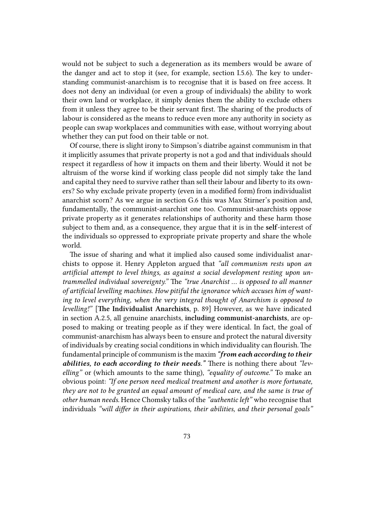would not be subject to such a degeneration as its members would be aware of the danger and act to stop it (see, for example, section I.5.6). The key to understanding communist-anarchism is to recognise that it is based on free access. It does not deny an individual (or even a group of individuals) the ability to work their own land or workplace, it simply denies them the ability to exclude others from it unless they agree to be their servant first. The sharing of the products of labour is considered as the means to reduce even more any authority in society as people can swap workplaces and communities with ease, without worrying about whether they can put food on their table or not.

Of course, there is slight irony to Simpson's diatribe against communism in that it implicitly assumes that private property is not a god and that individuals should respect it regardless of how it impacts on them and their liberty. Would it not be altruism of the worse kind if working class people did not simply take the land and capital they need to survive rather than sell their labour and liberty to its owners? So why exclude private property (even in a modified form) from individualist anarchist scorn? As we argue in section G.6 this was Max Stirner's position and, fundamentally, the communist-anarchist one too. Communist-anarchists oppose private property as it generates relationships of authority and these harm those subject to them and, as a consequence, they argue that it is in the **self**-interest of the individuals so oppressed to expropriate private property and share the whole world.

The issue of sharing and what it implied also caused some individualist anarchists to oppose it. Henry Appleton argued that *"all communism rests upon an artificial attempt to level things, as against a social development resting upon untrammelled individual sovereignty."* The *"true Anarchist … is opposed to all manner of artificial levelling machines. How pitiful the ignorance which accuses him of wanting to level everything, when the very integral thought of Anarchism is opposed to levelling!"* [**The Individualist Anarchists**, p. 89] However, as we have indicated in section A.2.5, all genuine anarchists, **including communist-anarchists**, are opposed to making or treating people as if they were identical. In fact, the goal of communist-anarchism has always been to ensure and protect the natural diversity of individuals by creating social conditions in which individuality can flourish. The fundamental principle of communism is the maxim *"from each according to their abilities, to each according to their needs."* There is nothing there about *"levelling"* or (which amounts to the same thing), *"equality of outcome."* To make an obvious point: *"If one person need medical treatment and another is more fortunate, they are not to be granted an equal amount of medical care, and the same is true of other human needs.* Hence Chomsky talks of the *"authentic left"* who recognise that individuals *"will differ in their aspirations, their abilities, and their personal goals"*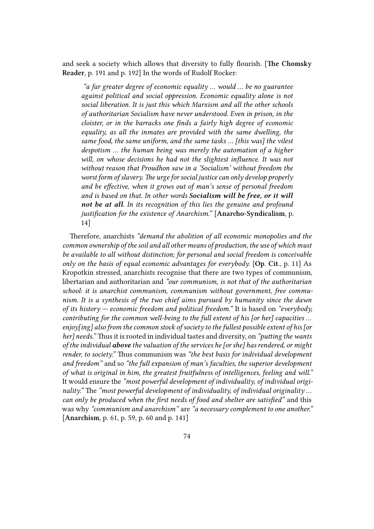and seek a society which allows that diversity to fully flourish. [**The Chomsky Reader**, p. 191 and p. 192] In the words of Rudolf Rocker:

*"a far greater degree of economic equality … would … be no guarantee against political and social oppression. Economic equality alone is not social liberation. It is just this which Marxism and all the other schools of authoritarian Socialism have never understood. Even in prison, in the cloister, or in the barracks one finds a fairly high degree of economic equality, as all the inmates are provided with the same dwelling, the same food, the same uniform, and the same tasks … [this was] the vilest despotism … the human being was merely the automation of a higher will, on whose decisions he had not the slightest influence. It was not without reason that Proudhon saw in a 'Socialism' without freedom the worst form of slavery. The urge for social justice can only develop properly and be effective, when it grows out of man's sense of personal freedom and is based on that. In other words Socialism will be free, or it will not be at all. In its recognition of this lies the genuine and profound justification for the existence of Anarchism."* [**Anarcho-Syndicalism**, p. 14]

Therefore, anarchists *"demand the abolition of all economic monopolies and the common ownership of the soil and all other means of production, the use of which must be available to all without distinction; for personal and social freedom is conceivable only on the basis of equal economic advantages for everybody.* [**Op. Cit.**, p. 11] As Kropotkin stressed, anarchists recognise that there are two types of communism, libertarian and authoritarian and *"our communism, is not that of the authoritarian school: it is anarchist communism, communism without government, free communism. It is a synthesis of the two chief aims pursued by humanity since the dawn of its history — economic freedom and political freedom."* It is based on *"everybody, contributing for the common well-being to the full extent of his [or her] capacities … enjoy[ing] also from the common stock of society to the fullest possible extent of his [or her] needs."* Thus it is rooted in individual tastes and diversity, on *"putting the wants of the individual above the valuation of the services he [or she] has rendered, or might render, to society."* Thus communism was *"the best basis for individual development and freedom"* and so *"the full expansion of man's faculties, the superior development of what is original in him, the greatest fruitfulness of intelligences, feeling and will."* It would ensure the *"most powerful development of individuality, of individual originality."* The *"most powerful development of individuality, of individual originality … can only be produced when the first needs of food and shelter are satisfied"* and this was why *"communism and anarchism"* are *"a necessary complement to one another."* [**Anarchism**, p. 61, p. 59, p. 60 and p. 141]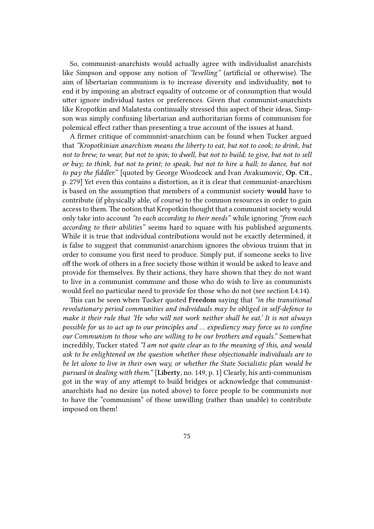So, communist-anarchists would actually agree with individualist anarchists like Simpson and oppose any notion of *"levelling"* (artificial or otherwise). The aim of libertarian communism is to increase diversity and individuality, **not** to end it by imposing an abstract equality of outcome or of consumption that would utter ignore individual tastes or preferences. Given that communist-anarchists like Kropotkin and Malatesta continually stressed this aspect of their ideas, Simpson was simply confusing libertarian and authoritarian forms of communism for polemical effect rather than presenting a true account of the issues at hand.

A firmer critique of communist-anarchism can be found when Tucker argued that *"Kropotkinian anarchism means the liberty to eat, but not to cook; to drink, but not to brew; to wear, but not to spin; to dwell, but not to build; to give, but not to sell or buy; to think, but not to print; to speak, but not to hire a hall; to dance, but not to pay the fiddler."* [quoted by George Woodcock and Ivan Avakumovic, **Op. Cit.**, p. 279] Yet even this contains a distortion, as it is clear that communist-anarchism is based on the assumption that members of a communist society **would** have to contribute (if physically able, of course) to the common resources in order to gain access to them. The notion that Kropotkin thought that a communist society would only take into account *"to each according to their needs"* while ignoring *"from each according to their abilities"* seems hard to square with his published arguments. While it is true that individual contributions would not be exactly determined, it is false to suggest that communist-anarchism ignores the obvious truism that in order to consume you first need to produce. Simply put, if someone seeks to live off the work of others in a free society those within it would be asked to leave and provide for themselves. By their actions, they have shown that they do not want to live in a communist commune and those who do wish to live as communists would feel no particular need to provide for those who do not (see section I.4.14).

This can be seen when Tucker quoted **Freedom** saying that *"in the transitional revolutionary period communities and individuals may be obliged in self-defence to make it their rule that 'He who will not work neither shall he eat.' It is not always possible for us to act up to our principles and … expediency may force us to confine our Communism to those who are willing to be our brothers and equals."* Somewhat incredibly, Tucker stated *"I am not quite clear as to the meaning of this, and would ask to be enlightened on the question whether those objectionable individuals are to be let alone to live in their own way, or whether the State Socialistic plan would be pursued in dealing with them."* [**Liberty**, no. 149, p. 1] Clearly, his anti-communism got in the way of any attempt to build bridges or acknowledge that communistanarchists had no desire (as noted above) to force people to be communists nor to have the "communism" of those unwilling (rather than unable) to contribute imposed on them!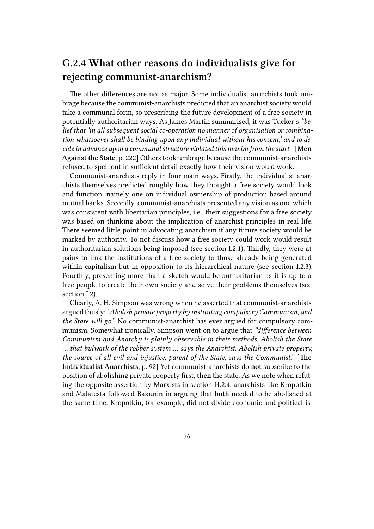## **G.2.4 What other reasons do individualists give for rejecting communist-anarchism?**

The other differences are not as major. Some individualist anarchists took umbrage because the communist-anarchists predicted that an anarchist society would take a communal form, so prescribing the future development of a free society in potentially authoritarian ways. As James Martin summarised, it was Tucker's *"belief that 'in all subsequent social co-operation no manner of organisation or combination whatsoever shall be binding upon any individual without his consent,' and to decide in advance upon a communal structure violated this maxim from the start."* [**Men Against the State**, p. 222] Others took umbrage because the communist-anarchists refused to spell out in sufficient detail exactly how their vision would work.

Communist-anarchists reply in four main ways. Firstly, the individualist anarchists themselves predicted roughly how they thought a free society would look and function, namely one on individual ownership of production based around mutual banks. Secondly, communist-anarchists presented any vision as one which was consistent with libertarian principles, i.e., their suggestions for a free society was based on thinking about the implication of anarchist principles in real life. There seemed little point in advocating anarchism if any future society would be marked by authority. To not discuss how a free society could work would result in authoritarian solutions being imposed (see section I.2.1). Thirdly, they were at pains to link the institutions of a free society to those already being generated within capitalism but in opposition to its hierarchical nature (see section I.2.3). Fourthly, presenting more than a sketch would be authoritarian as it is up to a free people to create their own society and solve their problems themselves (see section I.2).

Clearly, A. H. Simpson was wrong when he asserted that communist-anarchists argued thusly:*"Abolish private property by instituting compulsory Communism, and the State will go."* No communist-anarchist has ever argued for compulsory communism. Somewhat ironically, Simpson went on to argue that *"difference between Communism and Anarchy is plainly observable in their methods. Abolish the State … that bulwark of the robber system … says the Anarchist. Abolish private property, the source of all evil and injustice, parent of the State, says the Communist."* [**The Individualist Anarchists**, p. 92] Yet communist-anarchists do **not** subscribe to the position of abolishing private property first, **then** the state. As we note when refuting the opposite assertion by Marxists in section H.2.4, anarchists like Kropotkin and Malatesta followed Bakunin in arguing that **both** needed to be abolished at the same time. Kropotkin, for example, did not divide economic and political is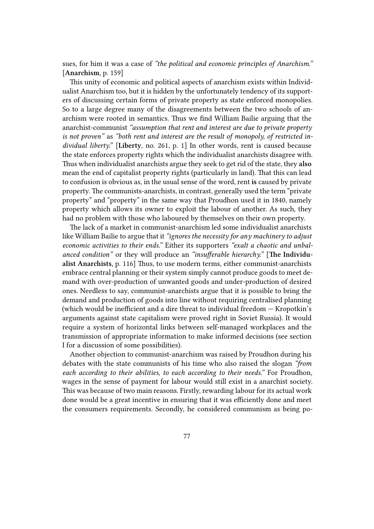sues, for him it was a case of *"the political and economic principles of Anarchism."* [**Anarchism**, p. 159]

This unity of economic and political aspects of anarchism exists within Individualist Anarchism too, but it is hidden by the unfortunately tendency of its supporters of discussing certain forms of private property as state enforced monopolies. So to a large degree many of the disagreements between the two schools of anarchism were rooted in semantics. Thus we find William Bailie arguing that the anarchist-communist *"assumption that rent and interest are due to private property is not proven"* as *"both rent and interest are the result of monopoly, of restricted individual liberty."* [**Liberty**, no. 261, p. 1] In other words, rent is caused because the state enforces property rights which the individualist anarchists disagree with. Thus when individualist anarchists argue they seek to get rid of the state, they **also** mean the end of capitalist property rights (particularly in land). That this can lead to confusion is obvious as, in the usual sense of the word, rent **is** caused by private property. The communists-anarchists, in contrast, generally used the term "private property" and "property" in the same way that Proudhon used it in 1840, namely property which allows its owner to exploit the labour of another. As such, they had no problem with those who laboured by themselves on their own property.

The lack of a market in communist-anarchism led some individualist anarchists like William Bailie to argue that it *"ignores the necessity for any machinery to adjust economic activities to their ends."* Either its supporters *"exalt a chaotic and unbalanced condition"* or they will produce an *"insufferable hierarchy."* [**The Individualist Anarchists**, p. 116] Thus, to use modern terms, either communist-anarchists embrace central planning or their system simply cannot produce goods to meet demand with over-production of unwanted goods and under-production of desired ones. Needless to say, communist-anarchists argue that it is possible to bring the demand and production of goods into line without requiring centralised planning (which would be inefficient and a dire threat to individual freedom — Kropotkin's arguments against state capitalism were proved right in Soviet Russia). It would require a system of horizontal links between self-managed workplaces and the transmission of appropriate information to make informed decisions (see section I for a discussion of some possibilities).

Another objection to communist-anarchism was raised by Proudhon during his debates with the state communists of his time who also raised the slogan *"from each according to their abilities, to each according to their needs."* For Proudhon, wages in the sense of payment for labour would still exist in a anarchist society. This was because of two main reasons. Firstly, rewarding labour for its actual work done would be a great incentive in ensuring that it was efficiently done and meet the consumers requirements. Secondly, he considered communism as being po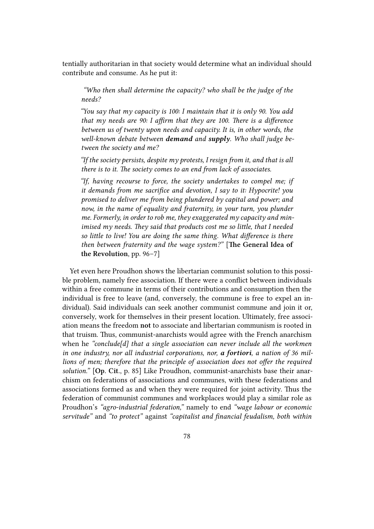tentially authoritarian in that society would determine what an individual should contribute and consume. As he put it:

*"Who then shall determine the capacity? who shall be the judge of the needs?*

*"You say that my capacity is 100: I maintain that it is only 90. You add that my needs are 90: I affirm that they are 100. There is a difference between us of twenty upon needs and capacity. It is, in other words, the well-known debate between demand and supply. Who shall judge between the society and me?*

*"If the society persists, despite my protests, I resign from it, and that is all there is to it. The society comes to an end from lack of associates.*

*"If, having recourse to force, the society undertakes to compel me; if it demands from me sacrifice and devotion, I say to it: Hypocrite! you promised to deliver me from being plundered by capital and power; and now, in the name of equality and fraternity, in your turn, you plunder me. Formerly, in order to rob me, they exaggerated my capacity and minimised my needs. They said that products cost me so little, that I needed so little to live! You are doing the same thing. What difference is there then between fraternity and the wage system?"* [**The General Idea of the Revolution**, pp. 96–7]

Yet even here Proudhon shows the libertarian communist solution to this possible problem, namely free association. If there were a conflict between individuals within a free commune in terms of their contributions and consumption then the individual is free to leave (and, conversely, the commune is free to expel an individual). Said individuals can seek another communist commune and join it or, conversely, work for themselves in their present location. Ultimately, free association means the freedom **not** to associate and libertarian communism is rooted in that truism. Thus, communist-anarchists would agree with the French anarchism when he *"conclude[d] that a single association can never include all the workmen in one industry, nor all industrial corporations, nor, a fortiori, a nation of 36 millions of men; therefore that the principle of association does not offer the required solution."* [**Op. Cit.**, p. 85] Like Proudhon, communist-anarchists base their anarchism on federations of associations and communes, with these federations and associations formed as and when they were required for joint activity. Thus the federation of communist communes and workplaces would play a similar role as Proudhon's *"agro-industrial federation,"* namely to end *"wage labour or economic servitude"* and *"to protect"* against *"capitalist and financial feudalism, both within*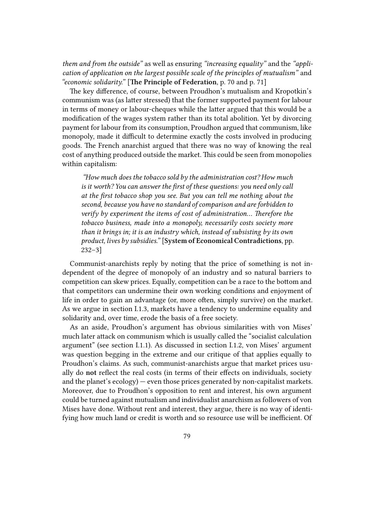*them and from the outside"* as well as ensuring *"increasing equality"* and the *"application of application on the largest possible scale of the principles of mutualism"* and *"economic solidarity."* [**The Principle of Federation**, p. 70 and p. 71]

The key difference, of course, between Proudhon's mutualism and Kropotkin's communism was (as latter stressed) that the former supported payment for labour in terms of money or labour-cheques while the latter argued that this would be a modification of the wages system rather than its total abolition. Yet by divorcing payment for labour from its consumption, Proudhon argued that communism, like monopoly, made it difficult to determine exactly the costs involved in producing goods. The French anarchist argued that there was no way of knowing the real cost of anything produced outside the market. This could be seen from monopolies within capitalism:

*"How much does the tobacco sold by the administration cost? How much is it worth? You can answer the first of these questions: you need only call at the first tobacco shop you see. But you can tell me nothing about the second, because you have no standard of comparison and are forbidden to verify by experiment the items of cost of administration… Therefore the tobacco business, made into a monopoly, necessarily costs society more than it brings in; it is an industry which, instead of subsisting by its own product, lives by subsidies."* [**System of Economical Contradictions**, pp. 232–3]

Communist-anarchists reply by noting that the price of something is not independent of the degree of monopoly of an industry and so natural barriers to competition can skew prices. Equally, competition can be a race to the bottom and that competitors can undermine their own working conditions and enjoyment of life in order to gain an advantage (or, more often, simply survive) on the market. As we argue in section I.1.3, markets have a tendency to undermine equality and solidarity and, over time, erode the basis of a free society.

As an aside, Proudhon's argument has obvious similarities with von Mises' much later attack on communism which is usually called the "socialist calculation argument" (see section I.1.1). As discussed in section I.1.2, von Mises' argument was question begging in the extreme and our critique of that applies equally to Proudhon's claims. As such, communist-anarchists argue that market prices usually do **not** reflect the real costs (in terms of their effects on individuals, society and the planet's ecology) — even those prices generated by non-capitalist markets. Moreover, due to Proudhon's opposition to rent and interest, his own argument could be turned against mutualism and individualist anarchism as followers of von Mises have done. Without rent and interest, they argue, there is no way of identifying how much land or credit is worth and so resource use will be inefficient. Of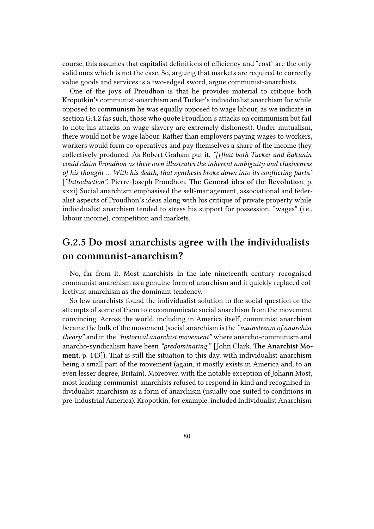course, this assumes that capitalist definitions of efficiency and "cost" are the only valid ones which is not the case. So, arguing that markets are required to correctly value goods and services is a two-edged sword, argue communist-anarchists.

One of the joys of Proudhon is that he provides material to critique both Kropotkin's communist-anarchism **and** Tucker's individualist anarchism for while opposed to communism he was equally opposed to wage labour, as we indicate in section G.4.2 (as such, those who quote Proudhon's attacks on communism but fail to note his attacks on wage slavery are extremely dishonest). Under mutualism, there would not be wage labour. Rather than employers paying wages to workers, workers would form co-operatives and pay themselves a share of the income they collectively produced. As Robert Graham put it, *"[t]hat both Tucker and Bakunin could claim Proudhon as their own illustrates the inherent ambiguity and elusiveness of his thought … With his death, that synthesis broke down into its conflicting parts."* [*"Introduction"*, Pierre-Joseph Proudhon, **The General idea of the Revolution**, p. xxxi] Social anarchism emphasised the self-management, associational and federalist aspects of Proudhon's ideas along with his critique of private property while individualist anarchism tended to stress his support for possession, "wages" (i.e., labour income), competition and markets.

### **G.2.5 Do most anarchists agree with the individualists on communist-anarchism?**

No, far from it. Most anarchists in the late nineteenth century recognised communist-anarchism as a genuine form of anarchism and it quickly replaced collectivist anarchism as the dominant tendency.

So few anarchists found the individualist solution to the social question or the attempts of some of them to excommunicate social anarchism from the movement convincing. Across the world, including in America itself, communist anarchism became the bulk of the movement (social anarchism is the *"mainstream of anarchist theory"* and in the *"historical anarchist movement"* where anarcho-communism and anarcho-syndicalism have been *"predominating."* [John Clark, **The Anarchist Moment**, p. 143]). That is still the situation to this day, with individualist anarchism being a small part of the movement (again, it mostly exists in America and, to an even lesser degree, Britain). Moreover, with the notable exception of Johann Most, most leading communist-anarchists refused to respond in kind and recognised individualist anarchism as a form of anarchism (usually one suited to conditions in pre-industrial America). Kropotkin, for example, included Individualist Anarchism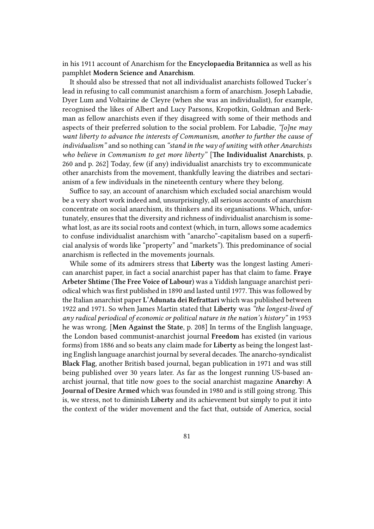in his 1911 account of Anarchism for the **Encyclopaedia Britannica** as well as his pamphlet **Modern Science and Anarchism**.

It should also be stressed that not all individualist anarchists followed Tucker's lead in refusing to call communist anarchism a form of anarchism. Joseph Labadie, Dyer Lum and Voltairine de Cleyre (when she was an individualist), for example, recognised the likes of Albert and Lucy Parsons, Kropotkin, Goldman and Berkman as fellow anarchists even if they disagreed with some of their methods and aspects of their preferred solution to the social problem. For Labadie, *"[o]ne may want liberty to advance the interests of Communism, another to further the cause of individualism"* and so nothing can *"stand in the way of uniting with other Anarchists who believe in Communism to get more liberty"* [**The Individualist Anarchists**, p. 260 and p. 262] Today, few (if any) individualist anarchists try to excommunicate other anarchists from the movement, thankfully leaving the diatribes and sectarianism of a few individuals in the nineteenth century where they belong.

Suffice to say, an account of anarchism which excluded social anarchism would be a very short work indeed and, unsurprisingly, all serious accounts of anarchism concentrate on social anarchism, its thinkers and its organisations. Which, unfortunately, ensures that the diversity and richness of individualist anarchism is somewhat lost, as are its social roots and context (which, in turn, allows some academics to confuse individualist anarchism with "anarcho"-capitalism based on a superficial analysis of words like "property" and "markets"). This predominance of social anarchism is reflected in the movements journals.

While some of its admirers stress that **Liberty** was the longest lasting American anarchist paper, in fact a social anarchist paper has that claim to fame. **Fraye Arbeter Shtime** (**The Free Voice of Labour**) was a Yiddish language anarchist periodical which was first published in 1890 and lasted until 1977. This was followed by the Italian anarchist paper **L'Adunata dei Refrattari** which was published between 1922 and 1971. So when James Martin stated that **Liberty** was *"the longest-lived of any radical periodical of economic or political nature in the nation's history"* in 1953 he was wrong. [**Men Against the State**, p. 208] In terms of the English language, the London based communist-anarchist journal **Freedom** has existed (in various forms) from 1886 and so beats any claim made for **Liberty** as being the longest lasting English language anarchist journal by several decades. The anarcho-syndicalist **Black Flag**, another British based journal, began publication in 1971 and was still being published over 30 years later. As far as the longest running US-based anarchist journal, that title now goes to the social anarchist magazine **Anarchy: A Journal of Desire Armed** which was founded in 1980 and is still going strong. This is, we stress, not to diminish **Liberty** and its achievement but simply to put it into the context of the wider movement and the fact that, outside of America, social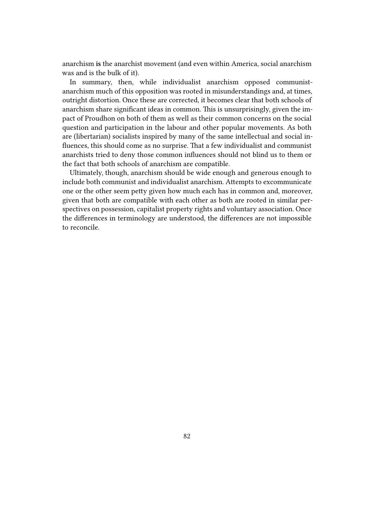anarchism **is** the anarchist movement (and even within America, social anarchism was and is the bulk of it).

In summary, then, while individualist anarchism opposed communistanarchism much of this opposition was rooted in misunderstandings and, at times, outright distortion. Once these are corrected, it becomes clear that both schools of anarchism share significant ideas in common. This is unsurprisingly, given the impact of Proudhon on both of them as well as their common concerns on the social question and participation in the labour and other popular movements. As both are (libertarian) socialists inspired by many of the same intellectual and social influences, this should come as no surprise. That a few individualist and communist anarchists tried to deny those common influences should not blind us to them or the fact that both schools of anarchism are compatible.

Ultimately, though, anarchism should be wide enough and generous enough to include both communist and individualist anarchism. Attempts to excommunicate one or the other seem petty given how much each has in common and, moreover, given that both are compatible with each other as both are rooted in similar perspectives on possession, capitalist property rights and voluntary association. Once the differences in terminology are understood, the differences are not impossible to reconcile.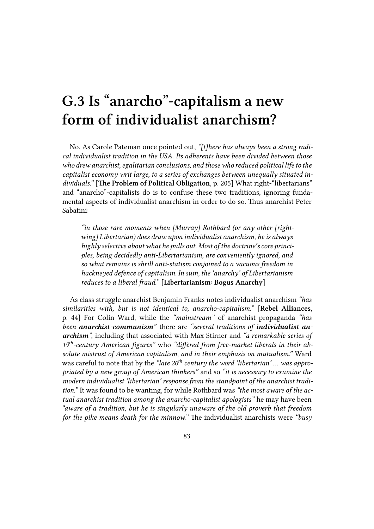# **G.3 Is "anarcho"-capitalism a new form of individualist anarchism?**

No. As Carole Pateman once pointed out, *"[t]here has always been a strong radical individualist tradition in the USA. Its adherents have been divided between those who drew anarchist, egalitarian conclusions, and those who reduced political life to the capitalist economy writ large, to a series of exchanges between unequally situated individuals."* [**The Problem of Political Obligation**, p. 205] What right-"libertarians" and "anarcho"-capitalists do is to confuse these two traditions, ignoring fundamental aspects of individualist anarchism in order to do so. Thus anarchist Peter Sabatini:

*"in those rare moments when [Murray] Rothbard (or any other [rightwing] Libertarian) does draw upon individualist anarchism, he is always highly selective about what he pulls out. Most of the doctrine's core principles, being decidedly anti-Libertarianism, are conveniently ignored, and so what remains is shrill anti-statism conjoined to a vacuous freedom in hackneyed defence of capitalism. In sum, the 'anarchy' of Libertarianism reduces to a liberal fraud."* [**Libertarianism: Bogus Anarchy**]

As class struggle anarchist Benjamin Franks notes individualist anarchism *"has similarities with, but is not identical to, anarcho-capitalism."* [**Rebel Alliances**, p. 44] For Colin Ward, while the *"mainstream"* of anarchist propaganda *"has been anarchist-communism"* there are *"several traditions of individualist anarchism"*, including that associated with Max Stirner and *"a remarkable series of 19th-century American figures"* who *"differed from free-market liberals in their absolute mistrust of American capitalism, and in their emphasis on mutualism."* Ward was careful to note that by the *"late 20th century the word 'libertarian' … was appropriated by a new group of American thinkers"* and so *"it is necessary to examine the modern individualist 'libertarian' response from the standpoint of the anarchist tradition."* It was found to be wanting, for while Rothbard was *"the most aware of the actual anarchist tradition among the anarcho-capitalist apologists"* he may have been *"aware of a tradition, but he is singularly unaware of the old proverb that freedom for the pike means death for the minnow."* The individualist anarchists were *"busy*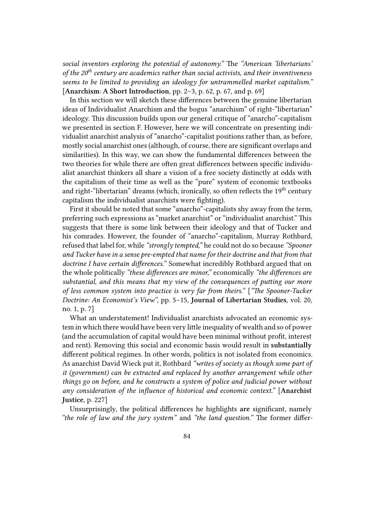*social inventors exploring the potential of autonomy."* The *"American 'libertarians' of the 20th century are academics rather than social activists, and their inventiveness seems to be limited to providing an ideology for untrammelled market capitalism."* [**Anarchism: A Short Introduction**, pp. 2–3, p. 62, p. 67, and p. 69]

In this section we will sketch these differences between the genuine libertarian ideas of Individualist Anarchism and the bogus "anarchism" of right-"libertarian" ideology. This discussion builds upon our general critique of "anarcho"-capitalism we presented in section F. However, here we will concentrate on presenting individualist anarchist analysis of "anarcho"-capitalist positions rather than, as before, mostly social anarchist ones (although, of course, there are significant overlaps and similarities). In this way, we can show the fundamental differences between the two theories for while there are often great differences between specific individualist anarchist thinkers all share a vision of a free society distinctly at odds with the capitalism of their time as well as the "pure" system of economic textbooks and right-"libertarian" dreams (which, ironically, so often reflects the  $19<sup>th</sup>$  century capitalism the individualist anarchists were fighting).

First it should be noted that some "anarcho"-capitalists shy away from the term, preferring such expressions as "market anarchist" or "individualist anarchist." This suggests that there is some link between their ideology and that of Tucker and his comrades. However, the founder of "anarcho"-capitalism, Murray Rothbard, refused that label for, while *"strongly tempted,"* he could not do so because *"Spooner and Tucker have in a sense pre-empted that name for their doctrine and that from that doctrine I have certain differences."* Somewhat incredibly Rothbard argued that on the whole politically *"these differences are minor,"* economically *"the differences are substantial, and this means that my view of the consequences of putting our more of less common system into practice is very far from theirs."* [*"The Spooner-Tucker Doctrine: An Economist's View"*, pp. 5–15, **Journal of Libertarian Studies**, vol. 20, no. 1, p. 7]

What an understatement! Individualist anarchists advocated an economic system in which there would have been very little inequality of wealth and so of power (and the accumulation of capital would have been minimal without profit, interest and rent). Removing this social and economic basis would result in **substantially** different political regimes. In other words, politics is not isolated from economics. As anarchist David Wieck put it, Rothbard *"writes of society as though some part of it (government) can be extracted and replaced by another arrangement while other things go on before, and he constructs a system of police and judicial power without any consideration of the influence of historical and economic context."* [**Anarchist Justice**, p. 227]

Unsurprisingly, the political differences he highlights **are** significant, namely *"the role of law and the jury system"* and *"the land question."* The former differ-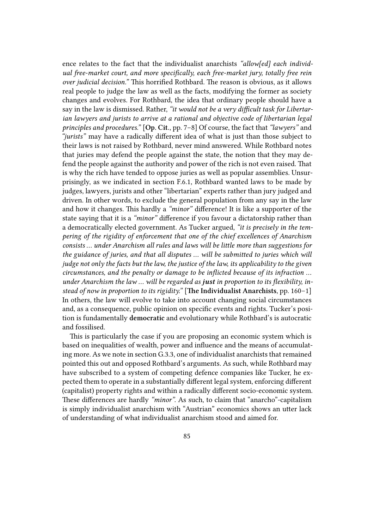ence relates to the fact that the individualist anarchists *"allow[ed] each individual free-market court, and more specifically, each free-market jury, totally free rein over judicial decision."* This horrified Rothbard. The reason is obvious, as it allows real people to judge the law as well as the facts, modifying the former as society changes and evolves. For Rothbard, the idea that ordinary people should have a say in the law is dismissed. Rather, *"it would not be a very difficult task for Libertarian lawyers and jurists to arrive at a rational and objective code of libertarian legal principles and procedures."* [**Op. Cit.**, pp. 7–8] Of course, the fact that *"lawyers"* and *"jurists"* may have a radically different idea of what is just than those subject to their laws is not raised by Rothbard, never mind answered. While Rothbard notes that juries may defend the people against the state, the notion that they may defend the people against the authority and power of the rich is not even raised. That is why the rich have tended to oppose juries as well as popular assemblies. Unsurprisingly, as we indicated in section F.6.1, Rothbard wanted laws to be made by judges, lawyers, jurists and other "libertarian" experts rather than jury judged and driven. In other words, to exclude the general population from any say in the law and how it changes. This hardly a *"minor"* difference! It is like a supporter of the state saying that it is a *"minor"* difference if you favour a dictatorship rather than a democratically elected government. As Tucker argued, *"it is precisely in the tempering of the rigidity of enforcement that one of the chief excellences of Anarchism consists … under Anarchism all rules and laws will be little more than suggestions for the guidance of juries, and that all disputes … will be submitted to juries which will judge not only the facts but the law, the justice of the law, its applicability to the given circumstances, and the penalty or damage to be inflicted because of its infraction … under Anarchism the law … will be regarded as just in proportion to its flexibility, instead of now in proportion to its rigidity."* [**The Individualist Anarchists**, pp. 160–1] In others, the law will evolve to take into account changing social circumstances and, as a consequence, public opinion on specific events and rights. Tucker's position is fundamentally **democratic** and evolutionary while Rothbard's is autocratic and fossilised.

This is particularly the case if you are proposing an economic system which is based on inequalities of wealth, power and influence and the means of accumulating more. As we note in section G.3.3, one of individualist anarchists that remained pointed this out and opposed Rothbard's arguments. As such, while Rothbard may have subscribed to a system of competing defence companies like Tucker, he expected them to operate in a substantially different legal system, enforcing different (capitalist) property rights and within a radically different socio-economic system. These differences are hardly *"minor"*. As such, to claim that "anarcho"-capitalism is simply individualist anarchism with "Austrian" economics shows an utter lack of understanding of what individualist anarchism stood and aimed for.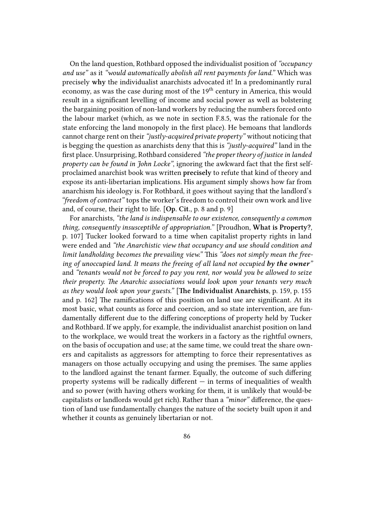On the land question, Rothbard opposed the individualist position of *"occupancy and use"* as it *"would automatically abolish all rent payments for land."* Which was precisely **why** the individualist anarchists advocated it! In a predominantly rural economy, as was the case during most of the  $19<sup>th</sup>$  century in America, this would result in a significant levelling of income and social power as well as bolstering the bargaining position of non-land workers by reducing the numbers forced onto the labour market (which, as we note in section F.8.5, was the rationale for the state enforcing the land monopoly in the first place). He bemoans that landlords cannot charge rent on their*"justly-acquired private property"* without noticing that is begging the question as anarchists deny that this is *"justly-acquired"* land in the first place. Unsurprising, Rothbard considered *"the proper theory of justice in landed property can be found in John Locke"*, ignoring the awkward fact that the first selfproclaimed anarchist book was written **precisely** to refute that kind of theory and expose its anti-libertarian implications. His argument simply shows how far from anarchism his ideology is. For Rothbard, it goes without saying that the landlord's *"freedom of contract"* tops the worker's freedom to control their own work and live and, of course, their right to life. [**Op. Cit.**, p. 8 and p. 9]

For anarchists, *"the land is indispensable to our existence, consequently a common thing, consequently insusceptible of appropriation."* [Proudhon, **What is Property?**, p. 107] Tucker looked forward to a time when capitalist property rights in land were ended and *"the Anarchistic view that occupancy and use should condition and limit landholding becomes the prevailing view."* This *"does not simply mean the freeing of unoccupied land. It means the freeing of all land not occupied by the owner"* and *"tenants would not be forced to pay you rent, nor would you be allowed to seize their property. The Anarchic associations would look upon your tenants very much as they would look upon your guests."* [**The Individualist Anarchists**, p. 159, p. 155 and p. 162] The ramifications of this position on land use are significant. At its most basic, what counts as force and coercion, and so state intervention, are fundamentally different due to the differing conceptions of property held by Tucker and Rothbard. If we apply, for example, the individualist anarchist position on land to the workplace, we would treat the workers in a factory as the rightful owners, on the basis of occupation and use; at the same time, we could treat the share owners and capitalists as aggressors for attempting to force their representatives as managers on those actually occupying and using the premises. The same applies to the landlord against the tenant farmer. Equally, the outcome of such differing property systems will be radically different  $-$  in terms of inequalities of wealth and so power (with having others working for them, it is unlikely that would-be capitalists or landlords would get rich). Rather than a *"minor"* difference, the question of land use fundamentally changes the nature of the society built upon it and whether it counts as genuinely libertarian or not.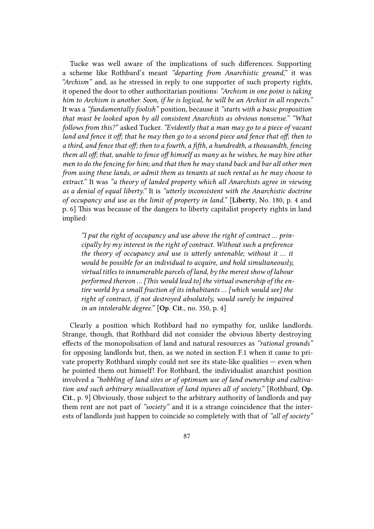Tucke was well aware of the implications of such differences. Supporting a scheme like Rothbard's meant *"departing from Anarchistic ground,"* it was *"Archism"* and, as he stressed in reply to one supporter of such property rights, it opened the door to other authoritarian positions: *"Archism in one point is taking him to Archism is another. Soon, if he is logical, he will be an Archist in all respects."* It was a *"fundamentally foolish"* position, because it *"starts with a basic proposition that must be looked upon by all consistent Anarchists as obvious nonsense." "What follows from this?"* asked Tucker. *"Evidently that a man may go to a piece of vacant land and fence it off; that he may then go to a second piece and fence that off; then to a third, and fence that off; then to a fourth, a fifth, a hundredth, a thousandth, fencing them all off; that, unable to fence off himself as many as he wishes, he may hire other men to do the fencing for him; and that then he may stand back and bar all other men from using these lands, or admit them as tenants at such rental as he may choose to extract."* It was *"a theory of landed property which all Anarchists agree in viewing as a denial of equal liberty."* It is *"utterly inconsistent with the Anarchistic doctrine of occupancy and use as the limit of property in land."* [**Liberty**, No. 180, p. 4 and p. 6] This was because of the dangers to liberty capitalist property rights in land implied:

*"I put the right of occupancy and use above the right of contract … principally by my interest in the right of contract. Without such a preference the theory of occupancy and use is utterly untenable; without it … it would be possible for an individual to acquire, and hold simultaneously, virtual titles to innumerable parcels of land, by the merest show of labour performed thereon … [This would lead to] the virtual ownership of the entire world by a small fraction of its inhabitants … [which would see] the right of contract, if not destroyed absolutely, would surely be impaired in an intolerable degree."* [**Op. Cit.**, no. 350, p. 4]

Clearly a position which Rothbard had no sympathy for, unlike landlords. Strange, though, that Rothbard did not consider the obvious liberty destroying effects of the monopolisation of land and natural resources as *"rational grounds"* for opposing landlords but, then, as we noted in section F.1 when it came to private property Rothbard simply could not see its state-like qualities  $-$  even when he pointed them out himself! For Rothbard, the individualist anarchist position involved a *"hobbling of land sites or of optimum use of land ownership and cultivation and such arbitrary misallocation of land injures all of society."* [Rothbard, **Op. Cit.**, p. 9] Obviously, those subject to the arbitrary authority of landlords and pay them rent are not part of *"society"* and it is a strange coincidence that the interests of landlords just happen to coincide so completely with that of *"all of society"*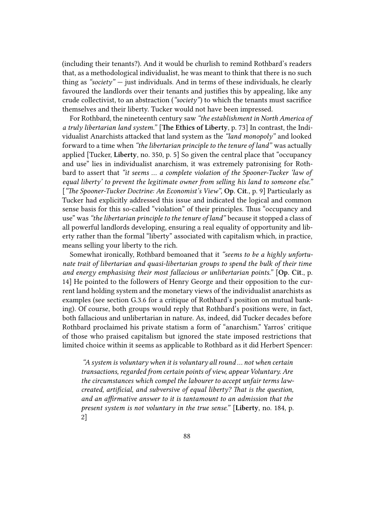(including their tenants?). And it would be churlish to remind Rothbard's readers that, as a methodological individualist, he was meant to think that there is no such thing as "society"  $-$  just individuals. And in terms of these individuals, he clearly favoured the landlords over their tenants and justifies this by appealing, like any crude collectivist, to an abstraction (*"society"*) to which the tenants must sacrifice themselves and their liberty. Tucker would not have been impressed.

For Rothbard, the nineteenth century saw *"the establishment in North America of a truly libertarian land system."* [**The Ethics of Liberty**, p. 73] In contrast, the Individualist Anarchists attacked that land system as the *"land monopoly"* and looked forward to a time when *"the libertarian principle to the tenure of land"* was actually applied [Tucker, **Liberty**, no. 350, p. 5] So given the central place that "occupancy and use" lies in individualist anarchism, it was extremely patronising for Rothbard to assert that *"it seems … a complete violation of the Spooner-Tucker 'law of equal liberty' to prevent the legitimate owner from selling his land to someone else."* [*"The Spooner-Tucker Doctrine: An Economist's View"*, **Op. Cit.**, p. 9] Particularly as Tucker had explicitly addressed this issue and indicated the logical and common sense basis for this so-called "violation" of their principles. Thus "occupancy and use" was*"the libertarian principle to the tenure of land"* because it stopped a class of all powerful landlords developing, ensuring a real equality of opportunity and liberty rather than the formal "liberty" associated with capitalism which, in practice, means selling your liberty to the rich.

Somewhat ironically, Rothbard bemoaned that it *"seems to be a highly unfortunate trait of libertarian and quasi-libertarian groups to spend the bulk of their time and energy emphasising their most fallacious or unlibertarian points."* [**Op. Cit.**, p. 14] He pointed to the followers of Henry George and their opposition to the current land holding system and the monetary views of the individualist anarchists as examples (see section G.3.6 for a critique of Rothbard's position on mutual banking). Of course, both groups would reply that Rothbard's positions were, in fact, both fallacious and unlibertarian in nature. As, indeed, did Tucker decades before Rothbard proclaimed his private statism a form of "anarchism." Yarros' critique of those who praised capitalism but ignored the state imposed restrictions that limited choice within it seems as applicable to Rothbard as it did Herbert Spencer:

*"A system is voluntary when it is voluntary all round … not when certain transactions, regarded from certain points of view, appear Voluntary. Are the circumstances which compel the labourer to accept unfair terms lawcreated, artificial, and subversive of equal liberty? That is the question, and an affirmative answer to it is tantamount to an admission that the present system is not voluntary in the true sense."* [**Liberty**, no. 184, p. 2]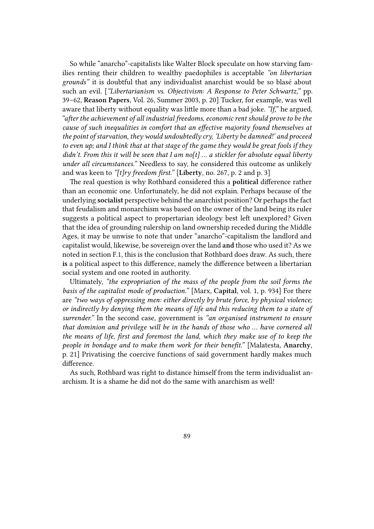So while "anarcho"-capitalists like Walter Block speculate on how starving families renting their children to wealthy paedophiles is acceptable *"on libertarian grounds"* it is doubtful that any individualist anarchist would be so blasé about such an evil. [*"Libertarianism vs. Objectivism: A Response to Peter Schwartz,"* pp. 39–62, **Reason Papers**, Vol. 26, Summer 2003, p. 20] Tucker, for example, was well aware that liberty without equality was little more than a bad joke. *"If,"* he argued, *"after the achievement of all industrial freedoms, economic rent should prove to be the cause of such inequalities in comfort that an effective majority found themselves at the point of starvation, they would undoubtedly cry, 'Liberty be damned!' and proceed to even up; and I think that at that stage of the game they would be great fools if they didn't. From this it will be seen that I am no[t] … a stickler for absolute equal liberty under all circumstances."* Needless to say, he considered this outcome as unlikely and was keen to *"[t]ry freedom first."* [**Liberty**, no. 267, p. 2 and p. 3]

The real question is why Rothbard considered this a **political** difference rather than an economic one. Unfortunately, he did not explain. Perhaps because of the underlying **socialist** perspective behind the anarchist position? Or perhaps the fact that feudalism and monarchism was based on the owner of the land being its ruler suggests a political aspect to propertarian ideology best left unexplored? Given that the idea of grounding rulership on land ownership receded during the Middle Ages, it may be unwise to note that under "anarcho"-capitalism the landlord and capitalist would, likewise, be sovereign over the land **and** those who used it? As we noted in section F.1, this is the conclusion that Rothbard does draw. As such, there **is** a political aspect to this difference, namely the difference between a libertarian social system and one rooted in authority.

Ultimately, *"the expropriation of the mass of the people from the soil forms the basis of the capitalist mode of production."* [Marx, **Capital**, vol. 1, p. 934] For there are *"two ways of oppressing men: either directly by brute force, by physical violence; or indirectly by denying them the means of life and this reducing them to a state of surrender."* In the second case, government is *"an organised instrument to ensure that dominion and privilege will be in the hands of those who … have cornered all the means of life, first and foremost the land, which they make use of to keep the people in bondage and to make them work for their benefit."* [Malatesta, **Anarchy**, p. 21] Privatising the coercive functions of said government hardly makes much difference.

As such, Rothbard was right to distance himself from the term individualist anarchism. It is a shame he did not do the same with anarchism as well!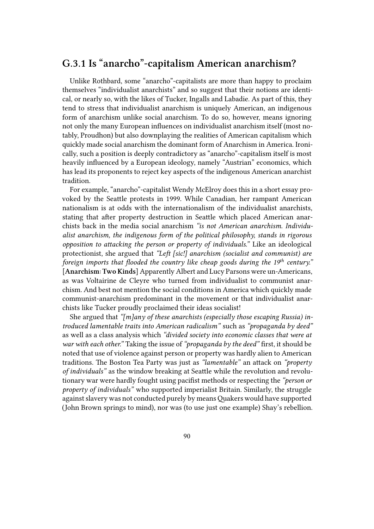#### **G.3.1 Is "anarcho"-capitalism American anarchism?**

Unlike Rothbard, some "anarcho"-capitalists are more than happy to proclaim themselves "individualist anarchists" and so suggest that their notions are identical, or nearly so, with the likes of Tucker, Ingalls and Labadie. As part of this, they tend to stress that individualist anarchism is uniquely American, an indigenous form of anarchism unlike social anarchism. To do so, however, means ignoring not only the many European influences on individualist anarchism itself (most notably, Proudhon) but also downplaying the realities of American capitalism which quickly made social anarchism the dominant form of Anarchism in America. Ironically, such a position is deeply contradictory as "anarcho"-capitalism itself is most heavily influenced by a European ideology, namely "Austrian" economics, which has lead its proponents to reject key aspects of the indigenous American anarchist tradition.

For example, "anarcho"-capitalist Wendy McElroy does this in a short essay provoked by the Seattle protests in 1999. While Canadian, her rampant American nationalism is at odds with the internationalism of the individualist anarchists, stating that after property destruction in Seattle which placed American anarchists back in the media social anarchism *"is not American anarchism. Individualist anarchism, the indigenous form of the political philosophy, stands in rigorous opposition to attacking the person or property of individuals."* Like an ideological protectionist, she argued that *"Left [sic!] anarchism (socialist and communist) are foreign imports that flooded the country like cheap goods during the 19th century."* [**Anarchism: Two Kinds**] Apparently Albert and Lucy Parsons were un-Americans, as was Voltairine de Cleyre who turned from individualist to communist anarchism. And best not mention the social conditions in America which quickly made communist-anarchism predominant in the movement or that individualist anarchists like Tucker proudly proclaimed their ideas socialist!

She argued that *"[m]any of these anarchists (especially those escaping Russia) introduced lamentable traits into American radicalism"* such as *"propaganda by deed"* as well as a class analysis which *"divided society into economic classes that were at war with each other."* Taking the issue of *"propaganda by the deed"* first, it should be noted that use of violence against person or property was hardly alien to American traditions. The Boston Tea Party was just as *"lamentable"* an attack on *"property of individuals"* as the window breaking at Seattle while the revolution and revolutionary war were hardly fought using pacifist methods or respecting the *"person or property of individuals"* who supported imperialist Britain. Similarly, the struggle against slavery was not conducted purely by meansQuakers would have supported (John Brown springs to mind), nor was (to use just one example) Shay's rebellion.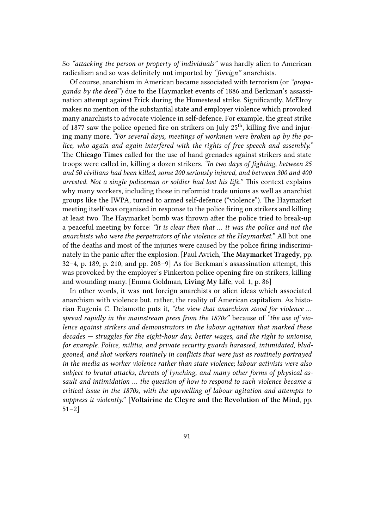So *"attacking the person or property of individuals"* was hardly alien to American radicalism and so was definitely **not** imported by *"foreign"* anarchists.

Of course, anarchism in American became associated with terrorism (or *"propaganda by the deed"*) due to the Haymarket events of 1886 and Berkman's assassination attempt against Frick during the Homestead strike. Significantly, McElroy makes no mention of the substantial state and employer violence which provoked many anarchists to advocate violence in self-defence. For example, the great strike of 1877 saw the police opened fire on strikers on July  $25<sup>th</sup>$ , killing five and injuring many more. *"For several days, meetings of workmen were broken up by the police, who again and again interfered with the rights of free speech and assembly."* The **Chicago Times** called for the use of hand grenades against strikers and state troops were called in, killing a dozen strikers. *"In two days of fighting, between 25 and 50 civilians had been killed, some 200 seriously injured, and between 300 and 400 arrested. Not a single policeman or soldier had lost his life."* This context explains why many workers, including those in reformist trade unions as well as anarchist groups like the IWPA, turned to armed self-defence ("violence"). The Haymarket meeting itself was organised in response to the police firing on strikers and killing at least two. The Haymarket bomb was thrown after the police tried to break-up a peaceful meeting by force: *"It is clear then that … it was the police and not the anarchists who were the perpetrators of the violence at the Haymarket."* All but one of the deaths and most of the injuries were caused by the police firing indiscriminately in the panic after the explosion. [Paul Avrich, **The Maymarket Tragedy**, pp. 32–4, p. 189, p. 210, and pp. 208–9] As for Berkman's assassination attempt, this was provoked by the employer's Pinkerton police opening fire on strikers, killing and wounding many. [Emma Goldman, **Living My Life**, vol. 1, p. 86]

In other words, it was **not** foreign anarchists or alien ideas which associated anarchism with violence but, rather, the reality of American capitalism. As historian Eugenia C. Delamotte puts it, *"the view that anarchism stood for violence … spread rapidly in the mainstream press from the 1870s"* because of *"the use of violence against strikers and demonstrators in the labour agitation that marked these decades — struggles for the eight-hour day, better wages, and the right to unionise, for example. Police, militia, and private security guards harassed, intimidated, bludgeoned, and shot workers routinely in conflicts that were just as routinely portrayed in the media as worker violence rather than state violence; labour activists were also subject to brutal attacks, threats of lynching, and many other forms of physical assault and intimidation … the question of how to respond to such violence became a critical issue in the 1870s, with the upswelling of labour agitation and attempts to suppress it violently."* [**Voltairine de Cleyre and the Revolution of the Mind**, pp. 51–2]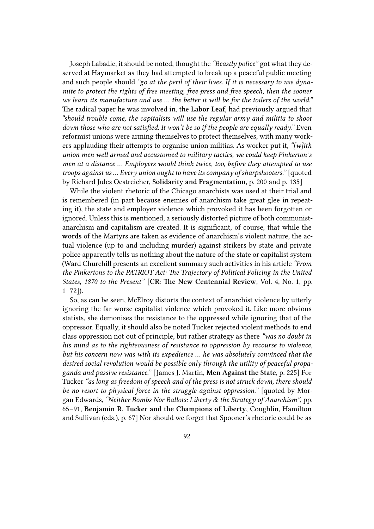Joseph Labadie, it should be noted, thought the *"Beastly police"* got what they deserved at Haymarket as they had attempted to break up a peaceful public meeting and such people should *"go at the peril of their lives. If it is necessary to use dynamite to protect the rights of free meeting, free press and free speech, then the sooner we learn its manufacture and use … the better it will be for the toilers of the world."* The radical paper he was involved in, the **Labor Leaf**, had previously argued that *"should trouble come, the capitalists will use the regular army and militia to shoot down those who are not satisfied. It won't be so if the people are equally ready."* Even reformist unions were arming themselves to protect themselves, with many workers applauding their attempts to organise union militias. As worker put it, *"[w]ith union men well armed and accustomed to military tactics, we could keep Pinkerton's men at a distance … Employers would think twice, too, before they attempted to use troops against us … Every union ought to have its company of sharpshooters."* [quoted by Richard Jules Oestreicher, **Solidarity and Fragmentation**, p. 200 and p. 135]

While the violent rhetoric of the Chicago anarchists was used at their trial and is remembered (in part because enemies of anarchism take great glee in repeating it), the state and employer violence which provoked it has been forgotten or ignored. Unless this is mentioned, a seriously distorted picture of both communistanarchism **and** capitalism are created. It is significant, of course, that while the **words** of the Martyrs are taken as evidence of anarchism's violent nature, the actual violence (up to and including murder) against strikers by state and private police apparently tells us nothing about the nature of the state or capitalist system (Ward Churchill presents an excellent summary such activities in his article *"From the Pinkertons to the PATRIOT Act: The Trajectory of Political Policing in the United States, 1870 to the Present"* [**CR: The New Centennial Review**, Vol. 4, No. 1, pp. 1–72]).

So, as can be seen, McElroy distorts the context of anarchist violence by utterly ignoring the far worse capitalist violence which provoked it. Like more obvious statists, she demonises the resistance to the oppressed while ignoring that of the oppressor. Equally, it should also be noted Tucker rejected violent methods to end class oppression not out of principle, but rather strategy as there *"was no doubt in his mind as to the righteousness of resistance to oppression by recourse to violence, but his concern now was with its expedience … he was absolutely convinced that the desired social revolution would be possible only through the utility of peaceful propaganda and passive resistance."* [James J. Martin, **Men Against the State**, p. 225] For Tucker *"as long as freedom of speech and of the press is not struck down, there should be no resort to physical force in the struggle against oppression."* [quoted by Morgan Edwards, *"Neither Bombs Nor Ballots: Liberty & the Strategy of Anarchism"*, pp. 65–91, **Benjamin R. Tucker and the Champions of Liberty**, Coughlin, Hamilton and Sullivan (eds.), p. 67] Nor should we forget that Spooner's rhetoric could be as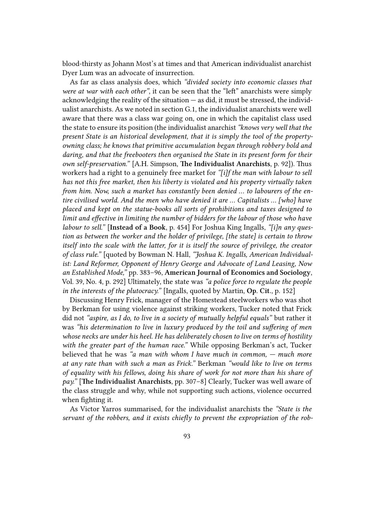blood-thirsty as Johann Most's at times and that American individualist anarchist Dyer Lum was an advocate of insurrection.

As far as class analysis does, which *"divided society into economic classes that were at war with each other"*, it can be seen that the "left" anarchists were simply acknowledging the reality of the situation  $-$  as did, it must be stressed, the individualist anarchists. As we noted in section G.1, the individualist anarchists were well aware that there was a class war going on, one in which the capitalist class used the state to ensure its position (the individualist anarchist *"knows very well that the present State is an historical development, that it is simply the tool of the propertyowning class; he knows that primitive accumulation began through robbery bold and daring, and that the freebooters then organised the State in its present form for their own self-preservation."* [A.H. Simpson, **The Individualist Anarchists**, p. 92]). Thus workers had a right to a genuinely free market for *"[i]f the man with labour to sell has not this free market, then his liberty is violated and his property virtually taken from him. Now, such a market has constantly been denied … to labourers of the entire civilised world. And the men who have denied it are … Capitalists … [who] have placed and kept on the statue-books all sorts of prohibitions and taxes designed to limit and effective in limiting the number of bidders for the labour of those who have labour to sell."* [**Instead of a Book**, p. 454] For Joshua King Ingalls, *"[i]n any question as between the worker and the holder of privilege, [the state] is certain to throw itself into the scale with the latter, for it is itself the source of privilege, the creator of class rule."* [quoted by Bowman N. Hall, *"Joshua K. Ingalls, American Individualist: Land Reformer, Opponent of Henry George and Advocate of Land Leasing, Now an Established Mode,"* pp. 383–96, **American Journal of Economics and Sociology**, Vol. 39, No. 4, p. 292] Ultimately, the state was *"a police force to regulate the people in the interests of the plutocracy."* [Ingalls, quoted by Martin, **Op. Cit.**, p. 152]

Discussing Henry Frick, manager of the Homestead steelworkers who was shot by Berkman for using violence against striking workers, Tucker noted that Frick did not *"aspire, as I do, to live in a society of mutually helpful equals"* but rather it was *"his determination to live in luxury produced by the toil and suffering of men whose necks are under his heel. He has deliberately chosen to live on terms of hostility with the greater part of the human race."* While opposing Berkman's act, Tucker believed that he was *"a man with whom I have much in common, — much more at any rate than with such a man as Frick."* Berkman *"would like to live on terms of equality with his fellows, doing his share of work for not more than his share of pay."* [**The Individualist Anarchists**, pp. 307–8] Clearly, Tucker was well aware of the class struggle and why, while not supporting such actions, violence occurred when fighting it.

As Victor Yarros summarised, for the individualist anarchists the *"State is the servant of the robbers, and it exists chiefly to prevent the expropriation of the rob-*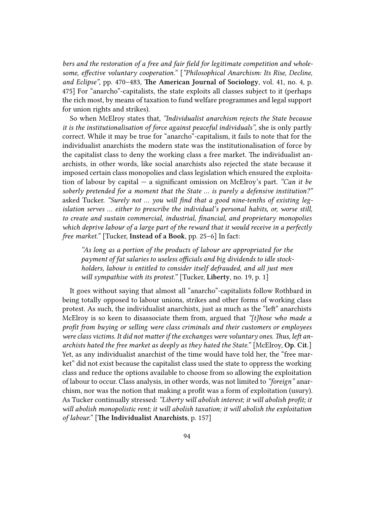*bers and the restoration of a free and fair field for legitimate competition and wholesome, effective voluntary cooperation."* [*"Philosophical Anarchism: Its Rise, Decline, and Eclipse"*, pp. 470–483, **The American Journal of Sociology**, vol. 41, no. 4, p. 475] For "anarcho"-capitalists, the state exploits all classes subject to it (perhaps the rich most, by means of taxation to fund welfare programmes and legal support for union rights and strikes).

So when McElroy states that, *"Individualist anarchism rejects the State because it is the institutionalisation of force against peaceful individuals"*, she is only partly correct. While it may be true for "anarcho"-capitalism, it fails to note that for the individualist anarchists the modern state was the institutionalisation of force by the capitalist class to deny the working class a free market. The individualist anarchists, in other words, like social anarchists also rejected the state because it imposed certain class monopolies and class legislation which ensured the exploitation of labour by capital — a significant omission on McElroy's part. *"Can it be soberly pretended for a moment that the State … is purely a defensive institution?"* asked Tucker. *"Surely not … you will find that a good nine-tenths of existing legislation serves … either to prescribe the individual's personal habits, or, worse still, to create and sustain commercial, industrial, financial, and proprietary monopolies which deprive labour of a large part of the reward that it would receive in a perfectly free market."* [Tucker, **Instead of a Book**, pp. 25–6] In fact:

*"As long as a portion of the products of labour are appropriated for the payment of fat salaries to useless officials and big dividends to idle stockholders, labour is entitled to consider itself defrauded, and all just men will sympathise with its protest."* [Tucker, **Liberty**, no. 19, p. 1]

It goes without saying that almost all "anarcho"-capitalists follow Rothbard in being totally opposed to labour unions, strikes and other forms of working class protest. As such, the individualist anarchists, just as much as the "left" anarchists McElroy is so keen to disassociate them from, argued that *"[t]hose who made a profit from buying or selling were class criminals and their customers or employees were class victims. It did not matter if the exchanges were voluntary ones. Thus, left anarchists hated the free market as deeply as they hated the State."* [McElroy, **Op. Cit.**] Yet, as any individualist anarchist of the time would have told her, the "free market" did not exist because the capitalist class used the state to oppress the working class and reduce the options available to choose from so allowing the exploitation of labour to occur. Class analysis, in other words, was not limited to *"foreign"* anarchism, nor was the notion that making a profit was a form of exploitation (usury). As Tucker continually stressed: *"Liberty will abolish interest; it will abolish profit; it will abolish monopolistic rent; it will abolish taxation; it will abolish the exploitation of labour."* [**The Individualist Anarchists**, p. 157]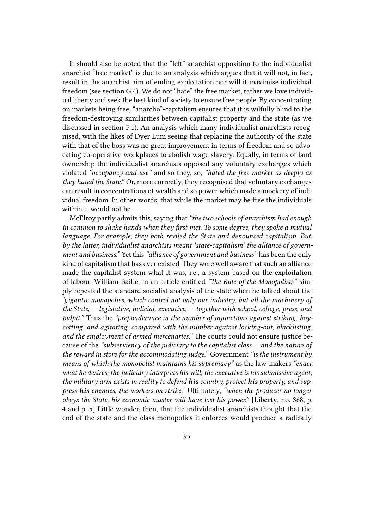It should also be noted that the "left" anarchist opposition to the individualist anarchist "free market" is due to an analysis which argues that it will not, in fact, result in the anarchist aim of ending exploitation nor will it maximise individual freedom (see section G.4). We do not "hate" the free market, rather we love individual liberty and seek the best kind of society to ensure free people. By concentrating on markets being free, "anarcho"-capitalism ensures that it is wilfully blind to the freedom-destroying similarities between capitalist property and the state (as we discussed in section F.1). An analysis which many individualist anarchists recognised, with the likes of Dyer Lum seeing that replacing the authority of the state with that of the boss was no great improvement in terms of freedom and so advocating co-operative workplaces to abolish wage slavery. Equally, in terms of land ownership the individualist anarchists opposed any voluntary exchanges which violated *"occupancy and use"* and so they, so, *"hated the free market as deeply as they hated the State."* Or, more correctly, they recognised that voluntary exchanges can result in concentrations of wealth and so power which made a mockery of individual freedom. In other words, that while the market may be free the individuals within it would not be.

McElroy partly admits this, saying that *"the two schools of anarchism had enough in common to shake hands when they first met. To some degree, they spoke a mutual language. For example, they both reviled the State and denounced capitalism. But, by the latter, individualist anarchists meant 'state-capitalism' the alliance of government and business."* Yet this *"alliance of government and business"* has been the only kind of capitalism that has ever existed. They were well aware that such an alliance made the capitalist system what it was, i.e., a system based on the exploitation of labour. William Bailie, in an article entitled *"The Rule of the Monopolists"* simply repeated the standard socialist analysis of the state when he talked about the *"gigantic monopolies, which control not only our industry, but all the machinery of the State, — legislative, judicial, executive, — together with school, college, press, and pulpit."* Thus the *"preponderance in the number of injunctions against striking, boycotting, and agitating, compared with the number against locking-out, blacklisting, and the employment of armed mercenaries."* The courts could not ensure justice because of the *"subserviency of the judiciary to the capitalist class … and the nature of the reward in store for the accommodating judge."* Government *"is the instrument by means of which the monopolist maintains his supremacy"* as the law-makers *"enact what he desires; the judiciary interprets his will; the executive is his submissive agent; the military arm exists in reality to defend his country, protect his property, and suppress his enemies, the workers on strike."* Ultimately, *"when the producer no longer obeys the State, his economic master will have lost his power."* [**Liberty**, no. 368, p. 4 and p. 5] Little wonder, then, that the individualist anarchists thought that the end of the state and the class monopolies it enforces would produce a radically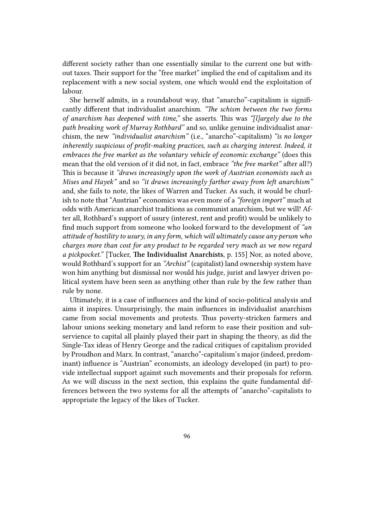different society rather than one essentially similar to the current one but without taxes. Their support for the "free market" implied the end of capitalism and its replacement with a new social system, one which would end the exploitation of labour.

She herself admits, in a roundabout way, that "anarcho"-capitalism is significantly different that individualist anarchism. *"The schism between the two forms of anarchism has deepened with time,"* she asserts. This was *"[l]argely due to the path breaking work of Murray Rothbard"* and so, unlike genuine individualist anarchism, the new *"individualist anarchism"* (i.e., "anarcho"-capitalism) *"is no longer inherently suspicious of profit-making practices, such as charging interest. Indeed, it embraces the free market as the voluntary vehicle of economic exchange"* (does this mean that the old version of it did not, in fact, embrace *"the free market"* after all?) This is because it *"draws increasingly upon the work of Austrian economists such as Mises and Hayek"* and so *"it draws increasingly farther away from left anarchism"* and, she fails to note, the likes of Warren and Tucker. As such, it would be churlish to note that "Austrian" economics was even more of a *"foreign import"* much at odds with American anarchist traditions as communist anarchism, but we will! After all, Rothbard's support of usury (interest, rent and profit) would be unlikely to find much support from someone who looked forward to the development of *"an attitude of hostility to usury, in any form, which will ultimately cause any person who charges more than cost for any product to be regarded very much as we now regard a pickpocket."* [Tucker, **The Individualist Anarchists**, p. 155] Nor, as noted above, would Rothbard's support for an *"Archist"* (capitalist) land ownership system have won him anything but dismissal nor would his judge, jurist and lawyer driven political system have been seen as anything other than rule by the few rather than rule by none.

Ultimately, it is a case of influences and the kind of socio-political analysis and aims it inspires. Unsurprisingly, the main influences in individualist anarchism came from social movements and protests. Thus poverty-stricken farmers and labour unions seeking monetary and land reform to ease their position and subservience to capital all plainly played their part in shaping the theory, as did the Single-Tax ideas of Henry George and the radical critiques of capitalism provided by Proudhon and Marx. In contrast, "anarcho"-capitalism's major (indeed, predominant) influence is "Austrian" economists, an ideology developed (in part) to provide intellectual support against such movements and their proposals for reform. As we will discuss in the next section, this explains the quite fundamental differences between the two systems for all the attempts of "anarcho"-capitalists to appropriate the legacy of the likes of Tucker.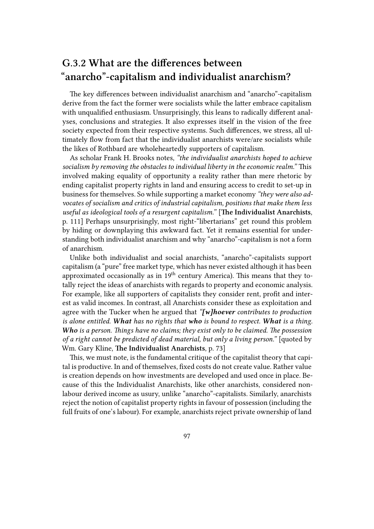## **G.3.2 What are the differences between "anarcho"-capitalism and individualist anarchism?**

The key differences between individualist anarchism and "anarcho"-capitalism derive from the fact the former were socialists while the latter embrace capitalism with unqualified enthusiasm. Unsurprisingly, this leans to radically different analyses, conclusions and strategies. It also expresses itself in the vision of the free society expected from their respective systems. Such differences, we stress, all ultimately flow from fact that the individualist anarchists were/are socialists while the likes of Rothbard are wholeheartedly supporters of capitalism.

As scholar Frank H. Brooks notes, *"the individualist anarchists hoped to achieve socialism by removing the obstacles to individual liberty in the economic realm."* This involved making equality of opportunity a reality rather than mere rhetoric by ending capitalist property rights in land and ensuring access to credit to set-up in business for themselves. So while supporting a market economy *"they were also advocates of socialism and critics of industrial capitalism, positions that make them less useful as ideological tools of a resurgent capitalism."* [**The Individualist Anarchists**, p. 111] Perhaps unsurprisingly, most right-"libertarians" get round this problem by hiding or downplaying this awkward fact. Yet it remains essential for understanding both individualist anarchism and why "anarcho"-capitalism is not a form of anarchism.

Unlike both individualist and social anarchists, "anarcho"-capitalists support capitalism (a "pure" free market type, which has never existed although it has been approximated occasionally as in  $19<sup>th</sup>$  century America). This means that they totally reject the ideas of anarchists with regards to property and economic analysis. For example, like all supporters of capitalists they consider rent, profit and interest as valid incomes. In contrast, all Anarchists consider these as exploitation and agree with the Tucker when he argued that *"[w]hoever contributes to production is alone entitled. What has no rights that who is bound to respect. What is a thing. Who is a person. Things have no claims; they exist only to be claimed. The possession of a right cannot be predicted of dead material, but only a living person."* [quoted by Wm. Gary Kline, **The Individualist Anarchists**, p. 73]

This, we must note, is the fundamental critique of the capitalist theory that capital is productive. In and of themselves, fixed costs do not create value. Rather value is creation depends on how investments are developed and used once in place. Because of this the Individualist Anarchists, like other anarchists, considered nonlabour derived income as usury, unlike "anarcho"-capitalists. Similarly, anarchists reject the notion of capitalist property rights in favour of possession (including the full fruits of one's labour). For example, anarchists reject private ownership of land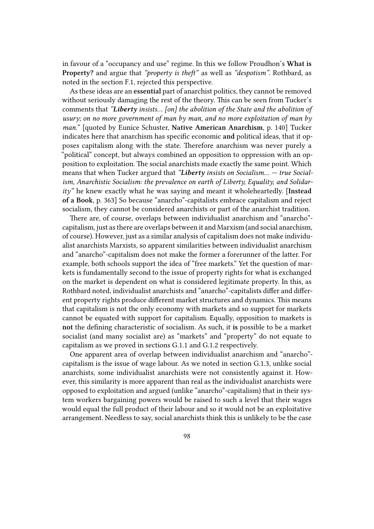in favour of a "occupancy and use" regime. In this we follow Proudhon's **What is Property?** and argue that *"property is theft"* as well as *"despotism"*. Rothbard, as noted in the section F.1, rejected this perspective.

As these ideas are an **essential** part of anarchist politics, they cannot be removed without seriously damaging the rest of the theory. This can be seen from Tucker's comments that *"Liberty insists… [on] the abolition of the State and the abolition of usury; on no more government of man by man, and no more exploitation of man by man."* [quoted by Eunice Schuster, **Native American Anarchism**, p. 140] Tucker indicates here that anarchism has specific economic **and** political ideas, that it opposes capitalism along with the state. Therefore anarchism was never purely a "political" concept, but always combined an opposition to oppression with an opposition to exploitation. The social anarchists made exactly the same point. Which means that when Tucker argued that *"Liberty insists on Socialism… — true Socialism, Anarchistic Socialism: the prevalence on earth of Liberty, Equality, and Solidarity"* he knew exactly what he was saying and meant it wholeheartedly. [**Instead of a Book**, p. 363] So because "anarcho"-capitalists embrace capitalism and reject socialism, they cannot be considered anarchists or part of the anarchist tradition.

There are, of course, overlaps between individualist anarchism and "anarcho" capitalism, just as there are overlaps between it and Marxism (and social anarchism, of course). However, just as a similar analysis of capitalism does not make individualist anarchists Marxists, so apparent similarities between individualist anarchism and "anarcho"-capitalism does not make the former a forerunner of the latter. For example, both schools support the idea of "free markets." Yet the question of markets is fundamentally second to the issue of property rights for what is exchanged on the market is dependent on what is considered legitimate property. In this, as Rothbard noted, individualist anarchists and "anarcho"-capitalists differ and different property rights produce different market structures and dynamics. This means that capitalism is not the only economy with markets and so support for markets cannot be equated with support for capitalism. Equally, opposition to markets is **not** the defining characteristic of socialism. As such, it **is** possible to be a market socialist (and many socialist are) as "markets" and "property" do not equate to capitalism as we proved in sections G.1.1 and G.1.2 respectively.

One apparent area of overlap between individualist anarchism and "anarcho" capitalism is the issue of wage labour. As we noted in section G.1.3, unlike social anarchists, some individualist anarchists were not consistently against it. However, this similarity is more apparent than real as the individualist anarchists were opposed to exploitation and argued (unlike "anarcho"-capitalism) that in their system workers bargaining powers would be raised to such a level that their wages would equal the full product of their labour and so it would not be an exploitative arrangement. Needless to say, social anarchists think this is unlikely to be the case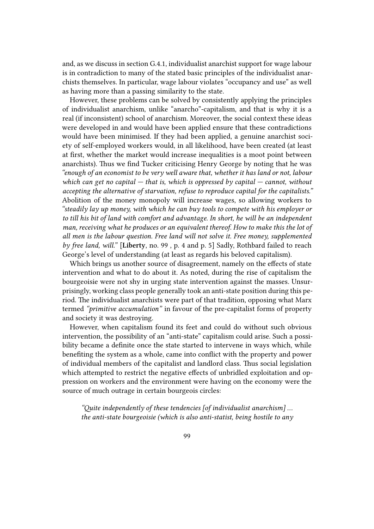and, as we discuss in section G.4.1, individualist anarchist support for wage labour is in contradiction to many of the stated basic principles of the individualist anarchists themselves. In particular, wage labour violates "occupancy and use" as well as having more than a passing similarity to the state.

However, these problems can be solved by consistently applying the principles of individualist anarchism, unlike "anarcho"-capitalism, and that is why it is a real (if inconsistent) school of anarchism. Moreover, the social context these ideas were developed in and would have been applied ensure that these contradictions would have been minimised. If they had been applied, a genuine anarchist society of self-employed workers would, in all likelihood, have been created (at least at first, whether the market would increase inequalities is a moot point between anarchists). Thus we find Tucker criticising Henry George by noting that he was *"enough of an economist to be very well aware that, whether it has land or not, labour which can get no capital — that is, which is oppressed by capital — cannot, without accepting the alternative of starvation, refuse to reproduce capital for the capitalists."* Abolition of the money monopoly will increase wages, so allowing workers to *"steadily lay up money, with which he can buy tools to compete with his employer or to till his bit of land with comfort and advantage. In short, he will be an independent man, receiving what he produces or an equivalent thereof. How to make this the lot of all men is the labour question. Free land will not solve it. Free money, supplemented by free land, will."* [**Liberty**, no. 99 , p. 4 and p. 5] Sadly, Rothbard failed to reach George's level of understanding (at least as regards his beloved capitalism).

Which brings us another source of disagreement, namely on the effects of state intervention and what to do about it. As noted, during the rise of capitalism the bourgeoisie were not shy in urging state intervention against the masses. Unsurprisingly, working class people generally took an anti-state position during this period. The individualist anarchists were part of that tradition, opposing what Marx termed *"primitive accumulation"* in favour of the pre-capitalist forms of property and society it was destroying.

However, when capitalism found its feet and could do without such obvious intervention, the possibility of an "anti-state" capitalism could arise. Such a possibility became a definite once the state started to intervene in ways which, while benefiting the system as a whole, came into conflict with the property and power of individual members of the capitalist and landlord class. Thus social legislation which attempted to restrict the negative effects of unbridled exploitation and oppression on workers and the environment were having on the economy were the source of much outrage in certain bourgeois circles:

*"Quite independently of these tendencies [of individualist anarchism] … the anti-state bourgeoisie (which is also anti-statist, being hostile to any*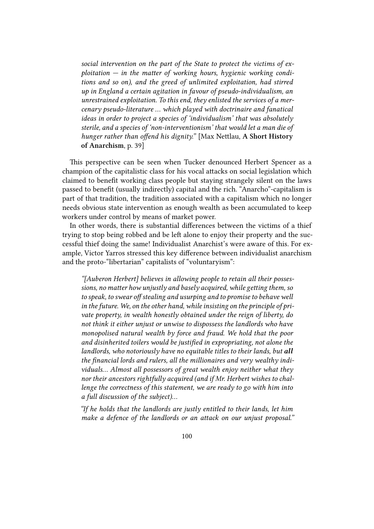*social intervention on the part of the State to protect the victims of exploitation — in the matter of working hours, hygienic working conditions and so on), and the greed of unlimited exploitation, had stirred up in England a certain agitation in favour of pseudo-individualism, an unrestrained exploitation. To this end, they enlisted the services of a mercenary pseudo-literature … which played with doctrinaire and fanatical ideas in order to project a species of 'individualism' that was absolutely sterile, and a species of 'non-interventionism' that would let a man die of hunger rather than offend his dignity."* [Max Nettlau, **A Short History of Anarchism**, p. 39]

This perspective can be seen when Tucker denounced Herbert Spencer as a champion of the capitalistic class for his vocal attacks on social legislation which claimed to benefit working class people but staying strangely silent on the laws passed to benefit (usually indirectly) capital and the rich. "Anarcho"-capitalism is part of that tradition, the tradition associated with a capitalism which no longer needs obvious state intervention as enough wealth as been accumulated to keep workers under control by means of market power.

In other words, there is substantial differences between the victims of a thief trying to stop being robbed and be left alone to enjoy their property and the successful thief doing the same! Individualist Anarchist's were aware of this. For example, Victor Yarros stressed this key difference between individualist anarchism and the proto-"libertarian" capitalists of "voluntaryism":

*"[Auberon Herbert] believes in allowing people to retain all their possessions, no matter how unjustly and basely acquired, while getting them, so to speak, to swear off stealing and usurping and to promise to behave well in the future. We, on the other hand, while insisting on the principle of private property, in wealth honestly obtained under the reign of liberty, do not think it either unjust or unwise to dispossess the landlords who have monopolised natural wealth by force and fraud. We hold that the poor and disinherited toilers would be justified in expropriating, not alone the landlords, who notoriously have no equitable titles to their lands, but all the financial lords and rulers, all the millionaires and very wealthy individuals… Almost all possessors of great wealth enjoy neither what they nor their ancestors rightfully acquired (and if Mr. Herbert wishes to challenge the correctness of this statement, we are ready to go with him into a full discussion of the subject)…*

*"If he holds that the landlords are justly entitled to their lands, let him make a defence of the landlords or an attack on our unjust proposal."*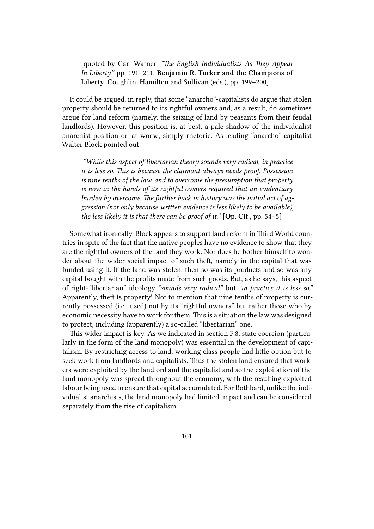[quoted by Carl Watner, *"The English Individualists As They Appear In Liberty,"* pp. 191–211, **Benjamin R. Tucker and the Champions of Liberty**, Coughlin, Hamilton and Sullivan (eds.), pp. 199–200]

It could be argued, in reply, that some "anarcho"-capitalists do argue that stolen property should be returned to its rightful owners and, as a result, do sometimes argue for land reform (namely, the seizing of land by peasants from their feudal landlords). However, this position is, at best, a pale shadow of the individualist anarchist position or, at worse, simply rhetoric. As leading "anarcho"-capitalist Walter Block pointed out:

*"While this aspect of libertarian theory sounds very radical, in practice it is less so. This is because the claimant always needs proof. Possession is nine tenths of the law, and to overcome the presumption that property is now in the hands of its rightful owners required that an evidentiary burden by overcome. The further back in history was the initial act of aggression (not only because written evidence is less likely to be available), the less likely it is that there can be proof of it."* [**Op. Cit.**, pp. 54–5]

Somewhat ironically, Block appears to support land reform in Third World countries in spite of the fact that the native peoples have no evidence to show that they are the rightful owners of the land they work. Nor does he bother himself to wonder about the wider social impact of such theft, namely in the capital that was funded using it. If the land was stolen, then so was its products and so was any capital bought with the profits made from such goods. But, as he says, this aspect of right-"libertarian" ideology *"sounds very radical"* but *"in practice it is less so."* Apparently, theft **is** property! Not to mention that nine tenths of property is currently possessed (i.e., used) not by its "rightful owners" but rather those who by economic necessity have to work for them. This is a situation the law was designed to protect, including (apparently) a so-called "libertarian" one.

This wider impact is key. As we indicated in section F.8, state coercion (particularly in the form of the land monopoly) was essential in the development of capitalism. By restricting access to land, working class people had little option but to seek work from landlords and capitalists. Thus the stolen land ensured that workers were exploited by the landlord and the capitalist and so the exploitation of the land monopoly was spread throughout the economy, with the resulting exploited labour being used to ensure that capital accumulated. For Rothbard, unlike the individualist anarchists, the land monopoly had limited impact and can be considered separately from the rise of capitalism: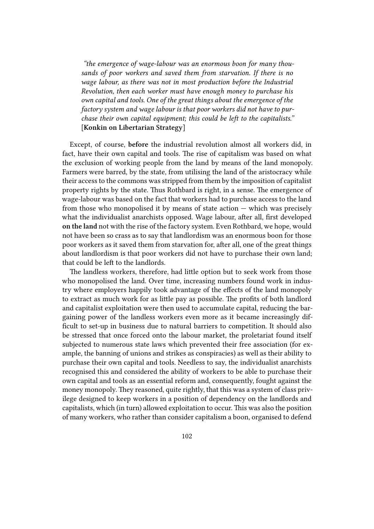*"the emergence of wage-labour was an enormous boon for many thousands of poor workers and saved them from starvation. If there is no wage labour, as there was not in most production before the Industrial Revolution, then each worker must have enough money to purchase his own capital and tools. One of the great things about the emergence of the factory system and wage labour is that poor workers did not have to purchase their own capital equipment; this could be left to the capitalists."* [**Konkin on Libertarian Strategy**]

Except, of course, **before** the industrial revolution almost all workers did, in fact, have their own capital and tools. The rise of capitalism was based on what the exclusion of working people from the land by means of the land monopoly. Farmers were barred, by the state, from utilising the land of the aristocracy while their access to the commons was stripped from them by the imposition of capitalist property rights by the state. Thus Rothbard is right, in a sense. The emergence of wage-labour was based on the fact that workers had to purchase access to the land from those who monopolised it by means of state action  $-$  which was precisely what the individualist anarchists opposed. Wage labour, after all, first developed **on the land** not with the rise of the factory system. Even Rothbard, we hope, would not have been so crass as to say that landlordism was an enormous boon for those poor workers as it saved them from starvation for, after all, one of the great things about landlordism is that poor workers did not have to purchase their own land; that could be left to the landlords.

The landless workers, therefore, had little option but to seek work from those who monopolised the land. Over time, increasing numbers found work in industry where employers happily took advantage of the effects of the land monopoly to extract as much work for as little pay as possible. The profits of both landlord and capitalist exploitation were then used to accumulate capital, reducing the bargaining power of the landless workers even more as it became increasingly difficult to set-up in business due to natural barriers to competition. It should also be stressed that once forced onto the labour market, the proletariat found itself subjected to numerous state laws which prevented their free association (for example, the banning of unions and strikes as conspiracies) as well as their ability to purchase their own capital and tools. Needless to say, the individualist anarchists recognised this and considered the ability of workers to be able to purchase their own capital and tools as an essential reform and, consequently, fought against the money monopoly. They reasoned, quite rightly, that this was a system of class privilege designed to keep workers in a position of dependency on the landlords and capitalists, which (in turn) allowed exploitation to occur. This was also the position of many workers, who rather than consider capitalism a boon, organised to defend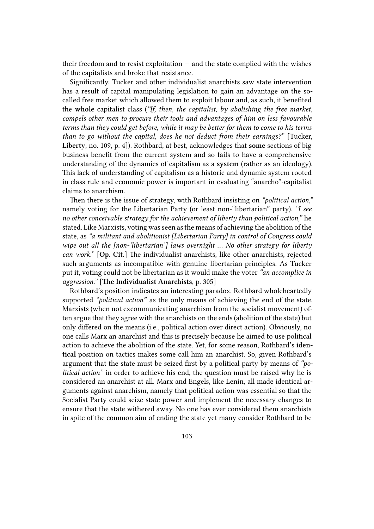their freedom and to resist exploitation  $-$  and the state complied with the wishes of the capitalists and broke that resistance.

Significantly, Tucker and other individualist anarchists saw state intervention has a result of capital manipulating legislation to gain an advantage on the socalled free market which allowed them to exploit labour and, as such, it benefited the **whole** capitalist class (*"If, then, the capitalist, by abolishing the free market, compels other men to procure their tools and advantages of him on less favourable terms than they could get before, while it may be better for them to come to his terms than to go without the capital, does he not deduct from their earnings?"* [Tucker, **Liberty**, no. 109, p. 4]). Rothbard, at best, acknowledges that **some** sections of big business benefit from the current system and so fails to have a comprehensive understanding of the dynamics of capitalism as a **system** (rather as an ideology). This lack of understanding of capitalism as a historic and dynamic system rooted in class rule and economic power is important in evaluating "anarcho"-capitalist claims to anarchism.

Then there is the issue of strategy, with Rothbard insisting on *"political action,"* namely voting for the Libertarian Party (or least non-"libertarian" party). *"I see no other conceivable strategy for the achievement of liberty than political action,"* he stated. Like Marxists, voting was seen as the means of achieving the abolition of the state, as *"a militant and abolitionist [Libertarian Party] in control of Congress could wipe out all the [non-'libertarian'] laws overnight … No other strategy for liberty can work."* [**Op. Cit.**] The individualist anarchists, like other anarchists, rejected such arguments as incompatible with genuine libertarian principles. As Tucker put it, voting could not be libertarian as it would make the voter *"an accomplice in aggression."* [**The Individualist Anarchists**, p. 305]

Rothbard's position indicates an interesting paradox. Rothbard wholeheartedly supported *"political action"* as the only means of achieving the end of the state. Marxists (when not excommunicating anarchism from the socialist movement) often argue that they agree with the anarchists on the ends (abolition of the state) but only differed on the means (i.e., political action over direct action). Obviously, no one calls Marx an anarchist and this is precisely because he aimed to use political action to achieve the abolition of the state. Yet, for some reason, Rothbard's **identical** position on tactics makes some call him an anarchist. So, given Rothbard's argument that the state must be seized first by a political party by means of *"political action"* in order to achieve his end, the question must be raised why he is considered an anarchist at all. Marx and Engels, like Lenin, all made identical arguments against anarchism, namely that political action was essential so that the Socialist Party could seize state power and implement the necessary changes to ensure that the state withered away. No one has ever considered them anarchists in spite of the common aim of ending the state yet many consider Rothbard to be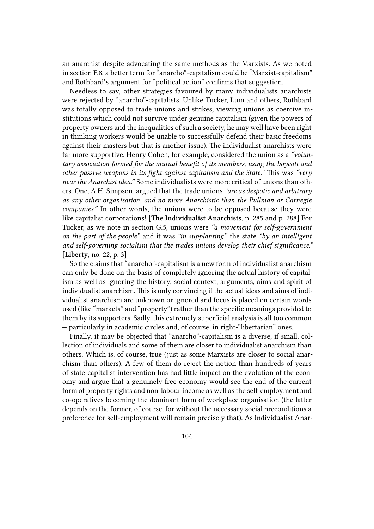an anarchist despite advocating the same methods as the Marxists. As we noted in section F.8, a better term for "anarcho"-capitalism could be "Marxist-capitalism" and Rothbard's argument for "political action" confirms that suggestion.

Needless to say, other strategies favoured by many individualists anarchists were rejected by "anarcho"-capitalists. Unlike Tucker, Lum and others, Rothbard was totally opposed to trade unions and strikes, viewing unions as coercive institutions which could not survive under genuine capitalism (given the powers of property owners and the inequalities of such a society, he may well have been right in thinking workers would be unable to successfully defend their basic freedoms against their masters but that is another issue). The individualist anarchists were far more supportive. Henry Cohen, for example, considered the union as a *"voluntary association formed for the mutual benefit of its members, using the boycott and other passive weapons in its fight against capitalism and the State."* This was *"very near the Anarchist idea."* Some individualists were more critical of unions than others. One, A.H. Simpson, argued that the trade unions *"are as despotic and arbitrary as any other organisation, and no more Anarchistic than the Pullman or Carnegie companies."* In other words, the unions were to be opposed because they were like capitalist corporations! [**The Individualist Anarchists**, p. 285 and p. 288] For Tucker, as we note in section G.5, unions were *"a movement for self-government on the part of the people"* and it was *"in supplanting"* the state *"by an intelligent and self-governing socialism that the trades unions develop their chief significance."* [**Liberty**, no. 22, p. 3]

So the claims that "anarcho"-capitalism is a new form of individualist anarchism can only be done on the basis of completely ignoring the actual history of capitalism as well as ignoring the history, social context, arguments, aims and spirit of individualist anarchism. This is only convincing if the actual ideas and aims of individualist anarchism are unknown or ignored and focus is placed on certain words used (like "markets" and "property") rather than the specific meanings provided to them by its supporters. Sadly, this extremely superficial analysis is all too common — particularly in academic circles and, of course, in right-"libertarian" ones.

Finally, it may be objected that "anarcho"-capitalism is a diverse, if small, collection of individuals and some of them are closer to individualist anarchism than others. Which is, of course, true (just as some Marxists are closer to social anarchism than others). A few of them do reject the notion than hundreds of years of state-capitalist intervention has had little impact on the evolution of the economy and argue that a genuinely free economy would see the end of the current form of property rights and non-labour income as well as the self-employment and co-operatives becoming the dominant form of workplace organisation (the latter depends on the former, of course, for without the necessary social preconditions a preference for self-employment will remain precisely that). As Individualist Anar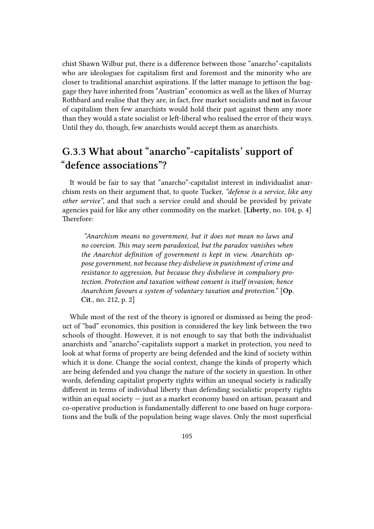chist Shawn Wilbur put, there is a difference between those "anarcho"-capitalists who are ideologues for capitalism first and foremost and the minority who are closer to traditional anarchist aspirations. If the latter manage to jettison the baggage they have inherited from "Austrian" economics as well as the likes of Murray Rothbard and realise that they are, in fact, free market socialists and **not** in favour of capitalism then few anarchists would hold their past against them any more than they would a state socialist or left-liberal who realised the error of their ways. Until they do, though, few anarchists would accept them as anarchists.

## **G.3.3 What about "anarcho"-capitalists' support of "defence associations"?**

It would be fair to say that "anarcho"-capitalist interest in individualist anarchism rests on their argument that, to quote Tucker, *"defense is a service, like any other service"*, and that such a service could and should be provided by private agencies paid for like any other commodity on the market. [**Liberty**, no. 104, p. 4] Therefore:

*"Anarchism means no government, but it does not mean no laws and no coercion. This may seem paradoxical, but the paradox vanishes when the Anarchist definition of government is kept in view. Anarchists oppose government, not because they disbelieve in punishment of crime and resistance to aggression, but because they disbelieve in compulsory protection. Protection and taxation without consent is itself invasion; hence Anarchism favours a system of voluntary taxation and protection."* [**Op. Cit.**, no. 212, p. 2]

While most of the rest of the theory is ignored or dismissed as being the product of "bad" economics, this position is considered the key link between the two schools of thought. However, it is not enough to say that both the individualist anarchists and "anarcho"-capitalists support a market in protection, you need to look at what forms of property are being defended and the kind of society within which it is done. Change the social context, change the kinds of property which are being defended and you change the nature of the society in question. In other words, defending capitalist property rights within an unequal society is radically different in terms of individual liberty than defending socialistic property rights within an equal society  $-$  just as a market economy based on artisan, peasant and co-operative production is fundamentally different to one based on huge corporations and the bulk of the population being wage slaves. Only the most superficial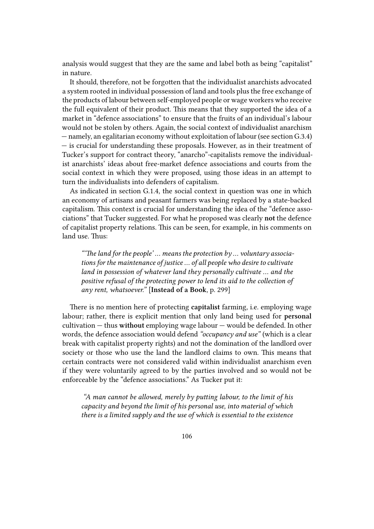analysis would suggest that they are the same and label both as being "capitalist" in nature.

It should, therefore, not be forgotten that the individualist anarchists advocated a system rooted in individual possession of land and tools plus the free exchange of the products of labour between self-employed people or wage workers who receive the full equivalent of their product. This means that they supported the idea of a market in "defence associations" to ensure that the fruits of an individual's labour would not be stolen by others. Again, the social context of individualist anarchism — namely, an egalitarian economy without exploitation of labour (see section G.3.4) — is crucial for understanding these proposals. However, as in their treatment of Tucker's support for contract theory, "anarcho"-capitalists remove the individualist anarchists' ideas about free-market defence associations and courts from the social context in which they were proposed, using those ideas in an attempt to turn the individualists into defenders of capitalism.

As indicated in section G.1.4, the social context in question was one in which an economy of artisans and peasant farmers was being replaced by a state-backed capitalism. This context is crucial for understanding the idea of the "defence associations" that Tucker suggested. For what he proposed was clearly **not** the defence of capitalist property relations. This can be seen, for example, in his comments on land use. Thus:

*"'The land for the people' … means the protection by … voluntary associations for the maintenance of justice … of all people who desire to cultivate land in possession of whatever land they personally cultivate … and the positive refusal of the protecting power to lend its aid to the collection of any rent, whatsoever."* [**Instead of a Book**, p. 299]

There is no mention here of protecting **capitalist** farming, i.e. employing wage labour; rather, there is explicit mention that only land being used for **personal** cultivation — thus **without** employing wage labour — would be defended. In other words, the defence association would defend *"occupancy and use"* (which is a clear break with capitalist property rights) and not the domination of the landlord over society or those who use the land the landlord claims to own. This means that certain contracts were not considered valid within individualist anarchism even if they were voluntarily agreed to by the parties involved and so would not be enforceable by the "defence associations." As Tucker put it:

*"A man cannot be allowed, merely by putting labour, to the limit of his capacity and beyond the limit of his personal use, into material of which there is a limited supply and the use of which is essential to the existence*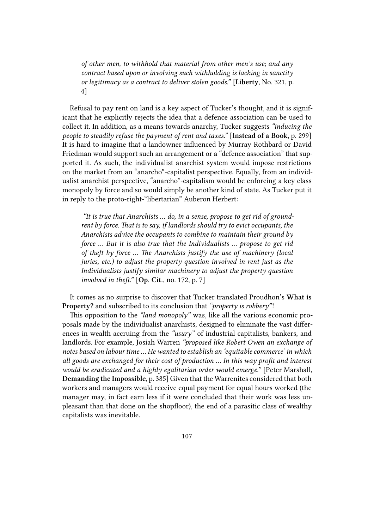*of other men, to withhold that material from other men's use; and any contract based upon or involving such withholding is lacking in sanctity or legitimacy as a contract to deliver stolen goods."* [**Liberty**, No. 321, p. 4]

Refusal to pay rent on land is a key aspect of Tucker's thought, and it is significant that he explicitly rejects the idea that a defence association can be used to collect it. In addition, as a means towards anarchy, Tucker suggests *"inducing the people to steadily refuse the payment of rent and taxes."* [**Instead of a Book**, p. 299] It is hard to imagine that a landowner influenced by Murray Rothbard or David Friedman would support such an arrangement or a "defence association" that supported it. As such, the individualist anarchist system would impose restrictions on the market from an "anarcho"-capitalist perspective. Equally, from an individualist anarchist perspective, "anarcho"-capitalism would be enforcing a key class monopoly by force and so would simply be another kind of state. As Tucker put it in reply to the proto-right-"libertarian" Auberon Herbert:

*"It is true that Anarchists … do, in a sense, propose to get rid of groundrent by force. That is to say, if landlords should try to evict occupants, the Anarchists advice the occupants to combine to maintain their ground by force … But it is also true that the Individualists … propose to get rid of theft by force … The Anarchists justify the use of machinery (local juries, etc.) to adjust the property question involved in rent just as the Individualists justify similar machinery to adjust the property question involved in theft."* [**Op. Cit.**, no. 172, p. 7]

It comes as no surprise to discover that Tucker translated Proudhon's **What is Property?** and subscribed to its conclusion that *"property is robbery"*!

This opposition to the *"land monopoly"* was, like all the various economic proposals made by the individualist anarchists, designed to eliminate the vast differences in wealth accruing from the *"usury"* of industrial capitalists, bankers, and landlords. For example, Josiah Warren *"proposed like Robert Owen an exchange of notes based on labour time … He wanted to establish an 'equitable commerce' in which all goods are exchanged for their cost of production … In this way profit and interest would be eradicated and a highly egalitarian order would emerge."* [Peter Marshall, **Demanding the Impossible**, p. 385] Given that the Warrenites considered that both workers and managers would receive equal payment for equal hours worked (the manager may, in fact earn less if it were concluded that their work was less unpleasant than that done on the shopfloor), the end of a parasitic class of wealthy capitalists was inevitable.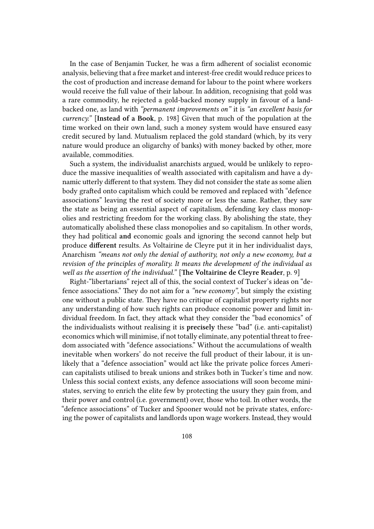In the case of Benjamin Tucker, he was a firm adherent of socialist economic analysis, believing that a free market and interest-free credit would reduce prices to the cost of production and increase demand for labour to the point where workers would receive the full value of their labour. In addition, recognising that gold was a rare commodity, he rejected a gold-backed money supply in favour of a landbacked one, as land with *"permanent improvements on"* it is *"an excellent basis for currency."* [**Instead of a Book**, p. 198] Given that much of the population at the time worked on their own land, such a money system would have ensured easy credit secured by land. Mutualism replaced the gold standard (which, by its very nature would produce an oligarchy of banks) with money backed by other, more available, commodities.

Such a system, the individualist anarchists argued, would be unlikely to reproduce the massive inequalities of wealth associated with capitalism and have a dynamic utterly different to that system. They did not consider the state as some alien body grafted onto capitalism which could be removed and replaced with "defence associations" leaving the rest of society more or less the same. Rather, they saw the state as being an essential aspect of capitalism, defending key class monopolies and restricting freedom for the working class. By abolishing the state, they automatically abolished these class monopolies and so capitalism. In other words, they had political **and** economic goals and ignoring the second cannot help but produce **different** results. As Voltairine de Cleyre put it in her individualist days, Anarchism *"means not only the denial of authority, not only a new economy, but a revision of the principles of morality. It means the development of the individual as well as the assertion of the individual."* [**The Voltairine de Cleyre Reader**, p. 9]

Right-"libertarians" reject all of this, the social context of Tucker's ideas on "defence associations." They do not aim for a *"new economy"*, but simply the existing one without a public state. They have no critique of capitalist property rights nor any understanding of how such rights can produce economic power and limit individual freedom. In fact, they attack what they consider the "bad economics" of the individualists without realising it is **precisely** these "bad" (i.e. anti-capitalist) economics which will minimise, if not totally eliminate, any potential threat to freedom associated with "defence associations." Without the accumulations of wealth inevitable when workers' do not receive the full product of their labour, it is unlikely that a "defence association" would act like the private police forces American capitalists utilised to break unions and strikes both in Tucker's time and now. Unless this social context exists, any defence associations will soon become ministates, serving to enrich the elite few by protecting the usury they gain from, and their power and control (i.e. government) over, those who toil. In other words, the "defence associations" of Tucker and Spooner would not be private states, enforcing the power of capitalists and landlords upon wage workers. Instead, they would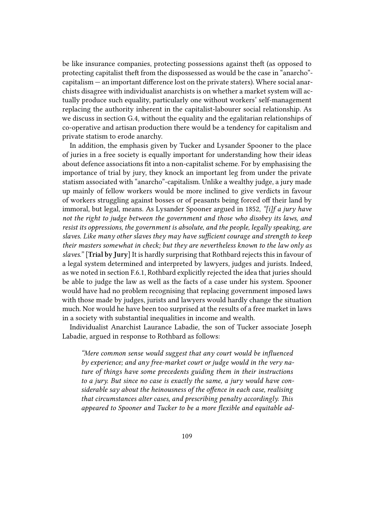be like insurance companies, protecting possessions against theft (as opposed to protecting capitalist theft from the dispossessed as would be the case in "anarcho" capitalism — an important difference lost on the private staters). Where social anarchists disagree with individualist anarchists is on whether a market system will actually produce such equality, particularly one without workers' self-management replacing the authority inherent in the capitalist-labourer social relationship. As we discuss in section G.4, without the equality and the egalitarian relationships of co-operative and artisan production there would be a tendency for capitalism and private statism to erode anarchy.

In addition, the emphasis given by Tucker and Lysander Spooner to the place of juries in a free society is equally important for understanding how their ideas about defence associations fit into a non-capitalist scheme. For by emphasising the importance of trial by jury, they knock an important leg from under the private statism associated with "anarcho"-capitalism. Unlike a wealthy judge, a jury made up mainly of fellow workers would be more inclined to give verdicts in favour of workers struggling against bosses or of peasants being forced off their land by immoral, but legal, means. As Lysander Spooner argued in 1852, *"[i]f a jury have not the right to judge between the government and those who disobey its laws, and resist its oppressions, the government is absolute, and the people, legally speaking, are slaves. Like many other slaves they may have sufficient courage and strength to keep their masters somewhat in check; but they are nevertheless known to the law only as slaves."* [**Trial by Jury**] It is hardly surprising that Rothbard rejects this in favour of a legal system determined and interpreted by lawyers, judges and jurists. Indeed, as we noted in section F.6.1, Rothbard explicitly rejected the idea that juries should be able to judge the law as well as the facts of a case under his system. Spooner would have had no problem recognising that replacing government imposed laws with those made by judges, jurists and lawyers would hardly change the situation much. Nor would he have been too surprised at the results of a free market in laws in a society with substantial inequalities in income and wealth.

Individualist Anarchist Laurance Labadie, the son of Tucker associate Joseph Labadie, argued in response to Rothbard as follows:

*"Mere common sense would suggest that any court would be influenced by experience; and any free-market court or judge would in the very nature of things have some precedents guiding them in their instructions to a jury. But since no case is exactly the same, a jury would have considerable say about the heinousness of the offence in each case, realising that circumstances alter cases, and prescribing penalty accordingly. This appeared to Spooner and Tucker to be a more flexible and equitable ad-*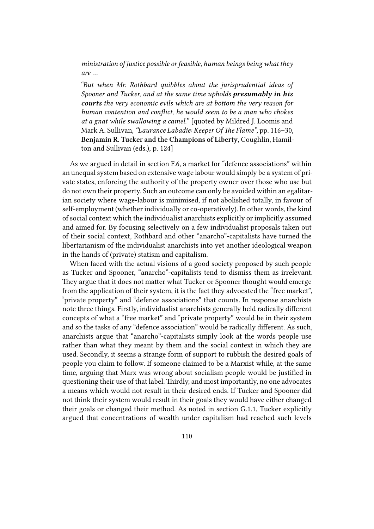*ministration of justice possible or feasible, human beings being what they are …*

*"But when Mr. Rothbard quibbles about the jurisprudential ideas of Spooner and Tucker, and at the same time upholds presumably in his courts the very economic evils which are at bottom the very reason for human contention and conflict, he would seem to be a man who chokes at a gnat while swallowing a camel."* [quoted by Mildred J. Loomis and Mark A. Sullivan, *"Laurance Labadie: Keeper Of The Flame"*, pp. 116–30, **Benjamin R. Tucker and the Champions of Liberty**, Coughlin, Hamilton and Sullivan (eds.), p. 124]

As we argued in detail in section F.6, a market for "defence associations" within an unequal system based on extensive wage labour would simply be a system of private states, enforcing the authority of the property owner over those who use but do not own their property. Such an outcome can only be avoided within an egalitarian society where wage-labour is minimised, if not abolished totally, in favour of self-employment (whether individually or co-operatively). In other words, the kind of social context which the individualist anarchists explicitly or implicitly assumed and aimed for. By focusing selectively on a few individualist proposals taken out of their social context, Rothbard and other "anarcho"-capitalists have turned the libertarianism of the individualist anarchists into yet another ideological weapon in the hands of (private) statism and capitalism.

When faced with the actual visions of a good society proposed by such people as Tucker and Spooner, "anarcho"-capitalists tend to dismiss them as irrelevant. They argue that it does not matter what Tucker or Spooner thought would emerge from the application of their system, it is the fact they advocated the "free market", "private property" and "defence associations" that counts. In response anarchists note three things. Firstly, individualist anarchists generally held radically different concepts of what a "free market" and "private property" would be in their system and so the tasks of any "defence association" would be radically different. As such, anarchists argue that "anarcho"-capitalists simply look at the words people use rather than what they meant by them and the social context in which they are used. Secondly, it seems a strange form of support to rubbish the desired goals of people you claim to follow. If someone claimed to be a Marxist while, at the same time, arguing that Marx was wrong about socialism people would be justified in questioning their use of that label. Thirdly, and most importantly, no one advocates a means which would not result in their desired ends. If Tucker and Spooner did not think their system would result in their goals they would have either changed their goals or changed their method. As noted in section G.1.1, Tucker explicitly argued that concentrations of wealth under capitalism had reached such levels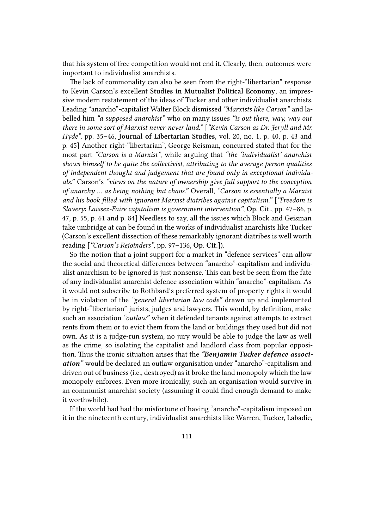that his system of free competition would not end it. Clearly, then, outcomes were important to individualist anarchists.

The lack of commonality can also be seen from the right-"libertarian" response to Kevin Carson's excellent **Studies in Mutualist Political Economy**, an impressive modern restatement of the ideas of Tucker and other individualist anarchists. Leading "anarcho"-capitalist Walter Block dismissed *"Marxists like Carson"* and labelled him *"a supposed anarchist"* who on many issues *"is out there, way, way out there in some sort of Marxist never-never land."* [*"Kevin Carson as Dr. Jeryll and Mr. Hyde"*, pp. 35–46, **Journal of Libertarian Studies**, vol. 20, no. 1, p. 40, p. 43 and p. 45] Another right-"libertarian", George Reisman, concurred stated that for the most part *"Carson is a Marxist"*, while arguing that *"the 'individualist' anarchist shows himself to be quite the collectivist, attributing to the average person qualities of independent thought and judgement that are found only in exceptional individuals."* Carson's *"views on the nature of ownership give full support to the conception of anarchy … as being nothing but chaos."* Overall, *"Carson is essentially a Marxist and his book filled with ignorant Marxist diatribes against capitalism."* [*"Freedom is Slavery: Laissez-Faire capitalism is government intervention"*, **Op. Cit.**, pp. 47–86, p. 47, p. 55, p. 61 and p. 84] Needless to say, all the issues which Block and Geisman take umbridge at can be found in the works of individualist anarchists like Tucker (Carson's excellent dissection of these remarkably ignorant diatribes is well worth reading [*"Carson's Rejoinders"*, pp. 97–136, **Op. Cit.**]).

So the notion that a joint support for a market in "defence services" can allow the social and theoretical differences between "anarcho"-capitalism and individualist anarchism to be ignored is just nonsense. This can best be seen from the fate of any individualist anarchist defence association within "anarcho"-capitalism. As it would not subscribe to Rothbard's preferred system of property rights it would be in violation of the *"general libertarian law code"* drawn up and implemented by right-"libertarian" jurists, judges and lawyers. This would, by definition, make such an association *"outlaw"* when it defended tenants against attempts to extract rents from them or to evict them from the land or buildings they used but did not own. As it is a judge-run system, no jury would be able to judge the law as well as the crime, so isolating the capitalist and landlord class from popular opposition. Thus the ironic situation arises that the *"Benjamin Tucker defence association"* would be declared an outlaw organisation under "anarcho"-capitalism and driven out of business (i.e., destroyed) as it broke the land monopoly which the law monopoly enforces. Even more ironically, such an organisation would survive in an communist anarchist society (assuming it could find enough demand to make it worthwhile).

If the world had had the misfortune of having "anarcho"-capitalism imposed on it in the nineteenth century, individualist anarchists like Warren, Tucker, Labadie,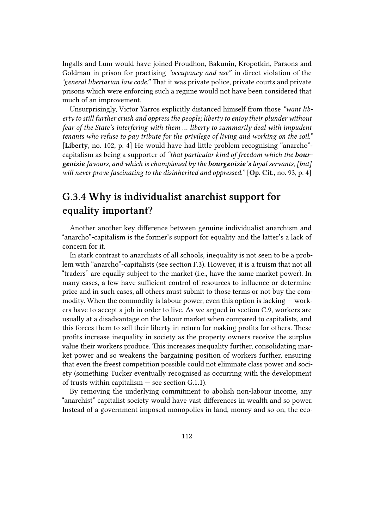Ingalls and Lum would have joined Proudhon, Bakunin, Kropotkin, Parsons and Goldman in prison for practising *"occupancy and use"* in direct violation of the *"general libertarian law code."* That it was private police, private courts and private prisons which were enforcing such a regime would not have been considered that much of an improvement.

Unsurprisingly, Victor Yarros explicitly distanced himself from those *"want liberty to still further crush and oppress the people; liberty to enjoy their plunder without fear of the State's interfering with them … liberty to summarily deal with impudent tenants who refuse to pay tribute for the privilege of living and working on the soil."* [**Liberty**, no. 102, p. 4] He would have had little problem recognising "anarcho" capitalism as being a supporter of *"that particular kind of freedom which the bourgeoisie favours, and which is championed by the bourgeoisie's loyal servants, [but] will never prove fascinating to the disinherited and oppressed."* [**Op. Cit.**, no. 93, p. 4]

## **G.3.4 Why is individualist anarchist support for equality important?**

Another another key difference between genuine individualist anarchism and "anarcho"-capitalism is the former's support for equality and the latter's a lack of concern for it.

In stark contrast to anarchists of all schools, inequality is not seen to be a problem with "anarcho"-capitalists (see section F.3). However, it is a truism that not all "traders" are equally subject to the market (i.e., have the same market power). In many cases, a few have sufficient control of resources to influence or determine price and in such cases, all others must submit to those terms or not buy the commodity. When the commodity is labour power, even this option is lacking — workers have to accept a job in order to live. As we argued in section C.9, workers are usually at a disadvantage on the labour market when compared to capitalists, and this forces them to sell their liberty in return for making profits for others. These profits increase inequality in society as the property owners receive the surplus value their workers produce. This increases inequality further, consolidating market power and so weakens the bargaining position of workers further, ensuring that even the freest competition possible could not eliminate class power and society (something Tucker eventually recognised as occurring with the development of trusts within capitalism  $-$  see section G.1.1).

By removing the underlying commitment to abolish non-labour income, any "anarchist" capitalist society would have vast differences in wealth and so power. Instead of a government imposed monopolies in land, money and so on, the eco-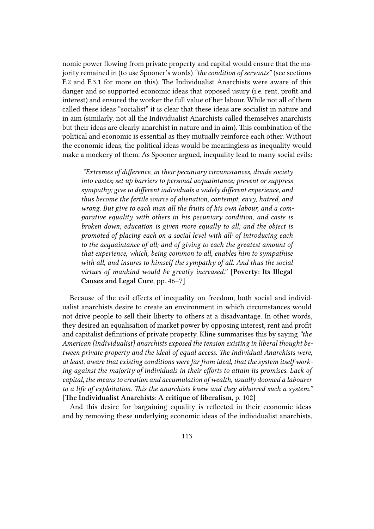nomic power flowing from private property and capital would ensure that the majority remained in (to use Spooner's words) *"the condition of servants"* (see sections F.2 and F.3.1 for more on this). The Individualist Anarchists were aware of this danger and so supported economic ideas that opposed usury (i.e. rent, profit and interest) and ensured the worker the full value of her labour. While not all of them called these ideas "socialist" it is clear that these ideas **are** socialist in nature and in aim (similarly, not all the Individualist Anarchists called themselves anarchists but their ideas are clearly anarchist in nature and in aim). This combination of the political and economic is essential as they mutually reinforce each other. Without the economic ideas, the political ideas would be meaningless as inequality would make a mockery of them. As Spooner argued, inequality lead to many social evils:

*"Extremes of difference, in their pecuniary circumstances, divide society into castes; set up barriers to personal acquaintance; prevent or suppress sympathy; give to different individuals a widely different experience, and thus become the fertile source of alienation, contempt, envy, hatred, and wrong. But give to each man all the fruits of his own labour, and a comparative equality with others in his pecuniary condition, and caste is broken down; education is given more equally to all; and the object is promoted of placing each on a social level with all: of introducing each to the acquaintance of all; and of giving to each the greatest amount of that experience, which, being common to all, enables him to sympathise with all, and insures to himself the sympathy of all. And thus the social virtues of mankind would be greatly increased."* [**Poverty: Its Illegal Causes and Legal Cure**, pp. 46–7]

Because of the evil effects of inequality on freedom, both social and individualist anarchists desire to create an environment in which circumstances would not drive people to sell their liberty to others at a disadvantage. In other words, they desired an equalisation of market power by opposing interest, rent and profit and capitalist definitions of private property. Kline summarises this by saying *"the American [individualist] anarchists exposed the tension existing in liberal thought between private property and the ideal of equal access. The Individual Anarchists were, at least, aware that existing conditions were far from ideal, that the system itself working against the majority of individuals in their efforts to attain its promises. Lack of capital, the means to creation and accumulation of wealth, usually doomed a labourer to a life of exploitation. This the anarchists knew and they abhorred such a system."* [**The Individualist Anarchists: A critique of liberalism**, p. 102]

And this desire for bargaining equality is reflected in their economic ideas and by removing these underlying economic ideas of the individualist anarchists,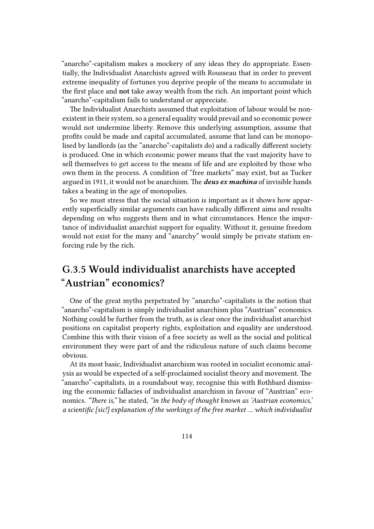"anarcho"-capitalism makes a mockery of any ideas they do appropriate. Essentially, the Individualist Anarchists agreed with Rousseau that in order to prevent extreme inequality of fortunes you deprive people of the means to accumulate in the first place and **not** take away wealth from the rich. An important point which "anarcho"-capitalism fails to understand or appreciate.

The Individualist Anarchists assumed that exploitation of labour would be nonexistent in their system, so a general equality would prevail and so economic power would not undermine liberty. Remove this underlying assumption, assume that profits could be made and capital accumulated, assume that land can be monopolised by landlords (as the "anarcho"-capitalists do) and a radically different society is produced. One in which economic power means that the vast majority have to sell themselves to get access to the means of life and are exploited by those who own them in the process. A condition of "free markets" may exist, but as Tucker argued in 1911, it would not be anarchism. The *deus ex machina* of invisible hands takes a beating in the age of monopolies.

So we must stress that the social situation is important as it shows how apparently superficially similar arguments can have radically different aims and results depending on who suggests them and in what circumstances. Hence the importance of individualist anarchist support for equality. Without it, genuine freedom would not exist for the many and "anarchy" would simply be private statism enforcing rule by the rich.

## **G.3.5 Would individualist anarchists have accepted "Austrian" economics?**

One of the great myths perpetrated by "anarcho"-capitalists is the notion that "anarcho"-capitalism is simply individualist anarchism plus "Austrian" economics. Nothing could be further from the truth, as is clear once the individualist anarchist positions on capitalist property rights, exploitation and equality are understood. Combine this with their vision of a free society as well as the social and political environment they were part of and the ridiculous nature of such claims become obvious.

At its most basic, Individualist anarchism was rooted in socialist economic analysis as would be expected of a self-proclaimed socialist theory and movement. The "anarcho"-capitalists, in a roundabout way, recognise this with Rothbard dismissing the economic fallacies of individualist anarchism in favour of "Austrian" economics. *"There is,"* he stated, *"in the body of thought known as 'Austrian economics,' a scientific [sic!] explanation of the workings of the free market … which individualist*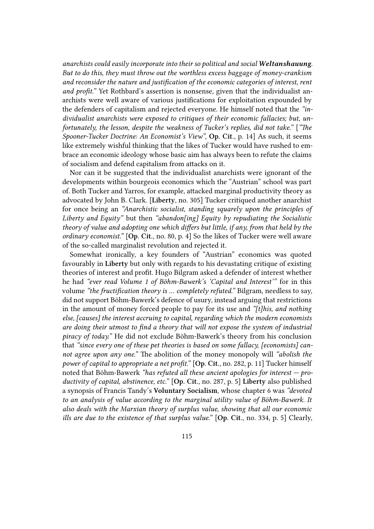*anarchists could easily incorporate into their so political and social Weltanshauung. But to do this, they must throw out the worthless excess baggage of money-crankism and reconsider the nature and justification of the economic categories of interest, rent and profit."* Yet Rothbard's assertion is nonsense, given that the individualist anarchists were well aware of various justifications for exploitation expounded by the defenders of capitalism and rejected everyone. He himself noted that the *"individualist anarchists were exposed to critiques of their economic fallacies; but, unfortunately, the lesson, despite the weakness of Tucker's replies, did not take."* [*"The Spooner-Tucker Doctrine: An Economist's View"*, **Op. Cit.**, p. 14] As such, it seems like extremely wishful thinking that the likes of Tucker would have rushed to embrace an economic ideology whose basic aim has always been to refute the claims of socialism and defend capitalism from attacks on it.

Nor can it be suggested that the individualist anarchists were ignorant of the developments within bourgeois economics which the "Austrian" school was part of. Both Tucker and Yarros, for example, attacked marginal productivity theory as advocated by John B. Clark. [**Liberty**, no. 305] Tucker critiqued another anarchist for once being an *"Anarchistic socialist, standing squarely upon the principles of Liberty and Equity"* but then *"abandon[ing] Equity by repudiating the Socialistic theory of value and adopting one which differs but little, if any, from that held by the ordinary economist."* [**Op. Cit.**, no. 80, p. 4] So the likes of Tucker were well aware of the so-called marginalist revolution and rejected it.

Somewhat ironically, a key founders of "Austrian" economics was quoted favourably in **Liberty** but only with regards to his devastating critique of existing theories of interest and profit. Hugo Bilgram asked a defender of interest whether he had *"ever read Volume 1 of Böhm-Bawerk's 'Capital and Interest'"* for in this volume *"the fructification theory is … completely refuted."* Bilgram, needless to say, did not support Böhm-Bawerk's defence of usury, instead arguing that restrictions in the amount of money forced people to pay for its use and *"[t]his, and nothing else, [causes] the interest accruing to capital, regarding which the modern economists are doing their utmost to find a theory that will not expose the system of industrial piracy of today."* He did not exclude Böhm-Bawerk's theory from his conclusion that *"since every one of these pet theories is based on some fallacy, [economists] cannot agree upon any one."* The abolition of the money monopoly will *"abolish the power of capital to appropriate a net profit."* [**Op. Cit.**, no. 282, p. 11] Tucker himself noted that Böhm-Bawerk *"has refuted all these ancient apologies for interest — productivity of capital, abstinence, etc."* [**Op. Cit.**, no. 287, p. 5] **Liberty** also published a synopsis of Francis Tandy's **Voluntary Socialism**, whose chapter 6 was *"devoted to an analysis of value according to the marginal utility value of Böhm-Bawerk. It also deals with the Marxian theory of surplus value, showing that all our economic ills are due to the existence of that surplus value."* [**Op. Cit.**, no. 334, p. 5] Clearly,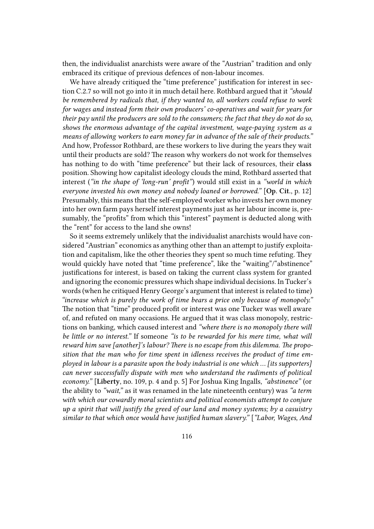then, the individualist anarchists were aware of the "Austrian" tradition and only embraced its critique of previous defences of non-labour incomes.

We have already critiqued the "time preference" justification for interest in section C.2.7 so will not go into it in much detail here. Rothbard argued that it *"should be remembered by radicals that, if they wanted to, all workers could refuse to work for wages and instead form their own producers' co-operatives and wait for years for their pay until the producers are sold to the consumers; the fact that they do not do so, shows the enormous advantage of the capital investment, wage-paying system as a means of allowing workers to earn money far in advance of the sale of their products."* And how, Professor Rothbard, are these workers to live during the years they wait until their products are sold? The reason why workers do not work for themselves has nothing to do with "time preference" but their lack of resources, their **class** position. Showing how capitalist ideology clouds the mind, Rothbard asserted that interest (*"in the shape of 'long-run' profit"*) would still exist in a *"world in which everyone invested his own money and nobody loaned or borrowed."* [**Op. Cit.**, p. 12] Presumably, this means that the self-employed worker who invests her own money into her own farm pays herself interest payments just as her labour income is, presumably, the "profits" from which this "interest" payment is deducted along with the "rent" for access to the land she owns!

So it seems extremely unlikely that the individualist anarchists would have considered "Austrian" economics as anything other than an attempt to justify exploitation and capitalism, like the other theories they spent so much time refuting. They would quickly have noted that "time preference", like the "waiting"/"abstinence" justifications for interest, is based on taking the current class system for granted and ignoring the economic pressures which shape individual decisions. In Tucker's words (when he critiqued Henry George's argument that interest is related to time) *"increase which is purely the work of time bears a price only because of monopoly."* The notion that "time" produced profit or interest was one Tucker was well aware of, and refuted on many occasions. He argued that it was class monopoly, restrictions on banking, which caused interest and *"where there is no monopoly there will be little or no interest."* If someone *"is to be rewarded for his mere time, what will reward him save [another]'s labour? There is no escape from this dilemma. The proposition that the man who for time spent in idleness receives the product of time employed in labour is a parasite upon the body industrial is one which … [its supporters] can never successfully dispute with men who understand the rudiments of political economy."* [**Liberty**, no. 109, p. 4 and p. 5] For Joshua King Ingalls, *"abstinence"* (or the ability to *"wait,"* as it was renamed in the late nineteenth century) was *"a term with which our cowardly moral scientists and political economists attempt to conjure up a spirit that will justify the greed of our land and money systems; by a casuistry similar to that which once would have justified human slavery."* [*"Labor, Wages, And*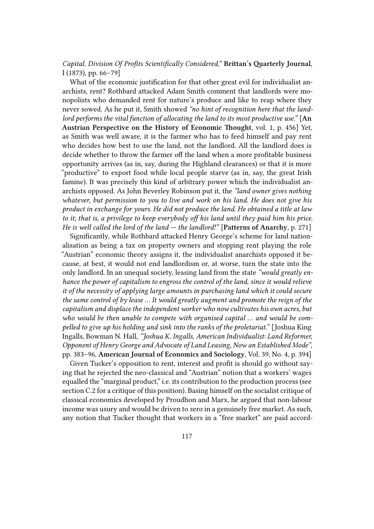*Capital. Division Of Profits Scientifically Considered,"* **Brittan's Quarterly Journal**, I (1873), pp. 66–79]

What of the economic justification for that other great evil for individualist anarchists, rent? Rothbard attacked Adam Smith comment that landlords were monopolists who demanded rent for nature's produce and like to reap where they never sowed. As he put it, Smith showed *"no hint of recognition here that the landlord performs the vital function of allocating the land to its most productive use."* [**An Austrian Perspective on the History of Economic Thought**, vol. 1, p. 456] Yet, as Smith was well aware, it is the farmer who has to feed himself and pay rent who decides how best to use the land, not the landlord. All the landlord does is decide whether to throw the farmer off the land when a more profitable business opportunity arrives (as in, say, during the Highland clearances) or that it is more "productive" to export food while local people starve (as in, say, the great Irish famine). It was precisely this kind of arbitrary power which the individualist anarchists opposed. As John Beverley Robinson put it, the *"land owner gives nothing whatever, but permission to you to live and work on his land. He does not give his product in exchange for yours. He did not produce the land. He obtained a title at law to it; that is, a privilege to keep everybody off his land until they paid him his price. He is well called the lord of the land — the landlord!"* [**Patterns of Anarchy**, p. 271]

Significantly, while Rothbard attacked Henry George's scheme for land nationalisation as being a tax on property owners and stopping rent playing the role "Austrian" economic theory assigns it, the individualist anarchists opposed it because, at best, it would not end landlordism or, at worse, turn the state into the only landlord. In an unequal society, leasing land from the state *"would greatly enhance the power of capitalism to engross the control of the land, since it would relieve it of the necessity of applying large amounts in purchasing land which it could secure the same control of by lease … It would greatly augment and promote the reign of the capitalism and displace the independent worker who now cultivates his own acres, but who would be then unable to compete with organised capital … and would be compelled to give up his holding and sink into the ranks of the proletariat."* [Joshua King Ingalls, Bowman N. Hall, *"Joshua K. Ingalls, American Individualist: Land Reformer, Opponent of Henry George and Advocate of Land Leasing, Now an Established Mode"*, pp. 383–96, **American Journal of Economics and Sociology**, Vol. 39, No. 4, p. 394]

Given Tucker's opposition to rent, interest and profit is should go without saying that he rejected the neo-classical and "Austrian" notion that a workers' wages equalled the "marginal product," i.e. its contribution to the production process (see section C.2 for a critique of this position). Basing himself on the socialist critique of classical economics developed by Proudhon and Marx, he argued that non-labour income was usury and would be driven to zero in a genuinely free market. As such, any notion that Tucker thought that workers in a "free market" are paid accord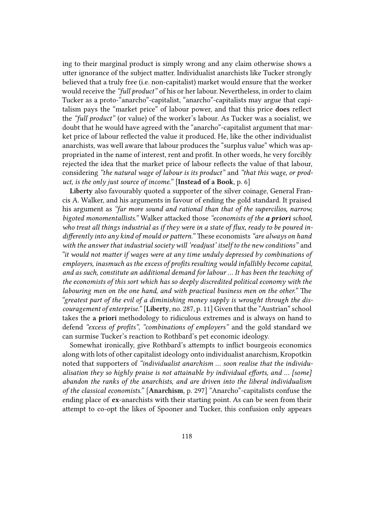ing to their marginal product is simply wrong and any claim otherwise shows a utter ignorance of the subject matter. Individualist anarchists like Tucker strongly believed that a truly free (i.e. non-capitalist) market would ensure that the worker would receive the *"full product"* of his or her labour. Nevertheless, in order to claim Tucker as a proto-"anarcho"-capitalist, "anarcho"-capitalists may argue that capitalism pays the "market price" of labour power, and that this price **does** reflect the *"full product"* (or value) of the worker's labour. As Tucker was a socialist, we doubt that he would have agreed with the "anarcho"-capitalist argument that market price of labour reflected the value it produced. He, like the other individualist anarchists, was well aware that labour produces the "surplus value" which was appropriated in the name of interest, rent and profit. In other words, he very forcibly rejected the idea that the market price of labour reflects the value of that labour, considering *"the natural wage of labour is its product"* and *"that this wage, or product, is the only just source of income."* [**Instead of a Book**, p. 6]

**Liberty** also favourably quoted a supporter of the silver coinage, General Francis A. Walker, and his arguments in favour of ending the gold standard. It praised his argument as *"far more sound and rational than that of the supercilios, narrow, bigoted monomentallists."* Walker attacked those *"economists of the a priori school, who treat all things industrial as if they were in a state of flux, ready to be poured indifferently into any kind of mould or pattern."* These economists*"are always on hand with the answer that industrial society will 'readjust' itself to the new conditions"* and *"it would not matter if wages were at any time unduly depressed by combinations of employers, inasmuch as the excess of profits resulting would infallibly become capital, and as such, constitute an additional demand for labour … It has been the teaching of the economists of this sort which has so deeply discredited political economy with the labouring men on the one hand, and with practical business men on the other."* The *"greatest part of the evil of a diminishing money supply is wrought through the discouragement of enterprise."* [**Liberty**, no. 287, p. 11] Given that the "Austrian" school takes the **a priori** methodology to ridiculous extremes and is always on hand to defend *"excess of profits"*, *"combinations of employers"* and the gold standard we can surmise Tucker's reaction to Rothbard's pet economic ideology.

Somewhat ironically, give Rothbard's attempts to inflict bourgeois economics along with lots of other capitalist ideology onto individualist anarchism, Kropotkin noted that supporters of *"individualist anarchism … soon realise that the individualisation they so highly praise is not attainable by individual efforts, and … [some] abandon the ranks of the anarchists, and are driven into the liberal individualism of the classical economists."* [**Anarchism**, p. 297] "Anarcho"-capitalists confuse the ending place of **ex**-anarchists with their starting point. As can be seen from their attempt to co-opt the likes of Spooner and Tucker, this confusion only appears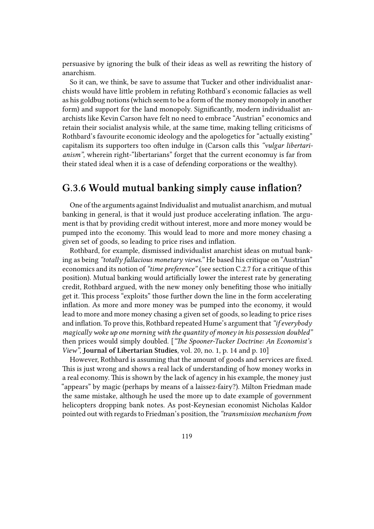persuasive by ignoring the bulk of their ideas as well as rewriting the history of anarchism.

So it can, we think, be save to assume that Tucker and other individualist anarchists would have little problem in refuting Rothbard's economic fallacies as well as his goldbug notions (which seem to be a form of the money monopoly in another form) and support for the land monopoly. Significantly, modern individualist anarchists like Kevin Carson have felt no need to embrace "Austrian" economics and retain their socialist analysis while, at the same time, making telling criticisms of Rothbard's favourite economic ideology and the apologetics for "actually existing" capitalism its supporters too often indulge in (Carson calls this *"vulgar libertarianism"*, wherein right-"libertarians" forget that the current economuy is far from their stated ideal when it is a case of defending corporations or the wealthy).

## **G.3.6 Would mutual banking simply cause inflation?**

One of the arguments against Individualist and mutualist anarchism, and mutual banking in general, is that it would just produce accelerating inflation. The argument is that by providing credit without interest, more and more money would be pumped into the economy. This would lead to more and more money chasing a given set of goods, so leading to price rises and inflation.

Rothbard, for example, dismissed individualist anarchist ideas on mutual banking as being *"totally fallacious monetary views."* He based his critique on "Austrian" economics and its notion of *"time preference"* (see section C.2.7 for a critique of this position). Mutual banking would artificially lower the interest rate by generating credit, Rothbard argued, with the new money only benefiting those who initially get it. This process "exploits" those further down the line in the form accelerating inflation. As more and more money was be pumped into the economy, it would lead to more and more money chasing a given set of goods, so leading to price rises and inflation. To prove this, Rothbard repeated Hume's argument that*"if everybody magically woke up one morning with the quantity of money in his possession doubled"* then prices would simply doubled. [*"The Spooner-Tucker Doctrine: An Economist's View"*, **Journal of Libertarian Studies**, vol. 20, no. 1, p. 14 and p. 10]

However, Rothbard is assuming that the amount of goods and services are fixed. This is just wrong and shows a real lack of understanding of how money works in a real economy. This is shown by the lack of agency in his example, the money just "appears" by magic (perhaps by means of a laissez-fairy?). Milton Friedman made the same mistake, although he used the more up to date example of government helicopters dropping bank notes. As post-Keynesian economist Nicholas Kaldor pointed out with regards to Friedman's position, the *"transmission mechanism from*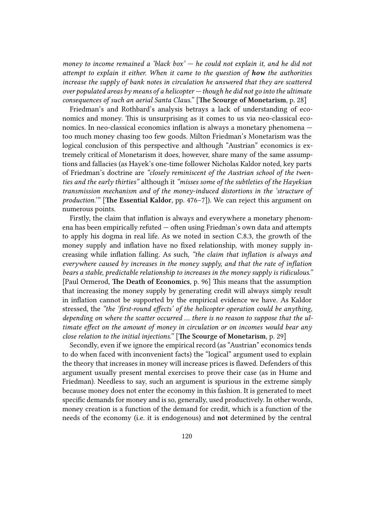*money to income remained a 'black box' — he could not explain it, and he did not attempt to explain it either. When it came to the question of how the authorities increase the supply of bank notes in circulation he answered that they are scattered over populated areas by means of a helicopter — though he did not go into the ultimate consequences of such an aerial Santa Claus."* [**The Scourge of Monetarism**, p. 28]

Friedman's and Rothbard's analysis betrays a lack of understanding of economics and money. This is unsurprising as it comes to us via neo-classical economics. In neo-classical economics inflation is always a monetary phenomena too much money chasing too few goods. Milton Friedman's Monetarism was the logical conclusion of this perspective and although "Austrian" economics is extremely critical of Monetarism it does, however, share many of the same assumptions and fallacies (as Hayek's one-time follower Nicholas Kaldor noted, key parts of Friedman's doctrine are *"closely reminiscent of the Austrian school of the twenties and the early thirties"* although it *"misses some of the subtleties of the Hayekian transmission mechanism and of the money-induced distortions in the 'structure of production.'"* [**The Essential Kaldor**, pp. 476–7]). We can reject this argument on numerous points.

Firstly, the claim that inflation is always and everywhere a monetary phenomena has been empirically refuted — often using Friedman's own data and attempts to apply his dogma in real life. As we noted in section C.8.3, the growth of the money supply and inflation have no fixed relationship, with money supply increasing while inflation falling. As such, *"the claim that inflation is always and everywhere caused by increases in the money supply, and that the rate of inflation bears a stable, predictable relationship to increases in the money supply is ridiculous."* [Paul Ormerod, **The Death of Economics**, p. 96] This means that the assumption that increasing the money supply by generating credit will always simply result in inflation cannot be supported by the empirical evidence we have. As Kaldor stressed, the *"the 'first-round effects' of the helicopter operation could be anything, depending on where the scatter occurred … there is no reason to suppose that the ultimate effect on the amount of money in circulation or on incomes would bear any close relation to the initial injections."* [**The Scourge of Monetarism**, p. 29]

Secondly, even if we ignore the empirical record (as "Austrian" economics tends to do when faced with inconvenient facts) the "logical" argument used to explain the theory that increases in money will increase prices is flawed. Defenders of this argument usually present mental exercises to prove their case (as in Hume and Friedman). Needless to say, such an argument is spurious in the extreme simply because money does not enter the economy in this fashion. It is generated to meet specific demands for money and is so, generally, used productively. In other words, money creation is a function of the demand for credit, which is a function of the needs of the economy (i.e. it is endogenous) and **not** determined by the central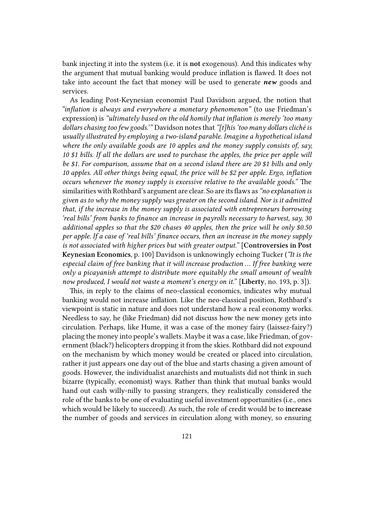bank injecting it into the system (i.e. it is **not** exogenous). And this indicates why the argument that mutual banking would produce inflation is flawed. It does not take into account the fact that money will be used to generate *new* goods and services.

As leading Post-Keynesian economist Paul Davidson argued, the notion that *"inflation is always and everywhere a monetary phenomenon"* (to use Friedman's expression) is *"ultimately based on the old homily that inflation is merely 'too many dollars chasing too few goods.'"* Davidson notes that*"[t]his 'too many dollars cliché is usually illustrated by employing a two-island parable. Imagine a hypothetical island where the only available goods are 10 apples and the money supply consists of, say, 10 \$1 bills. If all the dollars are used to purchase the apples, the price per apple will be \$1. For comparison, assume that on a second island there are 20 \$1 bills and only 10 apples. All other things being equal, the price will be \$2 per apple. Ergo, inflation occurs whenever the money supply is excessive relative to the available goods."* The similarities with Rothbard's argument are clear. So are its flaws as*"no explanation is given as to why the money supply was greater on the second island. Nor is it admitted that, if the increase in the money supply is associated with entrepreneurs borrowing 'real bills' from banks to finance an increase in payrolls necessary to harvest, say, 30 additional apples so that the \$20 chases 40 apples, then the price will be only \$0.50 per apple. If a case of 'real bills' finance occurs, then an increase in the money supply is not associated with higher prices but with greater output."* [**Controversies in Post Keynesian Economics**, p. 100] Davidson is unknowingly echoing Tucker (*"It is the especial claim of free banking that it will increase production … If free banking were only a picayanish attempt to distribute more equitably the small amount of wealth now produced, I would not waste a moment's energy on it."* [**Liberty**, no. 193, p. 3]).

This, in reply to the claims of neo-classical economics, indicates why mutual banking would not increase inflation. Like the neo-classical position, Rothbard's viewpoint is static in nature and does not understand how a real economy works. Needless to say, he (like Friedman) did not discuss how the new money gets into circulation. Perhaps, like Hume, it was a case of the money fairy (laissez-fairy?) placing the money into people's wallets. Maybe it was a case, like Friedman, of government (black?) helicopters dropping it from the skies. Rothbard did not expound on the mechanism by which money would be created or placed into circulation, rather it just appears one day out of the blue and starts chasing a given amount of goods. However, the individualist anarchists and mutualists did not think in such bizarre (typically, economist) ways. Rather than think that mutual banks would hand out cash willy-nilly to passing strangers, they realistically considered the role of the banks to be one of evaluating useful investment opportunities (i.e., ones which would be likely to succeed). As such, the role of credit would be to **increase** the number of goods and services in circulation along with money, so ensuring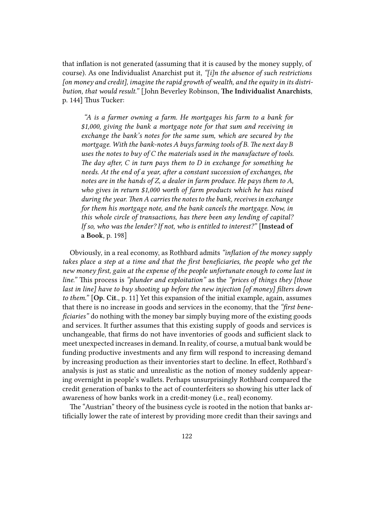that inflation is not generated (assuming that it is caused by the money supply, of course). As one Individualist Anarchist put it, *"[i]n the absence of such restrictions [on money and credit], imagine the rapid growth of wealth, and the equity in its distribution, that would result."* [John Beverley Robinson, **The Individualist Anarchists**, p. 144] Thus Tucker:

*"A is a farmer owning a farm. He mortgages his farm to a bank for \$1,000, giving the bank a mortgage note for that sum and receiving in exchange the bank's notes for the same sum, which are secured by the mortgage. With the bank-notes A buys farming tools of B. The next day B uses the notes to buy of C the materials used in the manufacture of tools. The day after, C in turn pays them to D in exchange for something he needs. At the end of a year, after a constant succession of exchanges, the notes are in the hands of Z, a dealer in farm produce. He pays them to A, who gives in return \$1,000 worth of farm products which he has raised during the year. Then A carries the notes to the bank, receives in exchange for them his mortgage note, and the bank cancels the mortgage. Now, in this whole circle of transactions, has there been any lending of capital? If so, who was the lender? If not, who is entitled to interest?"* [**Instead of a Book**, p. 198]

Obviously, in a real economy, as Rothbard admits *"inflation of the money supply takes place a step at a time and that the first beneficiaries, the people who get the new money first, gain at the expense of the people unfortunate enough to come last in line."* This process is *"plunder and exploitation"* as the *"prices of things they [those last in line] have to buy shooting up before the new injection [of money] filters down to them."* [**Op. Cit.**, p. 11] Yet this expansion of the initial example, again, assumes that there is no increase in goods and services in the economy, that the *"first beneficiaries"* do nothing with the money bar simply buying more of the existing goods and services. It further assumes that this existing supply of goods and services is unchangeable, that firms do not have inventories of goods and sufficient slack to meet unexpected increases in demand. In reality, of course, a mutual bank would be funding productive investments and any firm will respond to increasing demand by increasing production as their inventories start to decline. In effect, Rothbard's analysis is just as static and unrealistic as the notion of money suddenly appearing overnight in people's wallets. Perhaps unsurprisingly Rothbard compared the credit generation of banks to the act of counterfeiters so showing his utter lack of awareness of how banks work in a credit-money (i.e., real) economy.

The "Austrian" theory of the business cycle is rooted in the notion that banks artificially lower the rate of interest by providing more credit than their savings and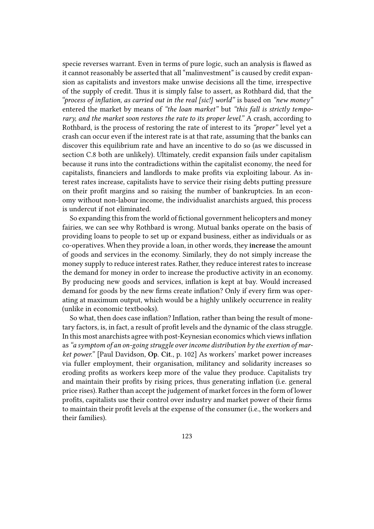specie reverses warrant. Even in terms of pure logic, such an analysis is flawed as it cannot reasonably be asserted that all "malinvestment" is caused by credit expansion as capitalists and investors make unwise decisions all the time, irrespective of the supply of credit. Thus it is simply false to assert, as Rothbard did, that the *"process of inflation, as carried out in the real [sic!] world"* is based on *"new money"* entered the market by means of *"the loan market"* but *"this fall is strictly temporary, and the market soon restores the rate to its proper level."* A crash, according to Rothbard, is the process of restoring the rate of interest to its *"proper"* level yet a crash can occur even if the interest rate is at that rate, assuming that the banks can discover this equilibrium rate and have an incentive to do so (as we discussed in section C.8 both are unlikely). Ultimately, credit expansion fails under capitalism because it runs into the contradictions within the capitalist economy, the need for capitalists, financiers and landlords to make profits via exploiting labour. As interest rates increase, capitalists have to service their rising debts putting pressure on their profit margins and so raising the number of bankruptcies. In an economy without non-labour income, the individualist anarchists argued, this process is undercut if not eliminated.

So expanding this from the world of fictional government helicopters and money fairies, we can see why Rothbard is wrong. Mutual banks operate on the basis of providing loans to people to set up or expand business, either as individuals or as co-operatives. When they provide a loan, in other words, they **increase** the amount of goods and services in the economy. Similarly, they do not simply increase the money supply to reduce interest rates. Rather, they reduce interest rates to increase the demand for money in order to increase the productive activity in an economy. By producing new goods and services, inflation is kept at bay. Would increased demand for goods by the new firms create inflation? Only if every firm was operating at maximum output, which would be a highly unlikely occurrence in reality (unlike in economic textbooks).

So what, then does case inflation? Inflation, rather than being the result of monetary factors, is, in fact, a result of profit levels and the dynamic of the class struggle. In this most anarchists agree with post-Keynesian economics which views inflation as*"a symptom of an on-going struggle over income distribution by the exertion of market power."* [Paul Davidson, **Op. Cit.**, p. 102] As workers' market power increases via fuller employment, their organisation, militancy and solidarity increases so eroding profits as workers keep more of the value they produce. Capitalists try and maintain their profits by rising prices, thus generating inflation (i.e. general price rises). Rather than accept the judgement of market forces in the form of lower profits, capitalists use their control over industry and market power of their firms to maintain their profit levels at the expense of the consumer (i.e., the workers and their families).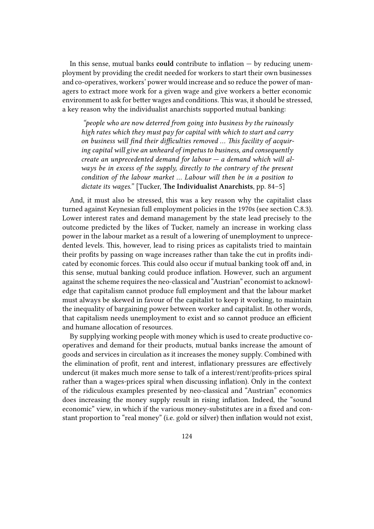In this sense, mutual banks **could** contribute to inflation  $-$  by reducing unemployment by providing the credit needed for workers to start their own businesses and co-operatives, workers' power would increase and so reduce the power of managers to extract more work for a given wage and give workers a better economic environment to ask for better wages and conditions. This was, it should be stressed, a key reason why the individualist anarchists supported mutual banking:

*"people who are now deterred from going into business by the ruinously high rates which they must pay for capital with which to start and carry on business will find their difficulties removed … This facility of acquiring capital will give an unheard of impetus to business, and consequently create an unprecedented demand for labour — a demand which will always be in excess of the supply, directly to the contrary of the present condition of the labour market … Labour will then be in a position to dictate its wages."* [Tucker, **The Individualist Anarchists**, pp. 84–5]

And, it must also be stressed, this was a key reason why the capitalist class turned against Keynesian full employment policies in the 1970s (see section C.8.3). Lower interest rates and demand management by the state lead precisely to the outcome predicted by the likes of Tucker, namely an increase in working class power in the labour market as a result of a lowering of unemployment to unprecedented levels. This, however, lead to rising prices as capitalists tried to maintain their profits by passing on wage increases rather than take the cut in profits indicated by economic forces. This could also occur if mutual banking took off and, in this sense, mutual banking could produce inflation. However, such an argument against the scheme requires the neo-classical and "Austrian" economist to acknowledge that capitalism cannot produce full employment and that the labour market must always be skewed in favour of the capitalist to keep it working, to maintain the inequality of bargaining power between worker and capitalist. In other words, that capitalism needs unemployment to exist and so cannot produce an efficient and humane allocation of resources.

By supplying working people with money which is used to create productive cooperatives and demand for their products, mutual banks increase the amount of goods and services in circulation as it increases the money supply. Combined with the elimination of profit, rent and interest, inflationary pressures are effectively undercut (it makes much more sense to talk of a interest/rent/profits-prices spiral rather than a wages-prices spiral when discussing inflation). Only in the context of the ridiculous examples presented by neo-classical and "Austrian" economics does increasing the money supply result in rising inflation. Indeed, the "sound economic" view, in which if the various money-substitutes are in a fixed and constant proportion to "real money" (i.e. gold or silver) then inflation would not exist,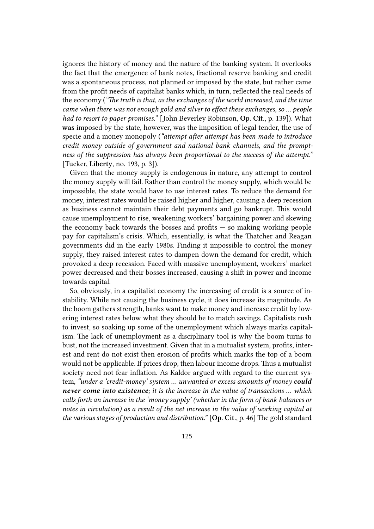ignores the history of money and the nature of the banking system. It overlooks the fact that the emergence of bank notes, fractional reserve banking and credit was a spontaneous process, not planned or imposed by the state, but rather came from the profit needs of capitalist banks which, in turn, reflected the real needs of the economy (*"The truth is that, as the exchanges of the world increased, and the time came when there was not enough gold and silver to effect these exchanges, so … people had to resort to paper promises."* [John Beverley Robinson, **Op. Cit.**, p. 139]). What **was** imposed by the state, however, was the imposition of legal tender, the use of specie and a money monopoly (*"attempt after attempt has been made to introduce credit money outside of government and national bank channels, and the promptness of the suppression has always been proportional to the success of the attempt."* [Tucker, **Liberty**, no. 193, p. 3]).

Given that the money supply is endogenous in nature, any attempt to control the money supply will fail. Rather than control the money supply, which would be impossible, the state would have to use interest rates. To reduce the demand for money, interest rates would be raised higher and higher, causing a deep recession as business cannot maintain their debt payments and go bankrupt. This would cause unemployment to rise, weakening workers' bargaining power and skewing the economy back towards the bosses and profits  $-$  so making working people pay for capitalism's crisis. Which, essentially, is what the Thatcher and Reagan governments did in the early 1980s. Finding it impossible to control the money supply, they raised interest rates to dampen down the demand for credit, which provoked a deep recession. Faced with massive unemployment, workers' market power decreased and their bosses increased, causing a shift in power and income towards capital.

So, obviously, in a capitalist economy the increasing of credit is a source of instability. While not causing the business cycle, it does increase its magnitude. As the boom gathers strength, banks want to make money and increase credit by lowering interest rates below what they should be to match savings. Capitalists rush to invest, so soaking up some of the unemployment which always marks capitalism. The lack of unemployment as a disciplinary tool is why the boom turns to bust, not the increased investment. Given that in a mutualist system, profits, interest and rent do not exist then erosion of profits which marks the top of a boom would not be applicable. If prices drop, then labour income drops. Thus a mutualist society need not fear inflation. As Kaldor argued with regard to the current system, *"under a 'credit-money' system … unwanted or excess amounts of money could never come into existence; it is the increase in the value of transactions … which calls forth an increase in the 'money supply' (whether in the form of bank balances or notes in circulation) as a result of the net increase in the value of working capital at the various stages of production and distribution."* [**Op. Cit.**, p. 46] The gold standard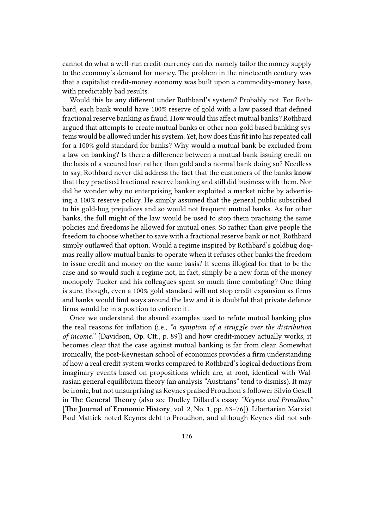cannot do what a well-run credit-currency can do, namely tailor the money supply to the economy's demand for money. The problem in the nineteenth century was that a capitalist credit-money economy was built upon a commodity-money base, with predictably bad results.

Would this be any different under Rothbard's system? Probably not. For Rothbard, each bank would have 100% reserve of gold with a law passed that defined fractional reserve banking as fraud. How would this affect mutual banks? Rothbard argued that attempts to create mutual banks or other non-gold based banking systems would be allowed under his system. Yet, how does this fit into his repeated call for a 100% gold standard for banks? Why would a mutual bank be excluded from a law on banking? Is there a difference between a mutual bank issuing credit on the basis of a secured loan rather than gold and a normal bank doing so? Needless to say, Rothbard never did address the fact that the customers of the banks **know** that they practised fractional reserve banking and still did business with them. Nor did he wonder why no enterprising banker exploited a market niche by advertising a 100% reserve policy. He simply assumed that the general public subscribed to his gold-bug prejudices and so would not frequent mutual banks. As for other banks, the full might of the law would be used to stop them practising the same policies and freedoms he allowed for mutual ones. So rather than give people the freedom to choose whether to save with a fractional reserve bank or not, Rothbard simply outlawed that option. Would a regime inspired by Rothbard's goldbug dogmas really allow mutual banks to operate when it refuses other banks the freedom to issue credit and money on the same basis? It seems illogical for that to be the case and so would such a regime not, in fact, simply be a new form of the money monopoly Tucker and his colleagues spent so much time combating? One thing is sure, though, even a 100% gold standard will not stop credit expansion as firms and banks would find ways around the law and it is doubtful that private defence firms would be in a position to enforce it.

Once we understand the absurd examples used to refute mutual banking plus the real reasons for inflation (i.e., *"a symptom of a struggle over the distribution of income."* [Davidson, **Op. Cit.**, p. 89]) and how credit-money actually works, it becomes clear that the case against mutual banking is far from clear. Somewhat ironically, the post-Keynesian school of economics provides a firm understanding of how a real credit system works compared to Rothbard's logical deductions from imaginary events based on propositions which are, at root, identical with Walrasian general equilibrium theory (an analysis "Austrians" tend to dismiss). It may be ironic, but not unsurprising as Keynes praised Proudhon's follower Silvio Gesell in **The General Theory** (also see Dudley Dillard's essay *"Keynes and Proudhon"* [**The Journal of Economic History**, vol. 2, No. 1, pp. 63–76]). Libertarian Marxist Paul Mattick noted Keynes debt to Proudhon, and although Keynes did not sub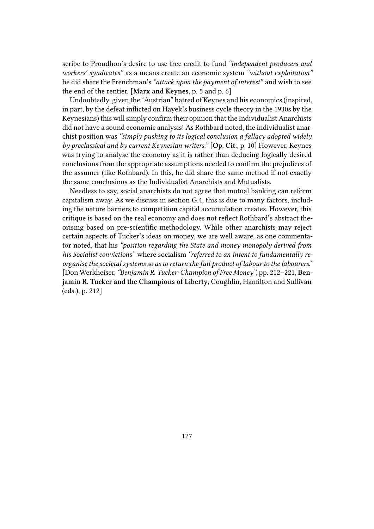scribe to Proudhon's desire to use free credit to fund *"independent producers and workers' syndicates"* as a means create an economic system *"without exploitation"* he did share the Frenchman's *"attack upon the payment of interest"* and wish to see the end of the rentier. [**Marx and Keynes**, p. 5 and p. 6]

Undoubtedly, given the "Austrian" hatred of Keynes and his economics (inspired, in part, by the defeat inflicted on Hayek's business cycle theory in the 1930s by the Keynesians) this will simply confirm their opinion that the Individualist Anarchists did not have a sound economic analysis! As Rothbard noted, the individualist anarchist position was *"simply pushing to its logical conclusion a fallacy adopted widely by preclassical and by current Keynesian writers."* [**Op. Cit.**, p. 10] However, Keynes was trying to analyse the economy as it is rather than deducing logically desired conclusions from the appropriate assumptions needed to confirm the prejudices of the assumer (like Rothbard). In this, he did share the same method if not exactly the same conclusions as the Individualist Anarchists and Mutualists.

Needless to say, social anarchists do not agree that mutual banking can reform capitalism away. As we discuss in section G.4, this is due to many factors, including the nature barriers to competition capital accumulation creates. However, this critique is based on the real economy and does not reflect Rothbard's abstract theorising based on pre-scientific methodology. While other anarchists may reject certain aspects of Tucker's ideas on money, we are well aware, as one commentator noted, that his *"position regarding the State and money monopoly derived from his Socialist convictions"* where socialism *"referred to an intent to fundamentally reorganise the societal systems so as to return the full product of labour to the labourers."* [Don Werkheiser,*"Benjamin R. Tucker: Champion of Free Money"*, pp. 212–221, **Benjamin R. Tucker and the Champions of Liberty**, Coughlin, Hamilton and Sullivan (eds.), p. 212]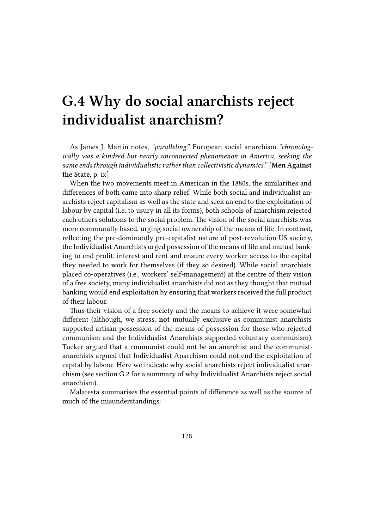## **G.4 Why do social anarchists reject individualist anarchism?**

As James J. Martin notes, *"paralleling"* European social anarchism *"chronologically was a kindred but nearly unconnected phenomenon in America, seeking the same ends through individualistic rather than collectivistic dynamics."* [**Men Against the State**, p. ix]

When the two movements meet in American in the 1880s, the similarities and differences of both came into sharp relief. While both social and individualist anarchists reject capitalism as well as the state and seek an end to the exploitation of labour by capital (i.e. to usury in all its forms), both schools of anarchism rejected each others solutions to the social problem. The vision of the social anarchists was more communally based, urging social ownership of the means of life. In contrast, reflecting the pre-dominantly pre-capitalist nature of post-revolution US society, the Individualist Anarchists urged possession of the means of life and mutual banking to end profit, interest and rent and ensure every worker access to the capital they needed to work for themselves (if they so desired). While social anarchists placed co-operatives (i.e., workers' self-management) at the centre of their vision of a free society, many individualist anarchists did not as they thought that mutual banking would end exploitation by ensuring that workers received the full product of their labour.

Thus their vision of a free society and the means to achieve it were somewhat different (although, we stress, **not** mutually exclusive as communist anarchists supported artisan possession of the means of possession for those who rejected communism and the Individualist Anarchists supported voluntary communism). Tucker argued that a communist could not be an anarchist and the communistanarchists argued that Individualist Anarchism could not end the exploitation of capital by labour. Here we indicate why social anarchists reject individualist anarchism (see section G.2 for a summary of why Individualist Anarchists reject social anarchism).

Malatesta summarises the essential points of difference as well as the source of much of the misunderstandings: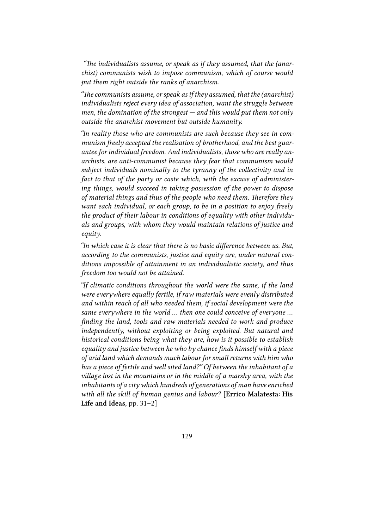*"The individualists assume, or speak as if they assumed, that the (anarchist) communists wish to impose communism, which of course would put them right outside the ranks of anarchism.*

*"The communists assume, or speak as if they assumed, that the (anarchist) individualists reject every idea of association, want the struggle between men, the domination of the strongest — and this would put them not only outside the anarchist movement but outside humanity.*

*"In reality those who are communists are such because they see in communism freely accepted the realisation of brotherhood, and the best guarantee for individual freedom. And individualists, those who are really anarchists, are anti-communist because they fear that communism would subject individuals nominally to the tyranny of the collectivity and in fact to that of the party or caste which, with the excuse of administering things, would succeed in taking possession of the power to dispose of material things and thus of the people who need them. Therefore they want each individual, or each group, to be in a position to enjoy freely the product of their labour in conditions of equality with other individuals and groups, with whom they would maintain relations of justice and equity.*

*"In which case it is clear that there is no basic difference between us. But, according to the communists, justice and equity are, under natural conditions impossible of attainment in an individualistic society, and thus freedom too would not be attained.*

*"If climatic conditions throughout the world were the same, if the land were everywhere equally fertile, if raw materials were evenly distributed and within reach of all who needed them, if social development were the same everywhere in the world … then one could conceive of everyone … finding the land, tools and raw materials needed to work and produce independently, without exploiting or being exploited. But natural and historical conditions being what they are, how is it possible to establish equality and justice between he who by chance finds himself with a piece of arid land which demands much labour for small returns with him who has a piece of fertile and well sited land?" Of between the inhabitant of a village lost in the mountains or in the middle of a marshy area, with the inhabitants of a city which hundreds of generations of man have enriched with all the skill of human genius and labour?* [**Errico Malatesta: His Life and Ideas**, pp. 31–2]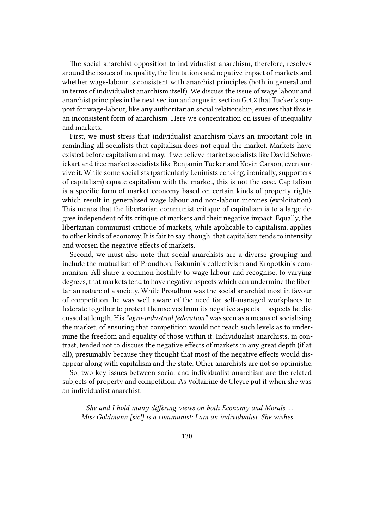The social anarchist opposition to individualist anarchism, therefore, resolves around the issues of inequality, the limitations and negative impact of markets and whether wage-labour is consistent with anarchist principles (both in general and in terms of individualist anarchism itself). We discuss the issue of wage labour and anarchist principles in the next section and argue in section G.4.2 that Tucker's support for wage-labour, like any authoritarian social relationship, ensures that this is an inconsistent form of anarchism. Here we concentration on issues of inequality and markets.

First, we must stress that individualist anarchism plays an important role in reminding all socialists that capitalism does **not** equal the market. Markets have existed before capitalism and may, if we believe market socialists like David Schweickart and free market socialists like Benjamin Tucker and Kevin Carson, even survive it. While some socialists (particularly Leninists echoing, ironically, supporters of capitalism) equate capitalism with the market, this is not the case. Capitalism is a specific form of market economy based on certain kinds of property rights which result in generalised wage labour and non-labour incomes (exploitation). This means that the libertarian communist critique of capitalism is to a large degree independent of its critique of markets and their negative impact. Equally, the libertarian communist critique of markets, while applicable to capitalism, applies to other kinds of economy. It is fair to say, though, that capitalism tends to intensify and worsen the negative effects of markets.

Second, we must also note that social anarchists are a diverse grouping and include the mutualism of Proudhon, Bakunin's collectivism and Kropotkin's communism. All share a common hostility to wage labour and recognise, to varying degrees, that markets tend to have negative aspects which can undermine the libertarian nature of a society. While Proudhon was the social anarchist most in favour of competition, he was well aware of the need for self-managed workplaces to federate together to protect themselves from its negative aspects — aspects he discussed at length. His*"agro-industrial federation"* was seen as a means of socialising the market, of ensuring that competition would not reach such levels as to undermine the freedom and equality of those within it. Individualist anarchists, in contrast, tended not to discuss the negative effects of markets in any great depth (if at all), presumably because they thought that most of the negative effects would disappear along with capitalism and the state. Other anarchists are not so optimistic.

So, two key issues between social and individualist anarchism are the related subjects of property and competition. As Voltairine de Cleyre put it when she was an individualist anarchist:

*"She and I hold many differing views on both Economy and Morals … Miss Goldmann [sic!] is a communist; I am an individualist. She wishes*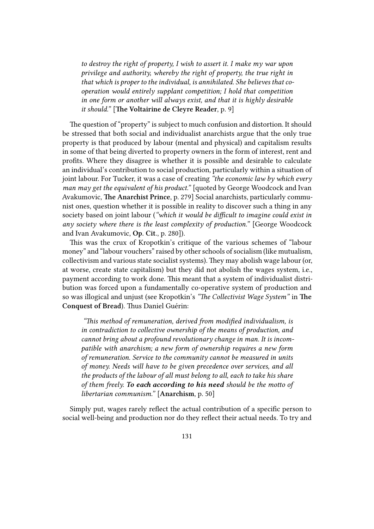*to destroy the right of property, I wish to assert it. I make my war upon privilege and authority, whereby the right of property, the true right in that which is proper to the individual, is annihilated. She believes that cooperation would entirely supplant competition; I hold that competition in one form or another will always exist, and that it is highly desirable it should."* [**The Voltairine de Cleyre Reader**, p. 9]

The question of "property" is subject to much confusion and distortion. It should be stressed that both social and individualist anarchists argue that the only true property is that produced by labour (mental and physical) and capitalism results in some of that being diverted to property owners in the form of interest, rent and profits. Where they disagree is whether it is possible and desirable to calculate an individual's contribution to social production, particularly within a situation of joint labour. For Tucker, it was a case of creating *"the economic law by which every man may get the equivalent of his product."* [quoted by George Woodcock and Ivan Avakumovic, **The Anarchist Prince**, p. 279] Social anarchists, particularly communist ones, question whether it is possible in reality to discover such a thing in any society based on joint labour (*"which it would be difficult to imagine could exist in any society where there is the least complexity of production."* [George Woodcock and Ivan Avakumovic, **Op. Cit.**, p. 280]).

This was the crux of Kropotkin's critique of the various schemes of "labour money" and "labour vouchers" raised by other schools of socialism (like mutualism, collectivism and various state socialist systems). They may abolish wage labour (or, at worse, create state capitalism) but they did not abolish the wages system, i.e., payment according to work done. This meant that a system of individualist distribution was forced upon a fundamentally co-operative system of production and so was illogical and unjust (see Kropotkin's *"The Collectivist Wage System"* in **The Conquest of Bread**). Thus Daniel Guérin:

*"This method of remuneration, derived from modified individualism, is in contradiction to collective ownership of the means of production, and cannot bring about a profound revolutionary change in man. It is incompatible with anarchism; a new form of ownership requires a new form of remuneration. Service to the community cannot be measured in units of money. Needs will have to be given precedence over services, and all the products of the labour of all must belong to all, each to take his share of them freely. To each according to his need should be the motto of libertarian communism."* [**Anarchism**, p. 50]

Simply put, wages rarely reflect the actual contribution of a specific person to social well-being and production nor do they reflect their actual needs. To try and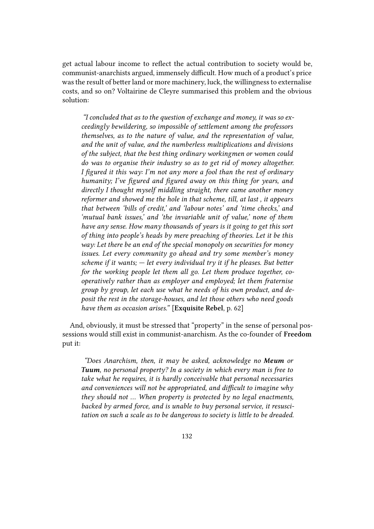get actual labour income to reflect the actual contribution to society would be, communist-anarchists argued, immensely difficult. How much of a product's price was the result of better land or more machinery, luck, the willingness to externalise costs, and so on? Voltairine de Cleyre summarised this problem and the obvious solution:

*"I concluded that as to the question of exchange and money, it was so exceedingly bewildering, so impossible of settlement among the professors themselves, as to the nature of value, and the representation of value, and the unit of value, and the numberless multiplications and divisions of the subject, that the best thing ordinary workingmen or women could do was to organise their industry so as to get rid of money altogether. I figured it this way: I'm not any more a fool than the rest of ordinary humanity; I've figured and figured away on this thing for years, and directly I thought myself middling straight, there came another money reformer and showed me the hole in that scheme, till, at last , it appears that between 'bills of credit,' and 'labour notes' and 'time checks,' and 'mutual bank issues,' and 'the invariable unit of value,' none of them have any sense. How many thousands of years is it going to get this sort of thing into people's heads by mere preaching of theories. Let it be this way: Let there be an end of the special monopoly on securities for money issues. Let every community go ahead and try some member's money scheme if it wants; — let every individual try it if he pleases. But better for the working people let them all go. Let them produce together, cooperatively rather than as employer and employed; let them fraternise group by group, let each use what he needs of his own product, and deposit the rest in the storage-houses, and let those others who need goods have them as occasion arises."* [**Exquisite Rebel**, p. 62]

And, obviously, it must be stressed that "property" in the sense of personal possessions would still exist in communist-anarchism. As the co-founder of **Freedom** put it:

*"Does Anarchism, then, it may be asked, acknowledge no Meum or Tuum, no personal property? In a society in which every man is free to take what he requires, it is hardly conceivable that personal necessaries and conveniences will not be appropriated, and difficult to imagine why they should not … When property is protected by no legal enactments, backed by armed force, and is unable to buy personal service, it resuscitation on such a scale as to be dangerous to society is little to be dreaded.*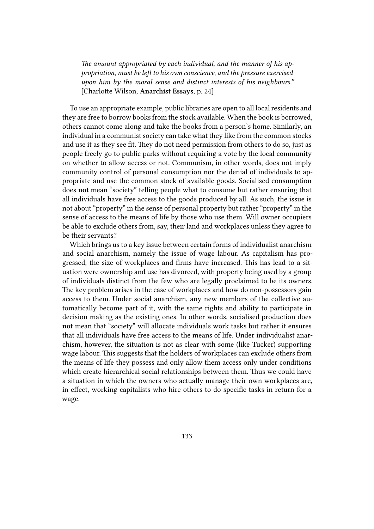*The amount appropriated by each individual, and the manner of his appropriation, must be left to his own conscience, and the pressure exercised upon him by the moral sense and distinct interests of his neighbours."* [Charlotte Wilson, **Anarchist Essays**, p. 24]

To use an appropriate example, public libraries are open to all local residents and they are free to borrow books from the stock available. When the book is borrowed, others cannot come along and take the books from a person's home. Similarly, an individual in a communist society can take what they like from the common stocks and use it as they see fit. They do not need permission from others to do so, just as people freely go to public parks without requiring a vote by the local community on whether to allow access or not. Communism, in other words, does not imply community control of personal consumption nor the denial of individuals to appropriate and use the common stock of available goods. Socialised consumption does **not** mean "society" telling people what to consume but rather ensuring that all individuals have free access to the goods produced by all. As such, the issue is not about "property" in the sense of personal property but rather "property" in the sense of access to the means of life by those who use them. Will owner occupiers be able to exclude others from, say, their land and workplaces unless they agree to be their servants?

Which brings us to a key issue between certain forms of individualist anarchism and social anarchism, namely the issue of wage labour. As capitalism has progressed, the size of workplaces and firms have increased. This has lead to a situation were ownership and use has divorced, with property being used by a group of individuals distinct from the few who are legally proclaimed to be its owners. The key problem arises in the case of workplaces and how do non-possessors gain access to them. Under social anarchism, any new members of the collective automatically become part of it, with the same rights and ability to participate in decision making as the existing ones. In other words, socialised production does **not** mean that "society" will allocate individuals work tasks but rather it ensures that all individuals have free access to the means of life. Under individualist anarchism, however, the situation is not as clear with some (like Tucker) supporting wage labour. This suggests that the holders of workplaces can exclude others from the means of life they possess and only allow them access only under conditions which create hierarchical social relationships between them. Thus we could have a situation in which the owners who actually manage their own workplaces are, in effect, working capitalists who hire others to do specific tasks in return for a wage.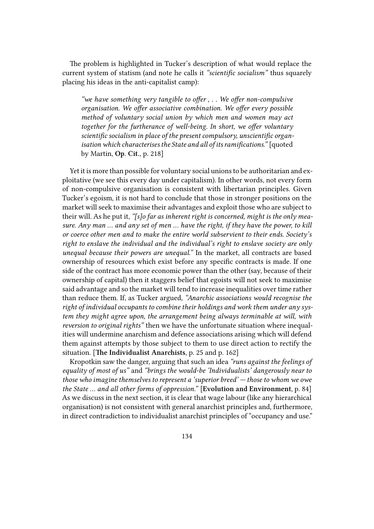The problem is highlighted in Tucker's description of what would replace the current system of statism (and note he calls it *"scientific socialism"* thus squarely placing his ideas in the anti-capitalist camp):

*"we have something very tangible to offer , . . We offer non-compulsive organisation. We offer associative combination. We offer every possible method of voluntary social union by which men and women may act together for the furtherance of well-being. In short, we offer voluntary scientific socialism in place of the present compulsory, unscientific organisation which characterises the State and all of its ramifications."* [quoted by Martin, **Op. Cit.**, p. 218]

Yet it is more than possible for voluntary social unions to be authoritarian and exploitative (we see this every day under capitalism). In other words, not every form of non-compulsive organisation is consistent with libertarian principles. Given Tucker's egoism, it is not hard to conclude that those in stronger positions on the market will seek to maximise their advantages and exploit those who are subject to their will. As he put it, *"[s]o far as inherent right is concerned, might is the only measure. Any man … and any set of men … have the right, if they have the power, to kill or coerce other men and to make the entire world subservient to their ends. Society's right to enslave the individual and the individual's right to enslave society are only unequal because their powers are unequal."* In the market, all contracts are based ownership of resources which exist before any specific contracts is made. If one side of the contract has more economic power than the other (say, because of their ownership of capital) then it staggers belief that egoists will not seek to maximise said advantage and so the market will tend to increase inequalities over time rather than reduce them. If, as Tucker argued, *"Anarchic associations would recognise the right of individual occupants to combine their holdings and work them under any system they might agree upon, the arrangement being always terminable at will, with reversion to original rights"* then we have the unfortunate situation where inequalities will undermine anarchism and defence associations arising which will defend them against attempts by those subject to them to use direct action to rectify the situation. [**The Individualist Anarchists**, p. 25 and p. 162]

Kropotkin saw the danger, arguing that such an idea *"runs against the feelings of equality of most of us"* and *"brings the would-be 'Individualists' dangerously near to those who imagine themselves to represent a 'superior breed' — those to whom we owe the State … and all other forms of oppression."* [**Evolution and Environment**, p. 84] As we discuss in the next section, it is clear that wage labour (like any hierarchical organisation) is not consistent with general anarchist principles and, furthermore, in direct contradiction to individualist anarchist principles of "occupancy and use."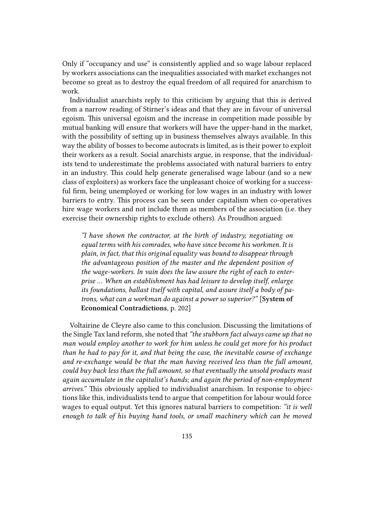Only if "occupancy and use" is consistently applied and so wage labour replaced by workers associations can the inequalities associated with market exchanges not become so great as to destroy the equal freedom of all required for anarchism to work.

Individualist anarchists reply to this criticism by arguing that this is derived from a narrow reading of Stirner's ideas and that they are in favour of universal egoism. This universal egoism and the increase in competition made possible by mutual banking will ensure that workers will have the upper-hand in the market, with the possibility of setting up in business themselves always available. In this way the ability of bosses to become autocrats is limited, as is their power to exploit their workers as a result. Social anarchists argue, in response, that the individualists tend to underestimate the problems associated with natural barriers to entry in an industry. This could help generate generalised wage labour (and so a new class of exploiters) as workers face the unpleasant choice of working for a successful firm, being unemployed or working for low wages in an industry with lower barriers to entry. This process can be seen under capitalism when co-operatives hire wage workers and not include them as members of the association (i.e. they exercise their ownership rights to exclude others). As Proudhon argued:

*"I have shown the contractor, at the birth of industry, negotiating on equal terms with his comrades, who have since become his workmen. It is plain, in fact, that this original equality was bound to disappear through the advantageous position of the master and the dependent position of the wage-workers. In vain does the law assure the right of each to enterprise … When an establishment has had leisure to develop itself, enlarge its foundations, ballast itself with capital, and assure itself a body of patrons, what can a workman do against a power so superior?"* [**System of Economical Contradictions**, p. 202]

Voltairine de Cleyre also came to this conclusion. Discussing the limitations of the Single Tax land reform, she noted that*"the stubborn fact always came up that no man would employ another to work for him unless he could get more for his product than he had to pay for it, and that being the case, the inevitable course of exchange and re-exchange would be that the man having received less than the full amount, could buy back less than the full amount, so that eventually the unsold products must again accumulate in the capitalist's hands; and again the period of non-employment arrives."* This obviously applied to individualist anarchism. In response to objections like this, individualists tend to argue that competition for labour would force wages to equal output. Yet this ignores natural barriers to competition: *"it is well enough to talk of his buying hand tools, or small machinery which can be moved*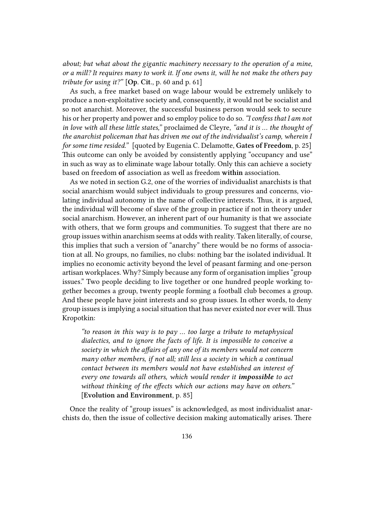*about; but what about the gigantic machinery necessary to the operation of a mine, or a mill? It requires many to work it. If one owns it, will he not make the others pay tribute for using it?"* [**Op. Cit.**, p. 60 and p. 61]

As such, a free market based on wage labour would be extremely unlikely to produce a non-exploitative society and, consequently, it would not be socialist and so not anarchist. Moreover, the successful business person would seek to secure his or her property and power and so employ police to do so. *"I confess that I am not in love with all these little states,"* proclaimed de Cleyre, *"and it is … the thought of the anarchist policeman that has driven me out of the individualist's camp, wherein I for some time resided."* [quoted by Eugenia C. Delamotte, **Gates of Freedom**, p. 25] This outcome can only be avoided by consistently applying "occupancy and use" in such as way as to eliminate wage labour totally. Only this can achieve a society based on freedom **of** association as well as freedom **within** association.

As we noted in section G.2, one of the worries of individualist anarchists is that social anarchism would subject individuals to group pressures and concerns, violating individual autonomy in the name of collective interests. Thus, it is argued, the individual will become of slave of the group in practice if not in theory under social anarchism. However, an inherent part of our humanity is that we associate with others, that we form groups and communities. To suggest that there are no group issues within anarchism seems at odds with reality. Taken literally, of course, this implies that such a version of "anarchy" there would be no forms of association at all. No groups, no families, no clubs: nothing bar the isolated individual. It implies no economic activity beyond the level of peasant farming and one-person artisan workplaces. Why? Simply because any form of organisation implies "group issues." Two people deciding to live together or one hundred people working together becomes a group, twenty people forming a football club becomes a group. And these people have joint interests and so group issues. In other words, to deny group issues is implying a social situation that has never existed nor ever will. Thus Kropotkin:

*"to reason in this way is to pay … too large a tribute to metaphysical dialectics, and to ignore the facts of life. It is impossible to conceive a society in which the affairs of any one of its members would not concern many other members, if not all; still less a society in which a continual contact between its members would not have established an interest of every one towards all others, which would render it impossible to act without thinking of the effects which our actions may have on others."* [**Evolution and Environment**, p. 85]

Once the reality of "group issues" is acknowledged, as most individualist anarchists do, then the issue of collective decision making automatically arises. There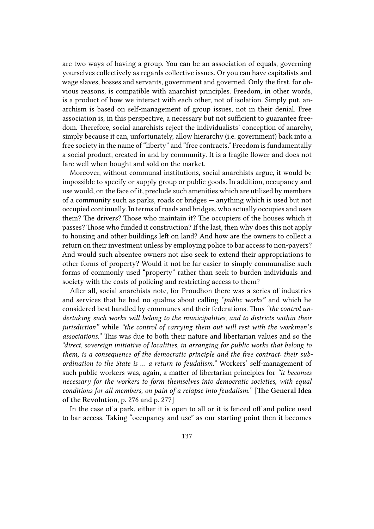are two ways of having a group. You can be an association of equals, governing yourselves collectively as regards collective issues. Or you can have capitalists and wage slaves, bosses and servants, government and governed. Only the first, for obvious reasons, is compatible with anarchist principles. Freedom, in other words, is a product of how we interact with each other, not of isolation. Simply put, anarchism is based on self-management of group issues, not in their denial. Free association is, in this perspective, a necessary but not sufficient to guarantee freedom. Therefore, social anarchists reject the individualists' conception of anarchy, simply because it can, unfortunately, allow hierarchy (i.e. government) back into a free society in the name of "liberty" and "free contracts." Freedom is fundamentally a social product, created in and by community. It is a fragile flower and does not fare well when bought and sold on the market.

Moreover, without communal institutions, social anarchists argue, it would be impossible to specify or supply group or public goods. In addition, occupancy and use would, on the face of it, preclude such amenities which are utilised by members of a community such as parks, roads or bridges — anything which is used but not occupied continually. In terms of roads and bridges, who actually occupies and uses them? The drivers? Those who maintain it? The occupiers of the houses which it passes? Those who funded it construction? If the last, then why does this not apply to housing and other buildings left on land? And how are the owners to collect a return on their investment unless by employing police to bar access to non-payers? And would such absentee owners not also seek to extend their appropriations to other forms of property? Would it not be far easier to simply communalise such forms of commonly used "property" rather than seek to burden individuals and society with the costs of policing and restricting access to them?

After all, social anarchists note, for Proudhon there was a series of industries and services that he had no qualms about calling *"public works"* and which he considered best handled by communes and their federations. Thus *"the control undertaking such works will belong to the municipalities, and to districts within their jurisdiction"* while *"the control of carrying them out will rest with the workmen's associations."* This was due to both their nature and libertarian values and so the *"direct, sovereign initiative of localities, in arranging for public works that belong to them, is a consequence of the democratic principle and the free contract: their subordination to the State is … a return to feudalism."* Workers' self-management of such public workers was, again, a matter of libertarian principles for *"it becomes necessary for the workers to form themselves into democratic societies, with equal conditions for all members, on pain of a relapse into feudalism."* [**The General Idea of the Revolution**, p. 276 and p. 277]

In the case of a park, either it is open to all or it is fenced off and police used to bar access. Taking "occupancy and use" as our starting point then it becomes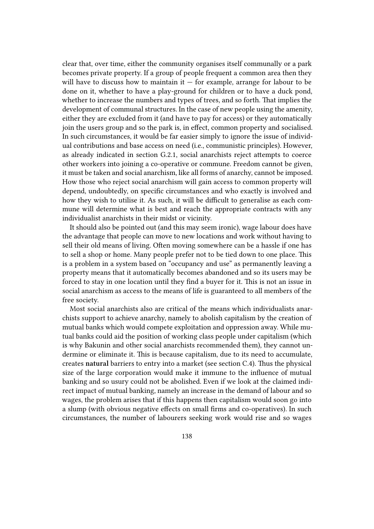clear that, over time, either the community organises itself communally or a park becomes private property. If a group of people frequent a common area then they will have to discuss how to maintain it  $-$  for example, arrange for labour to be done on it, whether to have a play-ground for children or to have a duck pond, whether to increase the numbers and types of trees, and so forth. That implies the development of communal structures. In the case of new people using the amenity, either they are excluded from it (and have to pay for access) or they automatically join the users group and so the park is, in effect, common property and socialised. In such circumstances, it would be far easier simply to ignore the issue of individual contributions and base access on need (i.e., communistic principles). However, as already indicated in section G.2.1, social anarchists reject attempts to coerce other workers into joining a co-operative or commune. Freedom cannot be given, it must be taken and social anarchism, like all forms of anarchy, cannot be imposed. How those who reject social anarchism will gain access to common property will depend, undoubtedly, on specific circumstances and who exactly is involved and how they wish to utilise it. As such, it will be difficult to generalise as each commune will determine what is best and reach the appropriate contracts with any individualist anarchists in their midst or vicinity.

It should also be pointed out (and this may seem ironic), wage labour does have the advantage that people can move to new locations and work without having to sell their old means of living. Often moving somewhere can be a hassle if one has to sell a shop or home. Many people prefer not to be tied down to one place. This is a problem in a system based on "occupancy and use" as permanently leaving a property means that it automatically becomes abandoned and so its users may be forced to stay in one location until they find a buyer for it. This is not an issue in social anarchism as access to the means of life is guaranteed to all members of the free society.

Most social anarchists also are critical of the means which individualists anarchists support to achieve anarchy, namely to abolish capitalism by the creation of mutual banks which would compete exploitation and oppression away. While mutual banks could aid the position of working class people under capitalism (which is why Bakunin and other social anarchists recommended them), they cannot undermine or eliminate it. This is because capitalism, due to its need to accumulate, creates **natural** barriers to entry into a market (see section C.4). Thus the physical size of the large corporation would make it immune to the influence of mutual banking and so usury could not be abolished. Even if we look at the claimed indirect impact of mutual banking, namely an increase in the demand of labour and so wages, the problem arises that if this happens then capitalism would soon go into a slump (with obvious negative effects on small firms and co-operatives). In such circumstances, the number of labourers seeking work would rise and so wages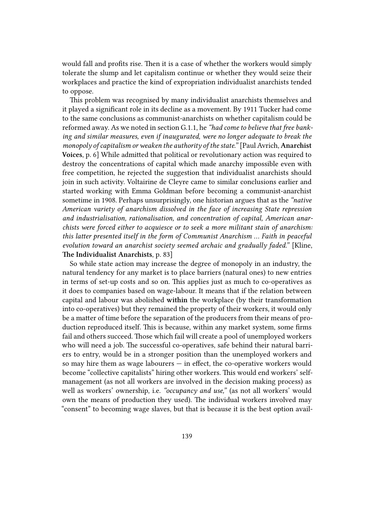would fall and profits rise. Then it is a case of whether the workers would simply tolerate the slump and let capitalism continue or whether they would seize their workplaces and practice the kind of expropriation individualist anarchists tended to oppose.

This problem was recognised by many individualist anarchists themselves and it played a significant role in its decline as a movement. By 1911 Tucker had come to the same conclusions as communist-anarchists on whether capitalism could be reformed away. As we noted in section G.1.1, he *"had come to believe that free banking and similar measures, even if inaugurated, were no longer adequate to break the monopoly of capitalism or weaken the authority of the state."* [Paul Avrich,**Anarchist Voices**, p. 6] While admitted that political or revolutionary action was required to destroy the concentrations of capital which made anarchy impossible even with free competition, he rejected the suggestion that individualist anarchists should join in such activity. Voltairine de Cleyre came to similar conclusions earlier and started working with Emma Goldman before becoming a communist-anarchist sometime in 1908. Perhaps unsurprisingly, one historian argues that as the *"native American variety of anarchism dissolved in the face of increasing State repression and industrialisation, rationalisation, and concentration of capital, American anarchists were forced either to acquiesce or to seek a more militant stain of anarchism: this latter presented itself in the form of Communist Anarchism … Faith in peaceful evolution toward an anarchist society seemed archaic and gradually faded."* [Kline, **The Individualist Anarchists**, p. 83]

So while state action may increase the degree of monopoly in an industry, the natural tendency for any market is to place barriers (natural ones) to new entries in terms of set-up costs and so on. This applies just as much to co-operatives as it does to companies based on wage-labour. It means that if the relation between capital and labour was abolished **within** the workplace (by their transformation into co-operatives) but they remained the property of their workers, it would only be a matter of time before the separation of the producers from their means of production reproduced itself. This is because, within any market system, some firms fail and others succeed. Those which fail will create a pool of unemployed workers who will need a job. The successful co-operatives, safe behind their natural barriers to entry, would be in a stronger position than the unemployed workers and so may hire them as wage labourers — in effect, the co-operative workers would become "collective capitalists" hiring other workers. This would end workers' selfmanagement (as not all workers are involved in the decision making process) as well as workers' ownership, i.e. *"occupancy and use,"* (as not all workers' would own the means of production they used). The individual workers involved may "consent" to becoming wage slaves, but that is because it is the best option avail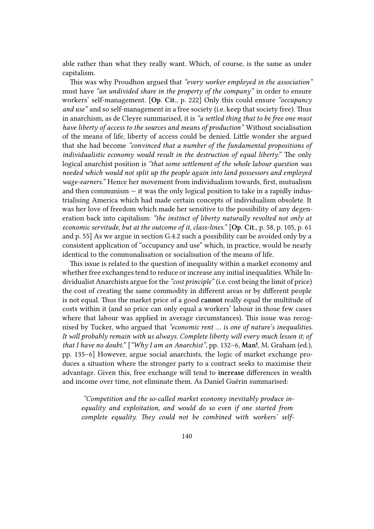able rather than what they really want. Which, of course, is the same as under capitalism.

This was why Proudhon argued that *"every worker employed in the association"* must have *"an undivided share in the property of the company"* in order to ensure workers' self-management. [**Op. Cit.**, p. 222] Only this could ensure *"occupancy and use"* and so self-management in a free society (i.e. keep that society free). Thus in anarchism, as de Cleyre summarised, it is *"a settled thing that to be free one must have liberty of access to the sources and means of production"* Without socialisation of the means of life, liberty of access could be denied. Little wonder she argued that she had become *"convinced that a number of the fundamental propositions of individualistic economy would result in the destruction of equal liberty."* The only logical anarchist position is *"that some settlement of the whole labour question was needed which would not split up the people again into land possessors and employed wage-earners."* Hence her movement from individualism towards, first, mutualism and then communism  $-$  it was the only logical position to take in a rapidly industrialising America which had made certain concepts of individualism obsolete. It was her love of freedom which made her sensitive to the possibility of any degeneration back into capitalism: *"the instinct of liberty naturally revolted not only at economic servitude, but at the outcome of it, class-lines."* [**Op. Cit.**, p. 58, p. 105, p. 61 and p. 55] As we argue in section G.4.2 such a possibility can be avoided only by a consistent application of "occupancy and use" which, in practice, would be nearly identical to the communalisation or socialisation of the means of life.

This issue is related to the question of inequality within a market economy and whether free exchanges tend to reduce or increase any initial inequalities. While Individualist Anarchists argue for the *"cost principle"* (i.e. cost being the limit of price) the cost of creating the same commodity in different areas or by different people is not equal. Thus the market price of a good **cannot** really equal the multitude of costs within it (and so price can only equal a workers' labour in those few cases where that labour was applied in average circumstances). This issue was recognised by Tucker, who argued that *"economic rent … is one of nature's inequalities. It will probably remain with us always. Complete liberty will every much lessen it; of that I have no doubt."* [*"Why I am an Anarchist"*, pp. 132–6, **Man!**, M. Graham (ed.), pp. 135–6] However, argue social anarchists, the logic of market exchange produces a situation where the stronger party to a contract seeks to maximise their advantage. Given this, free exchange will tend to **increase** differences in wealth and income over time, not eliminate them. As Daniel Guérin summarised:

*"Competition and the so-called market economy inevitably produce inequality and exploitation, and would do so even if one started from complete equality. They could not be combined with workers' self-*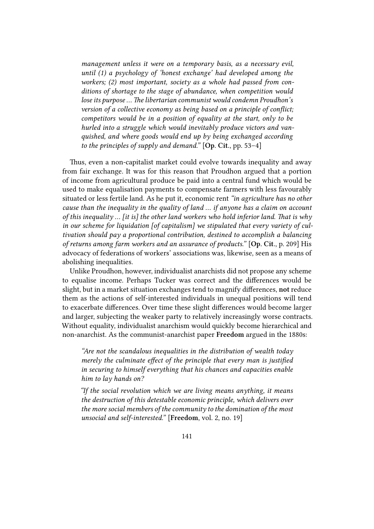*management unless it were on a temporary basis, as a necessary evil, until (1) a psychology of 'honest exchange' had developed among the workers; (2) most important, society as a whole had passed from conditions of shortage to the stage of abundance, when competition would lose its purpose … The libertarian communist would condemn Proudhon's version of a collective economy as being based on a principle of conflict; competitors would be in a position of equality at the start, only to be hurled into a struggle which would inevitably produce victors and vanquished, and where goods would end up by being exchanged according to the principles of supply and demand."* [**Op. Cit.**, pp. 53–4]

Thus, even a non-capitalist market could evolve towards inequality and away from fair exchange. It was for this reason that Proudhon argued that a portion of income from agricultural produce be paid into a central fund which would be used to make equalisation payments to compensate farmers with less favourably situated or less fertile land. As he put it, economic rent *"in agriculture has no other cause than the inequality in the quality of land … if anyone has a claim on account of this inequality … [it is] the other land workers who hold inferior land. That is why in our scheme for liquidation [of capitalism] we stipulated that every variety of cultivation should pay a proportional contribution, destined to accomplish a balancing of returns among farm workers and an assurance of products."* [**Op. Cit.**, p. 209] His advocacy of federations of workers' associations was, likewise, seen as a means of abolishing inequalities.

Unlike Proudhon, however, individualist anarchists did not propose any scheme to equalise income. Perhaps Tucker was correct and the differences would be slight, but in a market situation exchanges tend to magnify differences, **not** reduce them as the actions of self-interested individuals in unequal positions will tend to exacerbate differences. Over time these slight differences would become larger and larger, subjecting the weaker party to relatively increasingly worse contracts. Without equality, individualist anarchism would quickly become hierarchical and non-anarchist. As the communist-anarchist paper **Freedom** argued in the 1880s:

*"Are not the scandalous inequalities in the distribution of wealth today merely the culminate effect of the principle that every man is justified in securing to himself everything that his chances and capacities enable him to lay hands on?*

*"If the social revolution which we are living means anything, it means the destruction of this detestable economic principle, which delivers over the more social members of the community to the domination of the most unsocial and self-interested."* [**Freedom**, vol. 2, no. 19]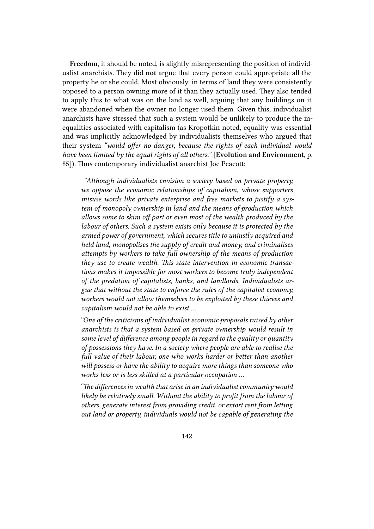**Freedom**, it should be noted, is slightly misrepresenting the position of individualist anarchists. They did **not** argue that every person could appropriate all the property he or she could. Most obviously, in terms of land they were consistently opposed to a person owning more of it than they actually used. They also tended to apply this to what was on the land as well, arguing that any buildings on it were abandoned when the owner no longer used them. Given this, individualist anarchists have stressed that such a system would be unlikely to produce the inequalities associated with capitalism (as Kropotkin noted, equality was essential and was implicitly acknowledged by individualists themselves who argued that their system *"would offer no danger, because the rights of each individual would have been limited by the equal rights of all others."* [**Evolution and Environment**, p. 85]). Thus contemporary individualist anarchist Joe Peacott:

*"Although individualists envision a society based on private property, we oppose the economic relationships of capitalism, whose supporters misuse words like private enterprise and free markets to justify a system of monopoly ownership in land and the means of production which allows some to skim off part or even most of the wealth produced by the labour of others. Such a system exists only because it is protected by the armed power of government, which secures title to unjustly acquired and held land, monopolises the supply of credit and money, and criminalises attempts by workers to take full ownership of the means of production they use to create wealth. This state intervention in economic transactions makes it impossible for most workers to become truly independent of the predation of capitalists, banks, and landlords. Individualists argue that without the state to enforce the rules of the capitalist economy, workers would not allow themselves to be exploited by these thieves and capitalism would not be able to exist …*

*"One of the criticisms of individualist economic proposals raised by other anarchists is that a system based on private ownership would result in some level of difference among people in regard to the quality or quantity of possessions they have. In a society where people are able to realise the full value of their labour, one who works harder or better than another will possess or have the ability to acquire more things than someone who works less or is less skilled at a particular occupation …*

*"The differences in wealth that arise in an individualist community would likely be relatively small. Without the ability to profit from the labour of others, generate interest from providing credit, or extort rent from letting out land or property, individuals would not be capable of generating the*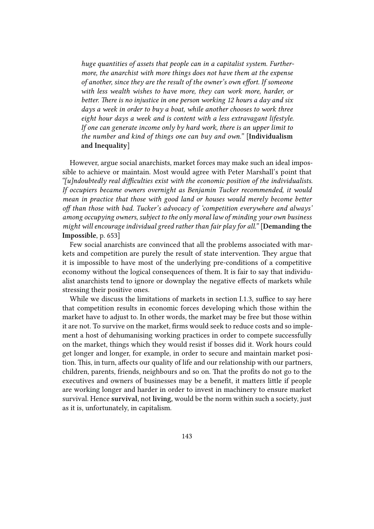*huge quantities of assets that people can in a capitalist system. Furthermore, the anarchist with more things does not have them at the expense of another, since they are the result of the owner's own effort. If someone with less wealth wishes to have more, they can work more, harder, or better. There is no injustice in one person working 12 hours a day and six days a week in order to buy a boat, while another chooses to work three eight hour days a week and is content with a less extravagant lifestyle. If one can generate income only by hard work, there is an upper limit to the number and kind of things one can buy and own."* [**Individualism and Inequality**]

However, argue social anarchists, market forces may make such an ideal impossible to achieve or maintain. Most would agree with Peter Marshall's point that *"[u]ndoubtedly real difficulties exist with the economic position of the individualists. If occupiers became owners overnight as Benjamin Tucker recommended, it would mean in practice that those with good land or houses would merely become better off than those with bad. Tucker's advocacy of 'competition everywhere and always' among occupying owners, subject to the only moral law of minding your own business might will encourage individual greed rather than fair play for all."* [**Demanding the Impossible**, p. 653]

Few social anarchists are convinced that all the problems associated with markets and competition are purely the result of state intervention. They argue that it is impossible to have most of the underlying pre-conditions of a competitive economy without the logical consequences of them. It is fair to say that individualist anarchists tend to ignore or downplay the negative effects of markets while stressing their positive ones.

While we discuss the limitations of markets in section I.1.3, suffice to say here that competition results in economic forces developing which those within the market have to adjust to. In other words, the market may be free but those within it are not. To survive on the market, firms would seek to reduce costs and so implement a host of dehumanising working practices in order to compete successfully on the market, things which they would resist if bosses did it. Work hours could get longer and longer, for example, in order to secure and maintain market position. This, in turn, affects our quality of life and our relationship with our partners, children, parents, friends, neighbours and so on. That the profits do not go to the executives and owners of businesses may be a benefit, it matters little if people are working longer and harder in order to invest in machinery to ensure market survival. Hence **survival,** not **living,** would be the norm within such a society, just as it is, unfortunately, in capitalism.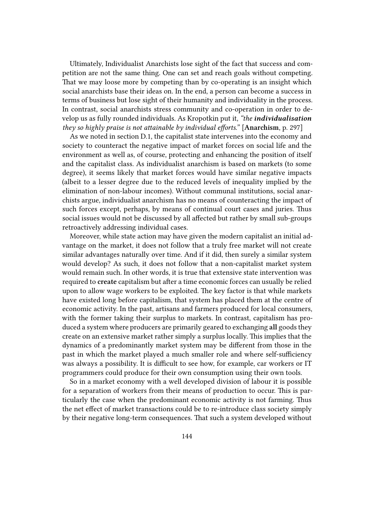Ultimately, Individualist Anarchists lose sight of the fact that success and competition are not the same thing. One can set and reach goals without competing. That we may loose more by competing than by co-operating is an insight which social anarchists base their ideas on. In the end, a person can become a success in terms of business but lose sight of their humanity and individuality in the process. In contrast, social anarchists stress community and co-operation in order to develop us as fully rounded individuals. As Kropotkin put it, *"the individualisation they so highly praise is not attainable by individual efforts."* [**Anarchism**, p. 297]

As we noted in section D.1, the capitalist state intervenes into the economy and society to counteract the negative impact of market forces on social life and the environment as well as, of course, protecting and enhancing the position of itself and the capitalist class. As individualist anarchism is based on markets (to some degree), it seems likely that market forces would have similar negative impacts (albeit to a lesser degree due to the reduced levels of inequality implied by the elimination of non-labour incomes). Without communal institutions, social anarchists argue, individualist anarchism has no means of counteracting the impact of such forces except, perhaps, by means of continual court cases and juries. Thus social issues would not be discussed by all affected but rather by small sub-groups retroactively addressing individual cases.

Moreover, while state action may have given the modern capitalist an initial advantage on the market, it does not follow that a truly free market will not create similar advantages naturally over time. And if it did, then surely a similar system would develop? As such, it does not follow that a non-capitalist market system would remain such. In other words, it is true that extensive state intervention was required to **create** capitalism but after a time economic forces can usually be relied upon to allow wage workers to be exploited. The key factor is that while markets have existed long before capitalism, that system has placed them at the centre of economic activity. In the past, artisans and farmers produced for local consumers, with the former taking their surplus to markets. In contrast, capitalism has produced a system where producers are primarily geared to exchanging **all** goods they create on an extensive market rather simply a surplus locally. This implies that the dynamics of a predominantly market system may be different from those in the past in which the market played a much smaller role and where self-sufficiency was always a possibility. It is difficult to see how, for example, car workers or IT programmers could produce for their own consumption using their own tools.

So in a market economy with a well developed division of labour it is possible for a separation of workers from their means of production to occur. This is particularly the case when the predominant economic activity is not farming. Thus the net effect of market transactions could be to re-introduce class society simply by their negative long-term consequences. That such a system developed without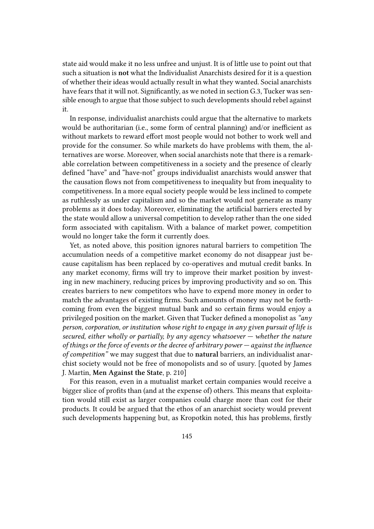state aid would make it no less unfree and unjust. It is of little use to point out that such a situation is **not** what the Individualist Anarchists desired for it is a question of whether their ideas would actually result in what they wanted. Social anarchists have fears that it will not. Significantly, as we noted in section G.3, Tucker was sensible enough to argue that those subject to such developments should rebel against it.

In response, individualist anarchists could argue that the alternative to markets would be authoritarian (i.e., some form of central planning) and/or inefficient as without markets to reward effort most people would not bother to work well and provide for the consumer. So while markets do have problems with them, the alternatives are worse. Moreover, when social anarchists note that there is a remarkable correlation between competitiveness in a society and the presence of clearly defined "have" and "have-not" groups individualist anarchists would answer that the causation flows not from competitiveness to inequality but from inequality to competitiveness. In a more equal society people would be less inclined to compete as ruthlessly as under capitalism and so the market would not generate as many problems as it does today. Moreover, eliminating the artificial barriers erected by the state would allow a universal competition to develop rather than the one sided form associated with capitalism. With a balance of market power, competition would no longer take the form it currently does.

Yet, as noted above, this position ignores natural barriers to competition The accumulation needs of a competitive market economy do not disappear just because capitalism has been replaced by co-operatives and mutual credit banks. In any market economy, firms will try to improve their market position by investing in new machinery, reducing prices by improving productivity and so on. This creates barriers to new competitors who have to expend more money in order to match the advantages of existing firms. Such amounts of money may not be forthcoming from even the biggest mutual bank and so certain firms would enjoy a privileged position on the market. Given that Tucker defined a monopolist as *"any person, corporation, or institution whose right to engage in any given pursuit of life is secured, either wholly or partially, by any agency whatsoever — whether the nature of things or the force of events or the decree of arbitrary power — against the influence of competition"* we may suggest that due to **natural** barriers, an individualist anarchist society would not be free of monopolists and so of usury. [quoted by James J. Martin, **Men Against the State**, p. 210]

For this reason, even in a mutualist market certain companies would receive a bigger slice of profits than (and at the expense of) others. This means that exploitation would still exist as larger companies could charge more than cost for their products. It could be argued that the ethos of an anarchist society would prevent such developments happening but, as Kropotkin noted, this has problems, firstly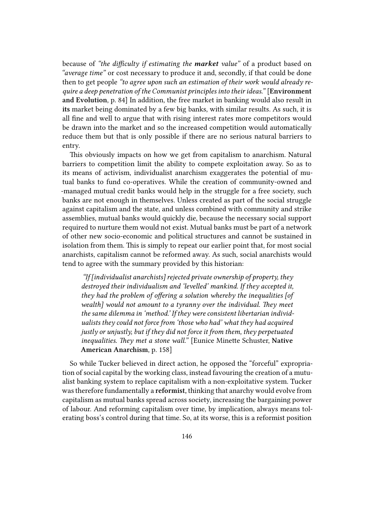because of *"the difficulty if estimating the market value"* of a product based on *"average time"* or cost necessary to produce it and, secondly, if that could be done then to get people *"to agree upon such an estimation of their work would already require a deep penetration of the Communist principles into their ideas."* [**Environment and Evolution**, p. 84] In addition, the free market in banking would also result in **its** market being dominated by a few big banks, with similar results. As such, it is all fine and well to argue that with rising interest rates more competitors would be drawn into the market and so the increased competition would automatically reduce them but that is only possible if there are no serious natural barriers to entry.

This obviously impacts on how we get from capitalism to anarchism. Natural barriers to competition limit the ability to compete exploitation away. So as to its means of activism, individualist anarchism exaggerates the potential of mutual banks to fund co-operatives. While the creation of community-owned and -managed mutual credit banks would help in the struggle for a free society, such banks are not enough in themselves. Unless created as part of the social struggle against capitalism and the state, and unless combined with community and strike assemblies, mutual banks would quickly die, because the necessary social support required to nurture them would not exist. Mutual banks must be part of a network of other new socio-economic and political structures and cannot be sustained in isolation from them. This is simply to repeat our earlier point that, for most social anarchists, capitalism cannot be reformed away. As such, social anarchists would tend to agree with the summary provided by this historian:

*"If [individualist anarchists] rejected private ownership of property, they destroyed their individualism and 'levelled' mankind. If they accepted it, they had the problem of offering a solution whereby the inequalities [of wealth] would not amount to a tyranny over the individual. They meet the same dilemma in 'method.' If they were consistent libertarian individualists they could not force from 'those who had' what they had acquired justly or unjustly, but if they did not force it from them, they perpetuated inequalities. They met a stone wall."* [Eunice Minette Schuster, **Native American Anarchism**, p. 158]

So while Tucker believed in direct action, he opposed the "forceful" expropriation of social capital by the working class, instead favouring the creation of a mutualist banking system to replace capitalism with a non-exploitative system. Tucker was therefore fundamentally a **reformist,** thinking that anarchy would evolve from capitalism as mutual banks spread across society, increasing the bargaining power of labour. And reforming capitalism over time, by implication, always means tolerating boss's control during that time. So, at its worse, this is a reformist position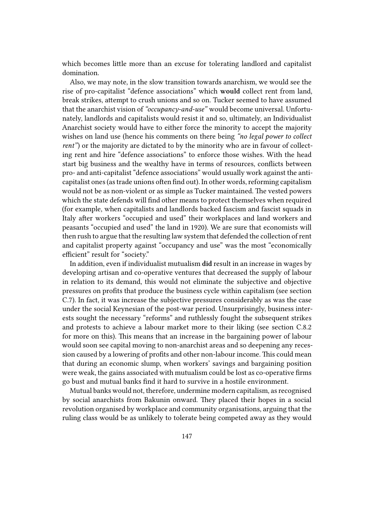which becomes little more than an excuse for tolerating landlord and capitalist domination.

Also, we may note, in the slow transition towards anarchism, we would see the rise of pro-capitalist "defence associations" which **would** collect rent from land, break strikes, attempt to crush unions and so on. Tucker seemed to have assumed that the anarchist vision of *"occupancy-and-use"* would become universal. Unfortunately, landlords and capitalists would resist it and so, ultimately, an Individualist Anarchist society would have to either force the minority to accept the majority wishes on land use (hence his comments on there being *"no legal power to collect rent*") or the majority are dictated to by the minority who are in favour of collecting rent and hire "defence associations" to enforce those wishes. With the head start big business and the wealthy have in terms of resources, conflicts between pro- and anti-capitalist "defence associations" would usually work against the anticapitalist ones (as trade unions often find out). In other words, reforming capitalism would not be as non-violent or as simple as Tucker maintained. The vested powers which the state defends will find other means to protect themselves when required (for example, when capitalists and landlords backed fascism and fascist squads in Italy after workers "occupied and used" their workplaces and land workers and peasants "occupied and used" the land in 1920). We are sure that economists will then rush to argue that the resulting law system that defended the collection of rent and capitalist property against "occupancy and use" was the most "economically efficient" result for "society."

In addition, even if individualist mutualism **did** result in an increase in wages by developing artisan and co-operative ventures that decreased the supply of labour in relation to its demand, this would not eliminate the subjective and objective pressures on profits that produce the business cycle within capitalism (see section C.7). In fact, it was increase the subjective pressures considerably as was the case under the social Keynesian of the post-war period. Unsurprisingly, business interests sought the necessary "reforms" and ruthlessly fought the subsequent strikes and protests to achieve a labour market more to their liking (see section C.8.2 for more on this). This means that an increase in the bargaining power of labour would soon see capital moving to non-anarchist areas and so deepening any recession caused by a lowering of profits and other non-labour income. This could mean that during an economic slump, when workers' savings and bargaining position were weak, the gains associated with mutualism could be lost as co-operative firms go bust and mutual banks find it hard to survive in a hostile environment.

Mutual banks would not, therefore, undermine modern capitalism, as recognised by social anarchists from Bakunin onward. They placed their hopes in a social revolution organised by workplace and community organisations, arguing that the ruling class would be as unlikely to tolerate being competed away as they would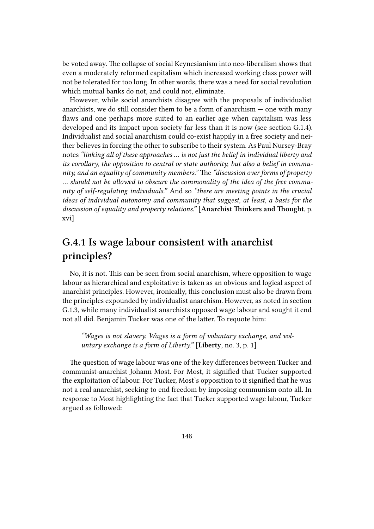be voted away. The collapse of social Keynesianism into neo-liberalism shows that even a moderately reformed capitalism which increased working class power will not be tolerated for too long. In other words, there was a need for social revolution which mutual banks do not, and could not, eliminate.

However, while social anarchists disagree with the proposals of individualist anarchists, we do still consider them to be a form of anarchism — one with many flaws and one perhaps more suited to an earlier age when capitalism was less developed and its impact upon society far less than it is now (see section G.1.4). Individualist and social anarchism could co-exist happily in a free society and neither believes in forcing the other to subscribe to their system. As Paul Nursey-Bray notes *"linking all of these approaches … is not just the belief in individual liberty and its corollary, the opposition to central or state authority, but also a belief in community, and an equality of community members."* The *"discussion over forms of property … should not be allowed to obscure the commonality of the idea of the free community of self-regulating individuals."* And so *"there are meeting points in the crucial ideas of individual autonomy and community that suggest, at least, a basis for the discussion of equality and property relations."* [**Anarchist Thinkers and Thought**, p. xvi]

## **G.4.1 Is wage labour consistent with anarchist principles?**

No, it is not. This can be seen from social anarchism, where opposition to wage labour as hierarchical and exploitative is taken as an obvious and logical aspect of anarchist principles. However, ironically, this conclusion must also be drawn from the principles expounded by individualist anarchism. However, as noted in section G.1.3, while many individualist anarchists opposed wage labour and sought it end not all did. Benjamin Tucker was one of the latter. To requote him:

*"Wages is not slavery. Wages is a form of voluntary exchange, and voluntary exchange is a form of Liberty."* [**Liberty**, no. 3, p. 1]

The question of wage labour was one of the key differences between Tucker and communist-anarchist Johann Most. For Most, it signified that Tucker supported the exploitation of labour. For Tucker, Most's opposition to it signified that he was not a real anarchist, seeking to end freedom by imposing communism onto all. In response to Most highlighting the fact that Tucker supported wage labour, Tucker argued as followed: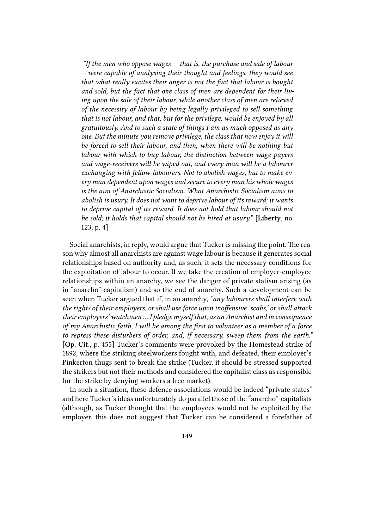*"If the men who oppose wages — that is, the purchase and sale of labour — were capable of analysing their thought and feelings, they would see that what really excites their anger is not the fact that labour is bought and sold, but the fact that one class of men are dependent for their living upon the sale of their labour, while another class of men are relieved of the necessity of labour by being legally privileged to sell something that is not labour, and that, but for the privilege, would be enjoyed by all gratuitously. And to such a state of things I am as much opposed as any one. But the minute you remove privilege, the class that now enjoy it will be forced to sell their labour, and then, when there will be nothing but labour with which to buy labour, the distinction between wage-payers and wage-receivers will be wiped out, and every man will be a labourer exchanging with fellow-labourers. Not to abolish wages, but to make every man dependent upon wages and secure to every man his whole wages is the aim of Anarchistic Socialism. What Anarchistic Socialism aims to abolish is usury. It does not want to deprive labour of its reward; it wants to deprive capital of its reward. It does not hold that labour should not be sold; it holds that capital should not be hired at usury."* [**Liberty**, no. 123, p. 4]

Social anarchists, in reply, would argue that Tucker is missing the point. The reason why almost all anarchists are against wage labour is because it generates social relationships based on authority and, as such, it sets the necessary conditions for the exploitation of labour to occur. If we take the creation of employer-employee relationships within an anarchy, we see the danger of private statism arising (as in "anarcho"-capitalism) and so the end of anarchy. Such a development can be seen when Tucker argued that if, in an anarchy, *"any labourers shall interfere with the rights of their employers, or shall use force upon inoffensive 'scabs,' or shall attack their employers' watchmen … I pledge myself that, as an Anarchist and in consequence of my Anarchistic faith, I will be among the first to volunteer as a member of a force to repress these disturbers of order, and, if necessary, sweep them from the earth."* [**Op. Cit.**, p. 455] Tucker's comments were provoked by the Homestead strike of 1892, where the striking steelworkers fought with, and defeated, their employer's Pinkerton thugs sent to break the strike (Tucker, it should be stressed supported the strikers but not their methods and considered the capitalist class as responsible for the strike by denying workers a free market).

In such a situation, these defence associations would be indeed "private states" and here Tucker's ideas unfortunately do parallel those of the "anarcho"-capitalists (although, as Tucker thought that the employees would not be exploited by the employer, this does not suggest that Tucker can be considered a forefather of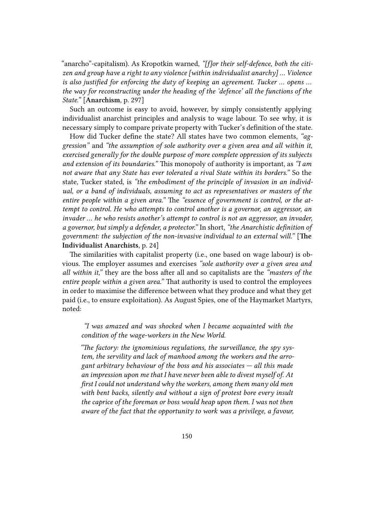"anarcho"-capitalism). As Kropotkin warned, *"[f]or their self-defence, both the citizen and group have a right to any violence [within individualist anarchy] … Violence is also justified for enforcing the duty of keeping an agreement. Tucker … opens … the way for reconstructing under the heading of the 'defence' all the functions of the State."* [**Anarchism**, p. 297]

Such an outcome is easy to avoid, however, by simply consistently applying individualist anarchist principles and analysis to wage labour. To see why, it is necessary simply to compare private property with Tucker's definition of the state.

How did Tucker define the state? All states have two common elements, *"aggression"* and *"the assumption of sole authority over a given area and all within it, exercised generally for the double purpose of more complete oppression of its subjects and extension of its boundaries."* This monopoly of authority is important, as *"I am not aware that any State has ever tolerated a rival State within its borders."* So the state, Tucker stated, is *"the embodiment of the principle of invasion in an individual, or a band of individuals, assuming to act as representatives or masters of the entire people within a given area."* The *"essence of government is control, or the attempt to control. He who attempts to control another is a governor, an aggressor, an invader … he who resists another's attempt to control is not an aggressor, an invader, a governor, but simply a defender, a protector."* In short, *"the Anarchistic definition of government: the subjection of the non-invasive individual to an external will."* [**The Individualist Anarchists**, p. 24]

The similarities with capitalist property (i.e., one based on wage labour) is obvious. The employer assumes and exercises *"sole authority over a given area and all within it,"* they are the boss after all and so capitalists are the *"masters of the entire people within a given area."* That authority is used to control the employees in order to maximise the difference between what they produce and what they get paid (i.e., to ensure exploitation). As August Spies, one of the Haymarket Martyrs, noted:

*"I was amazed and was shocked when I became acquainted with the condition of the wage-workers in the New World.*

*"The factory: the ignominious regulations, the surveillance, the spy system, the servility and lack of manhood among the workers and the arrogant arbitrary behaviour of the boss and his associates — all this made an impression upon me that I have never been able to divest myself of. At first I could not understand why the workers, among them many old men with bent backs, silently and without a sign of protest bore every insult the caprice of the foreman or boss would heap upon them. I was not then aware of the fact that the opportunity to work was a privilege, a favour,*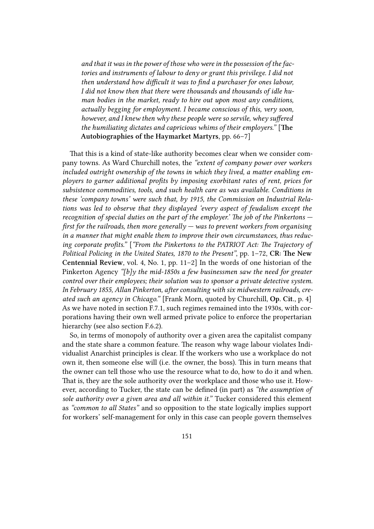*and that it was in the power of those who were in the possession of the factories and instruments of labour to deny or grant this privilege. I did not then understand how difficult it was to find a purchaser for ones labour, I did not know then that there were thousands and thousands of idle human bodies in the market, ready to hire out upon most any conditions, actually begging for employment. I became conscious of this, very soon, however, and I knew then why these people were so servile, whey suffered the humiliating dictates and capricious whims of their employers."* [**The Autobiographies of the Haymarket Martyrs**, pp. 66–7]

That this is a kind of state-like authority becomes clear when we consider company towns. As Ward Churchill notes, the *"extent of company power over workers included outright ownership of the towns in which they lived, a matter enabling employers to garner additional profits by imposing exorbitant rates of rent, prices for subsistence commodities, tools, and such health care as was available. Conditions in these 'company towns' were such that, by 1915, the Commission on Industrial Relations was led to observe that they displayed 'every aspect of feudalism except the recognition of special duties on the part of the employer.' The job of the Pinkertons first for the railroads, then more generally — was to prevent workers from organising in a manner that might enable them to improve their own circumstances, thus reducing corporate profits."* [*"From the Pinkertons to the PATRIOT Act: The Trajectory of Political Policing in the United States, 1870 to the Present"*, pp. 1–72, **CR: The New Centennial Review**, vol. 4, No. 1, pp. 11–2] In the words of one historian of the Pinkerton Agency *"[b]y the mid-1850s a few businessmen saw the need for greater control over their employees; their solution was to sponsor a private detective system. In February 1855, Allan Pinkerton, after consulting with six midwestern railroads, created such an agency in Chicago."* [Frank Morn, quoted by Churchill, **Op. Cit.**, p. 4] As we have noted in section F.7.1, such regimes remained into the 1930s, with corporations having their own well armed private police to enforce the propertarian hierarchy (see also section F.6.2).

So, in terms of monopoly of authority over a given area the capitalist company and the state share a common feature. The reason why wage labour violates Individualist Anarchist principles is clear. If the workers who use a workplace do not own it, then someone else will (i.e. the owner, the boss). This in turn means that the owner can tell those who use the resource what to do, how to do it and when. That is, they are the sole authority over the workplace and those who use it. However, according to Tucker, the state can be defined (in part) as *"the assumption of sole authority over a given area and all within it."* Tucker considered this element as *"common to all States"* and so opposition to the state logically implies support for workers' self-management for only in this case can people govern themselves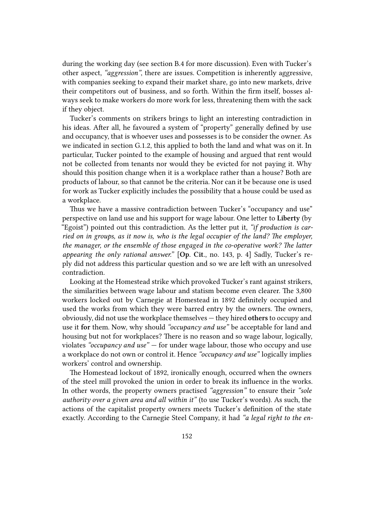during the working day (see section B.4 for more discussion). Even with Tucker's other aspect, *"aggression"*, there are issues. Competition is inherently aggressive, with companies seeking to expand their market share, go into new markets, drive their competitors out of business, and so forth. Within the firm itself, bosses always seek to make workers do more work for less, threatening them with the sack if they object.

Tucker's comments on strikers brings to light an interesting contradiction in his ideas. After all, he favoured a system of "property" generally defined by use and occupancy, that is whoever uses and possesses is to be consider the owner. As we indicated in section G.1.2, this applied to both the land and what was on it. In particular, Tucker pointed to the example of housing and argued that rent would not be collected from tenants nor would they be evicted for not paying it. Why should this position change when it is a workplace rather than a house? Both are products of labour, so that cannot be the criteria. Nor can it be because one is used for work as Tucker explicitly includes the possibility that a house could be used as a workplace.

Thus we have a massive contradiction between Tucker's "occupancy and use" perspective on land use and his support for wage labour. One letter to **Liberty** (by "Egoist") pointed out this contradiction. As the letter put it, *"if production is carried on in groups, as it now is, who is the legal occupier of the land? The employer, the manager, or the ensemble of those engaged in the co-operative work? The latter appearing the only rational answer."* [**Op. Cit.**, no. 143, p. 4] Sadly, Tucker's reply did not address this particular question and so we are left with an unresolved contradiction.

Looking at the Homestead strike which provoked Tucker's rant against strikers, the similarities between wage labour and statism become even clearer. The 3,800 workers locked out by Carnegie at Homestead in 1892 definitely occupied and used the works from which they were barred entry by the owners. The owners, obviously, did not use the workplace themselves — they hired **others** to occupy and use it **for** them. Now, why should *"occupancy and use"* be acceptable for land and housing but not for workplaces? There is no reason and so wage labour, logically, violates *"occupancy and use"* — for under wage labour, those who occupy and use a workplace do not own or control it. Hence *"occupancy and use"* logically implies workers' control and ownership.

The Homestead lockout of 1892, ironically enough, occurred when the owners of the steel mill provoked the union in order to break its influence in the works. In other words, the property owners practised *"aggression"* to ensure their *"sole authority over a given area and all within it"* (to use Tucker's words). As such, the actions of the capitalist property owners meets Tucker's definition of the state exactly. According to the Carnegie Steel Company, it had *"a legal right to the en-*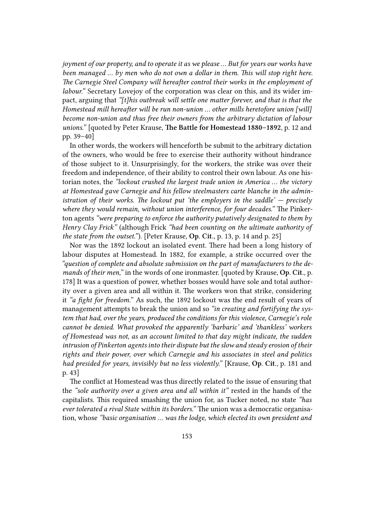*joyment of our property, and to operate it as we please … But for years our works have been managed … by men who do not own a dollar in them. This will stop right here. The Carnegie Steel Company will hereafter control their works in the employment of labour."* Secretary Lovejoy of the corporation was clear on this, and its wider impact, arguing that *"[t]his outbreak will settle one matter forever, and that is that the Homestead mill hereafter will be run non-union … other mills heretofore union [will] become non-union and thus free their owners from the arbitrary dictation of labour unions."* [quoted by Peter Krause, **The Battle for Homestead 1880–1892**, p. 12 and pp. 39–40]

In other words, the workers will henceforth be submit to the arbitrary dictation of the owners, who would be free to exercise their authority without hindrance of those subject to it. Unsurprisingly, for the workers, the strike was over their freedom and independence, of their ability to control their own labour. As one historian notes, the *"lockout crushed the largest trade union in America … the victory at Homestead gave Carnegie and his fellow steelmasters carte blanche in the administration of their works. The lockout put 'the employers in the saddle' — precisely where they would remain, without union interference, for four decades."* The Pinkerton agents *"were preparing to enforce the authority putatively designated to them by Henry Clay Frick"* (although Frick *"had been counting on the ultimate authority of the state from the outset."*). [Peter Krause, **Op. Cit.**, p. 13, p. 14 and p. 25]

Nor was the 1892 lockout an isolated event. There had been a long history of labour disputes at Homestead. In 1882, for example, a strike occurred over the *"question of complete and absolute submission on the part of manufacturers to the demands of their men,"* in the words of one ironmaster. [quoted by Krause, **Op. Cit.**, p. 178] It was a question of power, whether bosses would have sole and total authority over a given area and all within it. The workers won that strike, considering it *"a fight for freedom."* As such, the 1892 lockout was the end result of years of management attempts to break the union and so *"in creating and fortifying the system that had, over the years, produced the conditions for this violence, Carnegie's role cannot be denied. What provoked the apparently 'barbaric' and 'thankless' workers of Homestead was not, as an account limited to that day might indicate, the sudden intrusion of Pinkerton agents into their dispute but the slow and steady erosion of their rights and their power, over which Carnegie and his associates in steel and politics had presided for years, invisibly but no less violently."* [Krause, **Op. Cit.**, p. 181 and p. 43]

The conflict at Homestead was thus directly related to the issue of ensuring that the *"sole authority over a given area and all within it"* rested in the hands of the capitalists. This required smashing the union for, as Tucker noted, no state *"has ever tolerated a rival State within its borders."* The union was a democratic organisation, whose *"basic organisation … was the lodge, which elected its own president and*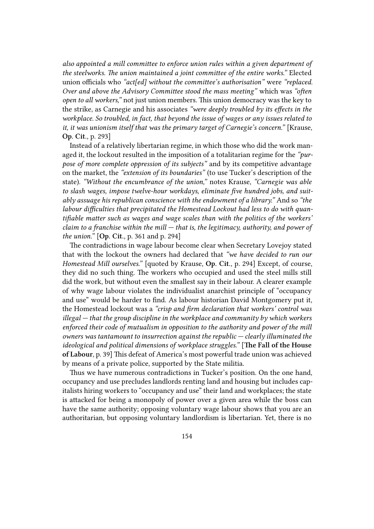*also appointed a mill committee to enforce union rules within a given department of the steelworks. The union maintained a joint committee of the entire works."* Elected union officials who *"act[ed] without the committee's authorisation"* were *"replaced. Over and above the Advisory Committee stood the mass meeting"* which was *"often open to all workers,"* not just union members. This union democracy was the key to the strike, as Carnegie and his associates *"were deeply troubled by its effects in the workplace. So troubled, in fact, that beyond the issue of wages or any issues related to it, it was unionism itself that was the primary target of Carnegie's concern."* [Krause, **Op. Cit.**, p. 293]

Instead of a relatively libertarian regime, in which those who did the work managed it, the lockout resulted in the imposition of a totalitarian regime for the *"purpose of more complete oppression of its subjects"* and by its competitive advantage on the market, the *"extension of its boundaries"* (to use Tucker's description of the state). *"Without the encumbrance of the union,"* notes Krause, *"Carnegie was able to slash wages, impose twelve-hour workdays, eliminate five hundred jobs, and suitably assuage his republican conscience with the endowment of a library."* And so *"the labour difficulties that precipitated the Homestead Lockout had less to do with quantifiable matter such as wages and wage scales than with the politics of the workers' claim to a franchise within the mill — that is, the legitimacy, authority, and power of the union."* [**Op. Cit.**, p. 361 and p. 294]

The contradictions in wage labour become clear when Secretary Lovejoy stated that with the lockout the owners had declared that *"we have decided to run our Homestead Mill ourselves."* [quoted by Krause, **Op. Cit.**, p. 294] Except, of course, they did no such thing. The workers who occupied and used the steel mills still did the work, but without even the smallest say in their labour. A clearer example of why wage labour violates the individualist anarchist principle of "occupancy and use" would be harder to find. As labour historian David Montgomery put it, the Homestead lockout was a *"crisp and firm declaration that workers' control was illegal — that the group discipline in the workplace and community by which workers enforced their code of mutualism in opposition to the authority and power of the mill owners was tantamount to insurrection against the republic — clearly illuminated the ideological and political dimensions of workplace struggles."* [**The Fall of the House of Labour**, p. 39] This defeat of America's most powerful trade union was achieved by means of a private police, supported by the State militia.

Thus we have numerous contradictions in Tucker's position. On the one hand, occupancy and use precludes landlords renting land and housing but includes capitalists hiring workers to "occupancy and use" their land and workplaces; the state is attacked for being a monopoly of power over a given area while the boss can have the same authority; opposing voluntary wage labour shows that you are an authoritarian, but opposing voluntary landlordism is libertarian. Yet, there is no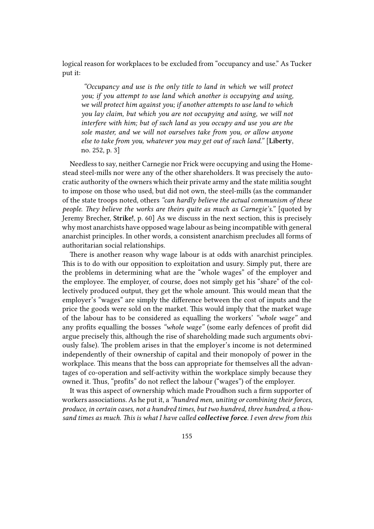logical reason for workplaces to be excluded from "occupancy and use." As Tucker put it:

*"Occupancy and use is the only title to land in which we will protect you; if you attempt to use land which another is occupying and using, we will protect him against you; if another attempts to use land to which you lay claim, but which you are not occupying and using, we will not interfere with him; but of such land as you occupy and use you are the sole master, and we will not ourselves take from you, or allow anyone else to take from you, whatever you may get out of such land."* [**Liberty**, no. 252, p. 3]

Needless to say, neither Carnegie nor Frick were occupying and using the Homestead steel-mills nor were any of the other shareholders. It was precisely the autocratic authority of the owners which their private army and the state militia sought to impose on those who used, but did not own, the steel-mills (as the commander of the state troops noted, others *"can hardly believe the actual communism of these people. They believe the works are theirs quite as much as Carnegie's."* [quoted by Jeremy Brecher, **Strike!**, p. 60] As we discuss in the next section, this is precisely why most anarchists have opposed wage labour as being incompatible with general anarchist principles. In other words, a consistent anarchism precludes all forms of authoritarian social relationships.

There is another reason why wage labour is at odds with anarchist principles. This is to do with our opposition to exploitation and usury. Simply put, there are the problems in determining what are the "whole wages" of the employer and the employee. The employer, of course, does not simply get his "share" of the collectively produced output, they get the whole amount. This would mean that the employer's "wages" are simply the difference between the cost of inputs and the price the goods were sold on the market. This would imply that the market wage of the labour has to be considered as equalling the workers' *"whole wage"* and any profits equalling the bosses *"whole wage"* (some early defences of profit did argue precisely this, although the rise of shareholding made such arguments obviously false). The problem arises in that the employer's income is not determined independently of their ownership of capital and their monopoly of power in the workplace. This means that the boss can appropriate for themselves all the advantages of co-operation and self-activity within the workplace simply because they owned it. Thus, "profits" do not reflect the labour ("wages") of the employer.

It was this aspect of ownership which made Proudhon such a firm supporter of workers associations. As he put it, a *"hundred men, uniting or combining their forces, produce, in certain cases, not a hundred times, but two hundred, three hundred, a thousand times as much. This is what I have called collective force. I even drew from this*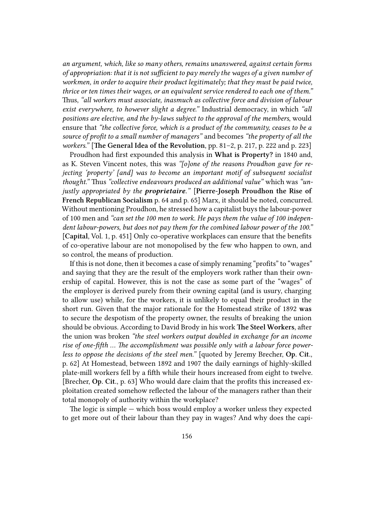*an argument, which, like so many others, remains unanswered, against certain forms of appropriation: that it is not sufficient to pay merely the wages of a given number of workmen, in order to acquire their product legitimately; that they must be paid twice, thrice or ten times their wages, or an equivalent service rendered to each one of them."* Thus, *"all workers must associate, inasmuch as collective force and division of labour exist everywhere, to however slight a degree."* Industrial democracy, in which *"all positions are elective, and the by-laws subject to the approval of the members*, would ensure that *"the collective force, which is a product of the community, ceases to be a source of profit to a small number of managers"* and becomes *"the property of all the workers."* [**The General Idea of the Revolution**, pp. 81–2, p. 217, p. 222 and p. 223]

Proudhon had first expounded this analysis in **What is Property?** in 1840 and, as K. Steven Vincent notes, this was *"[o]one of the reasons Proudhon gave for rejecting 'property' [and] was to become an important motif of subsequent socialist thought."* Thus *"collective endeavours produced an additional value"* which was *"unjustly appropriated by the proprietaire."* [**Pierre-Joseph Proudhon the Rise of French Republican Socialism** p. 64 and p. 65] Marx, it should be noted, concurred. Without mentioning Proudhon, he stressed how a capitalist buys the labour-power of 100 men and *"can set the 100 men to work. He pays them the value of 100 independent labour-powers, but does not pay them for the combined labour power of the 100."* [**Capital**, Vol. 1, p. 451] Only co-operative workplaces can ensure that the benefits of co-operative labour are not monopolised by the few who happen to own, and so control, the means of production.

If this is not done, then it becomes a case of simply renaming "profits" to "wages" and saying that they are the result of the employers work rather than their ownership of capital. However, this is not the case as some part of the "wages" of the employer is derived purely from their owning capital (and is usury, charging to allow use) while, for the workers, it is unlikely to equal their product in the short run. Given that the major rationale for the Homestead strike of 1892 **was** to secure the despotism of the property owner, the results of breaking the union should be obvious. According to David Brody in his work **The Steel Workers**, after the union was broken *"the steel workers output doubled in exchange for an income rise of one-fifth … The accomplishment was possible only with a labour force powerless to oppose the decisions of the steel men."* [quoted by Jeremy Brecher, **Op. Cit.**, p. 62] At Homestead, between 1892 and 1907 the daily earnings of highly-skilled plate-mill workers fell by a fifth while their hours increased from eight to twelve. [Brecher, **Op. Cit.**, p. 63] Who would dare claim that the profits this increased exploitation created somehow reflected the labour of the managers rather than their total monopoly of authority within the workplace?

The logic is simple — which boss would employ a worker unless they expected to get more out of their labour than they pay in wages? And why does the capi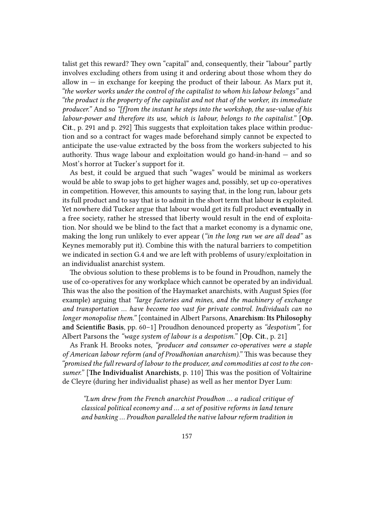talist get this reward? They own "capital" and, consequently, their "labour" partly involves excluding others from using it and ordering about those whom they do allow in  $-$  in exchange for keeping the product of their labour. As Marx put it, *"the worker works under the control of the capitalist to whom his labour belongs"* and *"the product is the property of the capitalist and not that of the worker, its immediate producer."* And so *"[f]rom the instant he steps into the workshop, the use-value of his labour-power and therefore its use, which is labour, belongs to the capitalist."* [**Op. Cit.**, p. 291 and p. 292] This suggests that exploitation takes place within production and so a contract for wages made beforehand simply cannot be expected to anticipate the use-value extracted by the boss from the workers subjected to his authority. Thus wage labour and exploitation would go hand-in-hand — and so Most's horror at Tucker's support for it.

As best, it could be argued that such "wages" would be minimal as workers would be able to swap jobs to get higher wages and, possibly, set up co-operatives in competition. However, this amounts to saying that, in the long run, labour gets its full product and to say that is to admit in the short term that labour **is** exploited. Yet nowhere did Tucker argue that labour would get its full product **eventually** in a free society, rather he stressed that liberty would result in the end of exploitation. Nor should we be blind to the fact that a market economy is a dynamic one, making the long run unlikely to ever appear (*"in the long run we are all dead"* as Keynes memorably put it). Combine this with the natural barriers to competition we indicated in section G.4 and we are left with problems of usury/exploitation in an individualist anarchist system.

The obvious solution to these problems is to be found in Proudhon, namely the use of co-operatives for any workplace which cannot be operated by an individual. This was the also the position of the Haymarket anarchists, with August Spies (for example) arguing that *"large factories and mines, and the machinery of exchange and transportation … have become too vast for private control. Individuals can no longer monopolise them."* [contained in Albert Parsons, **Anarchism: Its Philosophy and Scientific Basis**, pp. 60–1] Proudhon denounced property as *"despotism"*, for Albert Parsons the *"wage system of labour is a despotism."* [**Op. Cit.**, p. 21]

As Frank H. Brooks notes, *"producer and consumer co-operatives were a staple of American labour reform (and of Proudhonian anarchism)."* This was because they *"promised the full reward of labour to the producer, and commodities at cost to the consumer."* [**The Individualist Anarchists**, p. 110] This was the position of Voltairine de Cleyre (during her individualist phase) as well as her mentor Dyer Lum:

*"Lum drew from the French anarchist Proudhon … a radical critique of classical political economy and … a set of positive reforms in land tenure and banking … Proudhon paralleled the native labour reform tradition in*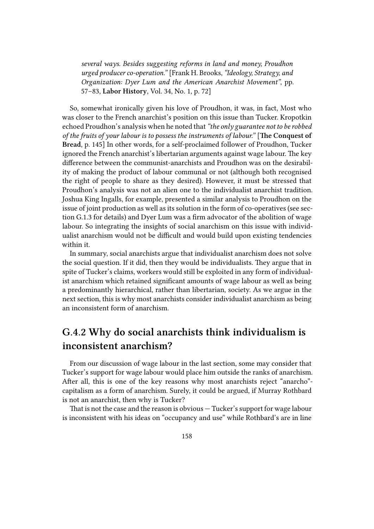*several ways. Besides suggesting reforms in land and money, Proudhon urged producer co-operation."* [Frank H. Brooks,*"Ideology, Strategy, and Organization: Dyer Lum and the American Anarchist Movement"*, pp. 57–83, **Labor History**, Vol. 34, No. 1, p. 72]

So, somewhat ironically given his love of Proudhon, it was, in fact, Most who was closer to the French anarchist's position on this issue than Tucker. Kropotkin echoed Proudhon's analysis when he noted that*"the only guarantee not to be robbed of the fruits of your labour is to possess the instruments of labour."* [**The Conquest of Bread**, p. 145] In other words, for a self-proclaimed follower of Proudhon, Tucker ignored the French anarchist's libertarian arguments against wage labour. The key difference between the communist-anarchists and Proudhon was on the desirability of making the product of labour communal or not (although both recognised the right of people to share as they desired). However, it must be stressed that Proudhon's analysis was not an alien one to the individualist anarchist tradition. Joshua King Ingalls, for example, presented a similar analysis to Proudhon on the issue of joint production as well as its solution in the form of co-operatives (see section G.1.3 for details) and Dyer Lum was a firm advocator of the abolition of wage labour. So integrating the insights of social anarchism on this issue with individualist anarchism would not be difficult and would build upon existing tendencies within it.

In summary, social anarchists argue that individualist anarchism does not solve the social question. If it did, then they would be individualists. They argue that in spite of Tucker's claims, workers would still be exploited in any form of individualist anarchism which retained significant amounts of wage labour as well as being a predominantly hierarchical, rather than libertarian, society. As we argue in the next section, this is why most anarchists consider individualist anarchism as being an inconsistent form of anarchism.

## **G.4.2 Why do social anarchists think individualism is inconsistent anarchism?**

From our discussion of wage labour in the last section, some may consider that Tucker's support for wage labour would place him outside the ranks of anarchism. After all, this is one of the key reasons why most anarchists reject "anarcho" capitalism as a form of anarchism. Surely, it could be argued, if Murray Rothbard is not an anarchist, then why is Tucker?

That is not the case and the reason is obvious — Tucker's support for wage labour is inconsistent with his ideas on "occupancy and use" while Rothbard's are in line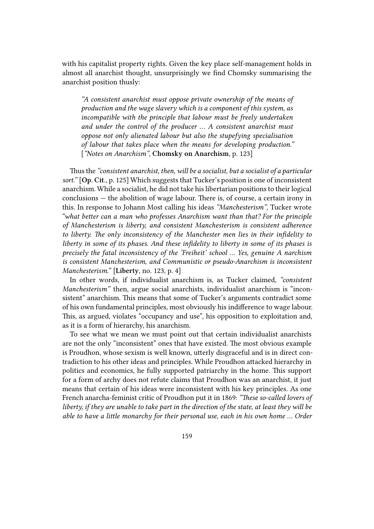with his capitalist property rights. Given the key place self-management holds in almost all anarchist thought, unsurprisingly we find Chomsky summarising the anarchist position thusly:

*"A consistent anarchist must oppose private ownership of the means of production and the wage slavery which is a component of this system, as incompatible with the principle that labour must be freely undertaken and under the control of the producer … A consistent anarchist must oppose not only alienated labour but also the stupefying specialisation of labour that takes place when the means for developing production."* [*"Notes on Anarchism"*, **Chomsky on Anarchism**, p. 123]

Thus the *"consistent anarchist, then, will be a socialist, but a socialist of a particular sort."* [**Op. Cit.**, p. 125] Which suggests that Tucker's position is one of inconsistent anarchism. While a socialist, he did not take his libertarian positions to their logical conclusions — the abolition of wage labour. There is, of course, a certain irony in this. In response to Johann Most calling his ideas *"Manchesterism"*, Tucker wrote *"what better can a man who professes Anarchism want than that? For the principle of Manchesterism is liberty, and consistent Manchesterism is consistent adherence to liberty. The only inconsistency of the Manchester men lies in their infidelity to liberty in some of its phases. And these infidelity to liberty in some of its phases is precisely the fatal inconsistency of the 'Freiheit' school … Yes, genuine A narchism is consistent Manchesterism, and Communistic or pseudo-Anarchism is inconsistent Manchesterism."* [**Liberty**, no. 123, p. 4]

In other words, if individualist anarchism is, as Tucker claimed, *"consistent Manchesterism"* then, argue social anarchists, individualist anarchism is "inconsistent" anarchism. This means that some of Tucker's arguments contradict some of his own fundamental principles, most obviously his indifference to wage labour. This, as argued, violates "occupancy and use", his opposition to exploitation and, as it is a form of hierarchy, his anarchism.

To see what we mean we must point out that certain individualist anarchists are not the only "inconsistent" ones that have existed. The most obvious example is Proudhon, whose sexism is well known, utterly disgraceful and is in direct contradiction to his other ideas and principles. While Proudhon attacked hierarchy in politics and economics, he fully supported patriarchy in the home. This support for a form of archy does not refute claims that Proudhon was an anarchist, it just means that certain of his ideas were inconsistent with his key principles. As one French anarcha-feminist critic of Proudhon put it in 1869: *"These so-called lovers of liberty, if they are unable to take part in the direction of the state, at least they will be able to have a little monarchy for their personal use, each in his own home … Order*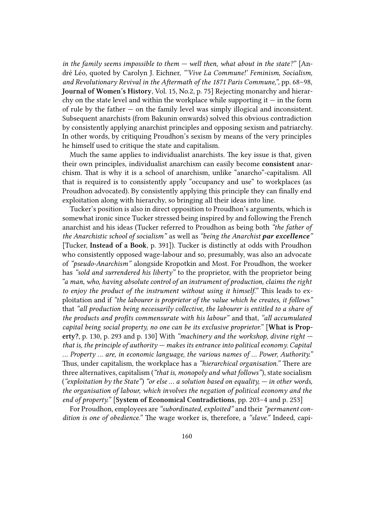*in the family seems impossible to them — well then, what about in the state?"* [André Léo, quoted by Carolyn J. Eichner, *"'Vive La Commune!' Feminism, Socialism, and Revolutionary Revival in the Aftermath of the 1871 Paris Commune,"*, pp. 68–98, **Journal of Women's History**, Vol. 15, No.2, p. 75] Rejecting monarchy and hierarchy on the state level and within the workplace while supporting it  $-$  in the form of rule by the father — on the family level was simply illogical and inconsistent. Subsequent anarchists (from Bakunin onwards) solved this obvious contradiction by consistently applying anarchist principles and opposing sexism and patriarchy. In other words, by critiquing Proudhon's sexism by means of the very principles he himself used to critique the state and capitalism.

Much the same applies to individualist anarchists. The key issue is that, given their own principles, individualist anarchism can easily become **consistent** anarchism. That is why it is a school of anarchism, unlike "anarcho"-capitalism. All that is required is to consistently apply "occupancy and use" to workplaces (as Proudhon advocated). By consistently applying this principle they can finally end exploitation along with hierarchy, so bringing all their ideas into line.

Tucker's position is also in direct opposition to Proudhon's arguments, which is somewhat ironic since Tucker stressed being inspired by and following the French anarchist and his ideas (Tucker referred to Proudhon as being both *"the father of the Anarchistic school of socialism"* as well as *"being the Anarchist par excellence"* [Tucker, **Instead of a Book**, p. 391]). Tucker is distinctly at odds with Proudhon who consistently opposed wage-labour and so, presumably, was also an advocate of *"pseudo-Anarchism"* alongside Kropotkin and Most. For Proudhon, the worker has *"sold and surrendered his liberty"* to the proprietor, with the proprietor being *"a man, who, having absolute control of an instrument of production, claims the right to enjoy the product of the instrument without using it himself."* This leads to exploitation and if *"the labourer is proprietor of the value which he creates, it follows"* that *"all production being necessarily collective, the labourer is entitled to a share of the products and profits commensurate with his labour"* and that, *"all accumulated capital being social property, no one can be its exclusive proprietor."* [**What is Property?**, p. 130, p. 293 and p. 130] With *"machinery and the workshop, divine right that is, the principle of authority — makes its entrance into political economy. Capital … Property … are, in economic language, the various names of … Power, Authority."* Thus, under capitalism, the workplace has a *"hierarchical organisation."* There are three alternatives, capitalism (*"that is, monopoly and what follows"*), state socialism (*"exploitation by the State"*) *"or else … a solution based on equality, — in other words, the organisation of labour, which involves the negation of political economy and the end of property."* [**System of Economical Contradictions**, pp. 203–4 and p. 253]

For Proudhon, employees are *"subordinated, exploited"* and their*"permanent condition is one of obedience."* The wage worker is, therefore, a *"slave."* Indeed, capi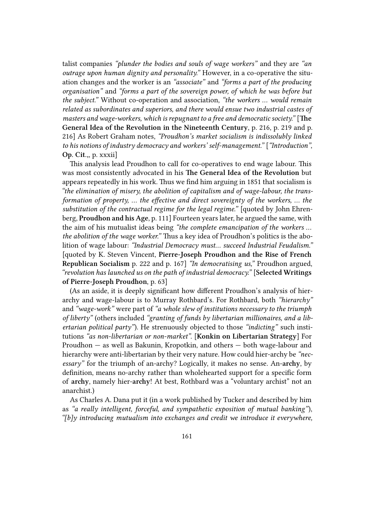talist companies *"plunder the bodies and souls of wage workers"* and they are *"an outrage upon human dignity and personality."* However, in a co-operative the situation changes and the worker is an *"associate"* and *"forms a part of the producing organisation"* and *"forms a part of the sovereign power, of which he was before but the subject."* Without co-operation and association, *"the workers … would remain related as subordinates and superiors, and there would ensue two industrial castes of masters and wage-workers, which is repugnant to a free and democratic society."* [**The General Idea of the Revolution in the Nineteenth Century**, p. 216, p. 219 and p. 216] As Robert Graham notes, *"Proudhon's market socialism is indissolubly linked to his notions of industry democracy and workers' self-management."* [*"Introduction"*, **Op. Cit.,**, p. xxxii]

This analysis lead Proudhon to call for co-operatives to end wage labour. This was most consistently advocated in his **The General Idea of the Revolution** but appears repeatedly in his work. Thus we find him arguing in 1851 that socialism is *"the elimination of misery, the abolition of capitalism and of wage-labour, the transformation of property, … the effective and direct sovereignty of the workers, … the substitution of the contractual regime for the legal regime."* [quoted by John Ehrenberg, **Proudhon and his Age**, p. 111] Fourteen years later, he argued the same, with the aim of his mutualist ideas being *"the complete emancipation of the workers … the abolition of the wage worker."* Thus a key idea of Proudhon's politics is the abolition of wage labour: *"Industrial Democracy must… succeed Industrial Feudalism."* [quoted by K. Steven Vincent, **Pierre-Joseph Proudhon and the Rise of French Republican Socialism** p. 222 and p. 167] *"In democratising us,"* Proudhon argued, *"revolution has launched us on the path of industrial democracy."* [**Selected Writings of Pierre-Joseph Proudhon**, p. 63]

(As an aside, it is deeply significant how different Proudhon's analysis of hierarchy and wage-labour is to Murray Rothbard's. For Rothbard, both *"hierarchy"* and *"wage-work"* were part of *"a whole slew of institutions necessary to the triumph of liberty"* (others included *"granting of funds by libertarian millionaires, and a libertarian political party"*). He strenuously objected to those *"indicting"* such institutions *"as non-libertarian or non-market"*. [**Konkin on Libertarian Strategy**] For Proudhon — as well as Bakunin, Kropotkin, and others — both wage-labour and hierarchy were anti-libertarian by their very nature. How could hier-archy be *"necessary"* for the triumph of an-archy? Logically, it makes no sense. An-**archy**, by definition, means no-archy rather than wholehearted support for a specific form of **archy**, namely hier-**archy**! At best, Rothbard was a "voluntary archist" not an anarchist.)

As Charles A. Dana put it (in a work published by Tucker and described by him as *"a really intelligent, forceful, and sympathetic exposition of mutual banking"*), *"[b]y introducing mutualism into exchanges and credit we introduce it everywhere,*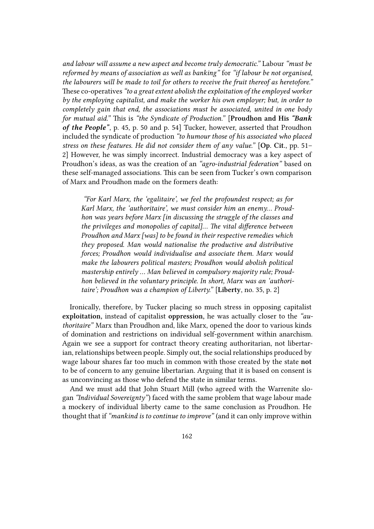*and labour will assume a new aspect and become truly democratic."* Labour *"must be reformed by means of association as well as banking"* for *"if labour be not organised, the labourers will be made to toil for others to receive the fruit thereof as heretofore."* These co-operatives*"to a great extent abolish the exploitation of the employed worker by the employing capitalist, and make the worker his own employer; but, in order to completely gain that end, the associations must be associated, united in one body for mutual aid."* This is *"the Syndicate of Production."* [**Proudhon and His** *"Bank of the People"*, p. 45, p. 50 and p. 54] Tucker, however, asserted that Proudhon included the syndicate of production *"to humour those of his associated who placed stress on these features. He did not consider them of any value."* [**Op. Cit.**, pp. 51– 2] However, he was simply incorrect. Industrial democracy was a key aspect of Proudhon's ideas, as was the creation of an *"agro-industrial federation"* based on these self-managed associations. This can be seen from Tucker's own comparison of Marx and Proudhon made on the formers death:

*"For Karl Marx, the 'egalitaire', we feel the profoundest respect; as for Karl Marx, the 'authoritaire', we must consider him an enemy… Proudhon was years before Marx [in discussing the struggle of the classes and the privileges and monopolies of capital]… The vital difference between Proudhon and Marx [was] to be found in their respective remedies which they proposed. Man would nationalise the productive and distributive forces; Proudhon would individualise and associate them. Marx would make the labourers political masters; Proudhon would abolish political mastership entirely … Man believed in compulsory majority rule; Proudhon believed in the voluntary principle. In short, Marx was an 'authoritaire'; Proudhon was a champion of Liberty."* [**Liberty**, no. 35, p. 2]

Ironically, therefore, by Tucker placing so much stress in opposing capitalist **exploitation,** instead of capitalist **oppression,** he was actually closer to the *"authoritaire"* Marx than Proudhon and, like Marx, opened the door to various kinds of domination and restrictions on individual self-government within anarchism. Again we see a support for contract theory creating authoritarian, not libertarian, relationships between people. Simply out, the social relationships produced by wage labour shares far too much in common with those created by the state **not** to be of concern to any genuine libertarian. Arguing that it is based on consent is as unconvincing as those who defend the state in similar terms.

And we must add that John Stuart Mill (who agreed with the Warrenite slogan *"Individual Sovereignty"*) faced with the same problem that wage labour made a mockery of individual liberty came to the same conclusion as Proudhon. He thought that if *"mankind is to continue to improve"* (and it can only improve within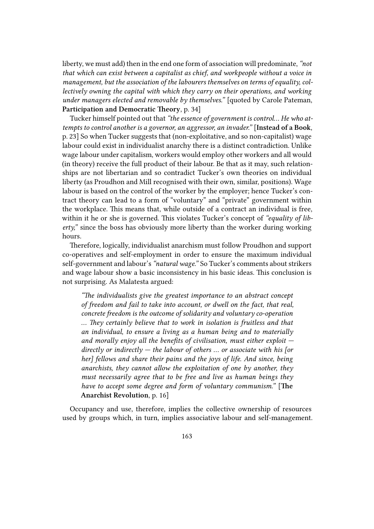liberty, we must add) then in the end one form of association will predominate,*"not that which can exist between a capitalist as chief, and workpeople without a voice in management, but the association of the labourers themselves on terms of equality, collectively owning the capital with which they carry on their operations, and working under managers elected and removable by themselves."* [quoted by Carole Pateman, **Participation and Democratic Theory**, p. 34]

Tucker himself pointed out that *"the essence of government is control… He who attempts to control another is a governor, an aggressor, an invader."* [**Instead of a Book**, p. 23] So when Tucker suggests that (non-exploitative, and so non-capitalist) wage labour could exist in individualist anarchy there is a distinct contradiction. Unlike wage labour under capitalism, workers would employ other workers and all would (in theory) receive the full product of their labour. Be that as it may, such relationships are not libertarian and so contradict Tucker's own theories on individual liberty (as Proudhon and Mill recognised with their own, similar, positions). Wage labour is based on the control of the worker by the employer; hence Tucker's contract theory can lead to a form of "voluntary" and "private" government within the workplace. This means that, while outside of a contract an individual is free, within it he or she is governed. This violates Tucker's concept of *"equality of liberty,"* since the boss has obviously more liberty than the worker during working hours.

Therefore, logically, individualist anarchism must follow Proudhon and support co-operatives and self-employment in order to ensure the maximum individual self-government and labour's*"natural wage."* So Tucker's comments about strikers and wage labour show a basic inconsistency in his basic ideas. This conclusion is not surprising. As Malatesta argued:

*"The individualists give the greatest importance to an abstract concept of freedom and fail to take into account, or dwell on the fact, that real, concrete freedom is the outcome of solidarity and voluntary co-operation … They certainly believe that to work in isolation is fruitless and that an individual, to ensure a living as a human being and to materially and morally enjoy all the benefits of civilisation, must either exploit directly or indirectly — the labour of others … or associate with his [or her] fellows and share their pains and the joys of life. And since, being anarchists, they cannot allow the exploitation of one by another, they must necessarily agree that to be free and live as human beings they have to accept some degree and form of voluntary communism."* [**The Anarchist Revolution**, p. 16]

Occupancy and use, therefore, implies the collective ownership of resources used by groups which, in turn, implies associative labour and self-management.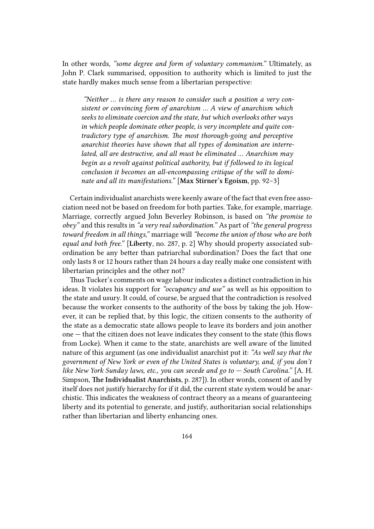In other words, *"some degree and form of voluntary communism."* Ultimately, as John P. Clark summarised, opposition to authority which is limited to just the state hardly makes much sense from a libertarian perspective:

*"Neither … is there any reason to consider such a position a very consistent or convincing form of anarchism … A view of anarchism which seeks to eliminate coercion and the state, but which overlooks other ways in which people dominate other people, is very incomplete and quite contradictory type of anarchism. The most thorough-going and perceptive anarchist theories have shown that all types of domination are interrelated, all are destructive, and all must be eliminated … Anarchism may begin as a revolt against political authority, but if followed to its logical conclusion it becomes an all-encompassing critique of the will to dominate and all its manifestations."* [**Max Stirner's Egoism**, pp. 92–3]

Certain individualist anarchists were keenly aware of the fact that even free association need not be based on freedom for both parties. Take, for example, marriage. Marriage, correctly argued John Beverley Robinson, is based on *"the promise to obey"* and this results in *"a very real subordination."* As part of *"the general progress toward freedom in all things,"* marriage will *"become the union of those who are both equal and both free."* [**Liberty**, no. 287, p. 2] Why should property associated subordination be any better than patriarchal subordination? Does the fact that one only lasts 8 or 12 hours rather than 24 hours a day really make one consistent with libertarian principles and the other not?

Thus Tucker's comments on wage labour indicates a distinct contradiction in his ideas. It violates his support for *"occupancy and use"* as well as his opposition to the state and usury. It could, of course, be argued that the contradiction is resolved because the worker consents to the authority of the boss by taking the job. However, it can be replied that, by this logic, the citizen consents to the authority of the state as a democratic state allows people to leave its borders and join another one — that the citizen does not leave indicates they consent to the state (this flows from Locke). When it came to the state, anarchists are well aware of the limited nature of this argument (as one individualist anarchist put it: *"As well say that the government of New York or even of the United States is voluntary, and, if you don't like New York Sunday laws, etc., you can secede and go to — South Carolina."* [A. H. Simpson, **The Individualist Anarchists**, p. 287]). In other words, consent of and by itself does not justify hierarchy for if it did, the current state system would be anarchistic. This indicates the weakness of contract theory as a means of guaranteeing liberty and its potential to generate, and justify, authoritarian social relationships rather than libertarian and liberty enhancing ones.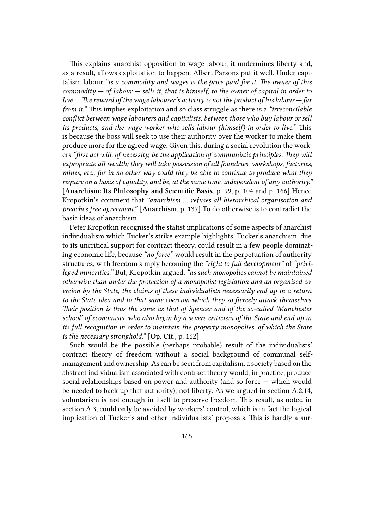This explains anarchist opposition to wage labour, it undermines liberty and, as a result, allows exploitation to happen. Albert Parsons put it well. Under capitalism labour *"is a commodity and wages is the price paid for it. The owner of this commodity — of labour — sells it, that is himself, to the owner of capital in order to live … The reward of the wage labourer's activity is not the product of his labour — far from it."* This implies exploitation and so class struggle as there is a *"irreconcilable conflict between wage labourers and capitalists, between those who buy labour or sell its products, and the wage worker who sells labour (himself) in order to live."* This is because the boss will seek to use their authority over the worker to make them produce more for the agreed wage. Given this, during a social revolution the workers *"first act will, of necessity, be the application of communistic principles. They will expropriate all wealth; they will take possession of all foundries, workshops, factories, mines, etc., for in no other way could they be able to continue to produce what they require on a basis of equality, and be, at the same time, independent of any authority."* [**Anarchism: Its Philosophy and Scientific Basis**, p. 99, p. 104 and p. 166] Hence Kropotkin's comment that *"anarchism … refuses all hierarchical organisation and preaches free agreement."* [**Anarchism**, p. 137] To do otherwise is to contradict the basic ideas of anarchism.

Peter Kropotkin recognised the statist implications of some aspects of anarchist individualism which Tucker's strike example highlights. Tucker's anarchism, due to its uncritical support for contract theory, could result in a few people dominating economic life, because *"no force"* would result in the perpetuation of authority structures, with freedom simply becoming the *"right to full development"* of *"privileged minorities."* But, Kropotkin argued, *"as such monopolies cannot be maintained otherwise than under the protection of a monopolist legislation and an organised coercion by the State, the claims of these individualists necessarily end up in a return to the State idea and to that same coercion which they so fiercely attack themselves. Their position is thus the same as that of Spencer and of the so-called 'Manchester school' of economists, who also begin by a severe criticism of the State and end up in its full recognition in order to maintain the property monopolies, of which the State is the necessary stronghold."* [**Op. Cit.**, p. 162]

Such would be the possible (perhaps probable) result of the individualists' contract theory of freedom without a social background of communal selfmanagement and ownership. As can be seen from capitalism, a society based on the abstract individualism associated with contract theory would, in practice, produce social relationships based on power and authority (and so force — which would be needed to back up that authority), **not** liberty. As we argued in section A.2.14, voluntarism is **not** enough in itself to preserve freedom. This result, as noted in section A.3, could **only** be avoided by workers' control, which is in fact the logical implication of Tucker's and other individualists' proposals. This is hardly a sur-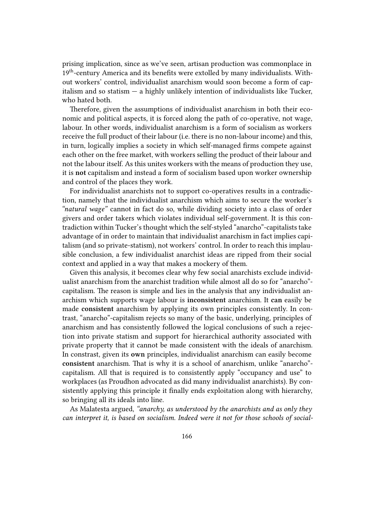prising implication, since as we've seen, artisan production was commonplace in 19<sup>th</sup>-century America and its benefits were extolled by many individualists. Without workers' control, individualist anarchism would soon become a form of capitalism and so statism  $-$  a highly unlikely intention of individualists like Tucker, who hated both.

Therefore, given the assumptions of individualist anarchism in both their economic and political aspects, it is forced along the path of co-operative, not wage, labour. In other words, individualist anarchism is a form of socialism as workers receive the full product of their labour (i.e. there is no non-labour income) and this, in turn, logically implies a society in which self-managed firms compete against each other on the free market, with workers selling the product of their labour and not the labour itself. As this unites workers with the means of production they use, it is **not** capitalism and instead a form of socialism based upon worker ownership and control of the places they work.

For individualist anarchists not to support co-operatives results in a contradiction, namely that the individualist anarchism which aims to secure the worker's *"natural wage"* cannot in fact do so, while dividing society into a class of order givers and order takers which violates individual self-government. It is this contradiction within Tucker's thought which the self-styled "anarcho"-capitalists take advantage of in order to maintain that individualist anarchism in fact implies capitalism (and so private-statism), not workers' control. In order to reach this implausible conclusion, a few individualist anarchist ideas are ripped from their social context and applied in a way that makes a mockery of them.

Given this analysis, it becomes clear why few social anarchists exclude individualist anarchism from the anarchist tradition while almost all do so for "anarcho" capitalism. The reason is simple and lies in the analysis that any individualist anarchism which supports wage labour is **inconsistent** anarchism. It **can** easily be made **consistent** anarchism by applying its own principles consistently. In contrast, "anarcho"-capitalism rejects so many of the basic, underlying, principles of anarchism and has consistently followed the logical conclusions of such a rejection into private statism and support for hierarchical authority associated with private property that it cannot be made consistent with the ideals of anarchism. In constrast, given its **own** principles, individualist anarchism can easily become **consistent** anarchism. That is why it is a school of anarchism, unlike "anarcho" capitalism. All that is required is to consistently apply "occupancy and use" to workplaces (as Proudhon advocated as did many individualist anarchists). By consistently applying this principle it finally ends exploitation along with hierarchy, so bringing all its ideals into line.

As Malatesta argued, *"anarchy, as understood by the anarchists and as only they can interpret it, is based on socialism. Indeed were it not for those schools of social-*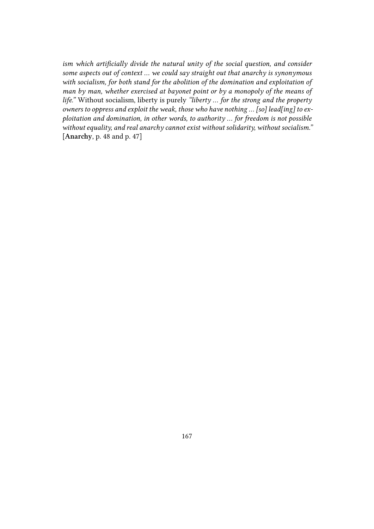*ism which artificially divide the natural unity of the social question, and consider some aspects out of context … we could say straight out that anarchy is synonymous with socialism, for both stand for the abolition of the domination and exploitation of man by man, whether exercised at bayonet point or by a monopoly of the means of life."* Without socialism, liberty is purely *"liberty … for the strong and the property owners to oppress and exploit the weak, those who have nothing … [so] lead[ing] to exploitation and domination, in other words, to authority … for freedom is not possible without equality, and real anarchy cannot exist without solidarity, without socialism."* [**Anarchy**, p. 48 and p. 47]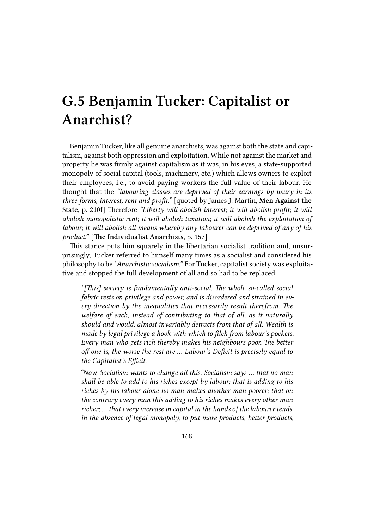## **G.5 Benjamin Tucker: Capitalist or Anarchist?**

Benjamin Tucker, like all genuine anarchists, was against both the state and capitalism, against both oppression and exploitation. While not against the market and property he was firmly against capitalism as it was, in his eyes, a state-supported monopoly of social capital (tools, machinery, etc.) which allows owners to exploit their employees, i.e., to avoid paying workers the full value of their labour. He thought that the *"labouring classes are deprived of their earnings by usury in its three forms, interest, rent and profit."* [quoted by James J. Martin, **Men Against the State**, p. 210f] Therefore *"Liberty will abolish interest; it will abolish profit; it will abolish monopolistic rent; it will abolish taxation; it will abolish the exploitation of labour; it will abolish all means whereby any labourer can be deprived of any of his product."* [**The Individualist Anarchists**, p. 157]

This stance puts him squarely in the libertarian socialist tradition and, unsurprisingly, Tucker referred to himself many times as a socialist and considered his philosophy to be *"Anarchistic socialism."* For Tucker, capitalist society was exploitative and stopped the full development of all and so had to be replaced:

*"[This] society is fundamentally anti-social. The whole so-called social fabric rests on privilege and power, and is disordered and strained in every direction by the inequalities that necessarily result therefrom. The welfare of each, instead of contributing to that of all, as it naturally should and would, almost invariably detracts from that of all. Wealth is made by legal privilege a hook with which to filch from labour's pockets. Every man who gets rich thereby makes his neighbours poor. The better off one is, the worse the rest are … Labour's Deficit is precisely equal to the Capitalist's Efficit.*

*"Now, Socialism wants to change all this. Socialism says … that no man shall be able to add to his riches except by labour; that is adding to his riches by his labour alone no man makes another man poorer; that on the contrary every man this adding to his riches makes every other man richer; … that every increase in capital in the hands of the labourer tends, in the absence of legal monopoly, to put more products, better products,*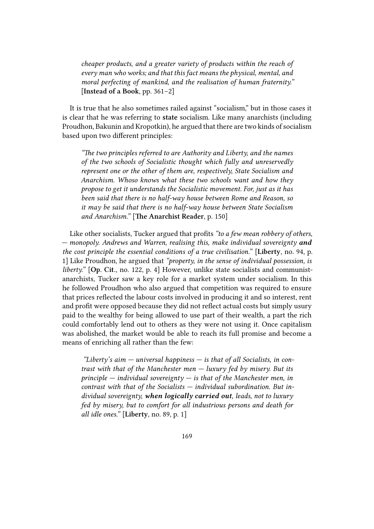*cheaper products, and a greater variety of products within the reach of every man who works; and that this fact means the physical, mental, and moral perfecting of mankind, and the realisation of human fraternity."* [**Instead of a Book**, pp. 361–2]

It is true that he also sometimes railed against "socialism," but in those cases it is clear that he was referring to **state** socialism. Like many anarchists (including Proudhon, Bakunin and Kropotkin), he argued that there are two kinds of socialism based upon two different principles:

*"The two principles referred to are Authority and Liberty, and the names of the two schools of Socialistic thought which fully and unreservedly represent one or the other of them are, respectively, State Socialism and Anarchism. Whoso knows what these two schools want and how they propose to get it understands the Socialistic movement. For, just as it has been said that there is no half-way house between Rome and Reason, so it may be said that there is no half-way house between State Socialism and Anarchism."* [**The Anarchist Reader**, p. 150]

Like other socialists, Tucker argued that profits *"to a few mean robbery of others, — monopoly. Andrews and Warren, realising this, make individual sovereignty and the cost principle the essential conditions of a true civilisation."* [**Liberty**, no. 94, p. 1] Like Proudhon, he argued that *"property, in the sense of individual possession, is liberty."* [**Op. Cit.**, no. 122, p. 4] However, unlike state socialists and communistanarchists, Tucker saw a key role for a market system under socialism. In this he followed Proudhon who also argued that competition was required to ensure that prices reflected the labour costs involved in producing it and so interest, rent and profit were opposed because they did not reflect actual costs but simply usury paid to the wealthy for being allowed to use part of their wealth, a part the rich could comfortably lend out to others as they were not using it. Once capitalism was abolished, the market would be able to reach its full promise and become a means of enriching all rather than the few:

*"Liberty's aim — universal happiness — is that of all Socialists, in contrast with that of the Manchester men — luxury fed by misery. But its principle — individual sovereignty — is that of the Manchester men, in contrast with that of the Socialists — individual subordination. But individual sovereignty, when logically carried out, leads, not to luxury fed by misery, but to comfort for all industrious persons and death for all idle ones."* [**Liberty**, no. 89, p. 1]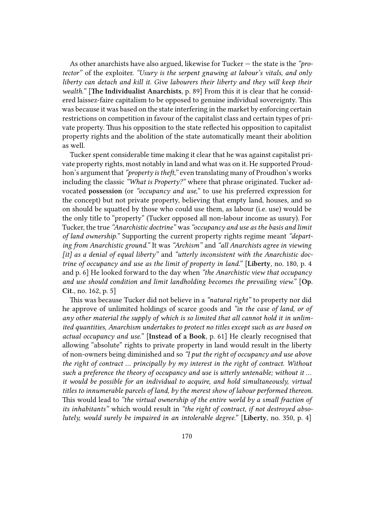As other anarchists have also argued, likewise for Tucker — the state is the *"protector"* of the exploiter. *"Usury is the serpent gnawing at labour's vitals, and only liberty can detach and kill it. Give labourers their liberty and they will keep their wealth."* [**The Individualist Anarchists**, p. 89] From this it is clear that he considered laissez-faire capitalism to be opposed to genuine individual sovereignty. This was because it was based on the state interfering in the market by enforcing certain restrictions on competition in favour of the capitalist class and certain types of private property. Thus his opposition to the state reflected his opposition to capitalist property rights and the abolition of the state automatically meant their abolition as well.

Tucker spent considerable time making it clear that he was against capitalist private property rights, most notably in land and what was on it. He supported Proudhon's argument that*"property is theft,"* even translating many of Proudhon's works including the classic *"What is Property?"* where that phrase originated. Tucker advocated **possession** (or *"occupancy and use,"* to use his preferred expression for the concept) but not private property, believing that empty land, houses, and so on should be squatted by those who could use them, as labour (i.e. use) would be the only title to "property" (Tucker opposed all non-labour income as usury). For Tucker, the true *"Anarchistic doctrine"* was *"occupancy and use as the basis and limit of land ownership."* Supporting the current property rights regime meant *"departing from Anarchistic ground."* It was *"Archism"* and *"all Anarchists agree in viewing [it] as a denial of equal liberty"* and *"utterly inconsistent with the Anarchistic doctrine of occupancy and use as the limit of property in land."* [**Liberty**, no. 180, p. 4 and p. 6] He looked forward to the day when *"the Anarchistic view that occupancy and use should condition and limit landholding becomes the prevailing view."* [**Op. Cit.**, no. 162, p. 5]

This was because Tucker did not believe in a *"natural right"* to property nor did he approve of unlimited holdings of scarce goods and *"in the case of land, or of any other material the supply of which is so limited that all cannot hold it in unlimited quantities, Anarchism undertakes to protect no titles except such as are based on actual occupancy and use."* [**Instead of a Book**, p. 61] He clearly recognised that allowing "absolute" rights to private property in land would result in the liberty of non-owners being diminished and so *"I put the right of occupancy and use above the right of contract … principally by my interest in the right of contract. Without such a preference the theory of occupancy and use is utterly untenable; without it … it would be possible for an individual to acquire, and hold simultaneously, virtual titles to innumerable parcels of land, by the merest show of labour performed thereon.* This would lead to *"the virtual ownership of the entire world by a small fraction of its inhabitants"* which would result in *"the right of contract, if not destroyed absolutely, would surely be impaired in an intolerable degree."* [**Liberty**, no. 350, p. 4]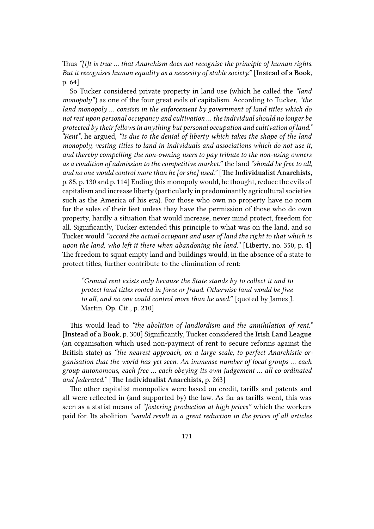Thus *"[i]t is true … that Anarchism does not recognise the principle of human rights. But it recognises human equality as a necessity of stable society."* [**Instead of a Book**, p. 64]

So Tucker considered private property in land use (which he called the *"land monopoly"*) as one of the four great evils of capitalism. According to Tucker, *"the land monopoly … consists in the enforcement by government of land titles which do not rest upon personal occupancy and cultivation … the individual should no longer be protected by their fellows in anything but personal occupation and cultivation of land." "Rent"*, he argued, *"is due to the denial of liberty which takes the shape of the land monopoly, vesting titles to land in individuals and associations which do not use it, and thereby compelling the non-owning users to pay tribute to the non-using owners as a condition of admission to the competitive market."* the land *"should be free to all, and no one would control more than he [or she] used."* [**The Individualist Anarchists**, p. 85, p. 130 and p. 114] Ending this monopoly would, he thought, reduce the evils of capitalism and increase liberty (particularly in predominantly agricultural societies such as the America of his era). For those who own no property have no room for the soles of their feet unless they have the permission of those who do own property, hardly a situation that would increase, never mind protect, freedom for all. Significantly, Tucker extended this principle to what was on the land, and so Tucker would *"accord the actual occupant and user of land the right to that which is upon the land, who left it there when abandoning the land."* [**Liberty**, no. 350, p. 4] The freedom to squat empty land and buildings would, in the absence of a state to protect titles, further contribute to the elimination of rent:

*"Ground rent exists only because the State stands by to collect it and to protect land titles rooted in force or fraud. Otherwise land would be free to all, and no one could control more than he used."* [quoted by James J. Martin, **Op. Cit.**, p. 210]

This would lead to *"the abolition of landlordism and the annihilation of rent."* [**Instead of a Book**, p. 300] Significantly, Tucker considered the **Irish Land League** (an organisation which used non-payment of rent to secure reforms against the British state) as *"the nearest approach, on a large scale, to perfect Anarchistic organisation that the world has yet seen. An immense number of local groups … each group autonomous, each free … each obeying its own judgement … all co-ordinated and federated."* [**The Individualist Anarchists**, p. 263]

The other capitalist monopolies were based on credit, tariffs and patents and all were reflected in (and supported by) the law. As far as tariffs went, this was seen as a statist means of *"fostering production at high prices"* which the workers paid for. Its abolition *"would result in a great reduction in the prices of all articles*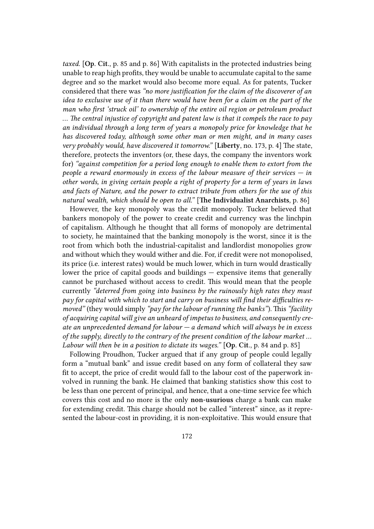*taxed.* [**Op. Cit.**, p. 85 and p. 86] With capitalists in the protected industries being unable to reap high profits, they would be unable to accumulate capital to the same degree and so the market would also become more equal. As for patents, Tucker considered that there was *"no more justification for the claim of the discoverer of an idea to exclusive use of it than there would have been for a claim on the part of the man who first 'struck oil' to ownership of the entire oil region or petroleum product … The central injustice of copyright and patent law is that it compels the race to pay an individual through a long term of years a monopoly price for knowledge that he has discovered today, although some other man or men might, and in many cases very probably would, have discovered it tomorrow."* [**Liberty**, no. 173, p. 4] The state, therefore, protects the inventors (or, these days, the company the inventors work for) *"against competition for a period long enough to enable them to extort from the people a reward enormously in excess of the labour measure of their services — in other words, in giving certain people a right of property for a term of years in laws and facts of Nature, and the power to extract tribute from others for the use of this natural wealth, which should be open to all."* [**The Individualist Anarchists**, p. 86]

However, the key monopoly was the credit monopoly. Tucker believed that bankers monopoly of the power to create credit and currency was the linchpin of capitalism. Although he thought that all forms of monopoly are detrimental to society, he maintained that the banking monopoly is the worst, since it is the root from which both the industrial-capitalist and landlordist monopolies grow and without which they would wither and die. For, if credit were not monopolised, its price (i.e. interest rates) would be much lower, which in turn would drastically lower the price of capital goods and buildings — expensive items that generally cannot be purchased without access to credit. This would mean that the people currently *"deterred from going into business by the ruinously high rates they must pay for capital with which to start and carry on business will find their difficulties removed"* (they would simply *"pay for the labour of running the banks"*). This *"facility of acquiring capital will give an unheard of impetus to business, and consequently create an unprecedented demand for labour — a demand which will always be in excess of the supply, directly to the contrary of the present condition of the labour market … Labour will then be in a position to dictate its wages."* [**Op. Cit.**, p. 84 and p. 85]

Following Proudhon, Tucker argued that if any group of people could legally form a "mutual bank" and issue credit based on any form of collateral they saw fit to accept, the price of credit would fall to the labour cost of the paperwork involved in running the bank. He claimed that banking statistics show this cost to be less than one percent of principal, and hence, that a one-time service fee which covers this cost and no more is the only **non-usurious** charge a bank can make for extending credit. This charge should not be called "interest" since, as it represented the labour-cost in providing, it is non-exploitative. This would ensure that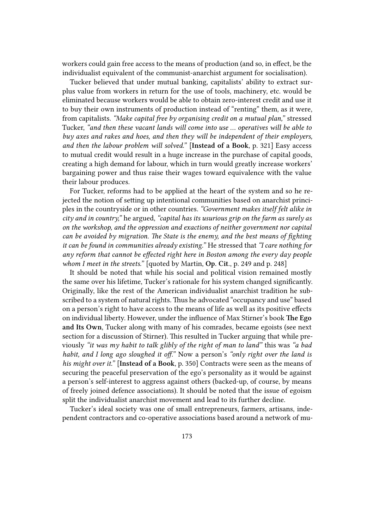workers could gain free access to the means of production (and so, in effect, be the individualist equivalent of the communist-anarchist argument for socialisation).

Tucker believed that under mutual banking, capitalists' ability to extract surplus value from workers in return for the use of tools, machinery, etc. would be eliminated because workers would be able to obtain zero-interest credit and use it to buy their own instruments of production instead of "renting" them, as it were, from capitalists. *"Make capital free by organising credit on a mutual plan,"* stressed Tucker, *"and then these vacant lands will come into use … operatives will be able to buy axes and rakes and hoes, and then they will be independent of their employers, and then the labour problem will solved."* [**Instead of a Book**, p. 321] Easy access to mutual credit would result in a huge increase in the purchase of capital goods, creating a high demand for labour, which in turn would greatly increase workers' bargaining power and thus raise their wages toward equivalence with the value their labour produces.

For Tucker, reforms had to be applied at the heart of the system and so he rejected the notion of setting up intentional communities based on anarchist principles in the countryside or in other countries. *"Government makes itself felt alike in city and in country,"* he argued, *"capital has its usurious grip on the farm as surely as on the workshop, and the oppression and exactions of neither government nor capital can be avoided by migration. The State is the enemy, and the best means of fighting it can be found in communities already existing."* He stressed that *"I care nothing for any reform that cannot be effected right here in Boston among the every day people whom I meet in the streets."* [quoted by Martin, **Op. Cit.**, p. 249 and p. 248]

It should be noted that while his social and political vision remained mostly the same over his lifetime, Tucker's rationale for his system changed significantly. Originally, like the rest of the American individualist anarchist tradition he subscribed to a system of natural rights. Thus he advocated "occupancy and use" based on a person's right to have access to the means of life as well as its positive effects on individual liberty. However, under the influence of Max Stirner's book **The Ego and Its Own**, Tucker along with many of his comrades, became egoists (see next section for a discussion of Stirner). This resulted in Tucker arguing that while previously *"it was my habit to talk glibly of the right of man to land"* this was *"a bad habit, and I long ago sloughed it off."* Now a person's *"only right over the land is his might over it."* [**Instead of a Book**, p. 350] Contracts were seen as the means of securing the peaceful preservation of the ego's personality as it would be against a person's self-interest to aggress against others (backed-up, of course, by means of freely joined defence associations). It should be noted that the issue of egoism split the individualist anarchist movement and lead to its further decline.

Tucker's ideal society was one of small entrepreneurs, farmers, artisans, independent contractors and co-operative associations based around a network of mu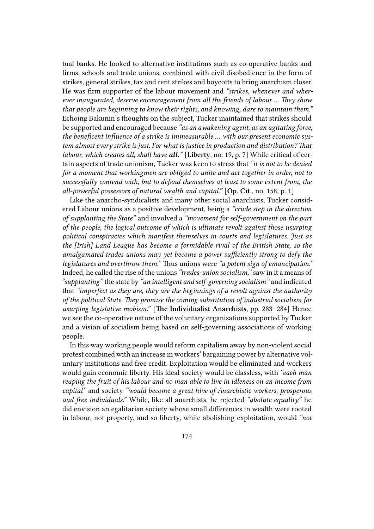tual banks. He looked to alternative institutions such as co-operative banks and firms, schools and trade unions, combined with civil disobedience in the form of strikes, general strikes, tax and rent strikes and boycotts to bring anarchism closer. He was firm supporter of the labour movement and *"strikes, whenever and wherever inaugurated, deserve encouragement from all the friends of labour … They show that people are beginning to know their rights, and knowing, dare to maintain them."* Echoing Bakunin's thoughts on the subject, Tucker maintained that strikes should be supported and encouraged because *"as an awakening agent, as an agitating force, the beneficent influence of a strike is immeasurable … with our present economic system almost every strike is just. For what is justice in production and distribution? That labour, which creates all, shall have all."* [**Liberty**, no. 19, p. 7] While critical of certain aspects of trade unionism, Tucker was keen to stress that *"it is not to be denied for a moment that workingmen are obliged to unite and act together in order, not to successfully contend with, but to defend themselves at least to some extent from, the all-powerful possessors of natural wealth and capital."* [**Op. Cit.**, no. 158, p. 1]

Like the anarcho-syndicalists and many other social anarchists, Tucker considered Labour unions as a positive development, being a *"crude step in the direction of supplanting the State"* and involved a *"movement for self-government on the part of the people, the logical outcome of which is ultimate revolt against those usurping political conspiracies which manifest themselves in courts and legislatures. Just as the [Irish] Land League has become a formidable rival of the British State, so the amalgamated trades unions may yet become a power sufficiently strong to defy the legislatures and overthrow them."* Thus unions were *"a potent sign of emancipation."* Indeed, he called the rise of the unions*"trades-union socialism,"* saw in it a means of *"supplanting"* the state by *"an intelligent and self-governing socialism"* and indicated that *"imperfect as they are, they are the beginnings of a revolt against the authority of the political State. They promise the coming substitution of industrial socialism for usurping legislative mobism."* [**The Individualist Anarchists**, pp. 283–284] Hence we see the co-operative nature of the voluntary organisations supported by Tucker and a vision of socialism being based on self-governing associations of working people.

In this way working people would reform capitalism away by non-violent social protest combined with an increase in workers' bargaining power by alternative voluntary institutions and free credit. Exploitation would be eliminated and workers would gain economic liberty. His ideal society would be classless, with *"each man reaping the fruit of his labour and no man able to live in idleness on an income from capital"* and society *"would become a great hive of Anarchistic workers, prosperous and free individuals."* While, like all anarchists, he rejected *"abolute equality"* he did envision an egalitarian society whose small differences in wealth were rooted in labour, not property, and so liberty, while abolishing exploitation, would *"not*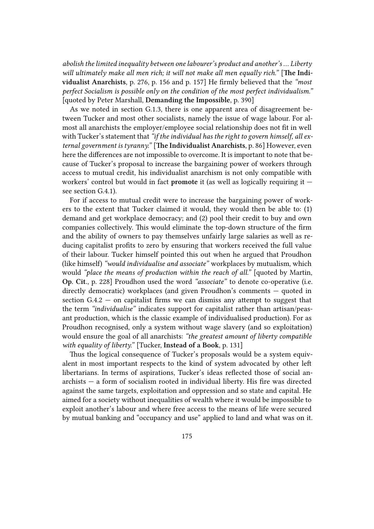*abolish the limited inequality between one labourer's product and another's … Liberty will ultimately make all men rich; it will not make all men equally rich."* [**The Individualist Anarchists**, p. 276, p. 156 and p. 157] He firmly believed that the *"most perfect Socialism is possible only on the condition of the most perfect individualism."* [quoted by Peter Marshall, **Demanding the Impossible**, p. 390]

As we noted in section G.1.3, there is one apparent area of disagreement between Tucker and most other socialists, namely the issue of wage labour. For almost all anarchists the employer/employee social relationship does not fit in well with Tucker's statement that *"if the individual has the right to govern himself, all external government is tyranny."* [**The Individualist Anarchists**, p. 86] However, even here the differences are not impossible to overcome. It is important to note that because of Tucker's proposal to increase the bargaining power of workers through access to mutual credit, his individualist anarchism is not only compatible with workers' control but would in fact **promote** it (as well as logically requiring it see section G.4.1).

For if access to mutual credit were to increase the bargaining power of workers to the extent that Tucker claimed it would, they would then be able to: (1) demand and get workplace democracy; and (2) pool their credit to buy and own companies collectively. This would eliminate the top-down structure of the firm and the ability of owners to pay themselves unfairly large salaries as well as reducing capitalist profits to zero by ensuring that workers received the full value of their labour. Tucker himself pointed this out when he argued that Proudhon (like himself) *"would individualise and associate"* workplaces by mutualism, which would *"place the means of production within the reach of all."* [quoted by Martin, **Op. Cit.**, p. 228] Proudhon used the word *"associate"* to denote co-operative (i.e. directly democratic) workplaces (and given Proudhon's comments — quoted in section  $G.4.2$  – on capitalist firms we can dismiss any attempt to suggest that the term *"individualise"* indicates support for capitalist rather than artisan/peasant production, which is the classic example of individualised production). For as Proudhon recognised, only a system without wage slavery (and so exploitation) would ensure the goal of all anarchists: *"the greatest amount of liberty compatible with equality of liberty."* [Tucker, **Instead of a Book**, p. 131]

Thus the logical consequence of Tucker's proposals would be a system equivalent in most important respects to the kind of system advocated by other left libertarians. In terms of aspirations, Tucker's ideas reflected those of social anarchists — a form of socialism rooted in individual liberty. His fire was directed against the same targets, exploitation and oppression and so state and capital. He aimed for a society without inequalities of wealth where it would be impossible to exploit another's labour and where free access to the means of life were secured by mutual banking and "occupancy and use" applied to land and what was on it.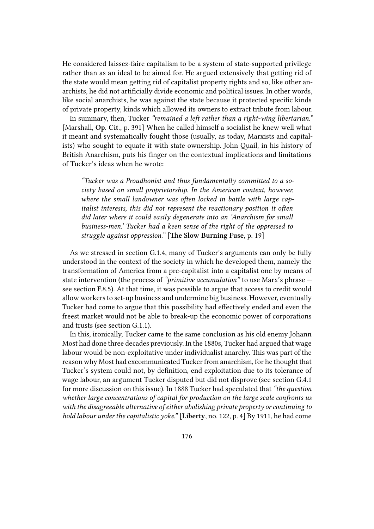He considered laissez-faire capitalism to be a system of state-supported privilege rather than as an ideal to be aimed for. He argued extensively that getting rid of the state would mean getting rid of capitalist property rights and so, like other anarchists, he did not artificially divide economic and political issues. In other words, like social anarchists, he was against the state because it protected specific kinds of private property, kinds which allowed its owners to extract tribute from labour.

In summary, then, Tucker *"remained a left rather than a right-wing libertarian."* [Marshall, **Op. Cit.**, p. 391] When he called himself a socialist he knew well what it meant and systematically fought those (usually, as today, Marxists and capitalists) who sought to equate it with state ownership. John Quail, in his history of British Anarchism, puts his finger on the contextual implications and limitations of Tucker's ideas when he wrote:

*"Tucker was a Proudhonist and thus fundamentally committed to a society based on small proprietorship. In the American context, however, where the small landowner was often locked in battle with large capitalist interests, this did not represent the reactionary position it often did later where it could easily degenerate into an 'Anarchism for small business-men.' Tucker had a keen sense of the right of the oppressed to struggle against oppression."* [**The Slow Burning Fuse**, p. 19]

As we stressed in section G.1.4, many of Tucker's arguments can only be fully understood in the context of the society in which he developed them, namely the transformation of America from a pre-capitalist into a capitalist one by means of state intervention (the process of *"primitive accumulation"* to use Marx's phrase see section F.8.5). At that time, it was possible to argue that access to credit would allow workers to set-up business and undermine big business. However, eventually Tucker had come to argue that this possibility had effectively ended and even the freest market would not be able to break-up the economic power of corporations and trusts (see section G.1.1).

In this, ironically, Tucker came to the same conclusion as his old enemy Johann Most had done three decades previously. In the 1880s, Tucker had argued that wage labour would be non-exploitative under individualist anarchy. This was part of the reason why Most had excommunicated Tucker from anarchism, for he thought that Tucker's system could not, by definition, end exploitation due to its tolerance of wage labour, an argument Tucker disputed but did not disprove (see section G.4.1 for more discussion on this issue). In 1888 Tucker had speculated that *"the question whether large concentrations of capital for production on the large scale confronts us with the disagreeable alternative of either abolishing private property or continuing to hold labour under the capitalistic yoke."* [**Liberty**, no. 122, p. 4] By 1911, he had come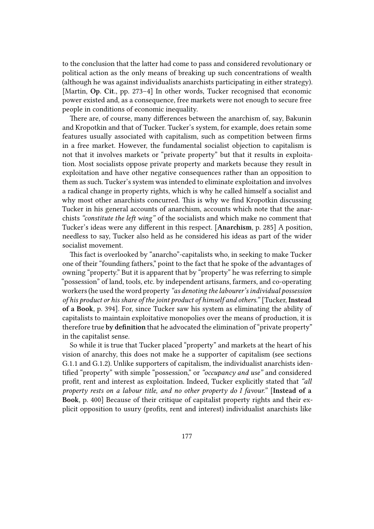to the conclusion that the latter had come to pass and considered revolutionary or political action as the only means of breaking up such concentrations of wealth (although he was against individualists anarchists participating in either strategy). [Martin, **Op. Cit.**, pp. 273–4] In other words, Tucker recognised that economic power existed and, as a consequence, free markets were not enough to secure free people in conditions of economic inequality.

There are, of course, many differences between the anarchism of, say, Bakunin and Kropotkin and that of Tucker. Tucker's system, for example, does retain some features usually associated with capitalism, such as competition between firms in a free market. However, the fundamental socialist objection to capitalism is not that it involves markets or "private property" but that it results in exploitation. Most socialists oppose private property and markets because they result in exploitation and have other negative consequences rather than an opposition to them as such. Tucker's system was intended to eliminate exploitation and involves a radical change in property rights, which is why he called himself a socialist and why most other anarchists concurred. This is why we find Kropotkin discussing Tucker in his general accounts of anarchism, accounts which note that the anarchists *"constitute the left wing"* of the socialists and which make no comment that Tucker's ideas were any different in this respect. [**Anarchism**, p. 285] A position, needless to say, Tucker also held as he considered his ideas as part of the wider socialist movement.

This fact is overlooked by "anarcho"-capitalists who, in seeking to make Tucker one of their "founding fathers," point to the fact that he spoke of the advantages of owning "property." But it is apparent that by "property" he was referring to simple "possession" of land, tools, etc. by independent artisans, farmers, and co-operating workers (he used the word property *"as denoting the labourer's individual possession of his product or his share of the joint product of himself and others."* [Tucker, **Instead of a Book**, p. 394]. For, since Tucker saw his system as eliminating the ability of capitalists to maintain exploitative monopolies over the means of production, it is therefore true **by definition** that he advocated the elimination of "private property" in the capitalist sense.

So while it is true that Tucker placed "property" and markets at the heart of his vision of anarchy, this does not make he a supporter of capitalism (see sections G.1.1 and G.1.2). Unlike supporters of capitalism, the individualist anarchists identified "property" with simple "possession," or *"occupancy and use"* and considered profit, rent and interest as exploitation. Indeed, Tucker explicitly stated that *"all property rests on a labour title, and no other property do I favour."* [**Instead of a Book**, p. 400] Because of their critique of capitalist property rights and their explicit opposition to usury (profits, rent and interest) individualist anarchists like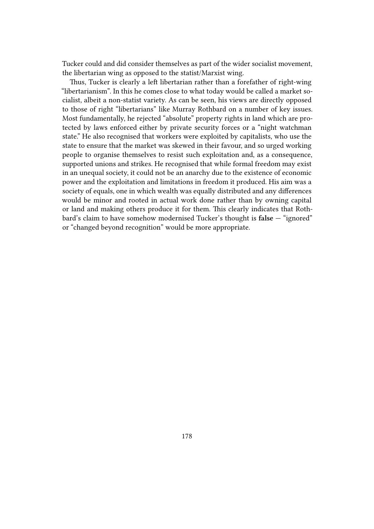Tucker could and did consider themselves as part of the wider socialist movement, the libertarian wing as opposed to the statist/Marxist wing.

Thus, Tucker is clearly a left libertarian rather than a forefather of right-wing "libertarianism". In this he comes close to what today would be called a market socialist, albeit a non-statist variety. As can be seen, his views are directly opposed to those of right "libertarians" like Murray Rothbard on a number of key issues. Most fundamentally, he rejected "absolute" property rights in land which are protected by laws enforced either by private security forces or a "night watchman state." He also recognised that workers were exploited by capitalists, who use the state to ensure that the market was skewed in their favour, and so urged working people to organise themselves to resist such exploitation and, as a consequence, supported unions and strikes. He recognised that while formal freedom may exist in an unequal society, it could not be an anarchy due to the existence of economic power and the exploitation and limitations in freedom it produced. His aim was a society of equals, one in which wealth was equally distributed and any differences would be minor and rooted in actual work done rather than by owning capital or land and making others produce it for them. This clearly indicates that Rothbard's claim to have somehow modernised Tucker's thought is **false** — "ignored" or "changed beyond recognition" would be more appropriate.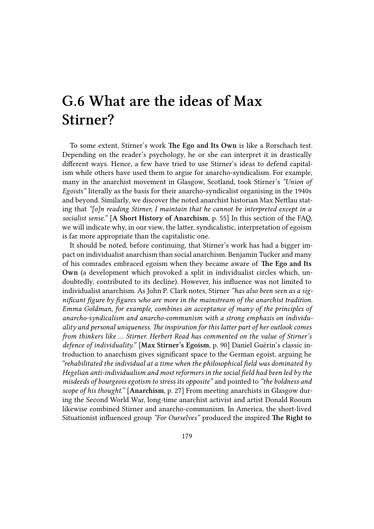## **G.6 What are the ideas of Max Stirner?**

To some extent, Stirner's work **The Ego and Its Own** is like a Rorschach test. Depending on the reader's psychology, he or she can interpret it in drastically different ways. Hence, a few have tried to use Stirner's ideas to defend capitalism while others have used them to argue for anarcho-syndicalism. For example, many in the anarchist movement in Glasgow, Scotland, took Stirner's *"Union of Egoists"* literally as the basis for their anarcho-syndicalist organising in the 1940s and beyond. Similarly, we discover the noted anarchist historian Max Nettlau stating that *"[o]n reading Stirner, I maintain that he cannot be interpreted except in a socialist sense."* [**A Short History of Anarchism**, p. 55] In this section of the FAQ, we will indicate why, in our view, the latter, syndicalistic, interpretation of egoism is far more appropriate than the capitalistic one.

It should be noted, before continuing, that Stirner's work has had a bigger impact on individualist anarchism than social anarchism. Benjamin Tucker and many of his comrades embraced egoism when they became aware of **The Ego and Its Own** (a development which provoked a split in individualist circles which, undoubtedly, contributed to its decline). However, his influence was not limited to individualist anarchism. As John P. Clark notes, Stirner *"has also been seen as a significant figure by figures who are more in the mainstream of the anarchist tradition. Emma Goldman, for example, combines an acceptance of many of the principles of anarcho-syndicalism and anarcho-communism with a strong emphasis on individuality and personal uniqueness. The inspiration for this latter part of her outlook comes from thinkers like … Stirner. Herbert Read has commented on the value of Stirner's defence of individuality."* [**Max Stirner's Egoism**, p. 90] Daniel Guérin's classic introduction to anarchism gives significant space to the German egoist, arguing he *"rehabilitated the individual at a time when the philosophical field was dominated by Hegelian anti-individualism and most reformers in the social field had been led by the misdeeds of bourgeois egotism to stress its opposite"* and pointed to *"the boldness and scope of his thought."* [**Anarchism**, p. 27] From meeting anarchists in Glasgow during the Second World War, long-time anarchist activist and artist Donald Rooum likewise combined Stirner and anarcho-communism. In America, the short-lived Situationist influenced group *"For Ourselves"* produced the inspired **The Right to**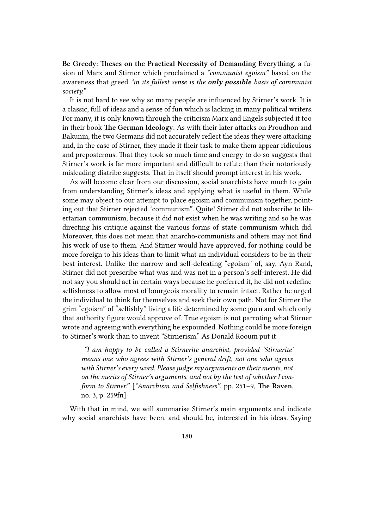**Be Greedy: Theses on the Practical Necessity of Demanding Everything**, a fusion of Marx and Stirner which proclaimed a *"communist egoism"* based on the awareness that greed *"in its fullest sense is the only possible basis of communist society."*

It is not hard to see why so many people are influenced by Stirner's work. It is a classic, full of ideas and a sense of fun which is lacking in many political writers. For many, it is only known through the criticism Marx and Engels subjected it too in their book **The German Ideology**. As with their later attacks on Proudhon and Bakunin, the two Germans did not accurately reflect the ideas they were attacking and, in the case of Stirner, they made it their task to make them appear ridiculous and preposterous. That they took so much time and energy to do so suggests that Stirner's work is far more important and difficult to refute than their notoriously misleading diatribe suggests. That in itself should prompt interest in his work.

As will become clear from our discussion, social anarchists have much to gain from understanding Stirner's ideas and applying what is useful in them. While some may object to our attempt to place egoism and communism together, pointing out that Stirner rejected "communism". Quite! Stirner did not subscribe to libertarian communism, because it did not exist when he was writing and so he was directing his critique against the various forms of **state** communism which did. Moreover, this does not mean that anarcho-communists and others may not find his work of use to them. And Stirner would have approved, for nothing could be more foreign to his ideas than to limit what an individual considers to be in their best interest. Unlike the narrow and self-defeating "egoism" of, say, Ayn Rand, Stirner did not prescribe what was and was not in a person's self-interest. He did not say you should act in certain ways because he preferred it, he did not redefine selfishness to allow most of bourgeois morality to remain intact. Rather he urged the individual to think for themselves and seek their own path. Not for Stirner the grim "egoism" of "selfishly" living a life determined by some guru and which only that authority figure would approve of. True egoism is not parroting what Stirner wrote and agreeing with everything he expounded. Nothing could be more foreign to Stirner's work than to invent "Stirnerism." As Donald Rooum put it:

*"I am happy to be called a Stirnerite anarchist, provided 'Stirnerite' means one who agrees with Stirner's general drift, not one who agrees with Stirner's every word. Please judge my arguments on their merits, not on the merits of Stirner's arguments, and not by the test of whether I conform to Stirner."* [*"Anarchism and Selfishness"*, pp. 251–9, **The Raven**, no. 3, p. 259fn]

With that in mind, we will summarise Stirner's main arguments and indicate why social anarchists have been, and should be, interested in his ideas. Saying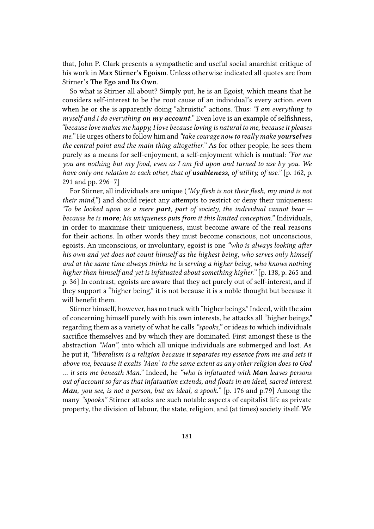that, John P. Clark presents a sympathetic and useful social anarchist critique of his work in **Max Stirner's Egoism**. Unless otherwise indicated all quotes are from Stirner's **The Ego and Its Own**.

So what is Stirner all about? Simply put, he is an Egoist, which means that he considers self-interest to be the root cause of an individual's every action, even when he or she is apparently doing "altruistic" actions. Thus: *"I am everything to myself and I do everything on my account."* Even love is an example of selfishness, *"because love makes me happy, I love because loving is natural to me, because it pleases me."* He urges others to follow him and *"take courage now to really make yourselves the central point and the main thing altogether."* As for other people, he sees them purely as a means for self-enjoyment, a self-enjoyment which is mutual: *"For me you are nothing but my food, even as I am fed upon and turned to use by you. We have only one relation to each other, that of usableness, of utility, of use."* [p. 162, p. 291 and pp. 296–7]

For Stirner, all individuals are unique (*"My flesh is not their flesh, my mind is not their mind*,") and should reject any attempts to restrict or deny their uniqueness: *"To be looked upon as a mere part, part of society, the individual cannot bear because he is more; his uniqueness puts from it this limited conception."* Individuals, in order to maximise their uniqueness, must become aware of the **real** reasons for their actions. In other words they must become conscious, not unconscious, egoists. An unconscious, or involuntary, egoist is one *"who is always looking after his own and yet does not count himself as the highest being, who serves only himself and at the same time always thinks he is serving a higher being, who knows nothing higher than himself and yet is infatuated about something higher."* [p. 138, p. 265 and p. 36] In contrast, egoists are aware that they act purely out of self-interest, and if they support a "higher being," it is not because it is a noble thought but because it will benefit them.

Stirner himself, however, has no truck with "higher beings." Indeed, with the aim of concerning himself purely with his own interests, he attacks all "higher beings," regarding them as a variety of what he calls *"spooks,"* or ideas to which individuals sacrifice themselves and by which they are dominated. First amongst these is the abstraction *"Man"*, into which all unique individuals are submerged and lost. As he put it, *"liberalism is a religion because it separates my essence from me and sets it above me, because it exalts 'Man' to the same extent as any other religion does to God … it sets me beneath Man."* Indeed, he *"who is infatuated with Man leaves persons out of account so far as that infatuation extends, and floats in an ideal, sacred interest. Man, you see, is not a person, but an ideal, a spook."* [p. 176 and p.79] Among the many *"spooks"* Stirner attacks are such notable aspects of capitalist life as private property, the division of labour, the state, religion, and (at times) society itself. We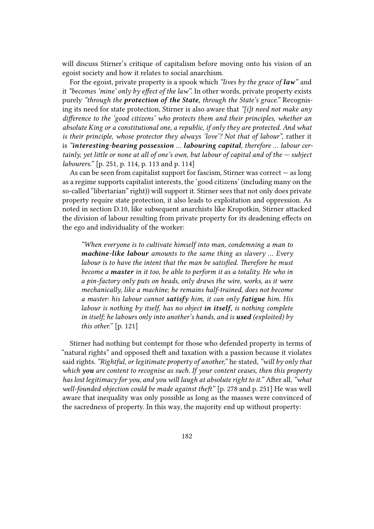will discuss Stirner's critique of capitalism before moving onto his vision of an egoist society and how it relates to social anarchism.

For the egoist, private property is a spook which *"lives by the grace of law"* and it *"becomes 'mine' only by effect of the law"*. In other words, private property exists purely *"through the protection of the State, through the State's grace."* Recognising its need for state protection, Stirner is also aware that *"[i]t need not make any difference to the 'good citizens' who protects them and their principles, whether an absolute King or a constitutional one, a republic, if only they are protected. And what is their principle, whose protector they always 'love'? Not that of labour"*, rather it is *"interesting-bearing possession … labouring capital, therefore … labour certainly, yet little or none at all of one's own, but labour of capital and of the — subject labourers."* [p. 251, p. 114, p. 113 and p. 114]

As can be seen from capitalist support for fascism, Stirner was correct — as long as a regime supports capitalist interests, the 'good citizens' (including many on the so-called "libertarian" right)) will support it. Stirner sees that not only does private property require state protection, it also leads to exploitation and oppression. As noted in section D.10, like subsequent anarchists like Kropotkin, Stirner attacked the division of labour resulting from private property for its deadening effects on the ego and individuality of the worker:

*"When everyone is to cultivate himself into man, condemning a man to machine-like labour amounts to the same thing as slavery … Every labour is to have the intent that the man be satisfied. Therefore he must become a master in it too, be able to perform it as a totality. He who in a pin-factory only puts on heads, only draws the wire, works, as it were mechanically, like a machine; he remains half-trained, does not become a master: his labour cannot satisfy him, it can only fatigue him. His labour is nothing by itself, has no object in itself, is nothing complete in itself; he labours only into another's hands, and is used (exploited) by this other."* [p. 121]

Stirner had nothing but contempt for those who defended property in terms of "natural rights" and opposed theft and taxation with a passion because it violates said rights. *"Rightful, or legitimate property of another,"* he stated, *"will by only that which you are content to recognise as such. If your content ceases, then this property has lost legitimacy for you, and you will laugh at absolute right to it."* After all, *"what well-founded objection could be made against theft"* [p. 278 and p. 251] He was well aware that inequality was only possible as long as the masses were convinced of the sacredness of property. In this way, the majority end up without property: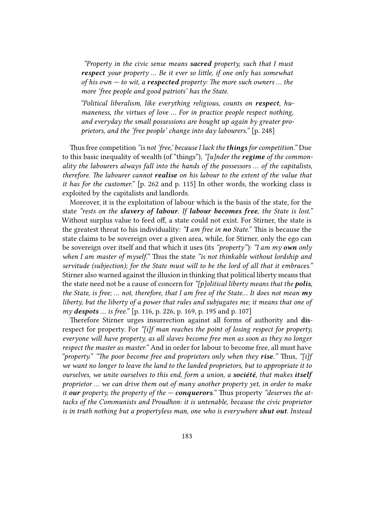*"Property in the civic sense means sacred property, such that I must respect your property … Be it ever so little, if one only has somewhat of his own — to wit, a respected property: The more such owners … the more 'free people and good patriots' has the State.*

*"Political liberalism, like everything religious, counts on respect, humaneness, the virtues of love … For in practice people respect nothing, and everyday the small possessions are bought up again by greater proprietors, and the 'free people' change into day labourers."* [p. 248]

Thus free competition *"is not 'free,' because I lack the things for competition."* Due to this basic inequality of wealth (of "things"), *"[u]nder the regime of the commonality the labourers always fall into the hands of the possessors … of the capitalists, therefore. The labourer cannot realise on his labour to the extent of the value that it has for the customer."* [p. 262 and p. 115] In other words, the working class is exploited by the capitalists and landlords.

Moreover, it is the exploitation of labour which is the basis of the state, for the state *"rests on the slavery of labour. If labour becomes free, the State is lost."* Without surplus value to feed off, a state could not exist. For Stirner, the state is the greatest threat to his individuality: *"I am free in no State."* This is because the state claims to be sovereign over a given area, while, for Stirner, only the ego can be sovereign over itself and that which it uses (its *"property"*): *"I am my own only when I am master of myself."* Thus the state *"is not thinkable without lordship and servitude (subjection); for the State must will to be the lord of all that it embraces."* Stirner also warned against the illusion in thinking that political liberty means that the state need not be a cause of concern for *"[p]olitical liberty means that the polis, the State, is free; … not, therefore, that I am free of the State… It does not mean my liberty, but the liberty of a power that rules and subjugates me; it means that one of my despots … is free."* [p. 116, p. 226, p. 169, p. 195 and p. 107]

Therefore Stirner urges insurrection against all forms of authority and **dis**respect for property. For *"[i]f man reaches the point of losing respect for property, everyone will have property, as all slaves become free men as soon as they no longer respect the master as master."* And in order for labour to become free, all must have *"property." "The poor become free and proprietors only when they rise."* Thus, *"[i]f we want no longer to leave the land to the landed proprietors, but to appropriate it to ourselves, we unite ourselves to this end, form a union, a société, that makes itself proprietor … we can drive them out of many another property yet, in order to make it our property, the property of the — conquerors."* Thus property *"deserves the attacks of the Communists and Proudhon: it is untenable, because the civic proprietor is in truth nothing but a propertyless man, one who is everywhere shut out. Instead*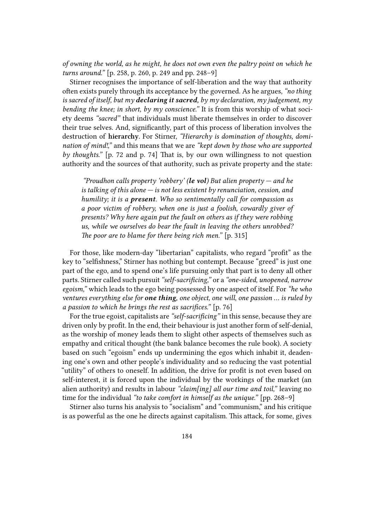*of owning the world, as he might, he does not own even the paltry point on which he turns around."* [p. 258, p. 260, p. 249 and pp. 248–9]

Stirner recognises the importance of self-liberation and the way that authority often exists purely through its acceptance by the governed. As he argues, *"no thing is sacred of itself, but my declaring it sacred, by my declaration, my judgement, my bending the knee; in short, by my conscience.*" It is from this worship of what society deems *"sacred"* that individuals must liberate themselves in order to discover their true selves. And, significantly, part of this process of liberation involves the destruction of **hierarchy.** For Stirner, *"Hierarchy is domination of thoughts, domination of mind!,"* and this means that we are *"kept down by those who are supported by thoughts."* [p. 72 and p. 74] That is, by our own willingness to not question authority and the sources of that authority, such as private property and the state:

*"Proudhon calls property 'robbery' (le vol) But alien property — and he is talking of this alone — is not less existent by renunciation, cession, and humility; it is a present. Who so sentimentally call for compassion as a poor victim of robbery, when one is just a foolish, cowardly giver of presents? Why here again put the fault on others as if they were robbing us, while we ourselves do bear the fault in leaving the others unrobbed? The poor are to blame for there being rich men."* [p. 315]

For those, like modern-day "libertarian" capitalists, who regard "profit" as the key to "selfishness," Stirner has nothing but contempt. Because "greed" is just one part of the ego, and to spend one's life pursuing only that part is to deny all other parts. Stirner called such pursuit*"self-sacrificing,"* or a *"one-sided, unopened, narrow egoism,"* which leads to the ego being possessed by one aspect of itself. For *"he who ventures everything else for one thing, one object, one will, one passion … is ruled by a passion to which he brings the rest as sacrifices."* [p. 76]

For the true egoist, capitalists are *"self-sacrificing"* in this sense, because they are driven only by profit. In the end, their behaviour is just another form of self-denial, as the worship of money leads them to slight other aspects of themselves such as empathy and critical thought (the bank balance becomes the rule book). A society based on such "egoism" ends up undermining the egos which inhabit it, deadening one's own and other people's individuality and so reducing the vast potential "utility" of others to oneself. In addition, the drive for profit is not even based on self-interest, it is forced upon the individual by the workings of the market (an alien authority) and results in labour *"claim[ing] all our time and toil,"* leaving no time for the individual *"to take comfort in himself as the unique."* [pp. 268–9]

Stirner also turns his analysis to "socialism" and "communism," and his critique is as powerful as the one he directs against capitalism. This attack, for some, gives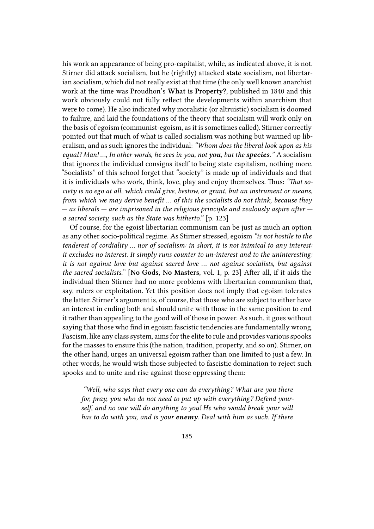his work an appearance of being pro-capitalist, while, as indicated above, it is not. Stirner did attack socialism, but he (rightly) attacked **state** socialism, not libertarian socialism, which did not really exist at that time (the only well known anarchist work at the time was Proudhon's **What is Property?**, published in 1840 and this work obviously could not fully reflect the developments within anarchism that were to come). He also indicated why moralistic (or altruistic) socialism is doomed to failure, and laid the foundations of the theory that socialism will work only on the basis of egoism (communist-egoism, as it is sometimes called). Stirner correctly pointed out that much of what is called socialism was nothing but warmed up liberalism, and as such ignores the individual: *"Whom does the liberal look upon as his equal? Man! …, In other words, he sees in you, not you, but the species."* A socialism that ignores the individual consigns itself to being state capitalism, nothing more. "Socialists" of this school forget that "society" is made up of individuals and that it is individuals who work, think, love, play and enjoy themselves. Thus: *"That society is no ego at all, which could give, bestow, or grant, but an instrument or means, from which we may derive benefit … of this the socialists do not think, because they — as liberals — are imprisoned in the religious principle and zealously aspire after a sacred society, such as the State was hitherto."* [p. 123]

Of course, for the egoist libertarian communism can be just as much an option as any other socio-political regime. As Stirner stressed, egoism *"is not hostile to the tenderest of cordiality … nor of socialism: in short, it is not inimical to any interest: it excludes no interest. It simply runs counter to un-interest and to the uninteresting: it is not against love but against sacred love … not against socialists, but against the sacred socialists."* [**No Gods, No Masters**, vol. 1, p. 23] After all, if it aids the individual then Stirner had no more problems with libertarian communism that, say, rulers or exploitation. Yet this position does not imply that egoism tolerates the latter. Stirner's argument is, of course, that those who are subject to either have an interest in ending both and should unite with those in the same position to end it rather than appealing to the good will of those in power. As such, it goes without saying that those who find in egoism fascistic tendencies are fundamentally wrong. Fascism, like any class system, aims for the elite to rule and provides various spooks for the masses to ensure this (the nation, tradition, property, and so on). Stirner, on the other hand, urges an universal egoism rather than one limited to just a few. In other words, he would wish those subjected to fascistic domination to reject such spooks and to unite and rise against those oppressing them:

*"Well, who says that every one can do everything? What are you there for, pray, you who do not need to put up with everything? Defend yourself, and no one will do anything to you! He who would break your will has to do with you, and is your enemy. Deal with him as such. If there*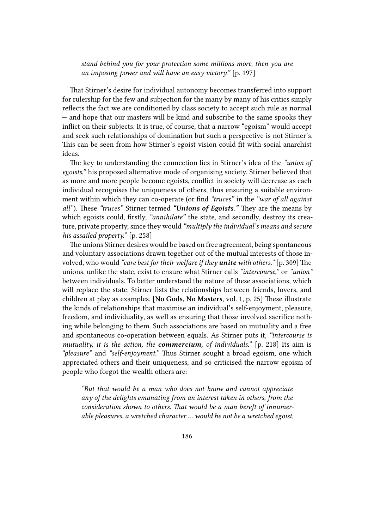*stand behind you for your protection some millions more, then you are an imposing power and will have an easy victory."* [p. 197]

That Stirner's desire for individual autonomy becomes transferred into support for rulership for the few and subjection for the many by many of his critics simply reflects the fact we are conditioned by class society to accept such rule as normal — and hope that our masters will be kind and subscribe to the same spooks they inflict on their subjects. It is true, of course, that a narrow "egoism" would accept and seek such relationships of domination but such a perspective is not Stirner's. This can be seen from how Stirner's egoist vision could fit with social anarchist ideas.

The key to understanding the connection lies in Stirner's idea of the *"union of egoists,"* his proposed alternative mode of organising society. Stirner believed that as more and more people become egoists, conflict in society will decrease as each individual recognises the uniqueness of others, thus ensuring a suitable environment within which they can co-operate (or find *"truces"* in the *"war of all against all"*). These *"truces"* Stirner termed *"Unions of Egoists."* They are the means by which egoists could, firstly, *"annihilate"* the state, and secondly, destroy its creature, private property, since they would *"multiply the individual's means and secure his assailed property."* [p. 258]

The unions Stirner desires would be based on free agreement, being spontaneous and voluntary associations drawn together out of the mutual interests of those involved, who would *"care best for their welfare if they unite with others."* [p. 309] The unions, unlike the state, exist to ensure what Stirner calls *"intercourse,"* or *"union"* between individuals. To better understand the nature of these associations, which will replace the state, Stirner lists the relationships between friends, lovers, and children at play as examples. [**No Gods, No Masters**, vol. 1, p. 25] These illustrate the kinds of relationships that maximise an individual's self-enjoyment, pleasure, freedom, and individuality, as well as ensuring that those involved sacrifice nothing while belonging to them. Such associations are based on mutuality and a free and spontaneous co-operation between equals. As Stirner puts it, *"intercourse is mutuality, it is the action, the commercium, of individuals."* [p. 218] Its aim is *"pleasure"* and *"self-enjoyment."* Thus Stirner sought a broad egoism, one which appreciated others and their uniqueness, and so criticised the narrow egoism of people who forgot the wealth others are:

*"But that would be a man who does not know and cannot appreciate any of the delights emanating from an interest taken in others, from the consideration shown to others. That would be a man bereft of innumerable pleasures, a wretched character … would he not be a wretched egoist,*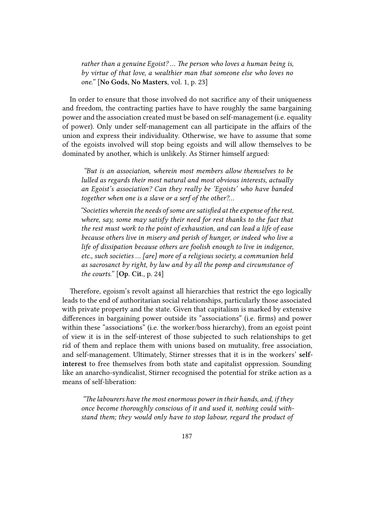*rather than a genuine Egoist? … The person who loves a human being is, by virtue of that love, a wealthier man that someone else who loves no one."* [**No Gods, No Masters**, vol. 1, p. 23]

In order to ensure that those involved do not sacrifice any of their uniqueness and freedom, the contracting parties have to have roughly the same bargaining power and the association created must be based on self-management (i.e. equality of power). Only under self-management can all participate in the affairs of the union and express their individuality. Otherwise, we have to assume that some of the egoists involved will stop being egoists and will allow themselves to be dominated by another, which is unlikely. As Stirner himself argued:

*"But is an association, wherein most members allow themselves to be lulled as regards their most natural and most obvious interests, actually an Egoist's association? Can they really be 'Egoists' who have banded together when one is a slave or a serf of the other?…*

*"Societies wherein the needs of some are satisfied at the expense of the rest, where, say, some may satisfy their need for rest thanks to the fact that the rest must work to the point of exhaustion, and can lead a life of ease because others live in misery and perish of hunger, or indeed who live a life of dissipation because others are foolish enough to live in indigence, etc., such societies … [are] more of a religious society, a communion held as sacrosanct by right, by law and by all the pomp and circumstance of the courts."* [**Op. Cit.**, p. 24]

Therefore, egoism's revolt against all hierarchies that restrict the ego logically leads to the end of authoritarian social relationships, particularly those associated with private property and the state. Given that capitalism is marked by extensive differences in bargaining power outside its "associations" (i.e. firms) and power within these "associations" (i.e. the worker/boss hierarchy), from an egoist point of view it is in the self-interest of those subjected to such relationships to get rid of them and replace them with unions based on mutuality, free association, and self-management. Ultimately, Stirner stresses that it is in the workers' **selfinterest** to free themselves from both state and capitalist oppression. Sounding like an anarcho-syndicalist, Stirner recognised the potential for strike action as a means of self-liberation:

*"The labourers have the most enormous power in their hands, and, if they once become thoroughly conscious of it and used it, nothing could withstand them; they would only have to stop labour, regard the product of*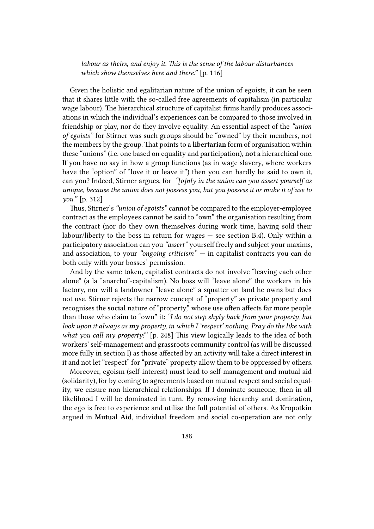*labour as theirs, and enjoy it. This is the sense of the labour disturbances which show themselves here and there."* [p. 116]

Given the holistic and egalitarian nature of the union of egoists, it can be seen that it shares little with the so-called free agreements of capitalism (in particular wage labour). The hierarchical structure of capitalist firms hardly produces associations in which the individual's experiences can be compared to those involved in friendship or play, nor do they involve equality. An essential aspect of the *"union of egoists"* for Stirner was such groups should be "owned" by their members, not the members by the group. That points to a **libertarian** form of organisation within these "unions" (i.e. one based on equality and participation), **not** a hierarchical one. If you have no say in how a group functions (as in wage slavery, where workers have the "option" of "love it or leave it") then you can hardly be said to own it, can you? Indeed, Stirner argues, for *"[o]nly in the union can you assert yourself as unique, because the union does not possess you, but you possess it or make it of use to you."* [p. 312]

Thus, Stirner's *"union of egoists"* cannot be compared to the employer-employee contract as the employees cannot be said to "own" the organisation resulting from the contract (nor do they own themselves during work time, having sold their labour/liberty to the boss in return for wages — see section B.4). Only within a participatory association can you *"assert"* yourself freely and subject your maxims, and association, to your *"ongoing criticism"* — in capitalist contracts you can do both only with your bosses' permission.

And by the same token, capitalist contracts do not involve "leaving each other alone" (a la "anarcho"-capitalism). No boss will "leave alone" the workers in his factory, nor will a landowner "leave alone" a squatter on land he owns but does not use. Stirner rejects the narrow concept of "property" as private property and recognises the **social** nature of "property," whose use often affects far more people than those who claim to "own" it: *"I do not step shyly back from your property, but look upon it always as my property, in which I 'respect' nothing. Pray do the like with what you call my property!"* [p. 248] This view logically leads to the idea of both workers' self-management and grassroots community control (as will be discussed more fully in section I) as those affected by an activity will take a direct interest in it and not let "respect" for "private" property allow them to be oppressed by others.

Moreover, egoism (self-interest) must lead to self-management and mutual aid (solidarity), for by coming to agreements based on mutual respect and social equality, we ensure non-hierarchical relationships. If I dominate someone, then in all likelihood I will be dominated in turn. By removing hierarchy and domination, the ego is free to experience and utilise the full potential of others. As Kropotkin argued in **Mutual Aid**, individual freedom and social co-operation are not only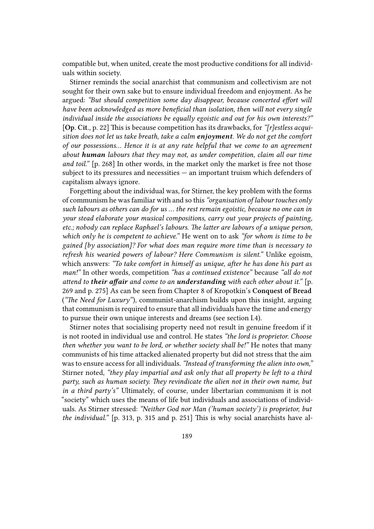compatible but, when united, create the most productive conditions for all individuals within society.

Stirner reminds the social anarchist that communism and collectivism are not sought for their own sake but to ensure individual freedom and enjoyment. As he argued: *"But should competition some day disappear, because concerted effort will have been acknowledged as more beneficial than isolation, then will not every single individual inside the associations be equally egoistic and out for his own interests?"* [**Op. Cit.**, p. 22] This is because competition has its drawbacks, for *"[r]estless acquisition does not let us take breath, take a calm enjoyment. We do not get the comfort of our possessions… Hence it is at any rate helpful that we come to an agreement about human labours that they may not, as under competition, claim all our time and toil.*" [p. 268] In other words, in the market only the market is free not those subject to its pressures and necessities — an important truism which defenders of capitalism always ignore.

Forgetting about the individual was, for Stirner, the key problem with the forms of communism he was familiar with and so this*"organisation of labour touches only such labours as others can do for us … the rest remain egoistic, because no one can in your stead elaborate your musical compositions, carry out your projects of painting, etc.; nobody can replace Raphael's labours. The latter are labours of a unique person, which only he is competent to achieve."* He went on to ask *"for whom is time to be gained [by association]? For what does man require more time than is necessary to refresh his wearied powers of labour? Here Communism is silent."* Unlike egoism, which answers: *"To take comfort in himself as unique, after he has done his part as man!"* In other words, competition *"has a continued existence"* because *"all do not attend to their affair and come to an understanding with each other about it."* [p. 269 and p. 275] As can be seen from Chapter 8 of Kropotkin's **Conquest of Bread** (*"The Need for Luxury"*), communist-anarchism builds upon this insight, arguing that communism is required to ensure that all individuals have the time and energy to pursue their own unique interests and dreams (see section I.4).

Stirner notes that socialising property need not result in genuine freedom if it is not rooted in individual use and control. He states *"the lord is proprietor. Choose then whether you want to be lord, or whether society shall be!"* He notes that many communists of his time attacked alienated property but did not stress that the aim was to ensure access for all individuals. *"Instead of transforming the alien into own,"* Stirner noted, *"they play impartial and ask only that all property be left to a third party, such as human society. They revindicate the alien not in their own name, but in a third party's"* Ultimately, of course, under libertarian communism it is not "society" which uses the means of life but individuals and associations of individuals. As Stirner stressed: *"Neither God nor Man ('human society') is proprietor, but the individual."* [p. 313, p. 315 and p. 251] This is why social anarchists have al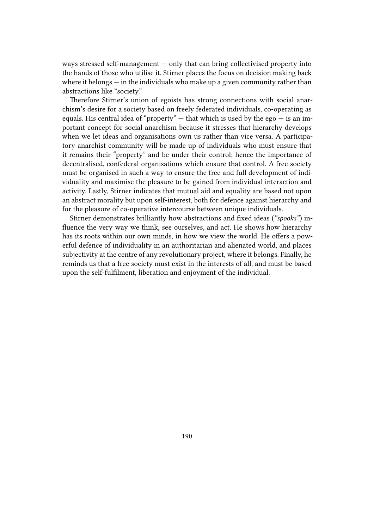ways stressed self-management — only that can bring collectivised property into the hands of those who utilise it. Stirner places the focus on decision making back where it belongs — in the individuals who make up a given community rather than abstractions like "society."

Therefore Stirner's union of egoists has strong connections with social anarchism's desire for a society based on freely federated individuals, co-operating as equals. His central idea of "property"  $-$  that which is used by the ego  $-$  is an important concept for social anarchism because it stresses that hierarchy develops when we let ideas and organisations own us rather than vice versa. A participatory anarchist community will be made up of individuals who must ensure that it remains their "property" and be under their control; hence the importance of decentralised, confederal organisations which ensure that control. A free society must be organised in such a way to ensure the free and full development of individuality and maximise the pleasure to be gained from individual interaction and activity. Lastly, Stirner indicates that mutual aid and equality are based not upon an abstract morality but upon self-interest, both for defence against hierarchy and for the pleasure of co-operative intercourse between unique individuals.

Stirner demonstrates brilliantly how abstractions and fixed ideas (*"spooks"*) influence the very way we think, see ourselves, and act. He shows how hierarchy has its roots within our own minds, in how we view the world. He offers a powerful defence of individuality in an authoritarian and alienated world, and places subjectivity at the centre of any revolutionary project, where it belongs. Finally, he reminds us that a free society must exist in the interests of all, and must be based upon the self-fulfilment, liberation and enjoyment of the individual.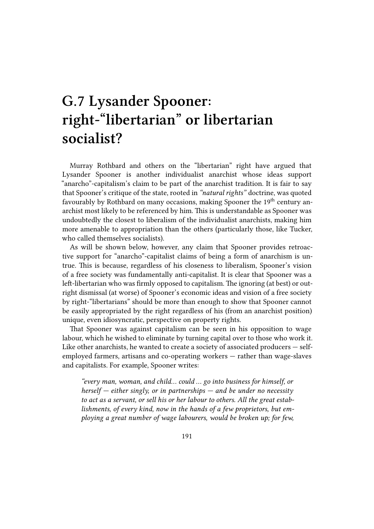## **G.7 Lysander Spooner: right-"libertarian" or libertarian socialist?**

Murray Rothbard and others on the "libertarian" right have argued that Lysander Spooner is another individualist anarchist whose ideas support "anarcho"-capitalism's claim to be part of the anarchist tradition. It is fair to say that Spooner's critique of the state, rooted in *"natural rights"* doctrine, was quoted favourably by Rothbard on many occasions, making Spooner the 19<sup>th</sup> century anarchist most likely to be referenced by him. This is understandable as Spooner was undoubtedly the closest to liberalism of the individualist anarchists, making him more amenable to appropriation than the others (particularly those, like Tucker, who called themselves socialists).

As will be shown below, however, any claim that Spooner provides retroactive support for "anarcho"-capitalist claims of being a form of anarchism is untrue. This is because, regardless of his closeness to liberalism, Spooner's vision of a free society was fundamentally anti-capitalist. It is clear that Spooner was a left-libertarian who was firmly opposed to capitalism. The ignoring (at best) or outright dismissal (at worse) of Spooner's economic ideas and vision of a free society by right-"libertarians" should be more than enough to show that Spooner cannot be easily appropriated by the right regardless of his (from an anarchist position) unique, even idiosyncratic, perspective on property rights.

That Spooner was against capitalism can be seen in his opposition to wage labour, which he wished to eliminate by turning capital over to those who work it. Like other anarchists, he wanted to create a society of associated producers — selfemployed farmers, artisans and co-operating workers — rather than wage-slaves and capitalists. For example, Spooner writes:

*"every man, woman, and child… could … go into business for himself, or herself — either singly, or in partnerships — and be under no necessity to act as a servant, or sell his or her labour to others. All the great establishments, of every kind, now in the hands of a few proprietors, but employing a great number of wage labourers, would be broken up; for few,*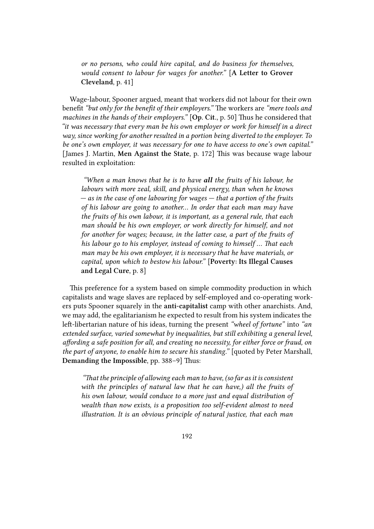*or no persons, who could hire capital, and do business for themselves, would consent to labour for wages for another."* [**A Letter to Grover Cleveland**, p. 41]

Wage-labour, Spooner argued, meant that workers did not labour for their own benefit *"but only for the benefit of their employers."* The workers are *"mere tools and machines in the hands of their employers."* [**Op. Cit.**, p. 50] Thus he considered that *"it was necessary that every man be his own employer or work for himself in a direct way, since working for another resulted in a portion being diverted to the employer. To be one's own employer, it was necessary for one to have access to one's own capital."* [James J. Martin, **Men Against the State**, p. 172] This was because wage labour resulted in exploitation:

*"When a man knows that he is to have all the fruits of his labour, he labours with more zeal, skill, and physical energy, than when he knows — as in the case of one labouring for wages — that a portion of the fruits of his labour are going to another… In order that each man may have the fruits of his own labour, it is important, as a general rule, that each man should be his own employer, or work directly for himself, and not for another for wages; because, in the latter case, a part of the fruits of his labour go to his employer, instead of coming to himself … That each man may be his own employer, it is necessary that he have materials, or capital, upon which to bestow his labour."* [**Poverty: Its Illegal Causes and Legal Cure**, p. 8]

This preference for a system based on simple commodity production in which capitalists and wage slaves are replaced by self-employed and co-operating workers puts Spooner squarely in the **anti-capitalist** camp with other anarchists. And, we may add, the egalitarianism he expected to result from his system indicates the left-libertarian nature of his ideas, turning the present *"wheel of fortune"* into *"an extended surface, varied somewhat by inequalities, but still exhibiting a general level, affording a safe position for all, and creating no necessity, for either force or fraud, on the part of anyone, to enable him to secure his standing."* [quoted by Peter Marshall, **Demanding the Impossible**, pp. 388–9] Thus:

*"That the principle of allowing each man to have, (so far as it is consistent with the principles of natural law that he can have,) all the fruits of his own labour, would conduce to a more just and equal distribution of wealth than now exists, is a proposition too self-evident almost to need illustration. It is an obvious principle of natural justice, that each man*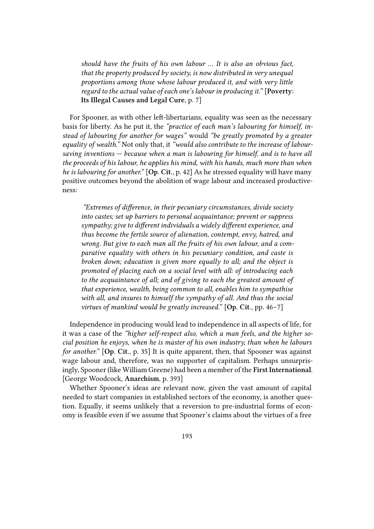*should have the fruits of his own labour … It is also an obvious fact, that the property produced by society, is now distributed in very unequal proportions among those whose labour produced it, and with very little regard to the actual value of each one's labour in producing it."* [**Poverty: Its Illegal Causes and Legal Cure**, p. 7]

For Spooner, as with other left-libertarians, equality was seen as the necessary basis for liberty. As he put it, the *"practice of each man's labouring for himself, instead of labouring for another for wages"* would *"be greatly promoted by a greater equality of wealth."* Not only that, it *"would also contribute to the increase of laboursaving inventions — because when a man is labouring for himself, and is to have all the proceeds of his labour, he applies his mind, with his hands, much more than when he is labouring for another."* [**Op. Cit.**, p. 42] As he stressed equality will have many positive outcomes beyond the abolition of wage labour and increased productiveness:

*"Extremes of difference, in their pecuniary circumstances, divide society into castes; set up barriers to personal acquaintance; prevent or suppress sympathy; give to different individuals a widely different experience, and thus become the fertile source of alienation, contempt, envy, hatred, and wrong. But give to each man all the fruits of his own labour, and a comparative equality with others in his pecuniary condition, and caste is broken down; education is given more equally to all; and the object is promoted of placing each on a social level with all: of introducing each to the acquaintance of all; and of giving to each the greatest amount of that experience, wealth, being common to all, enables him to sympathise with all, and insures to himself the sympathy of all. And thus the social virtues of mankind would be greatly increased."* [**Op. Cit.**, pp. 46–7]

Independence in producing would lead to independence in all aspects of life, for it was a case of the *"higher self-respect also, which a man feels, and the higher social position he enjoys, when he is master of his own industry, than when he labours for another.*" [Op. Cit., p. 35] It is quite apparent, then, that Spooner was against wage labour and, therefore, was no supporter of capitalism. Perhaps unsurprisingly, Spooner (like William Greene) had been a member of the **First International**. [George Woodcock, **Anarchism**, p. 393]

Whether Spooner's ideas are relevant now, given the vast amount of capital needed to start companies in established sectors of the economy, is another question. Equally, it seems unlikely that a reversion to pre-industrial forms of economy is feasible even if we assume that Spooner's claims about the virtues of a free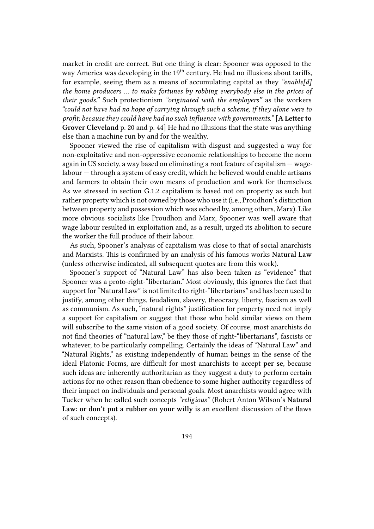market in credit are correct. But one thing is clear: Spooner was opposed to the way America was developing in the  $19<sup>th</sup>$  century. He had no illusions about tariffs, for example, seeing them as a means of accumulating capital as they *"enable[d] the home producers … to make fortunes by robbing everybody else in the prices of their goods."* Such protectionism *"originated with the employers"* as the workers *"could not have had no hope of carrying through such a scheme, if they alone were to profit; because they could have had no such influence with governments."* [**A Letter to Grover Cleveland** p. 20 and p. 44] He had no illusions that the state was anything else than a machine run by and for the wealthy.

Spooner viewed the rise of capitalism with disgust and suggested a way for non-exploitative and non-oppressive economic relationships to become the norm again in US society, a way based on eliminating a root feature of capitalism — wagelabour — through a system of easy credit, which he believed would enable artisans and farmers to obtain their own means of production and work for themselves. As we stressed in section G.1.2 capitalism is based not on property as such but rather property which is not owned by those who use it (i.e., Proudhon's distinction between property and possession which was echoed by, among others, Marx). Like more obvious socialists like Proudhon and Marx, Spooner was well aware that wage labour resulted in exploitation and, as a result, urged its abolition to secure the worker the full produce of their labour.

As such, Spooner's analysis of capitalism was close to that of social anarchists and Marxists. This is confirmed by an analysis of his famous works **Natural Law** (unless otherwise indicated, all subsequent quotes are from this work).

Spooner's support of "Natural Law" has also been taken as "evidence" that Spooner was a proto-right-"libertarian." Most obviously, this ignores the fact that support for "Natural Law" is not limited to right-"libertarians" and has been used to justify, among other things, feudalism, slavery, theocracy, liberty, fascism as well as communism. As such, "natural rights" justification for property need not imply a support for capitalism or suggest that those who hold similar views on them will subscribe to the same vision of a good society. Of course, most anarchists do not find theories of "natural law," be they those of right-"libertarians", fascists or whatever, to be particularly compelling. Certainly the ideas of "Natural Law" and "Natural Rights," as existing independently of human beings in the sense of the ideal Platonic Forms, are difficult for most anarchists to accept **per se**, because such ideas are inherently authoritarian as they suggest a duty to perform certain actions for no other reason than obedience to some higher authority regardless of their impact on individuals and personal goals. Most anarchists would agree with Tucker when he called such concepts *"religious"* (Robert Anton Wilson's **Natural Law: or don't put a rubber on your willy** is an excellent discussion of the flaws of such concepts).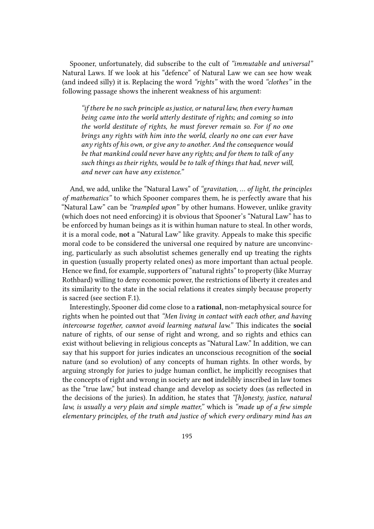Spooner, unfortunately, did subscribe to the cult of *"immutable and universal"* Natural Laws. If we look at his "defence" of Natural Law we can see how weak (and indeed silly) it is. Replacing the word *"rights"* with the word *"clothes"* in the following passage shows the inherent weakness of his argument:

*"if there be no such principle as justice, or natural law, then every human being came into the world utterly destitute of rights; and coming so into the world destitute of rights, he must forever remain so. For if no one brings any rights with him into the world, clearly no one can ever have any rights of his own, or give any to another. And the consequence would be that mankind could never have any rights; and for them to talk of any such things as their rights, would be to talk of things that had, never will, and never can have any existence."*

And, we add, unlike the "Natural Laws" of *"gravitation, … of light, the principles of mathematics"* to which Spooner compares them, he is perfectly aware that his "Natural Law" can be *"trampled upon"* by other humans. However, unlike gravity (which does not need enforcing) it is obvious that Spooner's "Natural Law" has to be enforced by human beings as it is within human nature to steal. In other words, it is a moral code, **not** a "Natural Law" like gravity. Appeals to make this specific moral code to be considered the universal one required by nature are unconvincing, particularly as such absolutist schemes generally end up treating the rights in question (usually property related ones) as more important than actual people. Hence we find, for example, supporters of "natural rights" to property (like Murray Rothbard) willing to deny economic power, the restrictions of liberty it creates and its similarity to the state in the social relations it creates simply because property is sacred (see section F.1).

Interestingly, Spooner did come close to a **rational,** non-metaphysical source for rights when he pointed out that *"Men living in contact with each other, and having intercourse together, cannot avoid learning natural law."* This indicates the **social** nature of rights, of our sense of right and wrong, and so rights and ethics can exist without believing in religious concepts as "Natural Law." In addition, we can say that his support for juries indicates an unconscious recognition of the **social** nature (and so evolution) of any concepts of human rights. In other words, by arguing strongly for juries to judge human conflict, he implicitly recognises that the concepts of right and wrong in society are **not** indelibly inscribed in law tomes as the "true law," but instead change and develop as society does (as reflected in the decisions of the juries). In addition, he states that *"[h]onesty, justice, natural law, is usually a very plain and simple matter,"* which is *"made up of a few simple elementary principles, of the truth and justice of which every ordinary mind has an*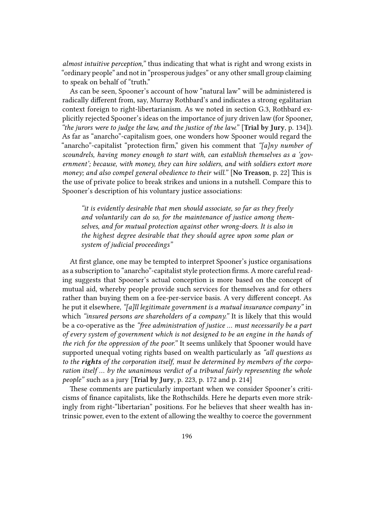*almost intuitive perception,"* thus indicating that what is right and wrong exists in "ordinary people" and not in "prosperous judges" or any other small group claiming to speak on behalf of "truth."

As can be seen, Spooner's account of how "natural law" will be administered is radically different from, say, Murray Rothbard's and indicates a strong egalitarian context foreign to right-libertarianism. As we noted in section G.3, Rothbard explicitly rejected Spooner's ideas on the importance of jury driven law (for Spooner, *"the jurors were to judge the law, and the justice of the law."* [**Trial by Jury**, p. 134]). As far as "anarcho"-capitalism goes, one wonders how Spooner would regard the "anarcho"-capitalist "protection firm," given his comment that *"[a]ny number of scoundrels, having money enough to start with, can establish themselves as a 'government'; because, with money, they can hire soldiers, and with soldiers extort more money; and also compel general obedience to their will."* [**No Treason**, p. 22] This is the use of private police to break strikes and unions in a nutshell. Compare this to Spooner's description of his voluntary justice associations:

*"it is evidently desirable that men should associate, so far as they freely and voluntarily can do so, for the maintenance of justice among themselves, and for mutual protection against other wrong-doers. It is also in the highest degree desirable that they should agree upon some plan or system of judicial proceedings"*

At first glance, one may be tempted to interpret Spooner's justice organisations as a subscription to "anarcho"-capitalist style protection firms. A more careful reading suggests that Spooner's actual conception is more based on the concept of mutual aid, whereby people provide such services for themselves and for others rather than buying them on a fee-per-service basis. A very different concept. As he put it elsewhere, *"[a]ll legitimate government is a mutual insurance company"* in which *"insured persons are shareholders of a company."* It is likely that this would be a co-operative as the *"free administration of justice … must necessarily be a part of every system of government which is not designed to be an engine in the hands of the rich for the oppression of the poor."* It seems unlikely that Spooner would have supported unequal voting rights based on wealth particularly as *"all questions as to the rights of the corporation itself, must be determined by members of the corporation itself … by the unanimous verdict of a tribunal fairly representing the whole people"* such as a jury [**Trial by Jury**, p. 223, p. 172 and p. 214]

These comments are particularly important when we consider Spooner's criticisms of finance capitalists, like the Rothschilds. Here he departs even more strikingly from right-"libertarian" positions. For he believes that sheer wealth has intrinsic power, even to the extent of allowing the wealthy to coerce the government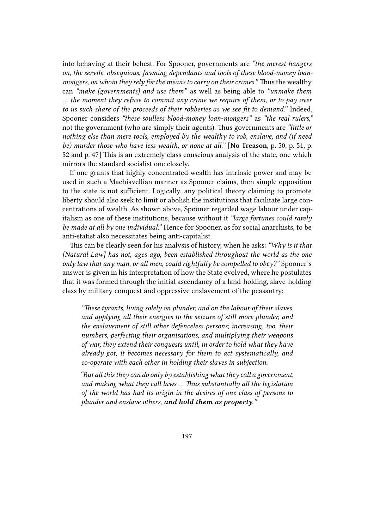into behaving at their behest. For Spooner, governments are *"the merest hangers on, the servile, obsequious, fawning dependants and tools of these blood-money loanmongers, on whom they rely for the means to carry on their crimes."* Thus the wealthy can *"make [governments] and use them"* as well as being able to *"unmake them … the moment they refuse to commit any crime we require of them, or to pay over to us such share of the proceeds of their robberies as we see fit to demand."* Indeed, Spooner considers *"these soulless blood-money loan-mongers"* as *"the real rulers,"* not the government (who are simply their agents). Thus governments are *"little or nothing else than mere tools, employed by the wealthy to rob, enslave, and (if need be) murder those who have less wealth, or none at all."* [**No Treason**, p. 50, p. 51, p. 52 and p. 47] This is an extremely class conscious analysis of the state, one which mirrors the standard socialist one closely.

If one grants that highly concentrated wealth has intrinsic power and may be used in such a Machiavellian manner as Spooner claims, then simple opposition to the state is not sufficient. Logically, any political theory claiming to promote liberty should also seek to limit or abolish the institutions that facilitate large concentrations of wealth. As shown above, Spooner regarded wage labour under capitalism as one of these institutions, because without it *"large fortunes could rarely be made at all by one individual."* Hence for Spooner, as for social anarchists, to be anti-statist also necessitates being anti-capitalist.

This can be clearly seen for his analysis of history, when he asks: *"Why is it that [Natural Law] has not, ages ago, been established throughout the world as the one only law that any man, or all men, could rightfully be compelled to obey?"* Spooner's answer is given in his interpretation of how the State evolved, where he postulates that it was formed through the initial ascendancy of a land-holding, slave-holding class by military conquest and oppressive enslavement of the peasantry:

*"These tyrants, living solely on plunder, and on the labour of their slaves, and applying all their energies to the seizure of still more plunder, and the enslavement of still other defenceless persons; increasing, too, their numbers, perfecting their organisations, and multiplying their weapons of war, they extend their conquests until, in order to hold what they have already got, it becomes necessary for them to act systematically, and co-operate with each other in holding their slaves in subjection.*

*"But all this they can do only by establishing what they call a government, and making what they call laws … Thus substantially all the legislation of the world has had its origin in the desires of one class of persons to plunder and enslave others, and hold them as property."*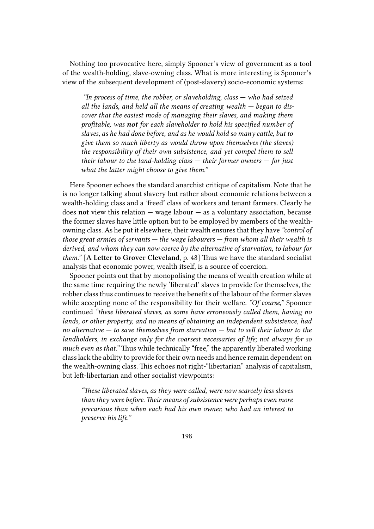Nothing too provocative here, simply Spooner's view of government as a tool of the wealth-holding, slave-owning class. What is more interesting is Spooner's view of the subsequent development of (post-slavery) socio-economic systems:

*"In process of time, the robber, or slaveholding, class — who had seized all the lands, and held all the means of creating wealth — began to discover that the easiest mode of managing their slaves, and making them profitable, was not for each slaveholder to hold his specified number of slaves, as he had done before, and as he would hold so many cattle, but to give them so much liberty as would throw upon themselves (the slaves) the responsibility of their own subsistence, and yet compel them to sell their labour to the land-holding class — their former owners — for just what the latter might choose to give them."*

Here Spooner echoes the standard anarchist critique of capitalism. Note that he is no longer talking about slavery but rather about economic relations between a wealth-holding class and a 'freed' class of workers and tenant farmers. Clearly he does **not** view this relation — wage labour — as a voluntary association, because the former slaves have little option but to be employed by members of the wealthowning class. As he put it elsewhere, their wealth ensures that they have *"control of those great armies of servants — the wage labourers — from whom all their wealth is derived, and whom they can now coerce by the alternative of starvation, to labour for them."* [**A Letter to Grover Cleveland**, p. 48] Thus we have the standard socialist analysis that economic power, wealth itself, is a source of coercion.

Spooner points out that by monopolising the means of wealth creation while at the same time requiring the newly 'liberated' slaves to provide for themselves, the robber class thus continues to receive the benefits of the labour of the former slaves while accepting none of the responsibility for their welfare. *"Of course,"* Spooner continued *"these liberated slaves, as some have erroneously called them, having no lands, or other property, and no means of obtaining an independent subsistence, had no alternative — to save themselves from starvation — but to sell their labour to the landholders, in exchange only for the coarsest necessaries of life; not always for so much even as that.*" Thus while technically "free," the apparently liberated working class lack the ability to provide for their own needs and hence remain dependent on the wealth-owning class. This echoes not right-"libertarian" analysis of capitalism, but left-libertarian and other socialist viewpoints:

*"These liberated slaves, as they were called, were now scarcely less slaves than they were before. Their means of subsistence were perhaps even more precarious than when each had his own owner, who had an interest to preserve his life."*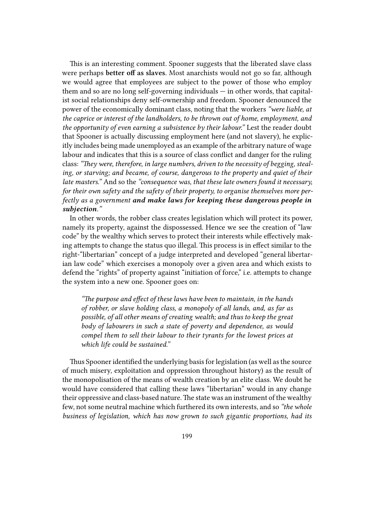This is an interesting comment. Spooner suggests that the liberated slave class were perhaps **better off as slaves.** Most anarchists would not go so far, although we would agree that employees are subject to the power of those who employ them and so are no long self-governing individuals — in other words, that capitalist social relationships deny self-ownership and freedom. Spooner denounced the power of the economically dominant class, noting that the workers *"were liable, at the caprice or interest of the landholders, to be thrown out of home, employment, and the opportunity of even earning a subsistence by their labour."* Lest the reader doubt that Spooner is actually discussing employment here (and not slavery), he explicitly includes being made unemployed as an example of the arbitrary nature of wage labour and indicates that this is a source of class conflict and danger for the ruling class: *"They were, therefore, in large numbers, driven to the necessity of begging, stealing, or starving; and became, of course, dangerous to the property and quiet of their late masters."* And so the *"consequence was, that these late owners found it necessary, for their own safety and the safety of their property, to organise themselves more perfectly as a government and make laws for keeping these dangerous people in subjection."*

In other words, the robber class creates legislation which will protect its power, namely its property, against the dispossessed. Hence we see the creation of "law code" by the wealthy which serves to protect their interests while effectively making attempts to change the status quo illegal. This process is in effect similar to the right-"libertarian" concept of a judge interpreted and developed "general libertarian law code" which exercises a monopoly over a given area and which exists to defend the "rights" of property against "initiation of force," i.e. attempts to change the system into a new one. Spooner goes on:

*"The purpose and effect of these laws have been to maintain, in the hands of robber, or slave holding class, a monopoly of all lands, and, as far as possible, of all other means of creating wealth; and thus to keep the great body of labourers in such a state of poverty and dependence, as would compel them to sell their labour to their tyrants for the lowest prices at which life could be sustained."*

Thus Spooner identified the underlying basis for legislation (as well as the source of much misery, exploitation and oppression throughout history) as the result of the monopolisation of the means of wealth creation by an elite class. We doubt he would have considered that calling these laws "libertarian" would in any change their oppressive and class-based nature.The state was an instrument of the wealthy few, not some neutral machine which furthered its own interests, and so *"the whole business of legislation, which has now grown to such gigantic proportions, had its*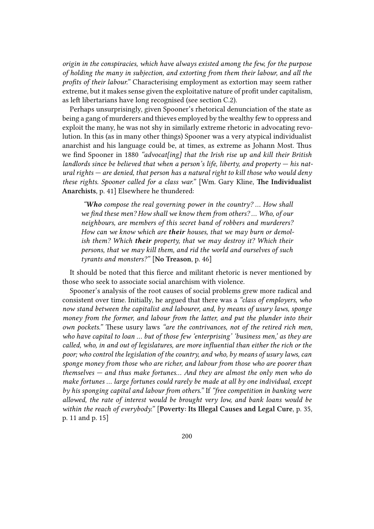*origin in the conspiracies, which have always existed among the few, for the purpose of holding the many in subjection, and extorting from them their labour, and all the profits of their labour."* Characterising employment as extortion may seem rather extreme, but it makes sense given the exploitative nature of profit under capitalism, as left libertarians have long recognised (see section C.2).

Perhaps unsurprisingly, given Spooner's rhetorical denunciation of the state as being a gang of murderers and thieves employed by the wealthy few to oppress and exploit the many, he was not shy in similarly extreme rhetoric in advocating revolution. In this (as in many other things) Spooner was a very atypical individualist anarchist and his language could be, at times, as extreme as Johann Most. Thus we find Spooner in 1880 *"advocat[ing] that the Irish rise up and kill their British landlords since be believed that when a person's life, liberty, and property — his natural rights — are denied, that person has a natural right to kill those who would deny these rights. Spooner called for a class war."* [Wm. Gary Kline, **The Individualist Anarchists**, p. 41] Elsewhere he thundered:

*"Who compose the real governing power in the country? … How shall we find these men? How shall we know them from others? … Who, of our neighbours, are members of this secret band of robbers and murderers? How can we know which are their houses, that we may burn or demolish them? Which their property, that we may destroy it? Which their persons, that we may kill them, and rid the world and ourselves of such tyrants and monsters?"* [**No Treason**, p. 46]

It should be noted that this fierce and militant rhetoric is never mentioned by those who seek to associate social anarchism with violence.

Spooner's analysis of the root causes of social problems grew more radical and consistent over time. Initially, he argued that there was a *"class of employers, who now stand between the capitalist and labourer, and, by means of usury laws, sponge money from the former, and labour from the latter, and put the plunder into their own pockets."* These usury laws *"are the contrivances, not of the retired rich men, who have capital to loan … but of those few 'enterprising' 'business men,' as they are called, who, in and out of legislatures, are more influential than either the rich or the poor; who control the legislation of the country, and who, by means of usury laws, can sponge money from those who are richer, and labour from those who are poorer than themselves — and thus make fortunes… And they are almost the only men who do make fortunes … large fortunes could rarely be made at all by one individual, except by his sponging capital and labour from others."* If *"free competition in banking were allowed, the rate of interest would be brought very low, and bank loans would be within the reach of everybody."* [**Poverty: Its Illegal Causes and Legal Cure**, p. 35, p. 11 and p. 15]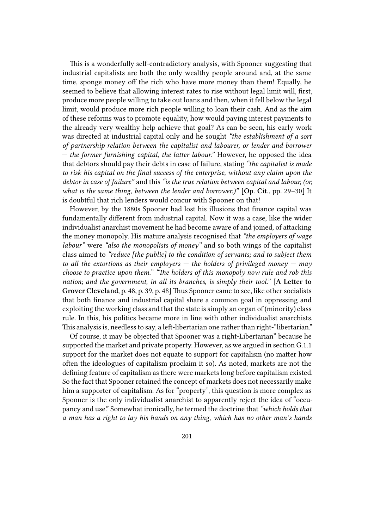This is a wonderfully self-contradictory analysis, with Spooner suggesting that industrial capitalists are both the only wealthy people around and, at the same time, sponge money off the rich who have more money than them! Equally, he seemed to believe that allowing interest rates to rise without legal limit will, first, produce more people willing to take out loans and then, when it fell below the legal limit, would produce more rich people willing to loan their cash. And as the aim of these reforms was to promote equality, how would paying interest payments to the already very wealthy help achieve that goal? As can be seen, his early work was directed at industrial capital only and he sought *"the establishment of a sort of partnership relation between the capitalist and labourer, or lender and borrower — the former furnishing capital, the latter labour."* However, he opposed the idea that debtors should pay their debts in case of failure, stating *"the capitalist is made to risk his capital on the final success of the enterprise, without any claim upon the debtor in case of failure"* and this *"is the true relation between capital and labour, (or, what is the same thing, between the lender and borrower.)"* [**Op. Cit.**, pp. 29–30] It is doubtful that rich lenders would concur with Spooner on that!

However, by the 1880s Spooner had lost his illusions that finance capital was fundamentally different from industrial capital. Now it was a case, like the wider individualist anarchist movement he had become aware of and joined, of attacking the money monopoly. His mature analysis recognised that *"the employers of wage labour"* were *"also the monopolists of money"* and so both wings of the capitalist class aimed to *"reduce [the public] to the condition of servants; and to subject them to all the extortions as their employers — the holders of privileged money — may choose to practice upon them." "The holders of this monopoly now rule and rob this nation; and the government, in all its branches, is simply their tool."* [**A Letter to Grover Cleveland**, p. 48, p. 39, p. 48] Thus Spooner came to see, like other socialists that both finance and industrial capital share a common goal in oppressing and exploiting the working class and that the state is simply an organ of (minority) class rule. In this, his politics became more in line with other individualist anarchists. This analysis is, needless to say, a left-libertarian one rather than right-"libertarian."

Of course, it may be objected that Spooner was a right-Libertarian" because he supported the market and private property. However, as we argued in section G.1.1 support for the market does not equate to support for capitalism (no matter how often the ideologues of capitalism proclaim it so). As noted, markets are not the defining feature of capitalism as there were markets long before capitalism existed. So the fact that Spooner retained the concept of markets does not necessarily make him a supporter of capitalism. As for "property", this question is more complex as Spooner is the only individualist anarchist to apparently reject the idea of "occupancy and use." Somewhat ironically, he termed the doctrine that *"which holds that a man has a right to lay his hands on any thing, which has no other man's hands*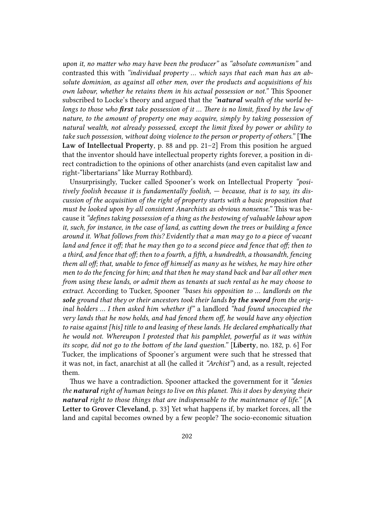*upon it, no matter who may have been the producer"* as *"absolute communism"* and contrasted this with *"individual property … which says that each man has an absolute dominion, as against all other men, over the products and acquisitions of his own labour, whether he retains them in his actual possession or not."* This Spooner subscribed to Locke's theory and argued that the *"natural wealth of the world belongs to those who first take possession of it … There is no limit, fixed by the law of nature, to the amount of property one may acquire, simply by taking possession of natural wealth, not already possessed, except the limit fixed by power or ability to take such possession, without doing violence to the person or property of others."* [**The Law of Intellectual Property**, p. 88 and pp. 21–2] From this position he argued that the inventor should have intellectual property rights forever, a position in direct contradiction to the opinions of other anarchists (and even capitalist law and right-"libertarians" like Murray Rothbard).

Unsurprisingly, Tucker called Spooner's work on Intellectual Property *"positively foolish because it is fundamentally foolish, — because, that is to say, its discussion of the acquisition of the right of property starts with a basic proposition that must be looked upon by all consistent Anarchists as obvious nonsense."* This was because it *"defines taking possession of a thing as the bestowing of valuable labour upon it, such, for instance, in the case of land, as cutting down the trees or building a fence around it. What follows from this? Evidently that a man may go to a piece of vacant land and fence it off; that he may then go to a second piece and fence that off; then to a third, and fence that off; then to a fourth, a fifth, a hundredth, a thousandth, fencing them all off; that, unable to fence off himself as many as he wishes, he may hire other men to do the fencing for him; and that then he may stand back and bar all other men from using these lands, or admit them as tenants at such rental as he may choose to extract.* According to Tucker, Spooner *"bases his opposition to … landlords on the sole ground that they or their ancestors took their lands by the sword from the original holders … I then asked him whether if"* a landlord *"had found unoccupied the very lands that he now holds, and had fenced them off, he would have any objection to raise against [his] title to and leasing of these lands. He declared emphatically that he would not. Whereupon I protested that his pamphlet, powerful as it was within its scope, did not go to the bottom of the land question."* [**Liberty**, no. 182, p. 6] For Tucker, the implications of Spooner's argument were such that he stressed that it was not, in fact, anarchist at all (he called it *"Archist"*) and, as a result, rejected them.

Thus we have a contradiction. Spooner attacked the government for it *"denies the natural right of human beings to live on this planet. This it does by denying their natural right to those things that are indispensable to the maintenance of life."* [**A Letter to Grover Cleveland**, p. 33] Yet what happens if, by market forces, all the land and capital becomes owned by a few people? The socio-economic situation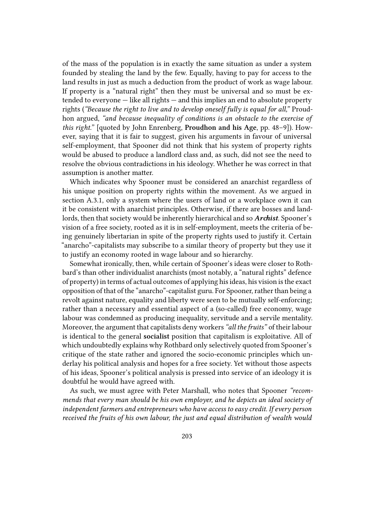of the mass of the population is in exactly the same situation as under a system founded by stealing the land by the few. Equally, having to pay for access to the land results in just as much a deduction from the product of work as wage labour. If property is a "natural right" then they must be universal and so must be extended to everyone — like all rights — and this implies an end to absolute property rights (*"Because the right to live and to develop oneself fully is equal for all,"* Proudhon argued, *"and because inequality of conditions is an obstacle to the exercise of this right."* [quoted by John Enrenberg, **Proudhon and his Age**, pp. 48–9]). However, saying that it is fair to suggest, given his arguments in favour of universal self-employment, that Spooner did not think that his system of property rights would be abused to produce a landlord class and, as such, did not see the need to resolve the obvious contradictions in his ideology. Whether he was correct in that assumption is another matter.

Which indicates why Spooner must be considered an anarchist regardless of his unique position on property rights within the movement. As we argued in section A.3.1, only a system where the users of land or a workplace own it can it be consistent with anarchist principles. Otherwise, if there are bosses and landlords, then that society would be inherently hierarchical and so *Archist*. Spooner's vision of a free society, rooted as it is in self-employment, meets the criteria of being genuinely libertarian in spite of the property rights used to justify it. Certain "anarcho"-capitalists may subscribe to a similar theory of property but they use it to justify an economy rooted in wage labour and so hierarchy.

Somewhat ironically, then, while certain of Spooner's ideas were closer to Rothbard's than other individualist anarchists (most notably, a "natural rights" defence of property) in terms of actual outcomes of applying his ideas, his vision is the exact opposition of that of the "anarcho"-capitalist guru. For Spooner, rather than being a revolt against nature, equality and liberty were seen to be mutually self-enforcing; rather than a necessary and essential aspect of a (so-called) free economy, wage labour was condemned as producing inequality, servitude and a servile mentality. Moreover, the argument that capitalists deny workers*"all the fruits"* of their labour is identical to the general **socialist** position that capitalism is exploitative. All of which undoubtedly explains why Rothbard only selectively quoted from Spooner's critique of the state rather and ignored the socio-economic principles which underlay his political analysis and hopes for a free society. Yet without those aspects of his ideas, Spooner's political analysis is pressed into service of an ideology it is doubtful he would have agreed with.

As such, we must agree with Peter Marshall, who notes that Spooner *"recommends that every man should be his own employer, and he depicts an ideal society of independent farmers and entrepreneurs who have access to easy credit. If every person received the fruits of his own labour, the just and equal distribution of wealth would*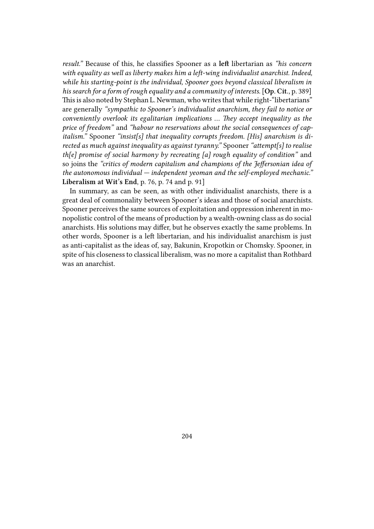*result."* Because of this, he classifies Spooner as a **left** libertarian as *"his concern with equality as well as liberty makes him a left-wing individualist anarchist. Indeed, while his starting-point is the individual, Spooner goes beyond classical liberalism in his search for a form of rough equality and a community of interests.* [**Op. Cit.**, p. 389] This is also noted by Stephan L. Newman, who writes that while right-"libertarians" are generally *"sympathic to Spooner's individualist anarchism, they fail to notice or conveniently overlook its egalitarian implications … They accept inequality as the price of freedom"* and *"habour no reservations about the social consequences of capitalism."* Spooner *"insist[s] that inequality corrupts freedom. [His] anarchism is directed as much against inequality as against tyranny."* Spooner *"attempt[s] to realise th[e] promise of social harmony by recreating [a] rough equality of condition"* and so joins the *"critics of modern capitalism and champions of the Jeffersonian idea of the autonomous individual — independent yeoman and the self-employed mechanic."* **Liberalism at Wit's End**, p. 76, p. 74 and p. 91]

In summary, as can be seen, as with other individualist anarchists, there is a great deal of commonality between Spooner's ideas and those of social anarchists. Spooner perceives the same sources of exploitation and oppression inherent in monopolistic control of the means of production by a wealth-owning class as do social anarchists. His solutions may differ, but he observes exactly the same problems. In other words, Spooner is a left libertarian, and his individualist anarchism is just as anti-capitalist as the ideas of, say, Bakunin, Kropotkin or Chomsky. Spooner, in spite of his closeness to classical liberalism, was no more a capitalist than Rothbard was an anarchist.